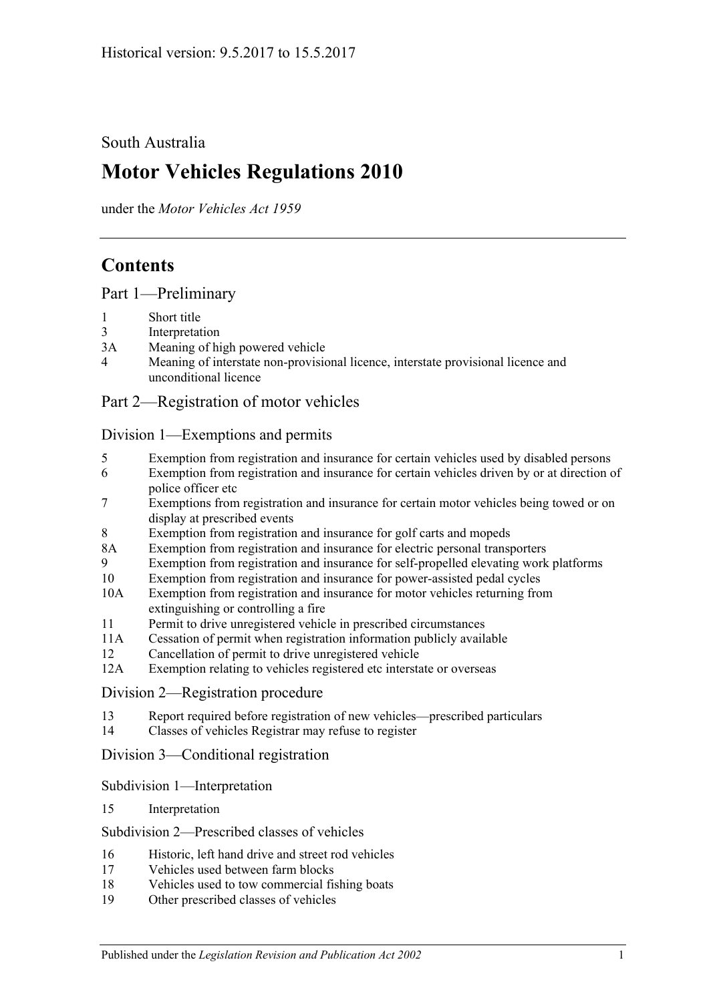South Australia

# **Motor Vehicles Regulations 2010**

under the *Motor Vehicles Act 1959*

# **Contents**

[Part 1—Preliminary](#page-6-0)

- 1 [Short title](#page-6-1)
- 3 [Interpretation](#page-6-2)
- 3A [Meaning of high powered vehicle](#page-9-0)
- 4 [Meaning of interstate non-provisional licence, interstate provisional licence and](#page-10-0)  [unconditional licence](#page-10-0)

## [Part 2—Registration of motor vehicles](#page-12-0)

### [Division 1—Exemptions and permits](#page-12-1)

- 5 [Exemption from registration and insurance for certain vehicles used by disabled persons](#page-12-2)
- 6 [Exemption from registration and insurance for certain vehicles driven by or at direction of](#page-12-3)  [police officer etc](#page-12-3)
- 7 [Exemptions from registration and insurance for certain motor vehicles being towed or on](#page-12-4)  [display at prescribed events](#page-12-4)
- 8 [Exemption from registration and insurance for golf carts and mopeds](#page-13-0)
- 8A [Exemption from registration and insurance for electric personal transporters](#page-13-1)
- 9 [Exemption from registration and insurance for self-propelled elevating work platforms](#page-13-2)
- 10 [Exemption from registration and insurance for power-assisted pedal cycles](#page-14-0)
- 10A [Exemption from registration and insurance for motor vehicles returning from](#page-14-1)  [extinguishing or controlling a fire](#page-14-1)
- 11 [Permit to drive unregistered vehicle in prescribed circumstances](#page-15-0)
- 11A [Cessation of permit when registration information publicly available](#page-15-1)
- 12 [Cancellation of permit to drive unregistered vehicle](#page-15-2)
- 12A [Exemption relating to vehicles registered etc interstate or overseas](#page-15-3)

#### [Division 2—Registration procedure](#page-15-4)

- 13 [Report required before registration of new vehicles—prescribed particulars](#page-15-5)
- 14 [Classes of vehicles Registrar may refuse to register](#page-16-0)

#### [Division 3—Conditional registration](#page-16-1)

#### [Subdivision 1—Interpretation](#page-16-2)

#### 15 [Interpretation](#page-16-3)

## [Subdivision 2—Prescribed classes of vehicles](#page-17-0)

- 16 [Historic, left hand drive and street rod vehicles](#page-17-1)
- 17 [Vehicles used between farm blocks](#page-18-0)
- 18 [Vehicles used to tow commercial fishing boats](#page-18-1)
- 19 [Other prescribed classes of vehicles](#page-19-0)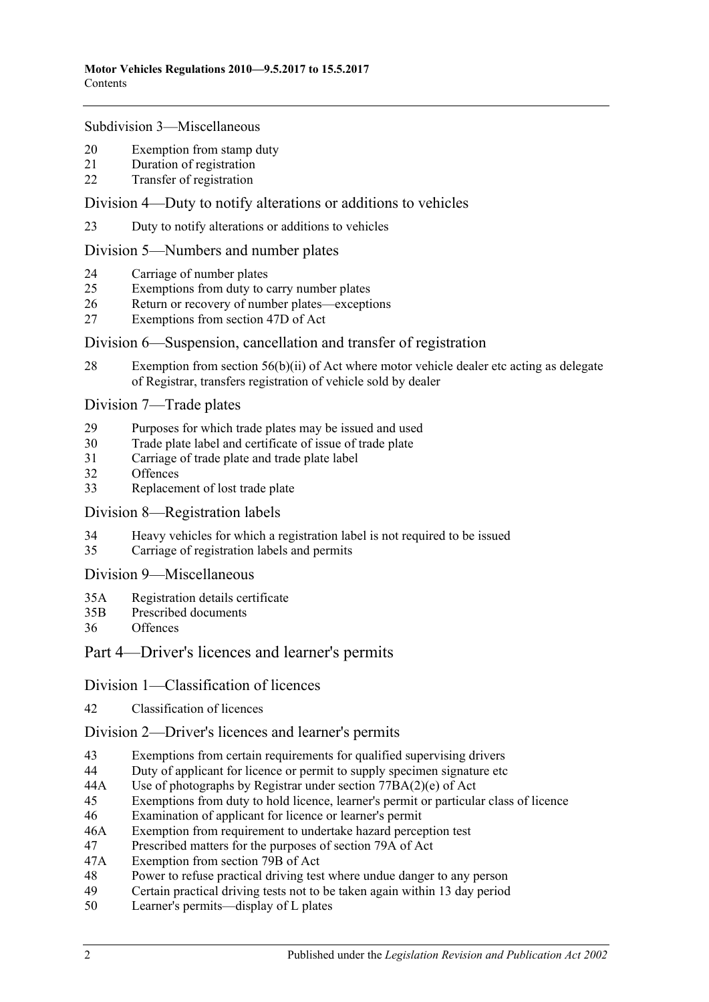#### [Subdivision 3—Miscellaneous](#page-19-1)

- 20 [Exemption from stamp duty](#page-19-2)
- 21 [Duration of registration](#page-20-0)
- 22 [Transfer of registration](#page-20-1)

### [Division 4—Duty to notify alterations or additions to vehicles](#page-20-2)

23 [Duty to notify alterations or additions to vehicles](#page-20-3)

### [Division 5—Numbers and number plates](#page-21-0)

- 24 [Carriage of number plates](#page-21-1)
- 25 [Exemptions from duty to carry number plates](#page-22-0)
- 26 [Return or recovery of number plates—exceptions](#page-23-0)
- 27 [Exemptions from section 47D of Act](#page-24-0)

### [Division 6—Suspension, cancellation and transfer of registration](#page-24-1)

28 [Exemption from section 56\(b\)\(ii\) of Act where motor vehicle dealer etc acting as delegate](#page-24-2)  [of Registrar, transfers registration of vehicle sold by dealer](#page-24-2)

#### [Division 7—Trade plates](#page-25-0)

- 29 [Purposes for which trade plates may be issued and used](#page-25-1)
- 30 [Trade plate label and certificate of issue of trade plate](#page-28-0)
- 31 [Carriage of trade plate and trade plate label](#page-28-1)
- 32 [Offences](#page-28-2)
- 33 [Replacement of lost trade plate](#page-29-0)

#### [Division 8—Registration labels](#page-29-1)

- 34 Heavy [vehicles for which a registration label is not required to be issued](#page-29-2)
- 35 [Carriage of registration labels and permits](#page-29-3)

#### [Division 9—Miscellaneous](#page-31-0)

- 35A [Registration details certificate](#page-31-1)
- 35B [Prescribed documents](#page-31-2)
- 36 [Offences](#page-31-3)

## [Part 4—Driver's licences and learner's permits](#page-34-0)

## [Division 1—Classification of licences](#page-34-1)

42 [Classification of licences](#page-34-2)

## [Division 2—Driver's licences and learner's permits](#page-34-3)

- 43 [Exemptions from certain requirements for qualified supervising drivers](#page-34-4)
- 44 [Duty of applicant for licence or permit to supply specimen signature etc](#page-34-5)
- 44A [Use of photographs by Registrar under section](#page-35-0) 77BA(2)(e) of Act
- 45 [Exemptions from duty to hold licence, learner's permit or particular class of licence](#page-35-1)
- 46 [Examination of applicant for licence or learner's permit](#page-37-0)
- 46A [Exemption from requirement to undertake hazard perception test](#page-38-0)
- 47 [Prescribed matters for the purposes of section 79A of Act](#page-38-1)
- 47A [Exemption from section 79B of Act](#page-39-0)
- 48 [Power to refuse practical driving test where undue danger to any person](#page-39-1)
- 49 [Certain practical driving tests not to be taken again within 13](#page-39-2) day period
- 50 [Learner's permits—display of L plates](#page-39-3)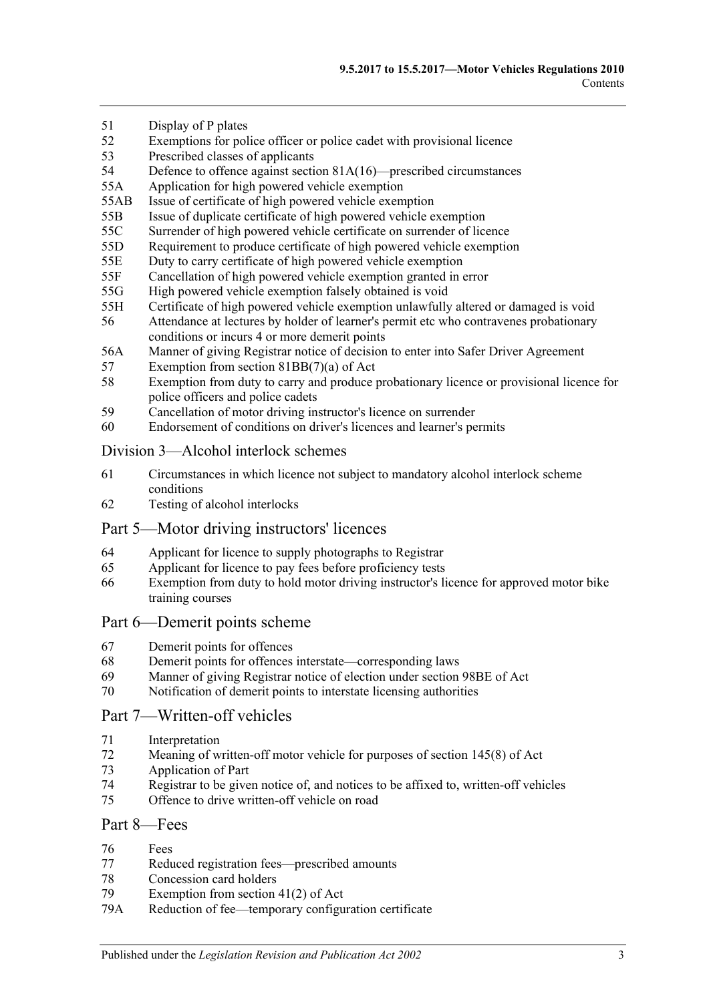- 51 [Display of P plates](#page-40-0)
- 52 [Exemptions for police officer or police cadet with provisional licence](#page-40-1)
- 53 [Prescribed classes of applicants](#page-40-2)
- 54 Defence to offence against section [81A\(16\)—prescribed circumstances](#page-41-0)
- 55A [Application for high powered vehicle exemption](#page-41-1)
- 55AB [Issue of certificate of high powered vehicle exemption](#page-41-2)
- 55B [Issue of duplicate certificate of high powered vehicle exemption](#page-41-3)
- 55C [Surrender of high powered vehicle certificate on surrender of licence](#page-41-4)
- 55D [Requirement to produce certificate of high powered vehicle exemption](#page-41-5)
- 55E [Duty to carry certificate of high powered vehicle exemption](#page-42-0)
- 55F [Cancellation of high powered vehicle exemption granted in error](#page-42-1)
- 55G [High powered vehicle exemption falsely obtained is void](#page-42-2)
- 55H [Certificate of high powered vehicle exemption unlawfully altered or damaged is void](#page-42-3)
- 56 [Attendance at lectures by holder of learner's permit etc who contravenes probationary](#page-43-0)  [conditions or incurs 4 or more demerit points](#page-43-0)
- 56A [Manner of giving Registrar notice of decision to enter into Safer Driver Agreement](#page-43-1)
- 57 [Exemption from section 81BB\(7\)\(a\) of Act](#page-43-2)
- 58 [Exemption from duty to carry and produce probationary licence or provisional licence for](#page-44-0)  [police officers and police cadets](#page-44-0)
- 59 [Cancellation of motor driving instructor's licence on surrender](#page-44-1)
- 60 [Endorsement of conditions on driver's licences and learner's permits](#page-44-2)

#### [Division 3—Alcohol interlock schemes](#page-44-3)

- 61 [Circumstances in which licence not subject to mandatory alcohol interlock scheme](#page-44-4)  [conditions](#page-44-4)
- 62 [Testing of alcohol interlocks](#page-44-5)

## [Part 5—Motor driving instructors' licences](#page-46-0)

- 64 [Applicant for licence to supply photographs to Registrar](#page-46-1)
- 65 [Applicant for licence to pay fees before proficiency tests](#page-46-2)
- 66 [Exemption from duty to hold motor driving instructor's licence for approved motor bike](#page-46-3)  [training courses](#page-46-3)

#### [Part 6—Demerit points scheme](#page-48-0)

- 67 [Demerit points for offences](#page-48-1)
- 68 [Demerit points for offences interstate—corresponding laws](#page-48-2)
- 69 [Manner of giving Registrar notice of election under section](#page-48-3) 98BE of Act
- 70 [Notification of demerit points to interstate licensing authorities](#page-49-0)

# [Part 7—Written-off vehicles](#page-50-0)

- 71 [Interpretation](#page-50-1)
- 72 [Meaning of written-off motor vehicle for purposes of section](#page-51-0) 145(8) of Act
- 73 [Application of Part](#page-51-1)
- 74 [Registrar to be given notice of, and notices to be affixed to, written-off vehicles](#page-52-0)<br>75 Offence to drive written-off vehicle on road
- [Offence to drive written-off vehicle on road](#page-54-0)

#### [Part 8—Fees](#page-56-0)

- 76 [Fees](#page-56-1)
- 77 [Reduced registration fees—prescribed amounts](#page-56-2)
- 78 [Concession card holders](#page-57-0)<br>79 Exemption from section
- Exemption from section  $41(2)$  of Act
- 79A [Reduction of fee—temporary configuration certificate](#page-57-2)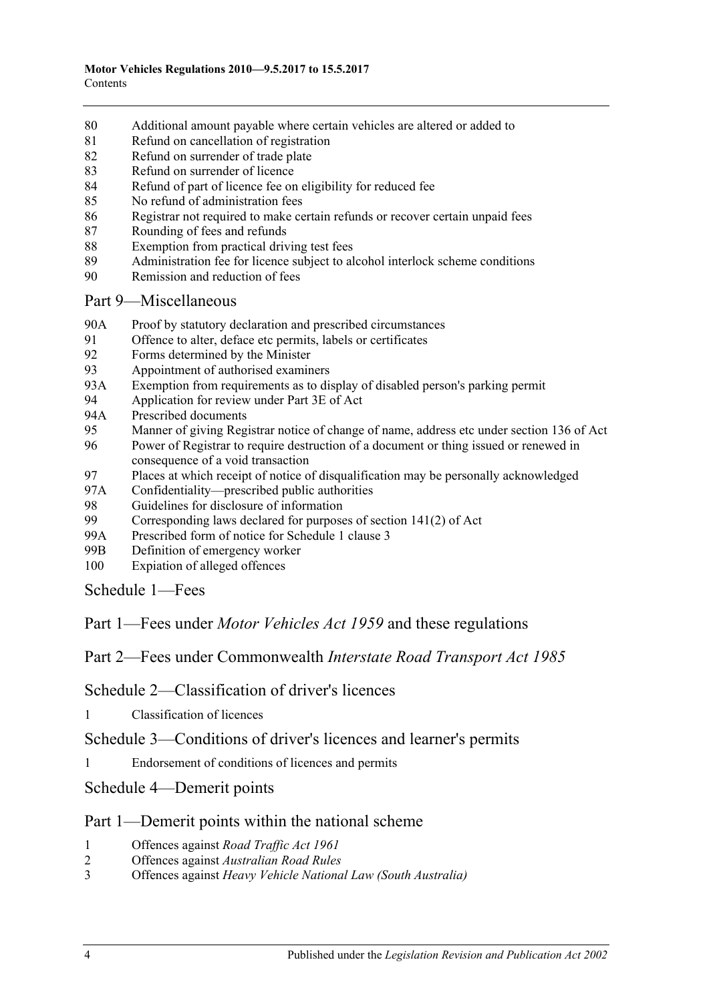- 80 [Additional amount payable where certain vehicles are altered or added to](#page-58-0)
- 81 [Refund on cancellation of registration](#page-58-1)
- 82 [Refund on surrender of trade plate](#page-59-0)
- 83 [Refund on surrender of licence](#page-59-1)
- 84 [Refund of part of licence fee on eligibility for reduced fee](#page-59-2)
- 85 [No refund of administration fees](#page-59-3)
- 86 [Registrar not required to make certain refunds or recover certain unpaid fees](#page-59-4)
- 87 [Rounding of fees and refunds](#page-59-5)
- 88 [Exemption from practical driving test fees](#page-60-0)
- 89 [Administration fee for licence subject to alcohol interlock scheme conditions](#page-60-1)
- 90 [Remission and reduction of fees](#page-60-2)

## [Part 9—Miscellaneous](#page-62-0)

- 90A [Proof by statutory declaration and prescribed circumstances](#page-62-1)
- 91 [Offence to alter, deface etc permits, labels or certificates](#page-62-2)
- 92 [Forms determined by the Minister](#page-63-0)
- 93 [Appointment of authorised examiners](#page-63-1)
- 93A [Exemption from requirements as to display of disabled person's parking permit](#page-63-2)
- 94 [Application for review under Part 3E of Act](#page-64-0)
- 94A [Prescribed documents](#page-64-1)
- 95 [Manner of giving Registrar notice of change of name, address etc under section](#page-64-2) 136 of Act
- 96 [Power of Registrar to require destruction of a document or thing issued or renewed in](#page-64-3)  [consequence of a void transaction](#page-64-3)
- 97 [Places at which receipt of notice of disqualification may be personally acknowledged](#page-64-4)
- 97A [Confidentiality—prescribed public authorities](#page-65-0)
- 98 [Guidelines for disclosure of information](#page-65-1)<br>99 Corresponding laws declared for purpose
- Corresponding laws declared for purposes of section  $141(2)$  of Act
- 99A [Prescribed form of notice for Schedule 1 clause 3](#page-69-0)
- 99B [Definition of emergency worker](#page-69-1)
- 100 [Expiation of alleged offences](#page-70-0)

[Schedule 1—Fees](#page-72-0)

Part 1—Fees under *Motor Vehicles Act 1959* and these regulations

Part 2—Fees under Commonwealth *Interstate Road Transport Act 1985*

[Schedule 2—Classification of driver's licences](#page-82-0)

1 [Classification of licences](#page-82-1)

[Schedule 3—Conditions of driver's licences and learner's permits](#page-86-0)

1 [Endorsement of conditions of licences and permits](#page-86-1)

[Schedule 4—Demerit points](#page-88-0)

## Part 1—Demerit points within the national scheme

- 1 [Offences against](#page-88-1) *Road Traffic Act 1961*
- 2 Offences against *[Australian Road Rules](#page-88-2)*
- 3 Offences against *[Heavy Vehicle National Law \(South Australia\)](#page-92-0)*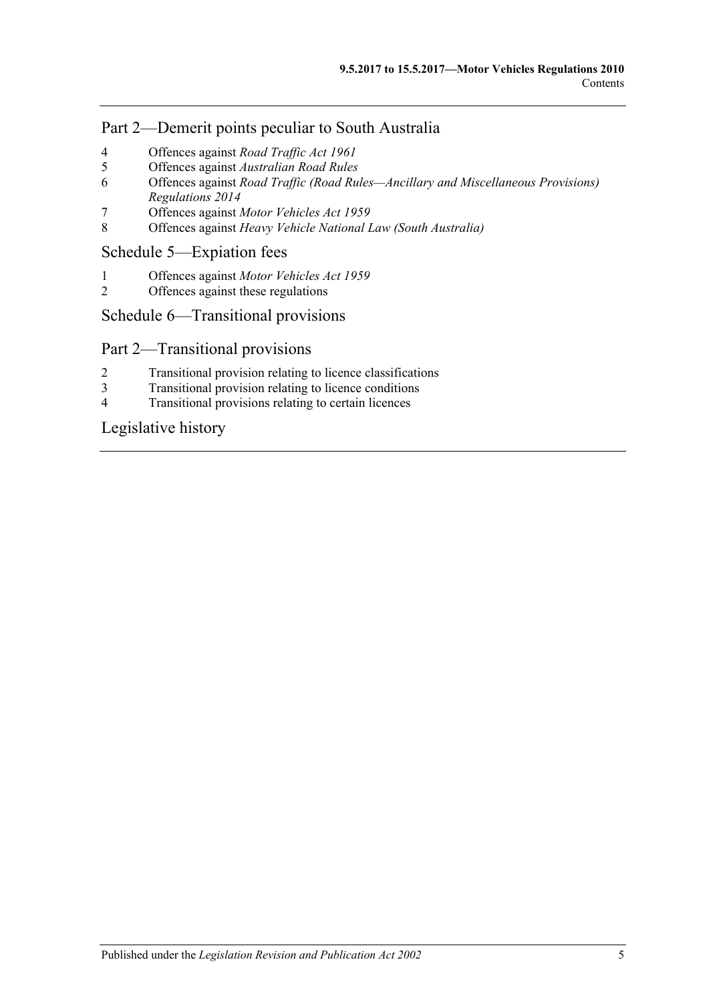## Part 2—Demerit points peculiar to South Australia

- 4 [Offences against](#page-93-0) *Road Traffic Act 1961*
- 5 Offences against *[Australian Road Rules](#page-95-0)*
- 6 Offences against *[Road Traffic \(Road Rules—Ancillary and Miscellaneous Provisions\)](#page-98-0)  [Regulations](#page-98-0) 2014*
- 7 Offences against *[Motor Vehicles Act](#page-99-0) 1959*
- 8 Offences against *[Heavy Vehicle National Law \(South Australia\)](#page-99-1)*

## [Schedule 5—Expiation fees](#page-100-0)

- 1 Offences against *[Motor Vehicles Act](#page-100-1) 1959*
- 2 [Offences against these regulations](#page-103-0)

# [Schedule 6—Transitional provisions](#page-104-0)

## Part 2—Transitional provisions

- 2 [Transitional provision relating to licence classifications](#page-104-1)
- 3 [Transitional provision relating to licence conditions](#page-104-2)
- 4 [Transitional provisions relating to certain licences](#page-105-0)

# [Legislative history](#page-106-0)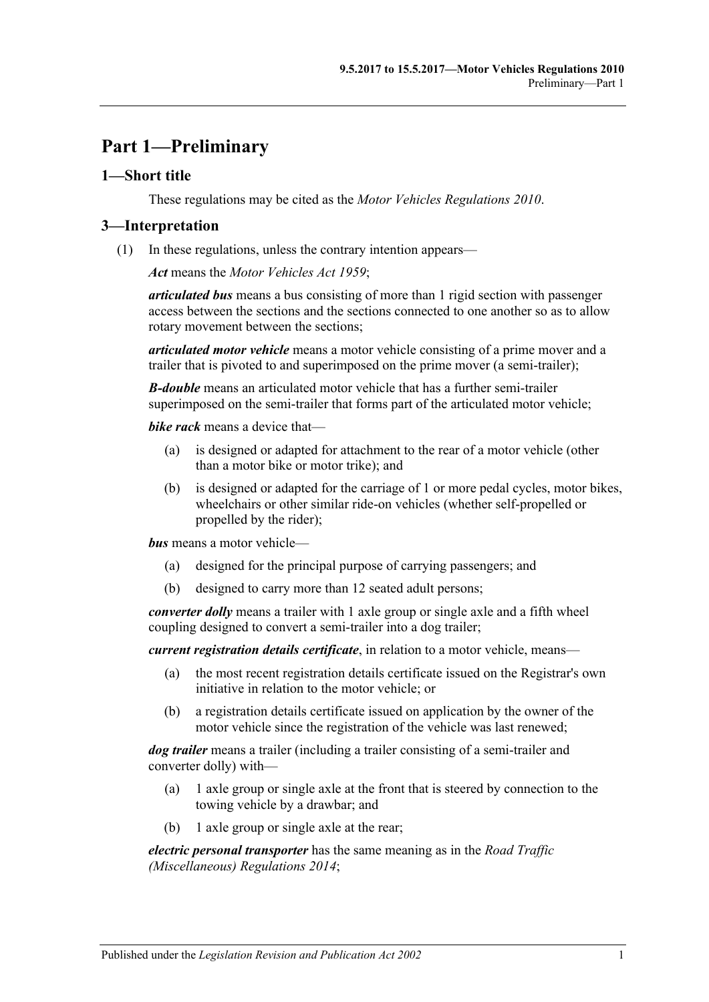# <span id="page-6-0"></span>**Part 1—Preliminary**

## <span id="page-6-1"></span>**1—Short title**

These regulations may be cited as the *Motor Vehicles Regulations 2010*.

### <span id="page-6-2"></span>**3—Interpretation**

(1) In these regulations, unless the contrary intention appears—

*Act* means the *[Motor Vehicles Act](http://www.legislation.sa.gov.au/index.aspx?action=legref&type=act&legtitle=Motor%20Vehicles%20Act%201959) 1959*;

*articulated bus* means a bus consisting of more than 1 rigid section with passenger access between the sections and the sections connected to one another so as to allow rotary movement between the sections;

*articulated motor vehicle* means a motor vehicle consisting of a prime mover and a trailer that is pivoted to and superimposed on the prime mover (a semi-trailer);

*B-double* means an articulated motor vehicle that has a further semi-trailer superimposed on the semi-trailer that forms part of the articulated motor vehicle;

*bike rack* means a device that—

- (a) is designed or adapted for attachment to the rear of a motor vehicle (other than a motor bike or motor trike); and
- (b) is designed or adapted for the carriage of 1 or more pedal cycles, motor bikes, wheelchairs or other similar ride-on vehicles (whether self-propelled or propelled by the rider);

*bus* means a motor vehicle—

- (a) designed for the principal purpose of carrying passengers; and
- (b) designed to carry more than 12 seated adult persons;

*converter dolly* means a trailer with 1 axle group or single axle and a fifth wheel coupling designed to convert a semi-trailer into a dog trailer;

*current registration details certificate*, in relation to a motor vehicle, means—

- (a) the most recent registration details certificate issued on the Registrar's own initiative in relation to the motor vehicle; or
- (b) a registration details certificate issued on application by the owner of the motor vehicle since the registration of the vehicle was last renewed;

*dog trailer* means a trailer (including a trailer consisting of a semi-trailer and converter dolly) with—

- (a) 1 axle group or single axle at the front that is steered by connection to the towing vehicle by a drawbar; and
- (b) 1 axle group or single axle at the rear;

*electric personal transporter* has the same meaning as in the *[Road Traffic](http://www.legislation.sa.gov.au/index.aspx?action=legref&type=subordleg&legtitle=Road%20Traffic%20(Miscellaneous)%20Regulations%202014)  [\(Miscellaneous\) Regulations](http://www.legislation.sa.gov.au/index.aspx?action=legref&type=subordleg&legtitle=Road%20Traffic%20(Miscellaneous)%20Regulations%202014) 2014*;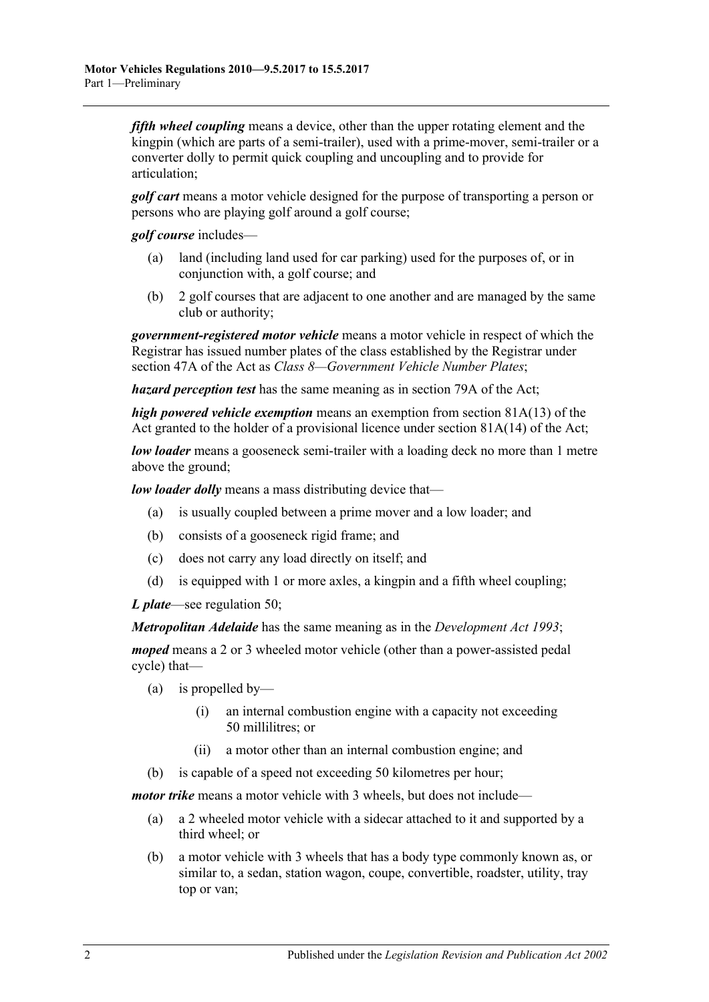*fifth wheel coupling* means a device, other than the upper rotating element and the kingpin (which are parts of a semi-trailer), used with a prime-mover, semi-trailer or a converter dolly to permit quick coupling and uncoupling and to provide for articulation;

*golf cart* means a motor vehicle designed for the purpose of transporting a person or persons who are playing golf around a golf course;

*golf course* includes—

- (a) land (including land used for car parking) used for the purposes of, or in conjunction with, a golf course; and
- (b) 2 golf courses that are adjacent to one another and are managed by the same club or authority;

*government-registered motor vehicle* means a motor vehicle in respect of which the Registrar has issued number plates of the class established by the Registrar under section 47A of the Act as *Class 8—Government Vehicle Number Plates*;

*hazard perception test* has the same meaning as in section 79A of the Act;

*high powered vehicle exemption* means an exemption from section 81A(13) of the Act granted to the holder of a provisional licence under section 81A(14) of the Act;

*low loader* means a gooseneck semi-trailer with a loading deck no more than 1 metre above the ground;

*low loader dolly* means a mass distributing device that—

- (a) is usually coupled between a prime mover and a low loader; and
- (b) consists of a gooseneck rigid frame; and
- (c) does not carry any load directly on itself; and
- (d) is equipped with 1 or more axles, a kingpin and a fifth wheel coupling;

*L plate*—see [regulation](#page-39-3) 50;

*Metropolitan Adelaide* has the same meaning as in the *[Development Act](http://www.legislation.sa.gov.au/index.aspx?action=legref&type=act&legtitle=Development%20Act%201993) 1993*;

*moped* means a 2 or 3 wheeled motor vehicle (other than a power-assisted pedal cycle) that—

- (a) is propelled by—
	- (i) an internal combustion engine with a capacity not exceeding 50 millilitres; or
	- (ii) a motor other than an internal combustion engine; and
- (b) is capable of a speed not exceeding 50 kilometres per hour;

*motor trike* means a motor vehicle with 3 wheels, but does not include—

- (a) a 2 wheeled motor vehicle with a sidecar attached to it and supported by a third wheel; or
- (b) a motor vehicle with 3 wheels that has a body type commonly known as, or similar to, a sedan, station wagon, coupe, convertible, roadster, utility, tray top or van;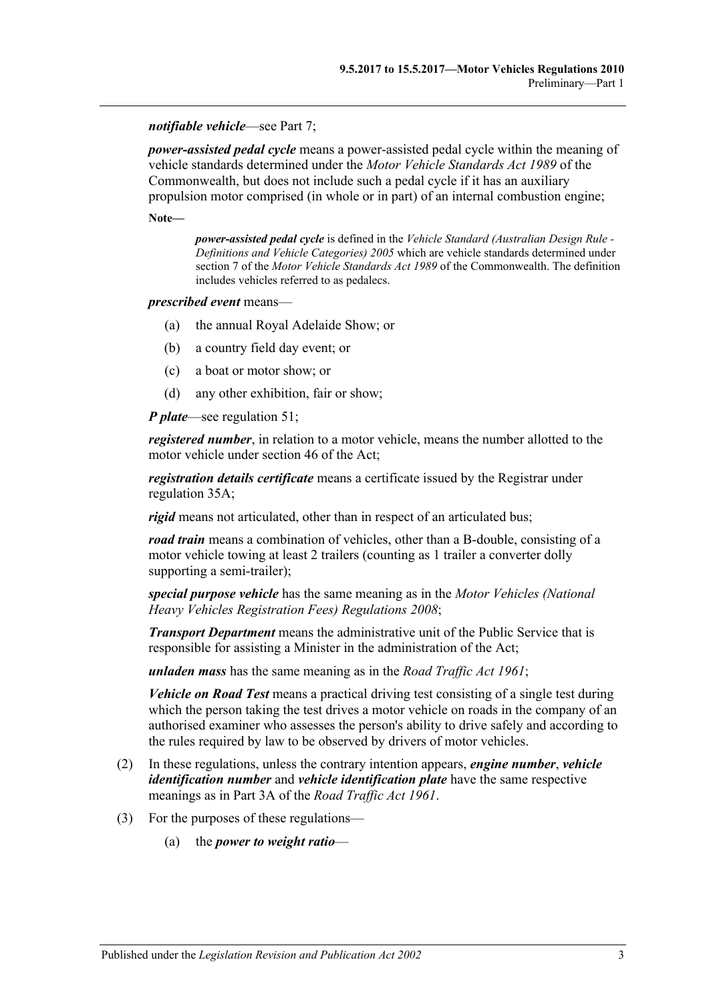#### *notifiable vehicle*—see [Part 7;](#page-50-0)

*power-assisted pedal cycle* means a power-assisted pedal cycle within the meaning of vehicle standards determined under the *Motor Vehicle Standards Act 1989* of the Commonwealth, but does not include such a pedal cycle if it has an auxiliary propulsion motor comprised (in whole or in part) of an internal combustion engine;

**Note—**

*power-assisted pedal cycle* is defined in the *[Vehicle Standard \(Australian](http://www.legislation.sa.gov.au/index.aspx?action=legref&type=act&legtitle=Vehicle%20Standard%20(Australian%20Design%20Rule%20-%20Definitions%20and%20Vehicle%20Categories)%202005) Design Rule - [Definitions and Vehicle Categories\) 2005](http://www.legislation.sa.gov.au/index.aspx?action=legref&type=act&legtitle=Vehicle%20Standard%20(Australian%20Design%20Rule%20-%20Definitions%20and%20Vehicle%20Categories)%202005)* which are vehicle standards determined under section 7 of the *Motor Vehicle Standards Act 1989* of the Commonwealth. The definition includes vehicles referred to as pedalecs.

#### *prescribed event* means—

- (a) the annual Royal Adelaide Show; or
- (b) a country field day event; or
- (c) a boat or motor show; or
- (d) any other exhibition, fair or show;

*P plate*—see [regulation](#page-40-0) 51;

*registered number*, in relation to a motor vehicle, means the number allotted to the motor vehicle under section 46 of the Act;

*registration details certificate* means a certificate issued by the Registrar under [regulation](#page-31-1) 35A;

*rigid* means not articulated, other than in respect of an articulated bus;

*road train* means a combination of vehicles, other than a B-double, consisting of a motor vehicle towing at least 2 trailers (counting as 1 trailer a converter dolly supporting a semi-trailer);

*special purpose vehicle* has the same meaning as in the *[Motor Vehicles \(National](http://www.legislation.sa.gov.au/index.aspx?action=legref&type=subordleg&legtitle=Motor%20Vehicles%20(National%20Heavy%20Vehicles%20Registration%20Fees)%20Regulations%202008)  [Heavy Vehicles Registration Fees\) Regulations](http://www.legislation.sa.gov.au/index.aspx?action=legref&type=subordleg&legtitle=Motor%20Vehicles%20(National%20Heavy%20Vehicles%20Registration%20Fees)%20Regulations%202008) 2008*;

*Transport Department* means the administrative unit of the Public Service that is responsible for assisting a Minister in the administration of the Act;

*unladen mass* has the same meaning as in the *[Road Traffic Act](http://www.legislation.sa.gov.au/index.aspx?action=legref&type=act&legtitle=Road%20Traffic%20Act%201961) 1961*;

*Vehicle on Road Test* means a practical driving test consisting of a single test during which the person taking the test drives a motor vehicle on roads in the company of an authorised examiner who assesses the person's ability to drive safely and according to the rules required by law to be observed by drivers of motor vehicles.

- (2) In these regulations, unless the contrary intention appears, *engine number*, *vehicle identification number* and *vehicle identification plate* have the same respective meanings as in Part 3A of the *[Road Traffic Act](http://www.legislation.sa.gov.au/index.aspx?action=legref&type=act&legtitle=Road%20Traffic%20Act%201961) 1961*.
- (3) For the purposes of these regulations—
	- (a) the *power to weight ratio*—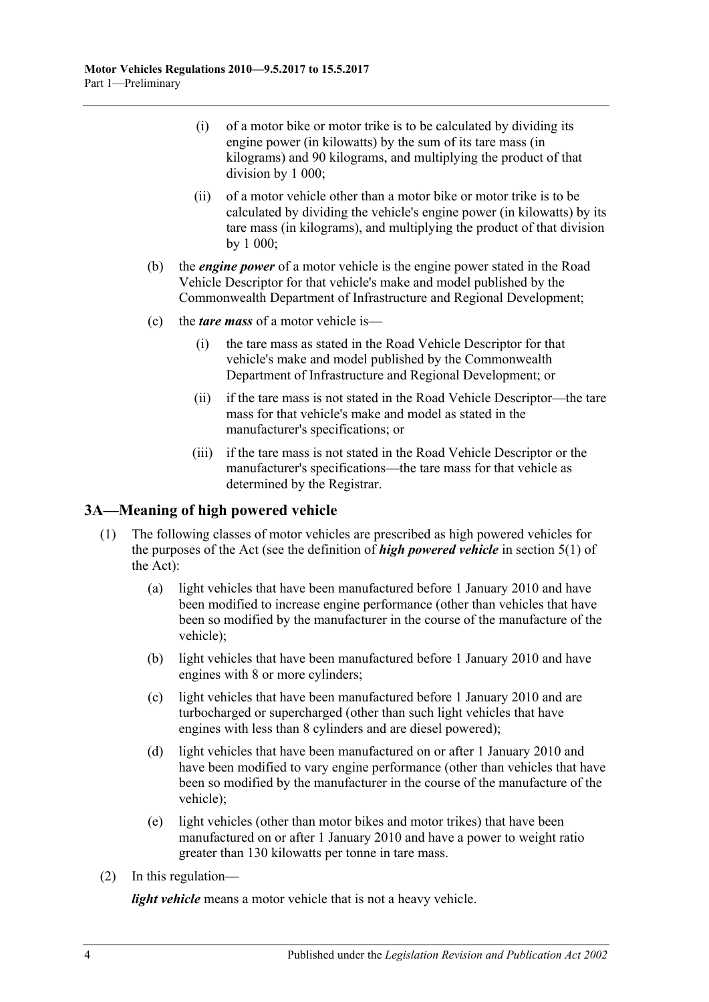- (i) of a motor bike or motor trike is to be calculated by dividing its engine power (in kilowatts) by the sum of its tare mass (in kilograms) and 90 kilograms, and multiplying the product of that division by 1 000;
- (ii) of a motor vehicle other than a motor bike or motor trike is to be calculated by dividing the vehicle's engine power (in kilowatts) by its tare mass (in kilograms), and multiplying the product of that division by 1 000;
- (b) the *engine power* of a motor vehicle is the engine power stated in the Road Vehicle Descriptor for that vehicle's make and model published by the Commonwealth Department of Infrastructure and Regional Development;
- (c) the *tare mass* of a motor vehicle is—
	- (i) the tare mass as stated in the Road Vehicle Descriptor for that vehicle's make and model published by the Commonwealth Department of Infrastructure and Regional Development; or
	- (ii) if the tare mass is not stated in the Road Vehicle Descriptor—the tare mass for that vehicle's make and model as stated in the manufacturer's specifications; or
	- (iii) if the tare mass is not stated in the Road Vehicle Descriptor or the manufacturer's specifications—the tare mass for that vehicle as determined by the Registrar.

## <span id="page-9-0"></span>**3A—Meaning of high powered vehicle**

- (1) The following classes of motor vehicles are prescribed as high powered vehicles for the purposes of the Act (see the definition of *high powered vehicle* in section 5(1) of the Act):
	- (a) light vehicles that have been manufactured before 1 January 2010 and have been modified to increase engine performance (other than vehicles that have been so modified by the manufacturer in the course of the manufacture of the vehicle);
	- (b) light vehicles that have been manufactured before 1 January 2010 and have engines with 8 or more cylinders;
	- (c) light vehicles that have been manufactured before 1 January 2010 and are turbocharged or supercharged (other than such light vehicles that have engines with less than 8 cylinders and are diesel powered);
	- (d) light vehicles that have been manufactured on or after 1 January 2010 and have been modified to vary engine performance (other than vehicles that have been so modified by the manufacturer in the course of the manufacture of the vehicle);
	- (e) light vehicles (other than motor bikes and motor trikes) that have been manufactured on or after 1 January 2010 and have a power to weight ratio greater than 130 kilowatts per tonne in tare mass.
- (2) In this regulation—

*light vehicle* means a motor vehicle that is not a heavy vehicle.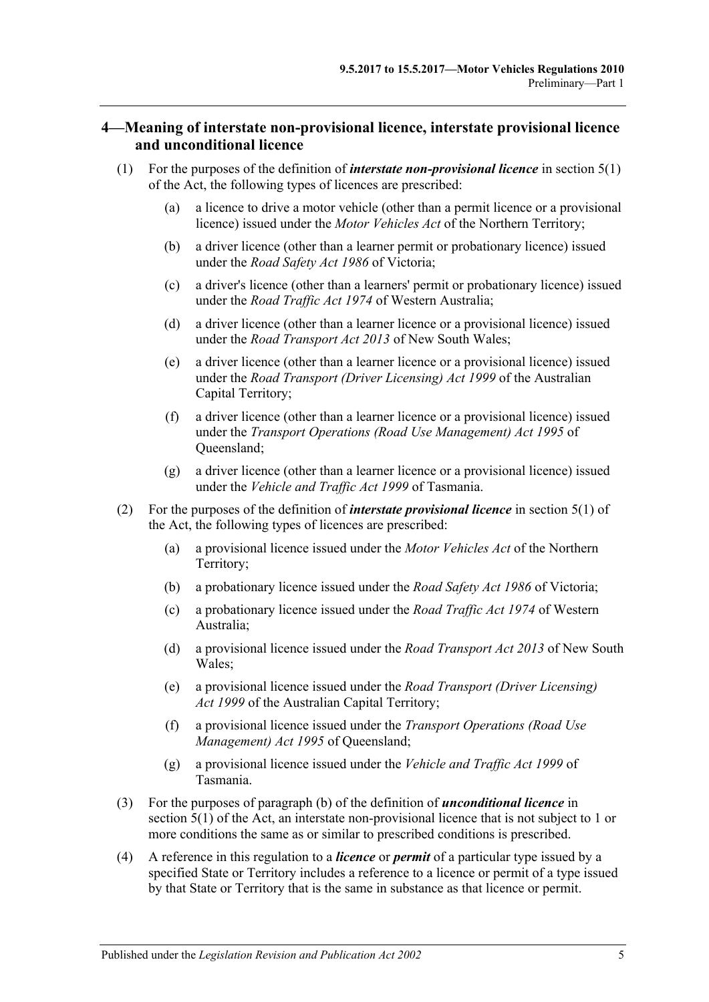## <span id="page-10-0"></span>**4—Meaning of interstate non-provisional licence, interstate provisional licence and unconditional licence**

- (1) For the purposes of the definition of *interstate non-provisional licence* in section 5(1) of the Act, the following types of licences are prescribed:
	- (a) a licence to drive a motor vehicle (other than a permit licence or a provisional licence) issued under the *Motor Vehicles Act* of the Northern Territory;
	- (b) a driver licence (other than a learner permit or probationary licence) issued under the *Road Safety Act 1986* of Victoria;
	- (c) a driver's licence (other than a learners' permit or probationary licence) issued under the *Road Traffic Act 1974* of Western Australia;
	- (d) a driver licence (other than a learner licence or a provisional licence) issued under the *Road Transport Act 2013* of New South Wales;
	- (e) a driver licence (other than a learner licence or a provisional licence) issued under the *Road Transport (Driver Licensing) Act 1999* of the Australian Capital Territory;
	- (f) a driver licence (other than a learner licence or a provisional licence) issued under the *Transport Operations (Road Use Management) Act 1995* of Queensland;
	- (g) a driver licence (other than a learner licence or a provisional licence) issued under the *Vehicle and Traffic Act 1999* of Tasmania.
- (2) For the purposes of the definition of *interstate provisional licence* in section 5(1) of the Act, the following types of licences are prescribed:
	- (a) a provisional licence issued under the *Motor Vehicles Act* of the Northern Territory;
	- (b) a probationary licence issued under the *Road Safety Act 1986* of Victoria;
	- (c) a probationary licence issued under the *Road Traffic Act 1974* of Western Australia;
	- (d) a provisional licence issued under the *Road Transport Act 2013* of New South Wales;
	- (e) a provisional licence issued under the *Road Transport (Driver Licensing) Act 1999* of the Australian Capital Territory;
	- (f) a provisional licence issued under the *Transport Operations (Road Use Management) Act 1995* of Queensland;
	- (g) a provisional licence issued under the *Vehicle and Traffic Act 1999* of Tasmania.
- (3) For the purposes of paragraph (b) of the definition of *unconditional licence* in section 5(1) of the Act, an interstate non-provisional licence that is not subject to 1 or more conditions the same as or similar to prescribed conditions is prescribed.
- (4) A reference in this regulation to a *licence* or *permit* of a particular type issued by a specified State or Territory includes a reference to a licence or permit of a type issued by that State or Territory that is the same in substance as that licence or permit.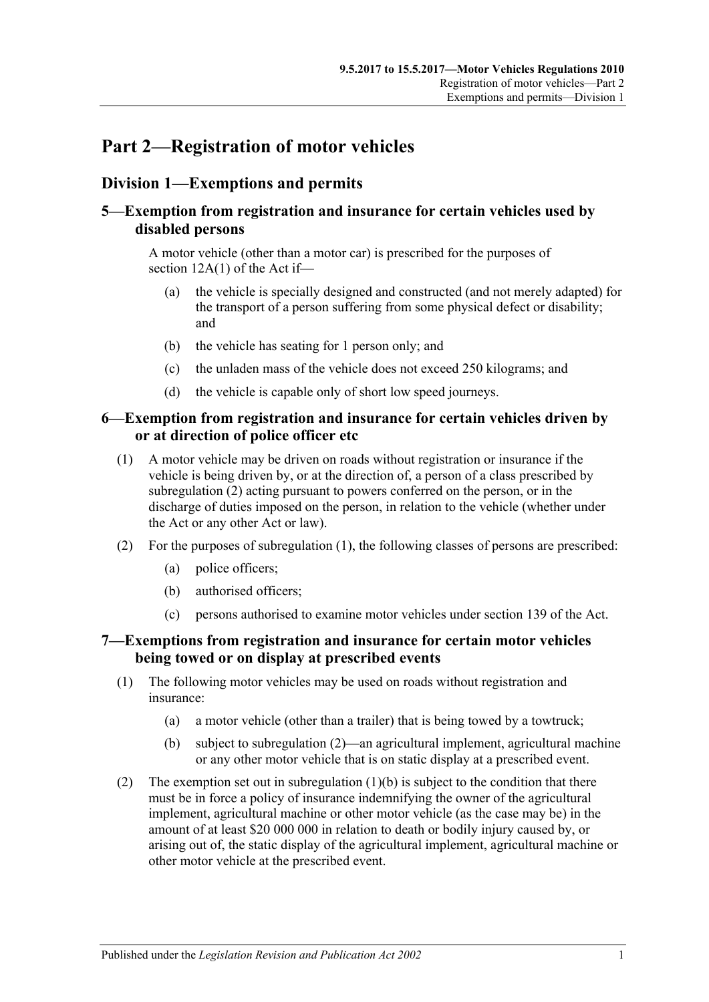# <span id="page-12-0"></span>**Part 2—Registration of motor vehicles**

# <span id="page-12-1"></span>**Division 1—Exemptions and permits**

# <span id="page-12-2"></span>**5—Exemption from registration and insurance for certain vehicles used by disabled persons**

A motor vehicle (other than a motor car) is prescribed for the purposes of section 12A(1) of the Act if—

- (a) the vehicle is specially designed and constructed (and not merely adapted) for the transport of a person suffering from some physical defect or disability; and
- (b) the vehicle has seating for 1 person only; and
- (c) the unladen mass of the vehicle does not exceed 250 kilograms; and
- (d) the vehicle is capable only of short low speed journeys.

## <span id="page-12-3"></span>**6—Exemption from registration and insurance for certain vehicles driven by or at direction of police officer etc**

- <span id="page-12-6"></span>(1) A motor vehicle may be driven on roads without registration or insurance if the vehicle is being driven by, or at the direction of, a person of a class prescribed by [subregulation](#page-12-5) (2) acting pursuant to powers conferred on the person, or in the discharge of duties imposed on the person, in relation to the vehicle (whether under the Act or any other Act or law).
- <span id="page-12-5"></span>(2) For the purposes of [subregulation](#page-12-6) (1), the following classes of persons are prescribed:
	- (a) police officers;
	- (b) authorised officers;
	- (c) persons authorised to examine motor vehicles under section 139 of the Act.

## <span id="page-12-4"></span>**7—Exemptions from registration and insurance for certain motor vehicles being towed or on display at prescribed events**

- (1) The following motor vehicles may be used on roads without registration and insurance:
	- (a) a motor vehicle (other than a trailer) that is being towed by a towtruck;
	- (b) subject to [subregulation](#page-12-7) (2)—an agricultural implement, agricultural machine or any other motor vehicle that is on static display at a prescribed event.
- <span id="page-12-8"></span><span id="page-12-7"></span>(2) The exemption set out in [subregulation](#page-12-8)  $(1)(b)$  is subject to the condition that there must be in force a policy of insurance indemnifying the owner of the agricultural implement, agricultural machine or other motor vehicle (as the case may be) in the amount of at least \$20 000 000 in relation to death or bodily injury caused by, or arising out of, the static display of the agricultural implement, agricultural machine or other motor vehicle at the prescribed event.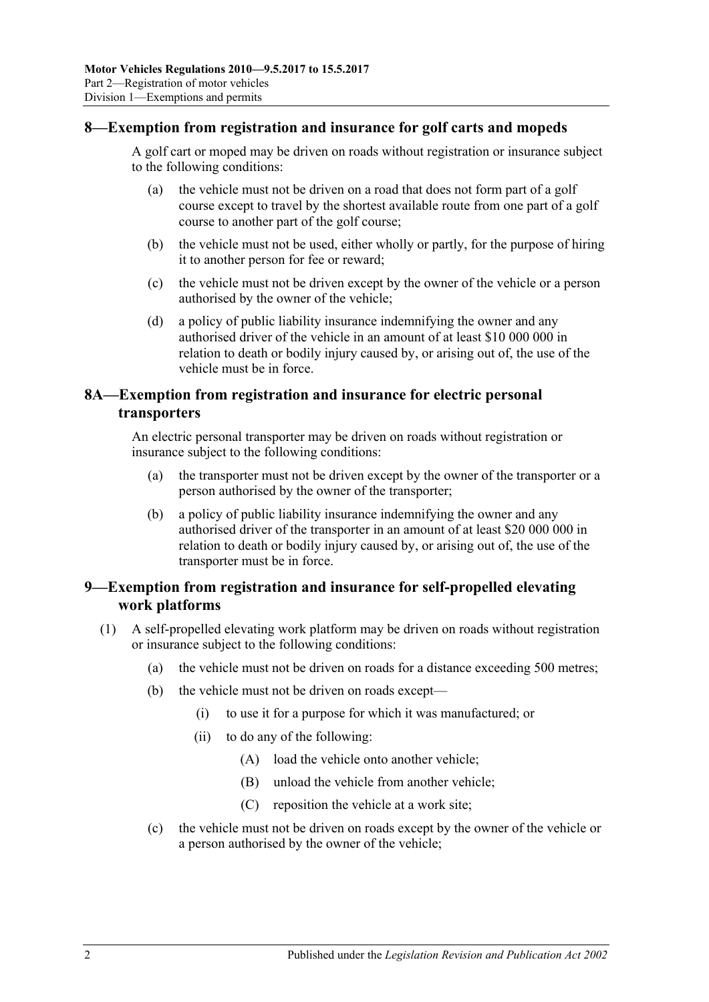## <span id="page-13-0"></span>**8—Exemption from registration and insurance for golf carts and mopeds**

A golf cart or moped may be driven on roads without registration or insurance subject to the following conditions:

- (a) the vehicle must not be driven on a road that does not form part of a golf course except to travel by the shortest available route from one part of a golf course to another part of the golf course;
- (b) the vehicle must not be used, either wholly or partly, for the purpose of hiring it to another person for fee or reward;
- (c) the vehicle must not be driven except by the owner of the vehicle or a person authorised by the owner of the vehicle;
- (d) a policy of public liability insurance indemnifying the owner and any authorised driver of the vehicle in an amount of at least \$10 000 000 in relation to death or bodily injury caused by, or arising out of, the use of the vehicle must be in force.

## <span id="page-13-1"></span>**8A—Exemption from registration and insurance for electric personal transporters**

An electric personal transporter may be driven on roads without registration or insurance subject to the following conditions:

- (a) the transporter must not be driven except by the owner of the transporter or a person authorised by the owner of the transporter;
- (b) a policy of public liability insurance indemnifying the owner and any authorised driver of the transporter in an amount of at least \$20 000 000 in relation to death or bodily injury caused by, or arising out of, the use of the transporter must be in force.

## <span id="page-13-2"></span>**9—Exemption from registration and insurance for self-propelled elevating work platforms**

- (1) A self-propelled elevating work platform may be driven on roads without registration or insurance subject to the following conditions:
	- (a) the vehicle must not be driven on roads for a distance exceeding 500 metres;
	- (b) the vehicle must not be driven on roads except—
		- (i) to use it for a purpose for which it was manufactured; or
		- (ii) to do any of the following:
			- (A) load the vehicle onto another vehicle;
			- (B) unload the vehicle from another vehicle;
			- (C) reposition the vehicle at a work site;
	- (c) the vehicle must not be driven on roads except by the owner of the vehicle or a person authorised by the owner of the vehicle;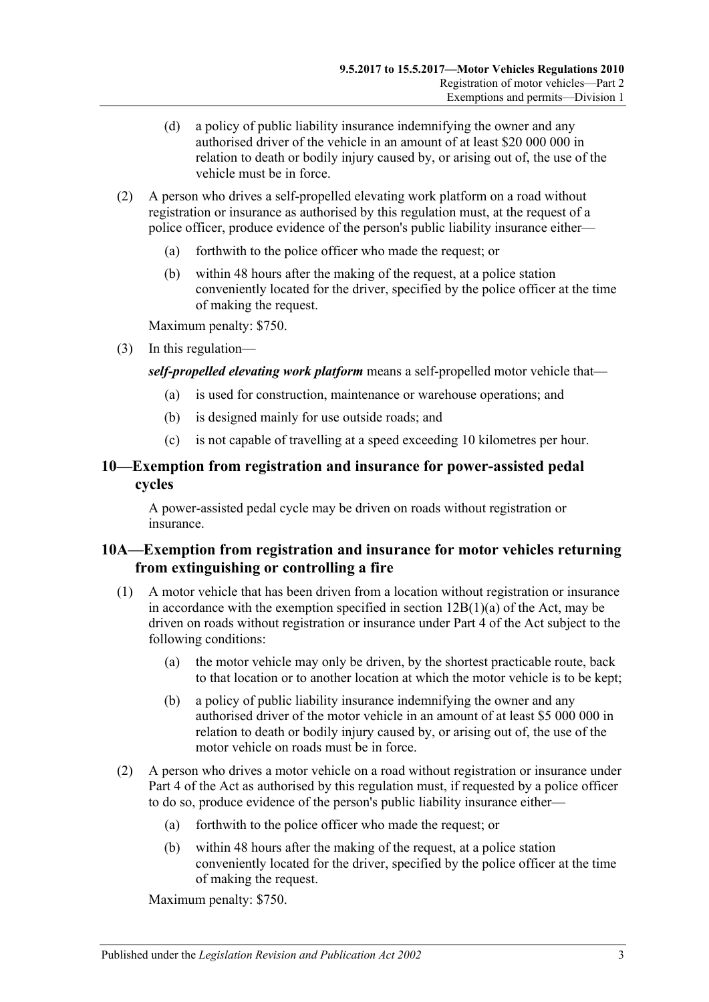- (d) a policy of public liability insurance indemnifying the owner and any authorised driver of the vehicle in an amount of at least \$20 000 000 in relation to death or bodily injury caused by, or arising out of, the use of the vehicle must be in force.
- (2) A person who drives a self-propelled elevating work platform on a road without registration or insurance as authorised by this regulation must, at the request of a police officer, produce evidence of the person's public liability insurance either—
	- (a) forthwith to the police officer who made the request; or
	- (b) within 48 hours after the making of the request, at a police station conveniently located for the driver, specified by the police officer at the time of making the request.

Maximum penalty: \$750.

(3) In this regulation—

### *self-propelled elevating work platform* means a self-propelled motor vehicle that—

- (a) is used for construction, maintenance or warehouse operations; and
- (b) is designed mainly for use outside roads; and
- (c) is not capable of travelling at a speed exceeding 10 kilometres per hour.

## <span id="page-14-0"></span>**10—Exemption from registration and insurance for power-assisted pedal cycles**

A power-assisted pedal cycle may be driven on roads without registration or insurance.

## <span id="page-14-1"></span>**10A—Exemption from registration and insurance for motor vehicles returning from extinguishing or controlling a fire**

- (1) A motor vehicle that has been driven from a location without registration or insurance in accordance with the exemption specified in section  $12B(1)(a)$  of the Act, may be driven on roads without registration or insurance under Part 4 of the Act subject to the following conditions:
	- (a) the motor vehicle may only be driven, by the shortest practicable route, back to that location or to another location at which the motor vehicle is to be kept;
	- (b) a policy of public liability insurance indemnifying the owner and any authorised driver of the motor vehicle in an amount of at least \$5 000 000 in relation to death or bodily injury caused by, or arising out of, the use of the motor vehicle on roads must be in force.
- (2) A person who drives a motor vehicle on a road without registration or insurance under Part 4 of the Act as authorised by this regulation must, if requested by a police officer to do so, produce evidence of the person's public liability insurance either—
	- (a) forthwith to the police officer who made the request; or
	- (b) within 48 hours after the making of the request, at a police station conveniently located for the driver, specified by the police officer at the time of making the request.

Maximum penalty: \$750.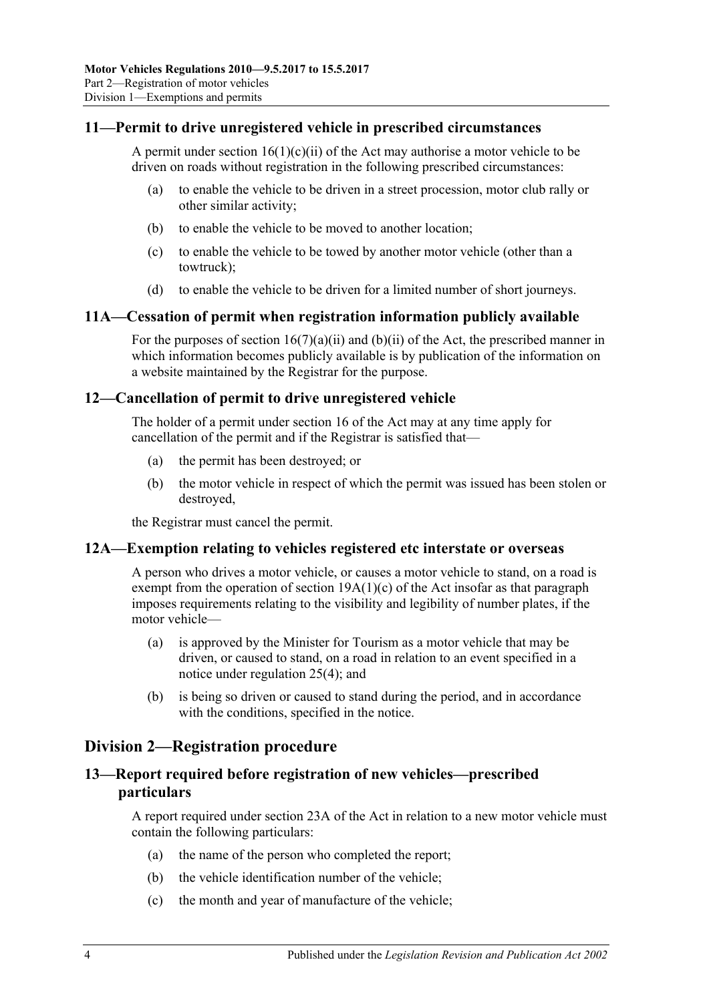## <span id="page-15-0"></span>**11—Permit to drive unregistered vehicle in prescribed circumstances**

A permit under section  $16(1)(c)(ii)$  of the Act may authorise a motor vehicle to be driven on roads without registration in the following prescribed circumstances:

- (a) to enable the vehicle to be driven in a street procession, motor club rally or other similar activity;
- (b) to enable the vehicle to be moved to another location;
- (c) to enable the vehicle to be towed by another motor vehicle (other than a towtruck);
- (d) to enable the vehicle to be driven for a limited number of short journeys.

#### <span id="page-15-1"></span>**11A—Cessation of permit when registration information publicly available**

For the purposes of section  $16(7)(a)(ii)$  and  $(b)(ii)$  of the Act, the prescribed manner in which information becomes publicly available is by publication of the information on a website maintained by the Registrar for the purpose.

#### <span id="page-15-2"></span>**12—Cancellation of permit to drive unregistered vehicle**

The holder of a permit under section 16 of the Act may at any time apply for cancellation of the permit and if the Registrar is satisfied that—

- (a) the permit has been destroyed; or
- (b) the motor vehicle in respect of which the permit was issued has been stolen or destroyed,

the Registrar must cancel the permit.

#### <span id="page-15-3"></span>**12A—Exemption relating to vehicles registered etc interstate or overseas**

A person who drives a motor vehicle, or causes a motor vehicle to stand, on a road is exempt from the operation of section  $19A(1)(c)$  of the Act insofar as that paragraph imposes requirements relating to the visibility and legibility of number plates, if the motor vehicle—

- (a) is approved by the Minister for Tourism as a motor vehicle that may be driven, or caused to stand, on a road in relation to an event specified in a notice under [regulation](#page-23-1) 25(4); and
- (b) is being so driven or caused to stand during the period, and in accordance with the conditions, specified in the notice.

# <span id="page-15-4"></span>**Division 2—Registration procedure**

## <span id="page-15-5"></span>**13—Report required before registration of new vehicles—prescribed particulars**

A report required under section 23A of the Act in relation to a new motor vehicle must contain the following particulars:

- (a) the name of the person who completed the report;
- (b) the vehicle identification number of the vehicle;
- (c) the month and year of manufacture of the vehicle;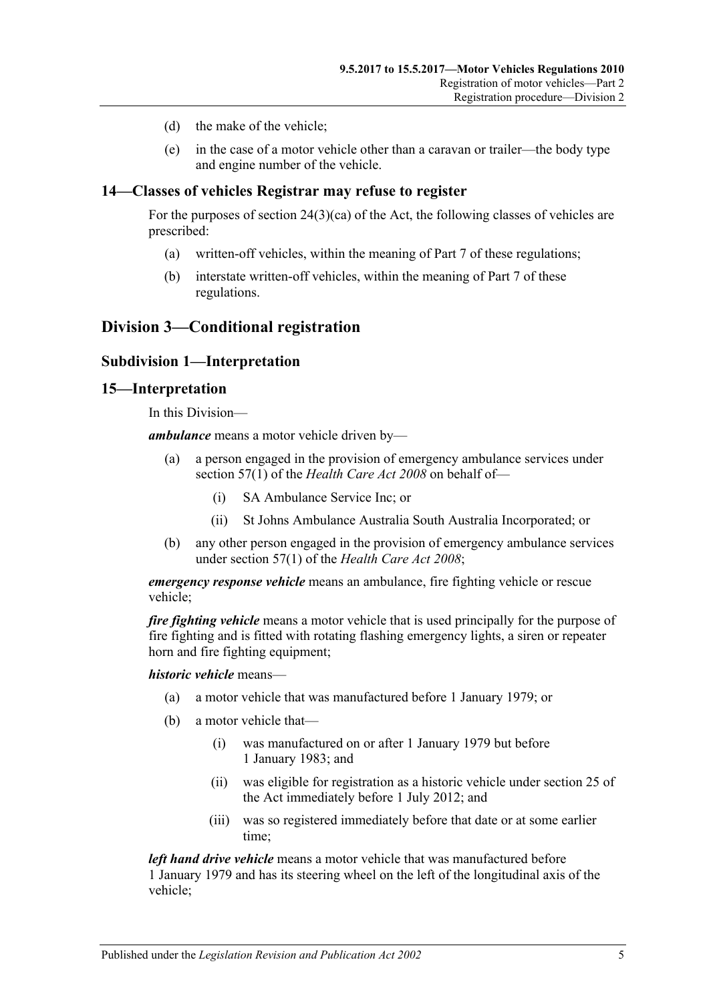- (d) the make of the vehicle;
- (e) in the case of a motor vehicle other than a caravan or trailer—the body type and engine number of the vehicle.

## <span id="page-16-0"></span>**14—Classes of vehicles Registrar may refuse to register**

For the purposes of section  $24(3)(ca)$  of the Act, the following classes of vehicles are prescribed:

- (a) written-off vehicles, within the meaning of [Part 7](#page-50-0) of these regulations;
- (b) interstate written-off vehicles, within the meaning of [Part 7](#page-50-0) of these regulations.

# <span id="page-16-2"></span><span id="page-16-1"></span>**Division 3—Conditional registration**

### **Subdivision 1—Interpretation**

#### <span id="page-16-3"></span>**15—Interpretation**

In this Division—

*ambulance* means a motor vehicle driven by—

- (a) a person engaged in the provision of emergency ambulance services under section 57(1) of the *Health [Care Act](http://www.legislation.sa.gov.au/index.aspx?action=legref&type=act&legtitle=Health%20Care%20Act%202008) 2008* on behalf of—
	- (i) SA Ambulance Service Inc; or
	- (ii) St Johns Ambulance Australia South Australia Incorporated; or
- (b) any other person engaged in the provision of emergency ambulance services under section 57(1) of the *[Health Care Act](http://www.legislation.sa.gov.au/index.aspx?action=legref&type=act&legtitle=Health%20Care%20Act%202008) 2008*;

*emergency response vehicle* means an ambulance, fire fighting vehicle or rescue vehicle;

*fire fighting vehicle* means a motor vehicle that is used principally for the purpose of fire fighting and is fitted with rotating flashing emergency lights, a siren or repeater horn and fire fighting equipment:

*historic vehicle* means—

- (a) a motor vehicle that was manufactured before 1 January 1979; or
- (b) a motor vehicle that—
	- (i) was manufactured on or after 1 January 1979 but before 1 January 1983; and
	- (ii) was eligible for registration as a historic vehicle under section 25 of the Act immediately before 1 July 2012; and
	- (iii) was so registered immediately before that date or at some earlier time;

*left hand drive vehicle* means a motor vehicle that was manufactured before 1 January 1979 and has its steering wheel on the left of the longitudinal axis of the vehicle;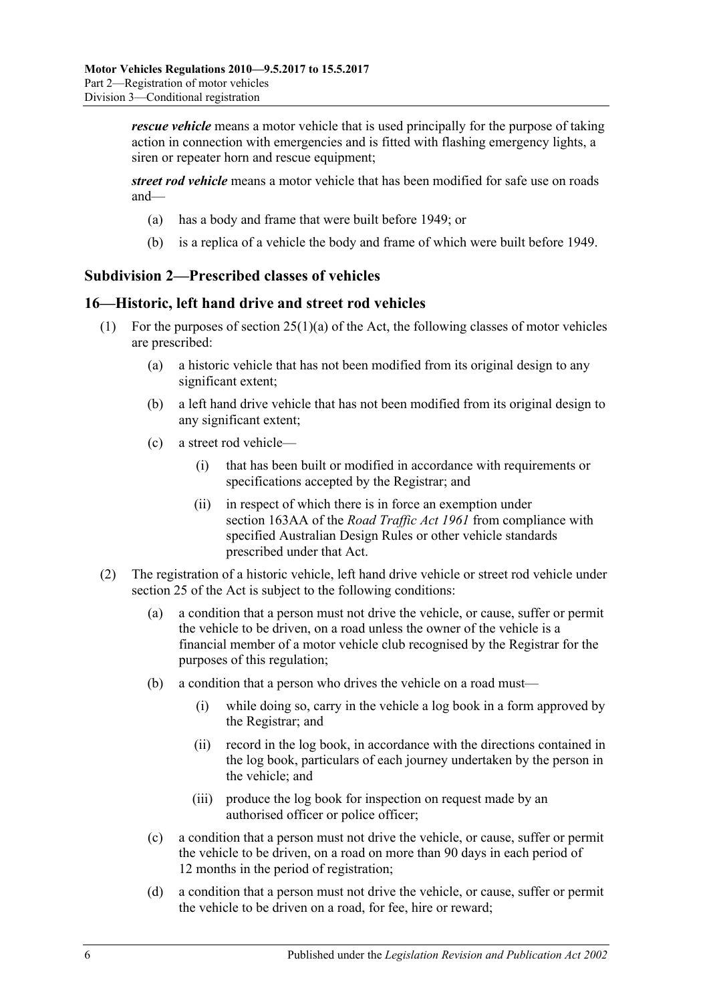*rescue vehicle* means a motor vehicle that is used principally for the purpose of taking action in connection with emergencies and is fitted with flashing emergency lights, a siren or repeater horn and rescue equipment;

*street rod vehicle* means a motor vehicle that has been modified for safe use on roads and—

- (a) has a body and frame that were built before 1949; or
- (b) is a replica of a vehicle the body and frame of which were built before 1949.

## <span id="page-17-0"></span>**Subdivision 2—Prescribed classes of vehicles**

### <span id="page-17-1"></span>**16—Historic, left hand drive and street rod vehicles**

- (1) For the purposes of section  $25(1)(a)$  of the Act, the following classes of motor vehicles are prescribed:
	- (a) a historic vehicle that has not been modified from its original design to any significant extent;
	- (b) a left hand drive vehicle that has not been modified from its original design to any significant extent;
	- (c) a street rod vehicle—
		- (i) that has been built or modified in accordance with requirements or specifications accepted by the Registrar; and
		- (ii) in respect of which there is in force an exemption under section 163AA of the *[Road Traffic Act](http://www.legislation.sa.gov.au/index.aspx?action=legref&type=act&legtitle=Road%20Traffic%20Act%201961) 1961* from compliance with specified Australian Design Rules or other vehicle standards prescribed under that Act.
- (2) The registration of a historic vehicle, left hand drive vehicle or street rod vehicle under section 25 of the Act is subject to the following conditions:
	- (a) a condition that a person must not drive the vehicle, or cause, suffer or permit the vehicle to be driven, on a road unless the owner of the vehicle is a financial member of a motor vehicle club recognised by the Registrar for the purposes of this regulation;
	- (b) a condition that a person who drives the vehicle on a road must—
		- (i) while doing so, carry in the vehicle a log book in a form approved by the Registrar; and
		- (ii) record in the log book, in accordance with the directions contained in the log book, particulars of each journey undertaken by the person in the vehicle; and
		- (iii) produce the log book for inspection on request made by an authorised officer or police officer;
	- (c) a condition that a person must not drive the vehicle, or cause, suffer or permit the vehicle to be driven, on a road on more than 90 days in each period of 12 months in the period of registration;
	- (d) a condition that a person must not drive the vehicle, or cause, suffer or permit the vehicle to be driven on a road, for fee, hire or reward;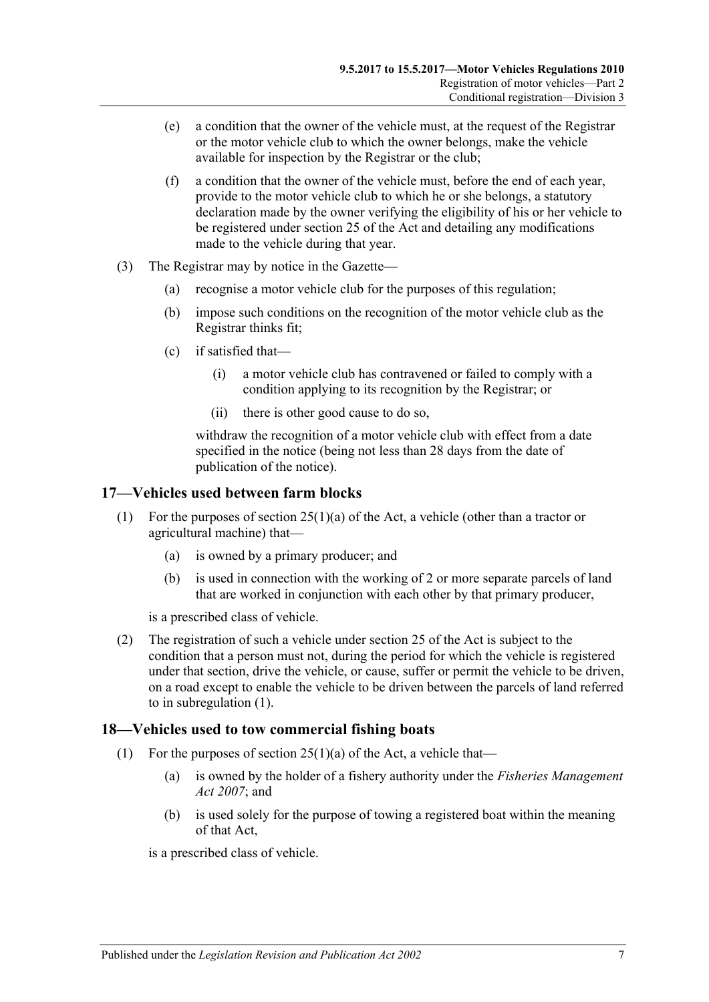- (e) a condition that the owner of the vehicle must, at the request of the Registrar or the motor vehicle club to which the owner belongs, make the vehicle available for inspection by the Registrar or the club;
- (f) a condition that the owner of the vehicle must, before the end of each year, provide to the motor vehicle club to which he or she belongs, a statutory declaration made by the owner verifying the eligibility of his or her vehicle to be registered under section 25 of the Act and detailing any modifications made to the vehicle during that year.
- (3) The Registrar may by notice in the Gazette—
	- (a) recognise a motor vehicle club for the purposes of this regulation;
	- (b) impose such conditions on the recognition of the motor vehicle club as the Registrar thinks fit;
	- (c) if satisfied that—
		- (i) a motor vehicle club has contravened or failed to comply with a condition applying to its recognition by the Registrar; or
		- (ii) there is other good cause to do so,

withdraw the recognition of a motor vehicle club with effect from a date specified in the notice (being not less than 28 days from the date of publication of the notice).

## <span id="page-18-2"></span><span id="page-18-0"></span>**17—Vehicles used between farm blocks**

- (1) For the purposes of section 25(1)(a) of the Act, a vehicle (other than a tractor or agricultural machine) that—
	- (a) is owned by a primary producer; and
	- (b) is used in connection with the working of 2 or more separate parcels of land that are worked in conjunction with each other by that primary producer,

is a prescribed class of vehicle.

(2) The registration of such a vehicle under section 25 of the Act is subject to the condition that a person must not, during the period for which the vehicle is registered under that section, drive the vehicle, or cause, suffer or permit the vehicle to be driven, on a road except to enable the vehicle to be driven between the parcels of land referred to in [subregulation](#page-18-2) (1).

## <span id="page-18-1"></span>**18—Vehicles used to tow commercial fishing boats**

- <span id="page-18-3"></span>(1) For the purposes of section  $25(1)(a)$  of the Act, a vehicle that—
	- (a) is owned by the holder of a fishery authority under the *[Fisheries Management](http://www.legislation.sa.gov.au/index.aspx?action=legref&type=act&legtitle=Fisheries%20Management%20Act%202007)  Act [2007](http://www.legislation.sa.gov.au/index.aspx?action=legref&type=act&legtitle=Fisheries%20Management%20Act%202007)*; and
	- (b) is used solely for the purpose of towing a registered boat within the meaning of that Act,

is a prescribed class of vehicle.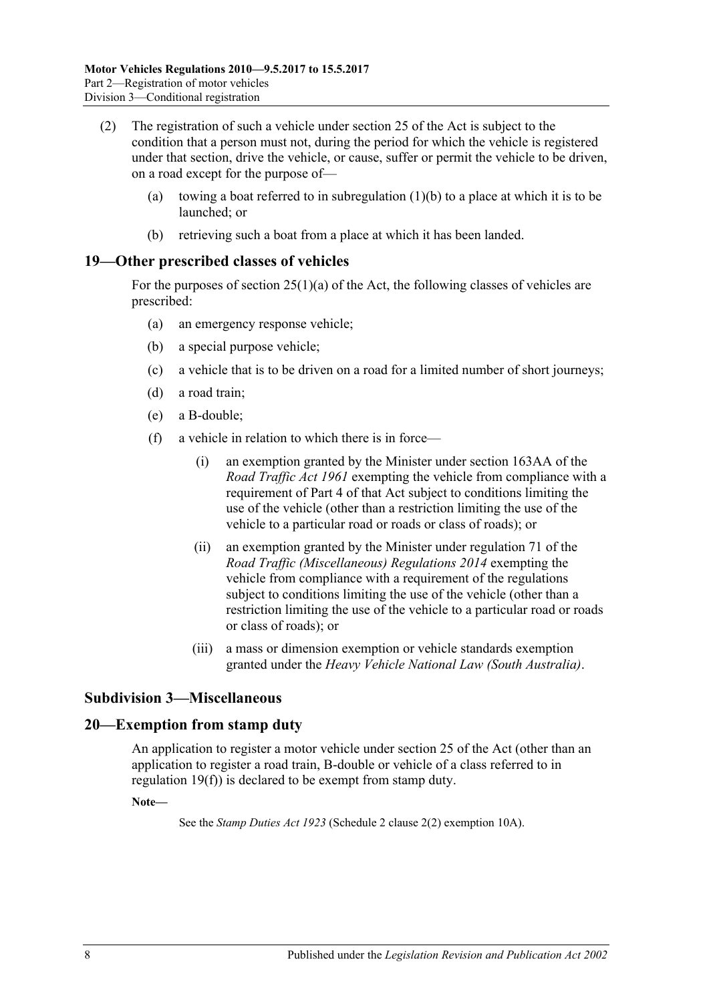- (2) The registration of such a vehicle under section 25 of the Act is subject to the condition that a person must not, during the period for which the vehicle is registered under that section, drive the vehicle, or cause, suffer or permit the vehicle to be driven, on a road except for the purpose of
	- (a) towing a boat referred to in [subregulation](#page-18-3)  $(1)(b)$  to a place at which it is to be launched; or
	- (b) retrieving such a boat from a place at which it has been landed.

### <span id="page-19-0"></span>**19—Other prescribed classes of vehicles**

For the purposes of section  $25(1)(a)$  of the Act, the following classes of vehicles are prescribed:

- (a) an emergency response vehicle;
- (b) a special purpose vehicle;
- (c) a vehicle that is to be driven on a road for a limited number of short journeys;
- (d) a road train;
- <span id="page-19-3"></span>(e) a B-double;
- (f) a vehicle in relation to which there is in force—
	- (i) an exemption granted by the Minister under section 163AA of the *[Road Traffic Act](http://www.legislation.sa.gov.au/index.aspx?action=legref&type=act&legtitle=Road%20Traffic%20Act%201961) 1961* exempting the vehicle from compliance with a requirement of Part 4 of that Act subject to conditions limiting the use of the vehicle (other than a restriction limiting the use of the vehicle to a particular road or roads or class of roads); or
	- (ii) an exemption granted by the Minister under regulation 71 of the *[Road Traffic \(Miscellaneous\) Regulations](http://www.legislation.sa.gov.au/index.aspx?action=legref&type=subordleg&legtitle=Road%20Traffic%20(Miscellaneous)%20Regulations%202014) 2014* exempting the vehicle from compliance with a requirement of the regulations subject to conditions limiting the use of the vehicle (other than a restriction limiting the use of the vehicle to a particular road or roads or class of roads); or
	- (iii) a mass or dimension exemption or vehicle standards exemption granted under the *Heavy Vehicle National Law (South Australia)*.

## <span id="page-19-1"></span>**Subdivision 3—Miscellaneous**

#### <span id="page-19-2"></span>**20—Exemption from stamp duty**

An application to register a motor vehicle under section 25 of the Act (other than an application to register a road train, B-double or vehicle of a class referred to in [regulation](#page-19-3) 19(f)) is declared to be exempt from stamp duty.

**Note—**

See the *[Stamp Duties Act](http://www.legislation.sa.gov.au/index.aspx?action=legref&type=act&legtitle=Stamp%20Duties%20Act%201923) 1923* (Schedule 2 clause 2(2) exemption 10A).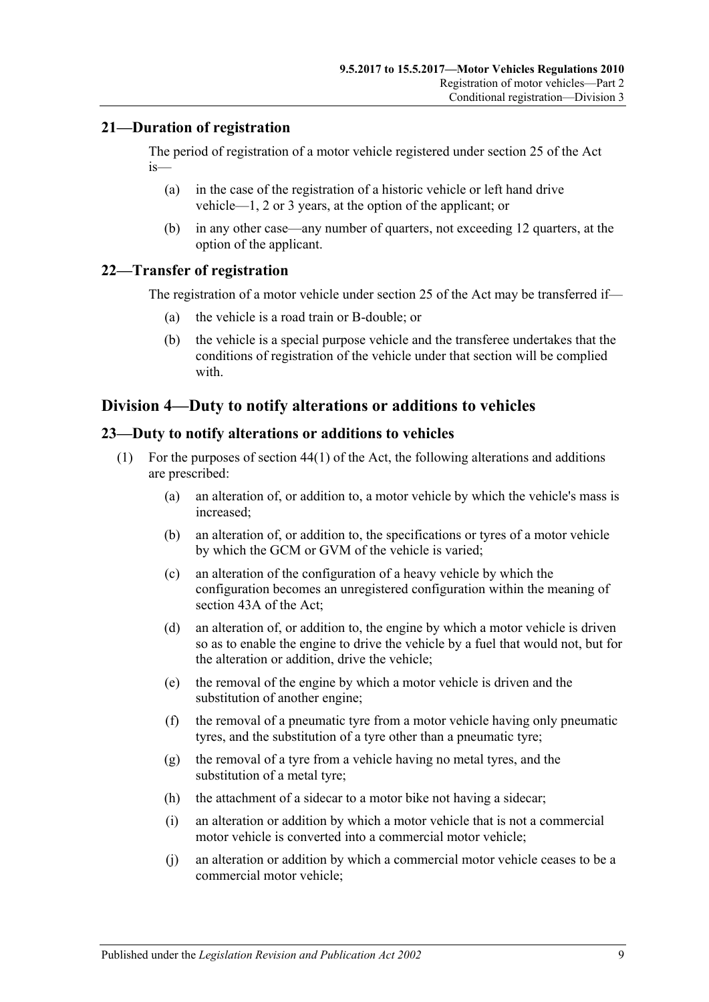## <span id="page-20-0"></span>**21—Duration of registration**

The period of registration of a motor vehicle registered under section 25 of the Act is—

- (a) in the case of the registration of a historic vehicle or left hand drive vehicle—1, 2 or 3 years, at the option of the applicant; or
- (b) in any other case—any number of quarters, not exceeding 12 quarters, at the option of the applicant.

## <span id="page-20-1"></span>**22—Transfer of registration**

The registration of a motor vehicle under section 25 of the Act may be transferred if—

- (a) the vehicle is a road train or B-double; or
- (b) the vehicle is a special purpose vehicle and the transferee undertakes that the conditions of registration of the vehicle under that section will be complied with.

# <span id="page-20-2"></span>**Division 4—Duty to notify alterations or additions to vehicles**

### <span id="page-20-3"></span>**23—Duty to notify alterations or additions to vehicles**

- (1) For the purposes of section 44(1) of the Act, the following alterations and additions are prescribed:
	- (a) an alteration of, or addition to, a motor vehicle by which the vehicle's mass is increased;
	- (b) an alteration of, or addition to, the specifications or tyres of a motor vehicle by which the GCM or GVM of the vehicle is varied;
	- (c) an alteration of the configuration of a heavy vehicle by which the configuration becomes an unregistered configuration within the meaning of section 43A of the Act;
	- (d) an alteration of, or addition to, the engine by which a motor vehicle is driven so as to enable the engine to drive the vehicle by a fuel that would not, but for the alteration or addition, drive the vehicle;
	- (e) the removal of the engine by which a motor vehicle is driven and the substitution of another engine;
	- (f) the removal of a pneumatic tyre from a motor vehicle having only pneumatic tyres, and the substitution of a tyre other than a pneumatic tyre;
	- (g) the removal of a tyre from a vehicle having no metal tyres, and the substitution of a metal tyre;
	- (h) the attachment of a sidecar to a motor bike not having a sidecar;
	- (i) an alteration or addition by which a motor vehicle that is not a commercial motor vehicle is converted into a commercial motor vehicle;
	- (j) an alteration or addition by which a commercial motor vehicle ceases to be a commercial motor vehicle;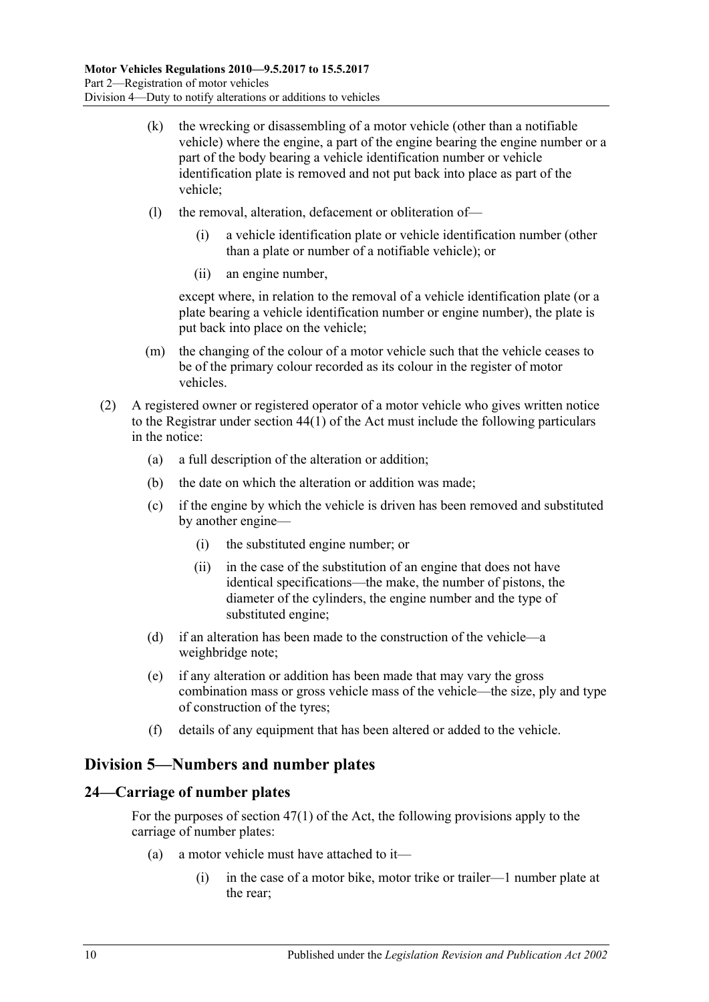- (k) the wrecking or disassembling of a motor vehicle (other than a notifiable vehicle) where the engine, a part of the engine bearing the engine number or a part of the body bearing a vehicle identification number or vehicle identification plate is removed and not put back into place as part of the vehicle;
- (l) the removal, alteration, defacement or obliteration of—
	- (i) a vehicle identification plate or vehicle identification number (other than a plate or number of a notifiable vehicle); or
	- (ii) an engine number,

except where, in relation to the removal of a vehicle identification plate (or a plate bearing a vehicle identification number or engine number), the plate is put back into place on the vehicle;

- (m) the changing of the colour of a motor vehicle such that the vehicle ceases to be of the primary colour recorded as its colour in the register of motor vehicles.
- (2) A registered owner or registered operator of a motor vehicle who gives written notice to the Registrar under section 44(1) of the Act must include the following particulars in the notice:
	- (a) a full description of the alteration or addition;
	- (b) the date on which the alteration or addition was made;
	- (c) if the engine by which the vehicle is driven has been removed and substituted by another engine—
		- (i) the substituted engine number; or
		- (ii) in the case of the substitution of an engine that does not have identical specifications—the make, the number of pistons, the diameter of the cylinders, the engine number and the type of substituted engine;
	- (d) if an alteration has been made to the construction of the vehicle—a weighbridge note;
	- (e) if any alteration or addition has been made that may vary the gross combination mass or gross vehicle mass of the vehicle—the size, ply and type of construction of the tyres;
	- (f) details of any equipment that has been altered or added to the vehicle.

# <span id="page-21-0"></span>**Division 5—Numbers and number plates**

# <span id="page-21-1"></span>**24—Carriage of number plates**

For the purposes of section 47(1) of the Act, the following provisions apply to the carriage of number plates:

- (a) a motor vehicle must have attached to it—
	- (i) in the case of a motor bike, motor trike or trailer—1 number plate at the rear;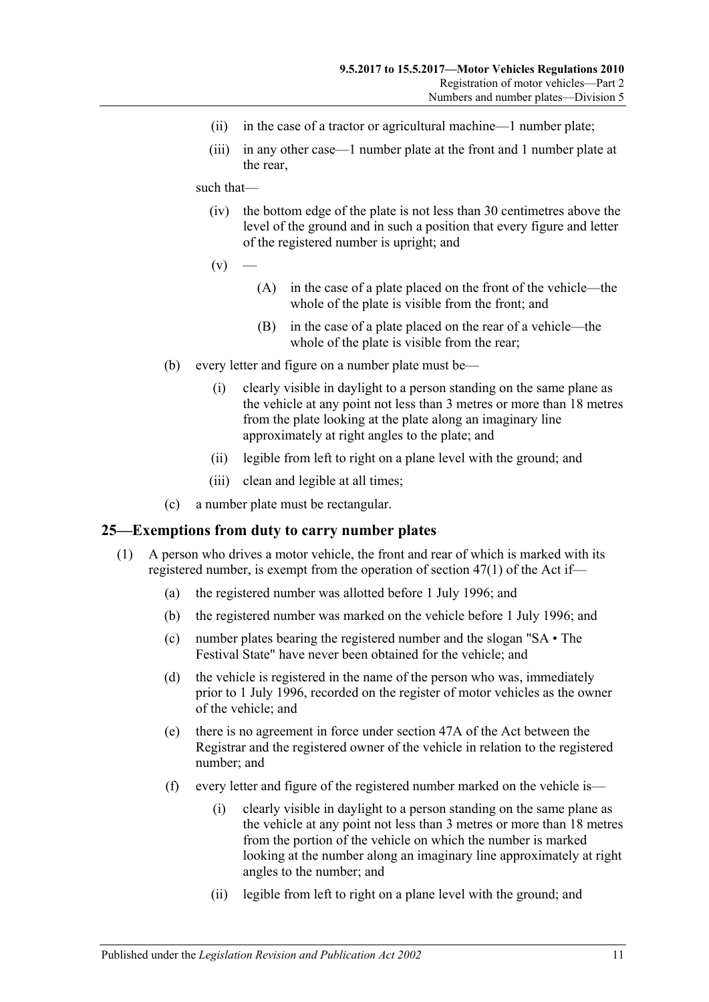- (ii) in the case of a tractor or agricultural machine—1 number plate;
- (iii) in any other case—1 number plate at the front and 1 number plate at the rear,

#### such that—

- (iv) the bottom edge of the plate is not less than 30 centimetres above the level of the ground and in such a position that every figure and letter of the registered number is upright; and
- $(v)$ 
	- (A) in the case of a plate placed on the front of the vehicle—the whole of the plate is visible from the front; and
	- (B) in the case of a plate placed on the rear of a vehicle—the whole of the plate is visible from the rear;
- (b) every letter and figure on a number plate must be—
	- (i) clearly visible in daylight to a person standing on the same plane as the vehicle at any point not less than 3 metres or more than 18 metres from the plate looking at the plate along an imaginary line approximately at right angles to the plate; and
	- (ii) legible from left to right on a plane level with the ground; and
	- (iii) clean and legible at all times;
- (c) a number plate must be rectangular.

#### <span id="page-22-0"></span>**25—Exemptions from duty to carry number plates**

- (1) A person who drives a motor vehicle, the front and rear of which is marked with its registered number, is exempt from the operation of section 47(1) of the Act if—
	- (a) the registered number was allotted before 1 July 1996; and
	- (b) the registered number was marked on the vehicle before 1 July 1996; and
	- (c) number plates bearing the registered number and the slogan "SA The Festival State" have never been obtained for the vehicle; and
	- (d) the vehicle is registered in the name of the person who was, immediately prior to 1 July 1996, recorded on the register of motor vehicles as the owner of the vehicle; and
	- (e) there is no agreement in force under section 47A of the Act between the Registrar and the registered owner of the vehicle in relation to the registered number; and
	- (f) every letter and figure of the registered number marked on the vehicle is—
		- (i) clearly visible in daylight to a person standing on the same plane as the vehicle at any point not less than 3 metres or more than 18 metres from the portion of the vehicle on which the number is marked looking at the number along an imaginary line approximately at right angles to the number; and
		- (ii) legible from left to right on a plane level with the ground; and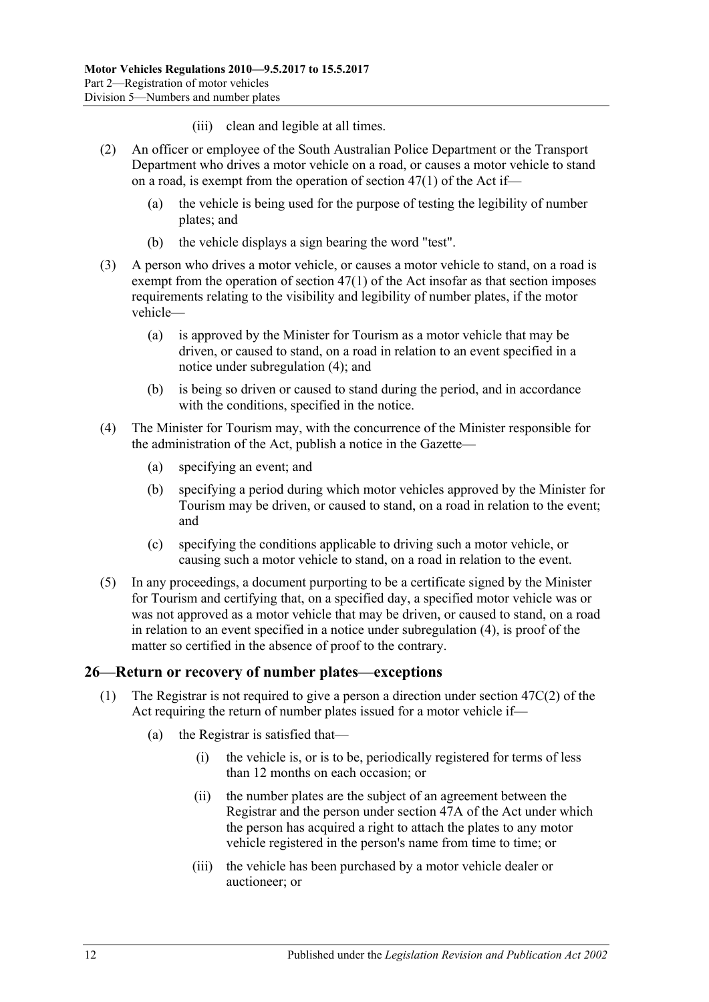- (iii) clean and legible at all times.
- (2) An officer or employee of the South Australian Police Department or the Transport Department who drives a motor vehicle on a road, or causes a motor vehicle to stand on a road, is exempt from the operation of section 47(1) of the Act if—
	- (a) the vehicle is being used for the purpose of testing the legibility of number plates; and
	- (b) the vehicle displays a sign bearing the word "test".
- <span id="page-23-2"></span>(3) A person who drives a motor vehicle, or causes a motor vehicle to stand, on a road is exempt from the operation of section 47(1) of the Act insofar as that section imposes requirements relating to the visibility and legibility of number plates, if the motor vehicle—
	- (a) is approved by the Minister for Tourism as a motor vehicle that may be driven, or caused to stand, on a road in relation to an event specified in a notice under [subregulation](#page-23-1) (4); and
	- (b) is being so driven or caused to stand during the period, and in accordance with the conditions, specified in the notice.
- <span id="page-23-1"></span>(4) The Minister for Tourism may, with the concurrence of the Minister responsible for the administration of the Act, publish a notice in the Gazette—
	- (a) specifying an event; and
	- (b) specifying a period during which motor vehicles approved by the Minister for Tourism may be driven, or caused to stand, on a road in relation to the event; and
	- (c) specifying the conditions applicable to driving such a motor vehicle, or causing such a motor vehicle to stand, on a road in relation to the event.
- (5) In any proceedings, a document purporting to be a certificate signed by the Minister for Tourism and certifying that, on a specified day, a specified motor vehicle was or was not approved as a motor vehicle that may be driven, or caused to stand, on a road in relation to an event specified in a notice under [subregulation](#page-23-1) (4), is proof of the matter so certified in the absence of proof to the contrary.

## <span id="page-23-0"></span>**26—Return or recovery of number plates—exceptions**

- (1) The Registrar is not required to give a person a direction under section 47C(2) of the Act requiring the return of number plates issued for a motor vehicle if—
	- (a) the Registrar is satisfied that—
		- (i) the vehicle is, or is to be, periodically registered for terms of less than 12 months on each occasion; or
		- (ii) the number plates are the subject of an agreement between the Registrar and the person under section 47A of the Act under which the person has acquired a right to attach the plates to any motor vehicle registered in the person's name from time to time; or
		- (iii) the vehicle has been purchased by a motor vehicle dealer or auctioneer; or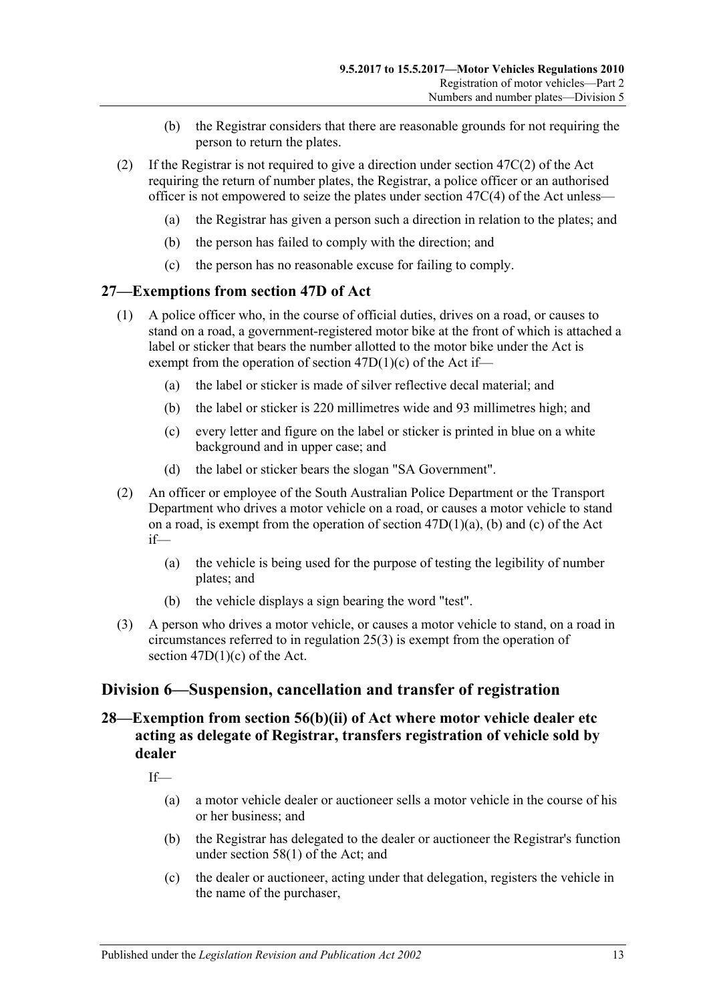- (b) the Registrar considers that there are reasonable grounds for not requiring the person to return the plates.
- (2) If the Registrar is not required to give a direction under section  $47C(2)$  of the Act requiring the return of number plates, the Registrar, a police officer or an authorised officer is not empowered to seize the plates under section 47C(4) of the Act unless—
	- (a) the Registrar has given a person such a direction in relation to the plates; and
	- (b) the person has failed to comply with the direction; and
	- (c) the person has no reasonable excuse for failing to comply.

#### <span id="page-24-0"></span>**27—Exemptions from section 47D of Act**

- (1) A police officer who, in the course of official duties, drives on a road, or causes to stand on a road, a government-registered motor bike at the front of which is attached a label or sticker that bears the number allotted to the motor bike under the Act is exempt from the operation of section 47D(1)(c) of the Act if—
	- (a) the label or sticker is made of silver reflective decal material; and
	- (b) the label or sticker is 220 millimetres wide and 93 millimetres high; and
	- (c) every letter and figure on the label or sticker is printed in blue on a white background and in upper case; and
	- (d) the label or sticker bears the slogan "SA Government".
- (2) An officer or employee of the South Australian Police Department or the Transport Department who drives a motor vehicle on a road, or causes a motor vehicle to stand on a road, is exempt from the operation of section  $47D(1)(a)$ , (b) and (c) of the Act if—
	- (a) the vehicle is being used for the purpose of testing the legibility of number plates; and
	- (b) the vehicle displays a sign bearing the word "test".
- (3) A person who drives a motor vehicle, or causes a motor vehicle to stand, on a road in circumstances referred to in [regulation](#page-23-2) 25(3) is exempt from the operation of section  $47D(1)(c)$  of the Act.

## <span id="page-24-1"></span>**Division 6—Suspension, cancellation and transfer of registration**

# <span id="page-24-2"></span>**28—Exemption from section 56(b)(ii) of Act where motor vehicle dealer etc acting as delegate of Registrar, transfers registration of vehicle sold by dealer**

If—

- (a) a motor vehicle dealer or auctioneer sells a motor vehicle in the course of his or her business; and
- (b) the Registrar has delegated to the dealer or auctioneer the Registrar's function under section 58(1) of the Act; and
- (c) the dealer or auctioneer, acting under that delegation, registers the vehicle in the name of the purchaser,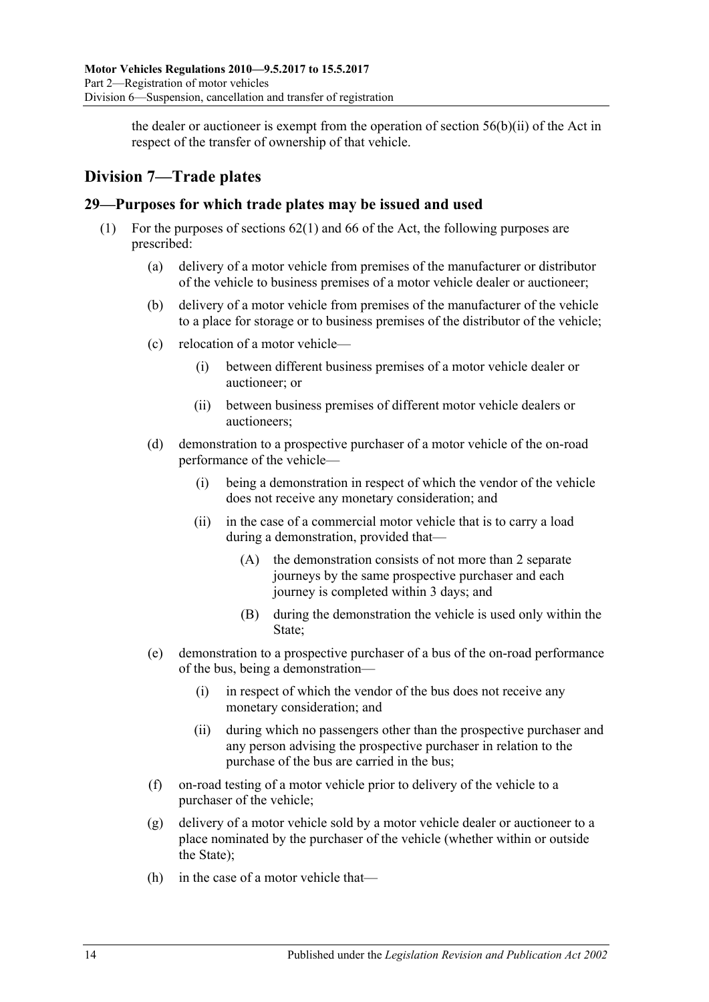the dealer or auctioneer is exempt from the operation of section  $56(b)(ii)$  of the Act in respect of the transfer of ownership of that vehicle.

# <span id="page-25-0"></span>**Division 7—Trade plates**

## <span id="page-25-1"></span>**29—Purposes for which trade plates may be issued and used**

- (1) For the purposes of sections 62(1) and 66 of the Act, the following purposes are prescribed:
	- (a) delivery of a motor vehicle from premises of the manufacturer or distributor of the vehicle to business premises of a motor vehicle dealer or auctioneer;
	- (b) delivery of a motor vehicle from premises of the manufacturer of the vehicle to a place for storage or to business premises of the distributor of the vehicle;
	- (c) relocation of a motor vehicle—
		- (i) between different business premises of a motor vehicle dealer or auctioneer; or
		- (ii) between business premises of different motor vehicle dealers or auctioneers;
	- (d) demonstration to a prospective purchaser of a motor vehicle of the on-road performance of the vehicle—
		- (i) being a demonstration in respect of which the vendor of the vehicle does not receive any monetary consideration; and
		- (ii) in the case of a commercial motor vehicle that is to carry a load during a demonstration, provided that—
			- (A) the demonstration consists of not more than 2 separate journeys by the same prospective purchaser and each journey is completed within 3 days; and
			- (B) during the demonstration the vehicle is used only within the State;
	- (e) demonstration to a prospective purchaser of a bus of the on-road performance of the bus, being a demonstration—
		- (i) in respect of which the vendor of the bus does not receive any monetary consideration; and
		- (ii) during which no passengers other than the prospective purchaser and any person advising the prospective purchaser in relation to the purchase of the bus are carried in the bus;
	- (f) on-road testing of a motor vehicle prior to delivery of the vehicle to a purchaser of the vehicle;
	- (g) delivery of a motor vehicle sold by a motor vehicle dealer or auctioneer to a place nominated by the purchaser of the vehicle (whether within or outside the State);
	- (h) in the case of a motor vehicle that—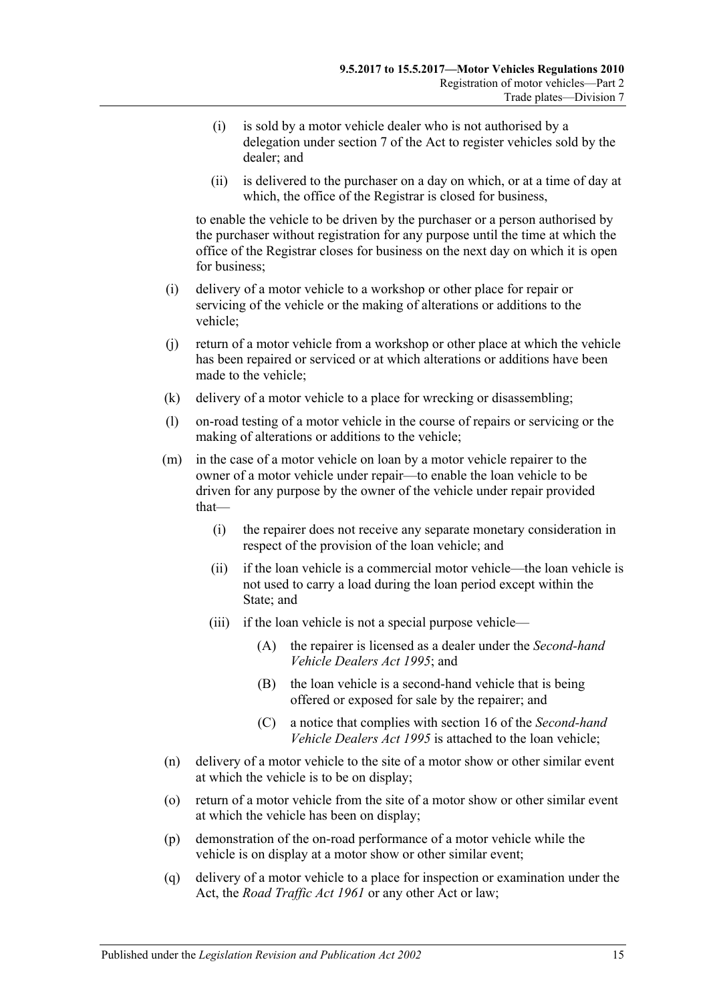- (i) is sold by a motor vehicle dealer who is not authorised by a delegation under section 7 of the Act to register vehicles sold by the dealer; and
- (ii) is delivered to the purchaser on a day on which, or at a time of day at which, the office of the Registrar is closed for business,

to enable the vehicle to be driven by the purchaser or a person authorised by the purchaser without registration for any purpose until the time at which the office of the Registrar closes for business on the next day on which it is open for business;

- (i) delivery of a motor vehicle to a workshop or other place for repair or servicing of the vehicle or the making of alterations or additions to the vehicle;
- (j) return of a motor vehicle from a workshop or other place at which the vehicle has been repaired or serviced or at which alterations or additions have been made to the vehicle;
- (k) delivery of a motor vehicle to a place for wrecking or disassembling;
- (l) on-road testing of a motor vehicle in the course of repairs or servicing or the making of alterations or additions to the vehicle;
- (m) in the case of a motor vehicle on loan by a motor vehicle repairer to the owner of a motor vehicle under repair—to enable the loan vehicle to be driven for any purpose by the owner of the vehicle under repair provided that—
	- (i) the repairer does not receive any separate monetary consideration in respect of the provision of the loan vehicle; and
	- (ii) if the loan vehicle is a commercial motor vehicle—the loan vehicle is not used to carry a load during the loan period except within the State; and
	- (iii) if the loan vehicle is not a special purpose vehicle—
		- (A) the repairer is licensed as a dealer under the *[Second-hand](http://www.legislation.sa.gov.au/index.aspx?action=legref&type=act&legtitle=Second-hand%20Vehicle%20Dealers%20Act%201995)  [Vehicle Dealers Act](http://www.legislation.sa.gov.au/index.aspx?action=legref&type=act&legtitle=Second-hand%20Vehicle%20Dealers%20Act%201995) 1995*; and
		- (B) the loan vehicle is a second-hand vehicle that is being offered or exposed for sale by the repairer; and
		- (C) a notice that complies with section 16 of the *[Second-hand](http://www.legislation.sa.gov.au/index.aspx?action=legref&type=act&legtitle=Second-hand%20Vehicle%20Dealers%20Act%201995)  [Vehicle Dealers Act](http://www.legislation.sa.gov.au/index.aspx?action=legref&type=act&legtitle=Second-hand%20Vehicle%20Dealers%20Act%201995) 1995* is attached to the loan vehicle;
- (n) delivery of a motor vehicle to the site of a motor show or other similar event at which the vehicle is to be on display;
- (o) return of a motor vehicle from the site of a motor show or other similar event at which the vehicle has been on display;
- (p) demonstration of the on-road performance of a motor vehicle while the vehicle is on display at a motor show or other similar event;
- (q) delivery of a motor vehicle to a place for inspection or examination under the Act, the *[Road Traffic Act](http://www.legislation.sa.gov.au/index.aspx?action=legref&type=act&legtitle=Road%20Traffic%20Act%201961) 1961* or any other Act or law;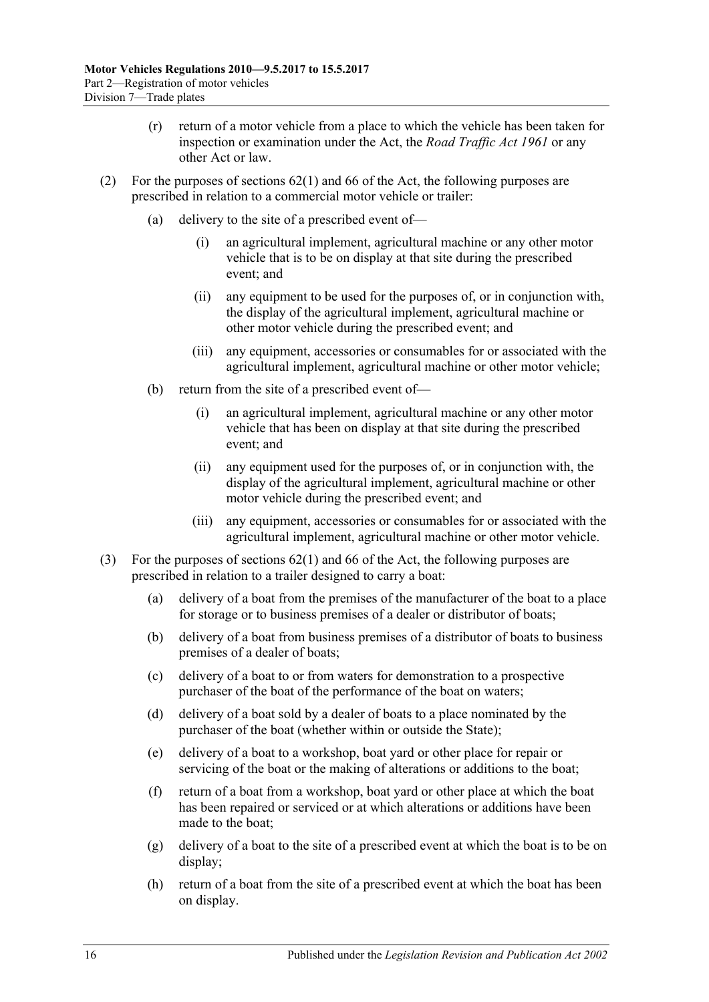- (r) return of a motor vehicle from a place to which the vehicle has been taken for inspection or examination under the Act, the *[Road Traffic Act](http://www.legislation.sa.gov.au/index.aspx?action=legref&type=act&legtitle=Road%20Traffic%20Act%201961) 1961* or any other Act or law.
- (2) For the purposes of sections 62(1) and 66 of the Act, the following purposes are prescribed in relation to a commercial motor vehicle or trailer:
	- (a) delivery to the site of a prescribed event of—
		- (i) an agricultural implement, agricultural machine or any other motor vehicle that is to be on display at that site during the prescribed event; and
		- (ii) any equipment to be used for the purposes of, or in conjunction with, the display of the agricultural implement, agricultural machine or other motor vehicle during the prescribed event; and
		- (iii) any equipment, accessories or consumables for or associated with the agricultural implement, agricultural machine or other motor vehicle;
	- (b) return from the site of a prescribed event of—
		- (i) an agricultural implement, agricultural machine or any other motor vehicle that has been on display at that site during the prescribed event; and
		- (ii) any equipment used for the purposes of, or in conjunction with, the display of the agricultural implement, agricultural machine or other motor vehicle during the prescribed event; and
		- (iii) any equipment, accessories or consumables for or associated with the agricultural implement, agricultural machine or other motor vehicle.
- (3) For the purposes of sections 62(1) and 66 of the Act, the following purposes are prescribed in relation to a trailer designed to carry a boat:
	- (a) delivery of a boat from the premises of the manufacturer of the boat to a place for storage or to business premises of a dealer or distributor of boats;
	- (b) delivery of a boat from business premises of a distributor of boats to business premises of a dealer of boats;
	- (c) delivery of a boat to or from waters for demonstration to a prospective purchaser of the boat of the performance of the boat on waters;
	- (d) delivery of a boat sold by a dealer of boats to a place nominated by the purchaser of the boat (whether within or outside the State);
	- (e) delivery of a boat to a workshop, boat yard or other place for repair or servicing of the boat or the making of alterations or additions to the boat;
	- (f) return of a boat from a workshop, boat yard or other place at which the boat has been repaired or serviced or at which alterations or additions have been made to the boat;
	- (g) delivery of a boat to the site of a prescribed event at which the boat is to be on display;
	- (h) return of a boat from the site of a prescribed event at which the boat has been on display.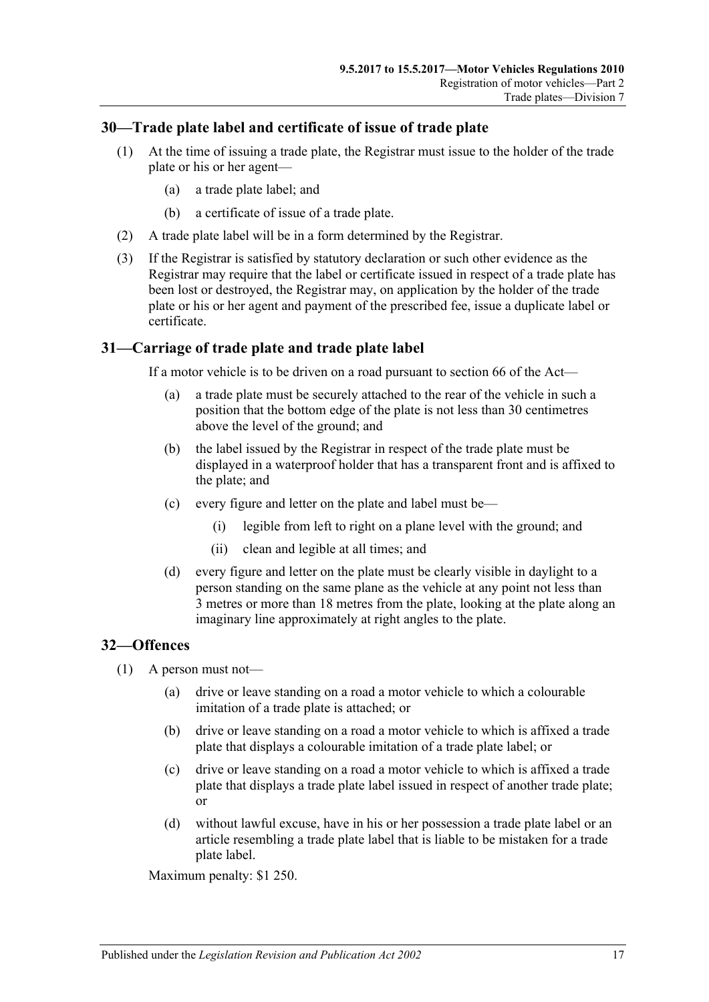## <span id="page-28-0"></span>**30—Trade plate label and certificate of issue of trade plate**

- (1) At the time of issuing a trade plate, the Registrar must issue to the holder of the trade plate or his or her agent—
	- (a) a trade plate label; and
	- (b) a certificate of issue of a trade plate.
- (2) A trade plate label will be in a form determined by the Registrar.
- (3) If the Registrar is satisfied by statutory declaration or such other evidence as the Registrar may require that the label or certificate issued in respect of a trade plate has been lost or destroyed, the Registrar may, on application by the holder of the trade plate or his or her agent and payment of the prescribed fee, issue a duplicate label or certificate.

## <span id="page-28-1"></span>**31—Carriage of trade plate and trade plate label**

If a motor vehicle is to be driven on a road pursuant to section 66 of the Act—

- (a) a trade plate must be securely attached to the rear of the vehicle in such a position that the bottom edge of the plate is not less than 30 centimetres above the level of the ground; and
- (b) the label issued by the Registrar in respect of the trade plate must be displayed in a waterproof holder that has a transparent front and is affixed to the plate; and
- (c) every figure and letter on the plate and label must be—
	- (i) legible from left to right on a plane level with the ground; and
	- (ii) clean and legible at all times; and
- (d) every figure and letter on the plate must be clearly visible in daylight to a person standing on the same plane as the vehicle at any point not less than 3 metres or more than 18 metres from the plate, looking at the plate along an imaginary line approximately at right angles to the plate.

## <span id="page-28-2"></span>**32—Offences**

- (1) A person must not—
	- (a) drive or leave standing on a road a motor vehicle to which a colourable imitation of a trade plate is attached; or
	- (b) drive or leave standing on a road a motor vehicle to which is affixed a trade plate that displays a colourable imitation of a trade plate label; or
	- (c) drive or leave standing on a road a motor vehicle to which is affixed a trade plate that displays a trade plate label issued in respect of another trade plate; or
	- (d) without lawful excuse, have in his or her possession a trade plate label or an article resembling a trade plate label that is liable to be mistaken for a trade plate label.

Maximum penalty: \$1 250.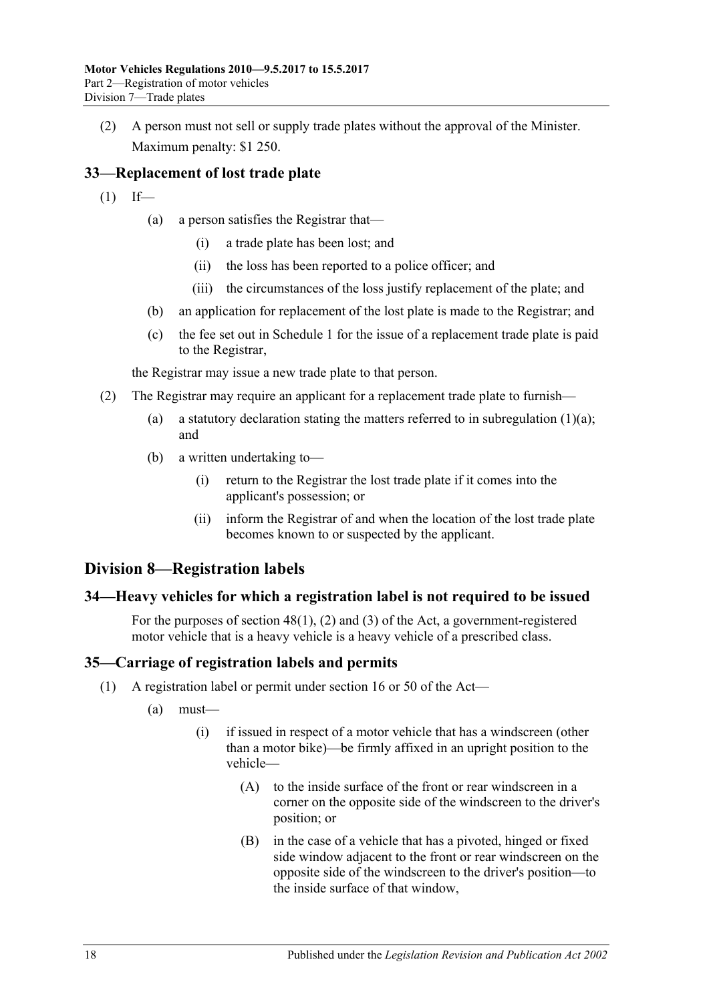(2) A person must not sell or supply trade plates without the approval of the Minister. Maximum penalty: \$1 250.

# <span id="page-29-0"></span>**33—Replacement of lost trade plate**

- <span id="page-29-4"></span> $(1)$  If—
	- (a) a person satisfies the Registrar that—
		- (i) a trade plate has been lost; and
		- (ii) the loss has been reported to a police officer; and
		- (iii) the circumstances of the loss justify replacement of the plate; and
	- (b) an application for replacement of the lost plate is made to the Registrar; and
	- (c) the fee set out in [Schedule 1](#page-72-0) for the issue of a replacement trade plate is paid to the Registrar,

the Registrar may issue a new trade plate to that person.

- (2) The Registrar may require an applicant for a replacement trade plate to furnish
	- (a) a statutory declaration stating the matters referred to in [subregulation](#page-29-4)  $(1)(a)$ ; and
	- (b) a written undertaking to—
		- (i) return to the Registrar the lost trade plate if it comes into the applicant's possession; or
		- (ii) inform the Registrar of and when the location of the lost trade plate becomes known to or suspected by the applicant.

# <span id="page-29-1"></span>**Division 8—Registration labels**

# <span id="page-29-2"></span>**34—Heavy vehicles for which a registration label is not required to be issued**

For the purposes of section 48(1), (2) and (3) of the Act, a government-registered motor vehicle that is a heavy vehicle is a heavy vehicle of a prescribed class.

# <span id="page-29-6"></span><span id="page-29-3"></span>**35—Carriage of registration labels and permits**

- <span id="page-29-5"></span>(1) A registration label or permit under section 16 or 50 of the Act—
	- (a) must—
		- (i) if issued in respect of a motor vehicle that has a windscreen (other than a motor bike)—be firmly affixed in an upright position to the vehicle—
			- (A) to the inside surface of the front or rear windscreen in a corner on the opposite side of the windscreen to the driver's position; or
			- (B) in the case of a vehicle that has a pivoted, hinged or fixed side window adjacent to the front or rear windscreen on the opposite side of the windscreen to the driver's position—to the inside surface of that window,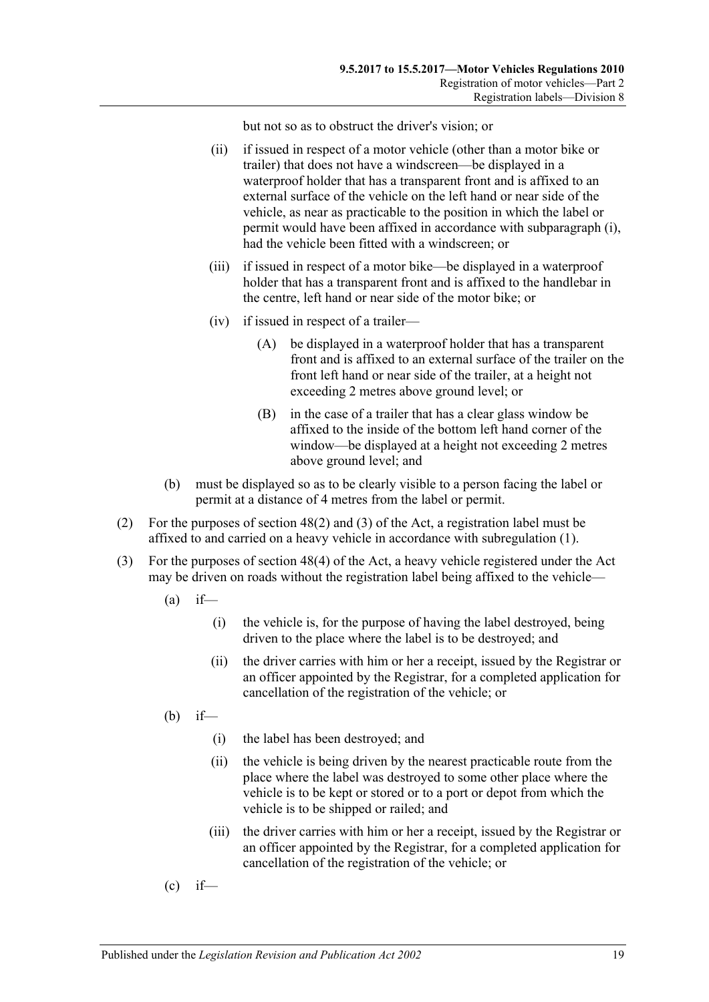but not so as to obstruct the driver's vision; or

- (ii) if issued in respect of a motor vehicle (other than a motor bike or trailer) that does not have a windscreen—be displayed in a waterproof holder that has a transparent front and is affixed to an external surface of the vehicle on the left hand or near side of the vehicle, as near as practicable to the position in which the label or permit would have been affixed in accordance with [subparagraph](#page-29-5) (i), had the vehicle been fitted with a windscreen; or
- (iii) if issued in respect of a motor bike—be displayed in a waterproof holder that has a transparent front and is affixed to the handlebar in the centre, left hand or near side of the motor bike; or
- (iv) if issued in respect of a trailer—
	- (A) be displayed in a waterproof holder that has a transparent front and is affixed to an external surface of the trailer on the front left hand or near side of the trailer, at a height not exceeding 2 metres above ground level; or
	- (B) in the case of a trailer that has a clear glass window be affixed to the inside of the bottom left hand corner of the window—be displayed at a height not exceeding 2 metres above ground level; and
- (b) must be displayed so as to be clearly visible to a person facing the label or permit at a distance of 4 metres from the label or permit.
- (2) For the purposes of section 48(2) and (3) of the Act, a registration label must be affixed to and carried on a heavy vehicle in accordance with [subregulation](#page-29-6) (1).
- (3) For the purposes of section 48(4) of the Act, a heavy vehicle registered under the Act may be driven on roads without the registration label being affixed to the vehicle—
	- $(a)$  if—
		- (i) the vehicle is, for the purpose of having the label destroyed, being driven to the place where the label is to be destroyed; and
		- (ii) the driver carries with him or her a receipt, issued by the Registrar or an officer appointed by the Registrar, for a completed application for cancellation of the registration of the vehicle; or
	- (b) if—
		- (i) the label has been destroyed; and
		- (ii) the vehicle is being driven by the nearest practicable route from the place where the label was destroyed to some other place where the vehicle is to be kept or stored or to a port or depot from which the vehicle is to be shipped or railed; and
		- (iii) the driver carries with him or her a receipt, issued by the Registrar or an officer appointed by the Registrar, for a completed application for cancellation of the registration of the vehicle; or
	- $\text{(c)}$  if—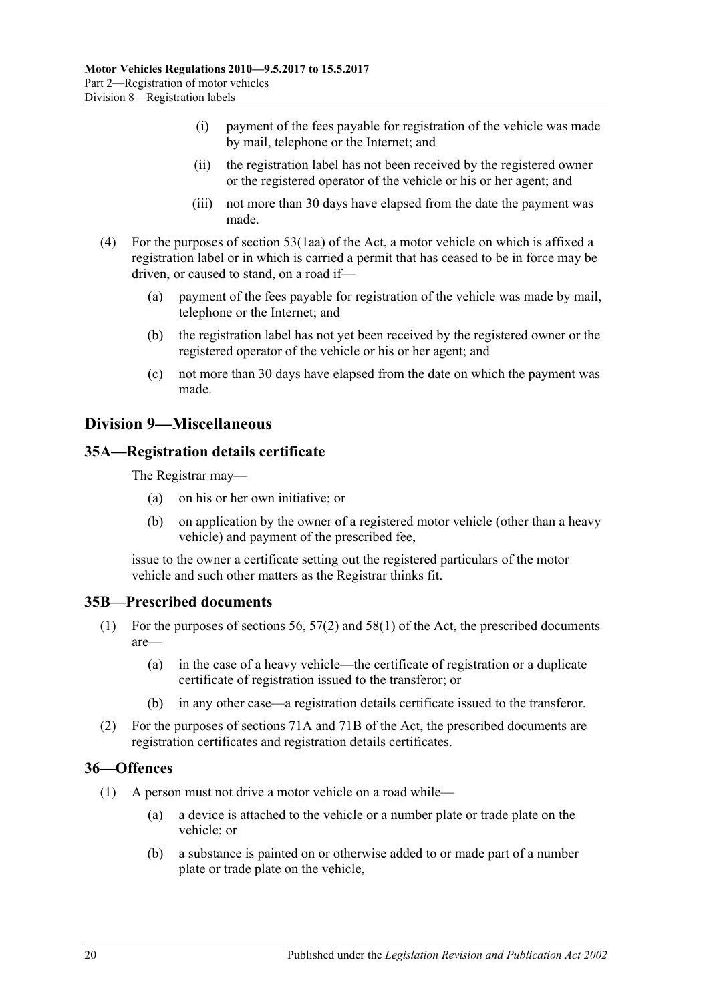- (i) payment of the fees payable for registration of the vehicle was made by mail, telephone or the Internet; and
- (ii) the registration label has not been received by the registered owner or the registered operator of the vehicle or his or her agent; and
- (iii) not more than 30 days have elapsed from the date the payment was made.
- (4) For the purposes of section 53(1aa) of the Act, a motor vehicle on which is affixed a registration label or in which is carried a permit that has ceased to be in force may be driven, or caused to stand, on a road if—
	- (a) payment of the fees payable for registration of the vehicle was made by mail, telephone or the Internet; and
	- (b) the registration label has not yet been received by the registered owner or the registered operator of the vehicle or his or her agent; and
	- (c) not more than 30 days have elapsed from the date on which the payment was made.

# <span id="page-31-0"></span>**Division 9—Miscellaneous**

### <span id="page-31-1"></span>**35A—Registration details certificate**

The Registrar may—

- (a) on his or her own initiative; or
- (b) on application by the owner of a registered motor vehicle (other than a heavy vehicle) and payment of the prescribed fee,

issue to the owner a certificate setting out the registered particulars of the motor vehicle and such other matters as the Registrar thinks fit.

#### <span id="page-31-2"></span>**35B—Prescribed documents**

- (1) For the purposes of sections 56, 57(2) and 58(1) of the Act, the prescribed documents are—
	- (a) in the case of a heavy vehicle—the certificate of registration or a duplicate certificate of registration issued to the transferor; or
	- (b) in any other case—a registration details certificate issued to the transferor.
- (2) For the purposes of sections 71A and 71B of the Act, the prescribed documents are registration certificates and registration details certificates.

#### <span id="page-31-4"></span><span id="page-31-3"></span>**36—Offences**

- <span id="page-31-5"></span>(1) A person must not drive a motor vehicle on a road while—
	- (a) a device is attached to the vehicle or a number plate or trade plate on the vehicle; or
	- (b) a substance is painted on or otherwise added to or made part of a number plate or trade plate on the vehicle,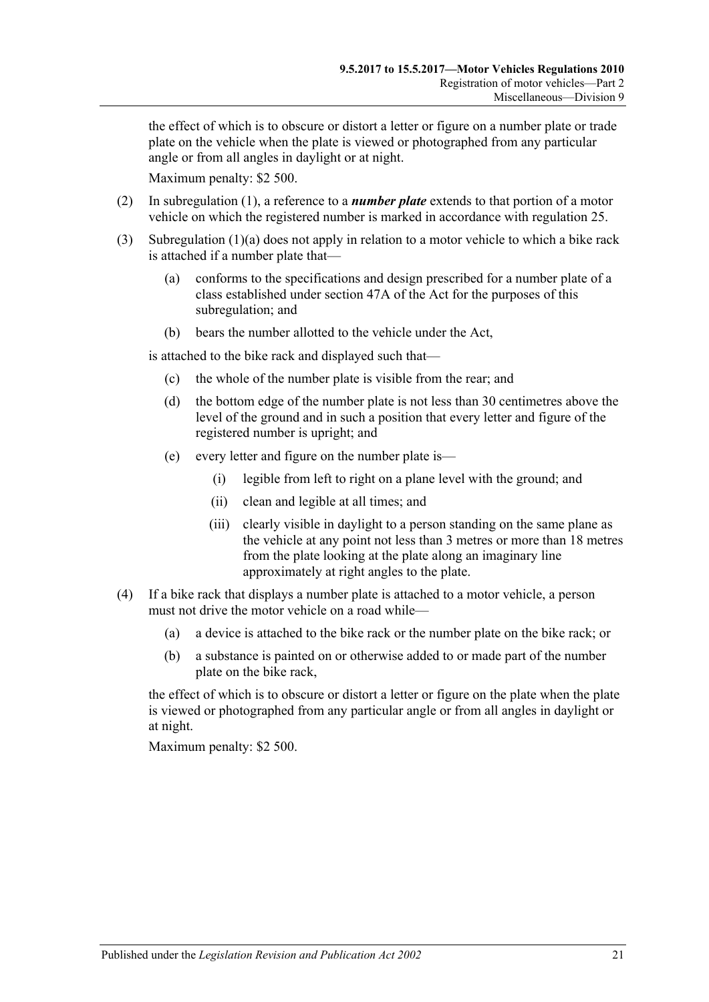the effect of which is to obscure or distort a letter or figure on a number plate or trade plate on the vehicle when the plate is viewed or photographed from any particular angle or from all angles in daylight or at night.

Maximum penalty: \$2 500.

- (2) In [subregulation](#page-31-4) (1), a reference to a *number plate* extends to that portion of a motor vehicle on which the registered number is marked in accordance with [regulation](#page-22-0) 25.
- (3) [Subregulation](#page-31-5) (1)(a) does not apply in relation to a motor vehicle to which a bike rack is attached if a number plate that—
	- (a) conforms to the specifications and design prescribed for a number plate of a class established under section 47A of the Act for the purposes of this subregulation; and
	- (b) bears the number allotted to the vehicle under the Act,

is attached to the bike rack and displayed such that—

- (c) the whole of the number plate is visible from the rear; and
- (d) the bottom edge of the number plate is not less than 30 centimetres above the level of the ground and in such a position that every letter and figure of the registered number is upright; and
- (e) every letter and figure on the number plate is—
	- (i) legible from left to right on a plane level with the ground; and
	- (ii) clean and legible at all times; and
	- (iii) clearly visible in daylight to a person standing on the same plane as the vehicle at any point not less than 3 metres or more than 18 metres from the plate looking at the plate along an imaginary line approximately at right angles to the plate.
- (4) If a bike rack that displays a number plate is attached to a motor vehicle, a person must not drive the motor vehicle on a road while—
	- (a) a device is attached to the bike rack or the number plate on the bike rack; or
	- (b) a substance is painted on or otherwise added to or made part of the number plate on the bike rack,

the effect of which is to obscure or distort a letter or figure on the plate when the plate is viewed or photographed from any particular angle or from all angles in daylight or at night.

Maximum penalty: \$2 500.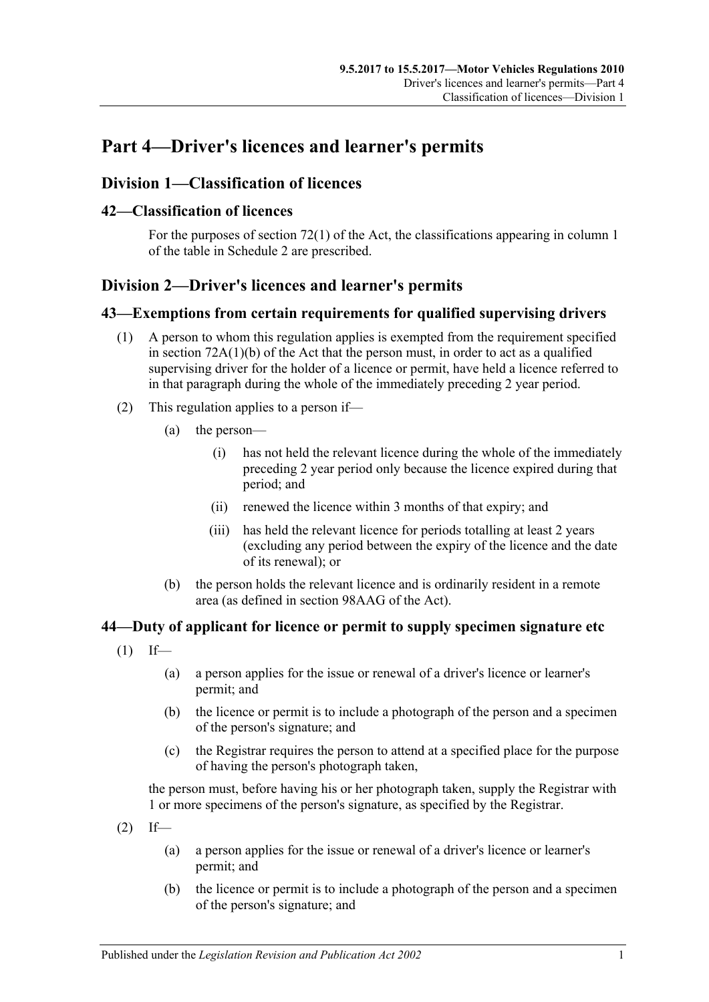# <span id="page-34-0"></span>**Part 4—Driver's licences and learner's permits**

# <span id="page-34-1"></span>**Division 1—Classification of licences**

## <span id="page-34-2"></span>**42—Classification of licences**

For the purposes of section 72(1) of the Act, the classifications appearing in column 1 of the table in [Schedule 2](#page-82-0) are prescribed.

# <span id="page-34-3"></span>**Division 2—Driver's licences and learner's permits**

## <span id="page-34-4"></span>**43—Exemptions from certain requirements for qualified supervising drivers**

- (1) A person to whom this regulation applies is exempted from the requirement specified in section 72A(1)(b) of the Act that the person must, in order to act as a qualified supervising driver for the holder of a licence or permit, have held a licence referred to in that paragraph during the whole of the immediately preceding 2 year period.
- (2) This regulation applies to a person if—
	- (a) the person—
		- (i) has not held the relevant licence during the whole of the immediately preceding 2 year period only because the licence expired during that period; and
		- (ii) renewed the licence within 3 months of that expiry; and
		- (iii) has held the relevant licence for periods totalling at least 2 years (excluding any period between the expiry of the licence and the date of its renewal); or
	- (b) the person holds the relevant licence and is ordinarily resident in a remote area (as defined in section 98AAG of the Act).

## <span id="page-34-5"></span>**44—Duty of applicant for licence or permit to supply specimen signature etc**

- $(1)$  If—
	- (a) a person applies for the issue or renewal of a driver's licence or learner's permit; and
	- (b) the licence or permit is to include a photograph of the person and a specimen of the person's signature; and
	- (c) the Registrar requires the person to attend at a specified place for the purpose of having the person's photograph taken,

the person must, before having his or her photograph taken, supply the Registrar with 1 or more specimens of the person's signature, as specified by the Registrar.

- $(2)$  If—
	- (a) a person applies for the issue or renewal of a driver's licence or learner's permit; and
	- (b) the licence or permit is to include a photograph of the person and a specimen of the person's signature; and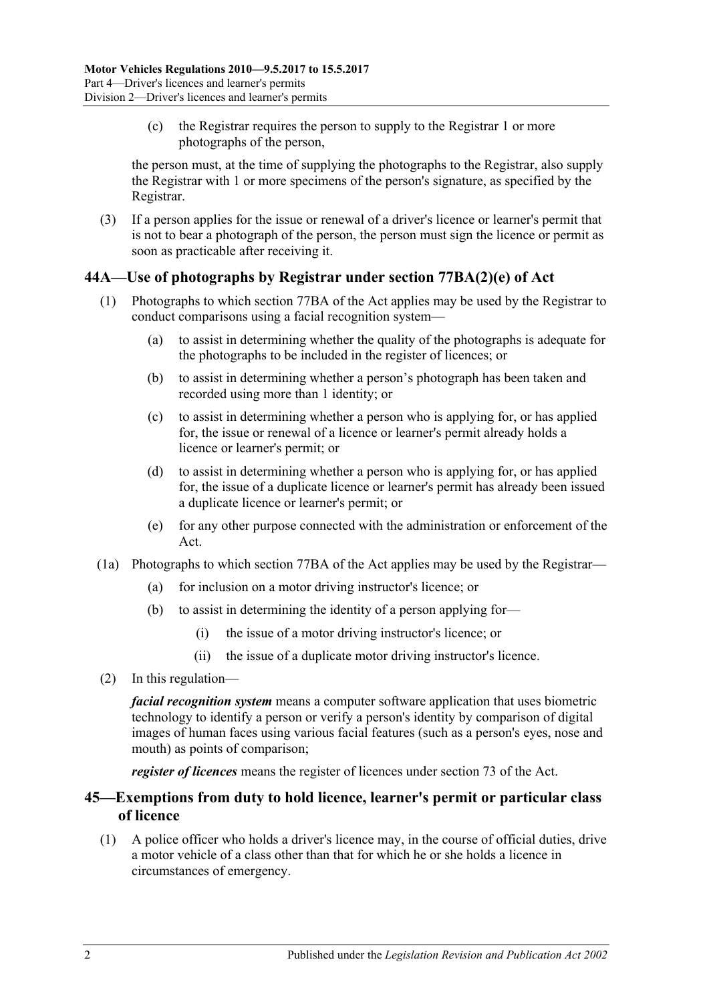(c) the Registrar requires the person to supply to the Registrar 1 or more photographs of the person,

the person must, at the time of supplying the photographs to the Registrar, also supply the Registrar with 1 or more specimens of the person's signature, as specified by the Registrar.

(3) If a person applies for the issue or renewal of a driver's licence or learner's permit that is not to bear a photograph of the person, the person must sign the licence or permit as soon as practicable after receiving it.

## <span id="page-35-0"></span>**44A—Use of photographs by Registrar under section 77BA(2)(e) of Act**

- (1) Photographs to which section 77BA of the Act applies may be used by the Registrar to conduct comparisons using a facial recognition system—
	- (a) to assist in determining whether the quality of the photographs is adequate for the photographs to be included in the register of licences; or
	- (b) to assist in determining whether a person's photograph has been taken and recorded using more than 1 identity; or
	- (c) to assist in determining whether a person who is applying for, or has applied for, the issue or renewal of a licence or learner's permit already holds a licence or learner's permit; or
	- (d) to assist in determining whether a person who is applying for, or has applied for, the issue of a duplicate licence or learner's permit has already been issued a duplicate licence or learner's permit; or
	- (e) for any other purpose connected with the administration or enforcement of the Act.
- (1a) Photographs to which section 77BA of the Act applies may be used by the Registrar—
	- (a) for inclusion on a motor driving instructor's licence; or
	- (b) to assist in determining the identity of a person applying for—
		- (i) the issue of a motor driving instructor's licence; or
		- (ii) the issue of a duplicate motor driving instructor's licence.
- (2) In this regulation—

*facial recognition system* means a computer software application that uses biometric technology to identify a person or verify a person's identity by comparison of digital images of human faces using various facial features (such as a person's eyes, nose and mouth) as points of comparison;

*register of licences* means the register of licences under section 73 of the Act.

## <span id="page-35-1"></span>**45—Exemptions from duty to hold licence, learner's permit or particular class of licence**

(1) A police officer who holds a driver's licence may, in the course of official duties, drive a motor vehicle of a class other than that for which he or she holds a licence in circumstances of emergency.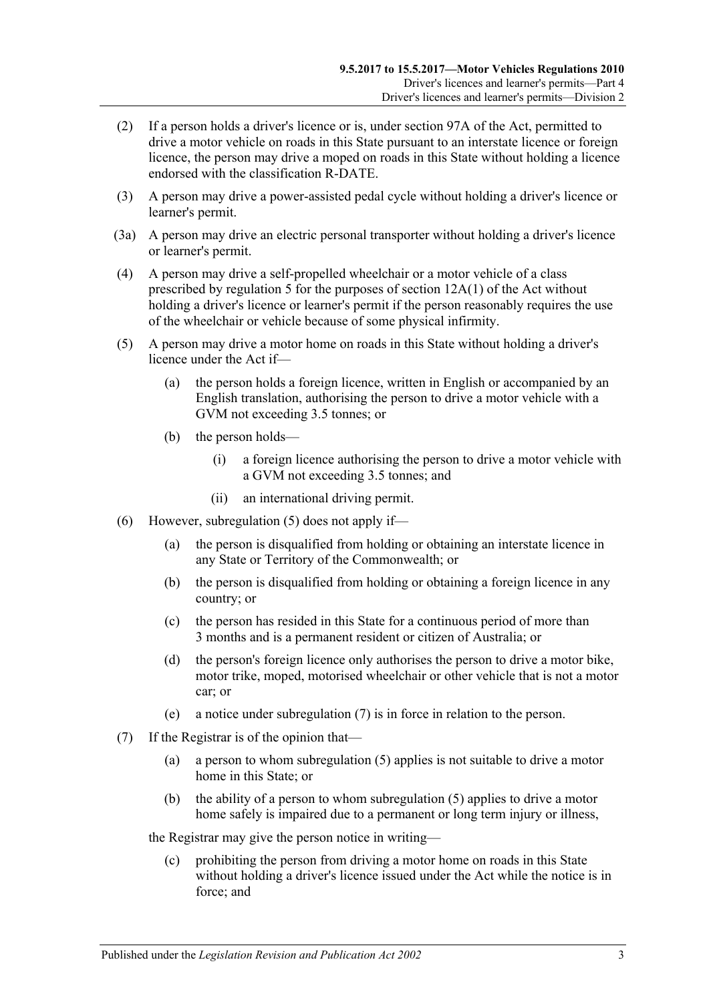- (2) If a person holds a driver's licence or is, under section 97A of the Act, permitted to drive a motor vehicle on roads in this State pursuant to an interstate licence or foreign licence, the person may drive a moped on roads in this State without holding a licence endorsed with the classification R-DATE.
- (3) A person may drive a power-assisted pedal cycle without holding a driver's licence or learner's permit.
- (3a) A person may drive an electric personal transporter without holding a driver's licence or learner's permit.
- (4) A person may drive a self-propelled wheelchair or a motor vehicle of a class prescribed by [regulation](#page-12-0) 5 for the purposes of section 12A(1) of the Act without holding a driver's licence or learner's permit if the person reasonably requires the use of the wheelchair or vehicle because of some physical infirmity.
- <span id="page-36-0"></span>(5) A person may drive a motor home on roads in this State without holding a driver's licence under the Act if—
	- (a) the person holds a foreign licence, written in English or accompanied by an English translation, authorising the person to drive a motor vehicle with a GVM not exceeding 3.5 tonnes; or
	- (b) the person holds—
		- (i) a foreign licence authorising the person to drive a motor vehicle with a GVM not exceeding 3.5 tonnes; and
		- (ii) an international driving permit.
- (6) However, [subregulation](#page-36-0) (5) does not apply if—
	- (a) the person is disqualified from holding or obtaining an interstate licence in any State or Territory of the Commonwealth; or
	- (b) the person is disqualified from holding or obtaining a foreign licence in any country; or
	- (c) the person has resided in this State for a continuous period of more than 3 months and is a permanent resident or citizen of Australia; or
	- (d) the person's foreign licence only authorises the person to drive a motor bike, motor trike, moped, motorised wheelchair or other vehicle that is not a motor car; or
	- (e) a notice under [subregulation](#page-36-1) (7) is in force in relation to the person.
- <span id="page-36-1"></span>(7) If the Registrar is of the opinion that—
	- (a) a person to whom [subregulation](#page-36-0) (5) applies is not suitable to drive a motor home in this State; or
	- (b) the ability of a person to whom [subregulation](#page-36-0) (5) applies to drive a motor home safely is impaired due to a permanent or long term injury or illness,

the Registrar may give the person notice in writing—

(c) prohibiting the person from driving a motor home on roads in this State without holding a driver's licence issued under the Act while the notice is in force; and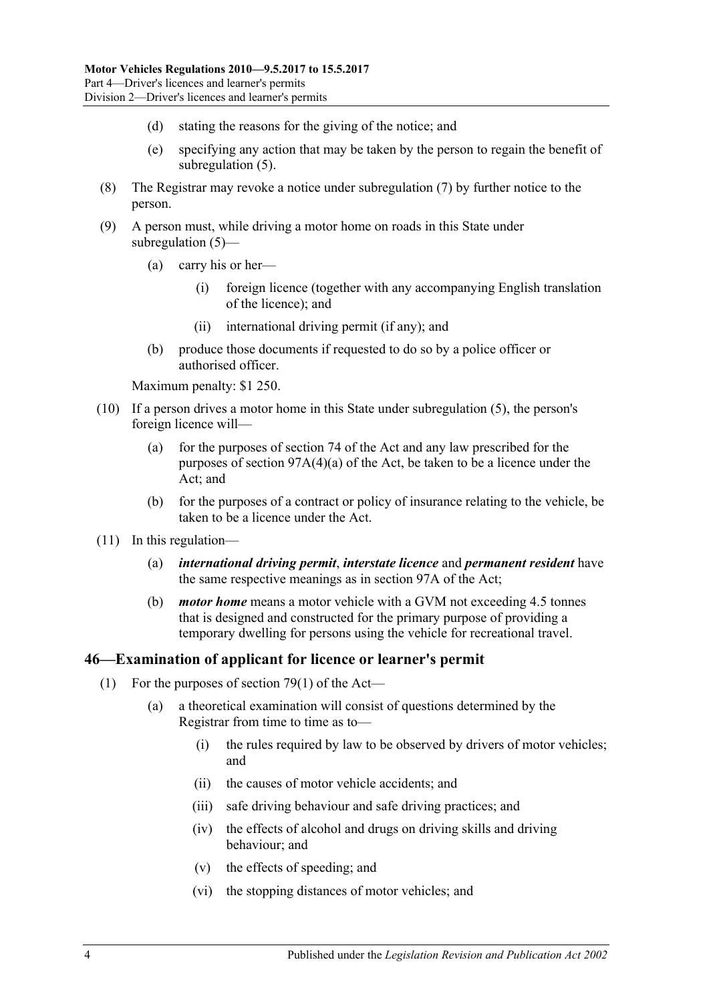- (d) stating the reasons for the giving of the notice; and
- (e) specifying any action that may be taken by the person to regain the benefit of [subregulation](#page-36-0) (5).
- (8) The Registrar may revoke a notice under [subregulation](#page-36-1) (7) by further notice to the person.
- (9) A person must, while driving a motor home on roads in this State under [subregulation](#page-36-0) (5)—
	- (a) carry his or her—
		- (i) foreign licence (together with any accompanying English translation of the licence); and
		- (ii) international driving permit (if any); and
	- (b) produce those documents if requested to do so by a police officer or authorised officer.

Maximum penalty: \$1 250.

- (10) If a person drives a motor home in this State under [subregulation](#page-36-0) (5), the person's foreign licence will—
	- (a) for the purposes of section 74 of the Act and any law prescribed for the purposes of section 97A(4)(a) of the Act, be taken to be a licence under the Act; and
	- (b) for the purposes of a contract or policy of insurance relating to the vehicle, be taken to be a licence under the Act.
- (11) In this regulation—
	- (a) *international driving permit*, *interstate licence* and *permanent resident* have the same respective meanings as in section 97A of the Act;
	- (b) *motor home* means a motor vehicle with a GVM not exceeding 4.5 tonnes that is designed and constructed for the primary purpose of providing a temporary dwelling for persons using the vehicle for recreational travel.

#### **46—Examination of applicant for licence or learner's permit**

- (1) For the purposes of section  $79(1)$  of the Act—
	- (a) a theoretical examination will consist of questions determined by the Registrar from time to time as to—
		- (i) the rules required by law to be observed by drivers of motor vehicles; and
		- (ii) the causes of motor vehicle accidents; and
		- (iii) safe driving behaviour and safe driving practices; and
		- (iv) the effects of alcohol and drugs on driving skills and driving behaviour; and
		- (v) the effects of speeding; and
		- (vi) the stopping distances of motor vehicles; and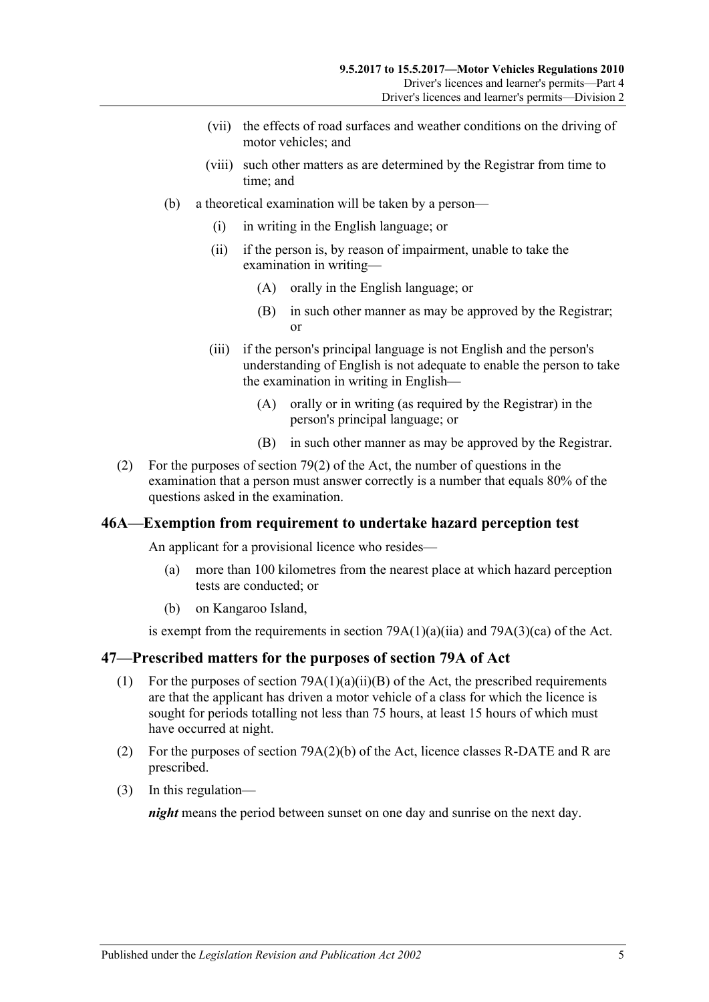- (vii) the effects of road surfaces and weather conditions on the driving of motor vehicles; and
- (viii) such other matters as are determined by the Registrar from time to time; and
- (b) a theoretical examination will be taken by a person—
	- (i) in writing in the English language; or
	- (ii) if the person is, by reason of impairment, unable to take the examination in writing—
		- (A) orally in the English language; or
		- (B) in such other manner as may be approved by the Registrar; or
	- (iii) if the person's principal language is not English and the person's understanding of English is not adequate to enable the person to take the examination in writing in English—
		- (A) orally or in writing (as required by the Registrar) in the person's principal language; or
		- (B) in such other manner as may be approved by the Registrar.
- (2) For the purposes of section 79(2) of the Act, the number of questions in the examination that a person must answer correctly is a number that equals 80% of the questions asked in the examination.

## **46A—Exemption from requirement to undertake hazard perception test**

An applicant for a provisional licence who resides—

- (a) more than 100 kilometres from the nearest place at which hazard perception tests are conducted; or
- (b) on Kangaroo Island,

is exempt from the requirements in section  $79A(1)(a)(ii)$  and  $79A(3)(ca)$  of the Act.

## **47—Prescribed matters for the purposes of section 79A of Act**

- (1) For the purposes of section  $79A(1)(a)(ii)(B)$  of the Act, the prescribed requirements are that the applicant has driven a motor vehicle of a class for which the licence is sought for periods totalling not less than 75 hours, at least 15 hours of which must have occurred at night.
- (2) For the purposes of section 79A(2)(b) of the Act, licence classes R-DATE and R are prescribed.
- (3) In this regulation—

*night* means the period between sunset on one day and sunrise on the next day.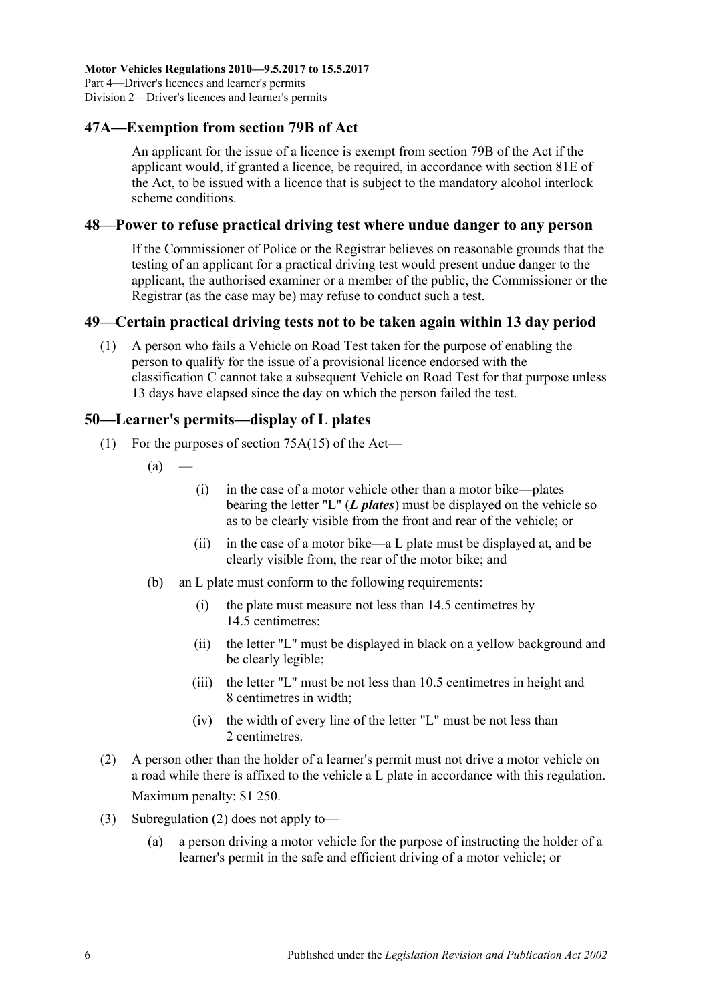# **47A—Exemption from section 79B of Act**

An applicant for the issue of a licence is exempt from section 79B of the Act if the applicant would, if granted a licence, be required, in accordance with section 81E of the Act, to be issued with a licence that is subject to the mandatory alcohol interlock scheme conditions.

#### **48—Power to refuse practical driving test where undue danger to any person**

If the Commissioner of Police or the Registrar believes on reasonable grounds that the testing of an applicant for a practical driving test would present undue danger to the applicant, the authorised examiner or a member of the public, the Commissioner or the Registrar (as the case may be) may refuse to conduct such a test.

## **49—Certain practical driving tests not to be taken again within 13 day period**

(1) A person who fails a Vehicle on Road Test taken for the purpose of enabling the person to qualify for the issue of a provisional licence endorsed with the classification C cannot take a subsequent Vehicle on Road Test for that purpose unless 13 days have elapsed since the day on which the person failed the test.

## **50—Learner's permits—display of L plates**

- (1) For the purposes of section 75A(15) of the Act—
	- $(a)$
- (i) in the case of a motor vehicle other than a motor bike—plates bearing the letter "L" (*L plates*) must be displayed on the vehicle so as to be clearly visible from the front and rear of the vehicle; or
- (ii) in the case of a motor bike—a L plate must be displayed at, and be clearly visible from, the rear of the motor bike; and
- (b) an L plate must conform to the following requirements:
	- (i) the plate must measure not less than 14.5 centimetres by 14.5 centimetres;
	- (ii) the letter "L" must be displayed in black on a yellow background and be clearly legible;
	- (iii) the letter "L" must be not less than 10.5 centimetres in height and 8 centimetres in width;
	- (iv) the width of every line of the letter "L" must be not less than 2 centimetres.
- <span id="page-39-0"></span>(2) A person other than the holder of a learner's permit must not drive a motor vehicle on a road while there is affixed to the vehicle a L plate in accordance with this regulation. Maximum penalty: \$1 250.
- (3) [Subregulation](#page-39-0) (2) does not apply to—
	- (a) a person driving a motor vehicle for the purpose of instructing the holder of a learner's permit in the safe and efficient driving of a motor vehicle; or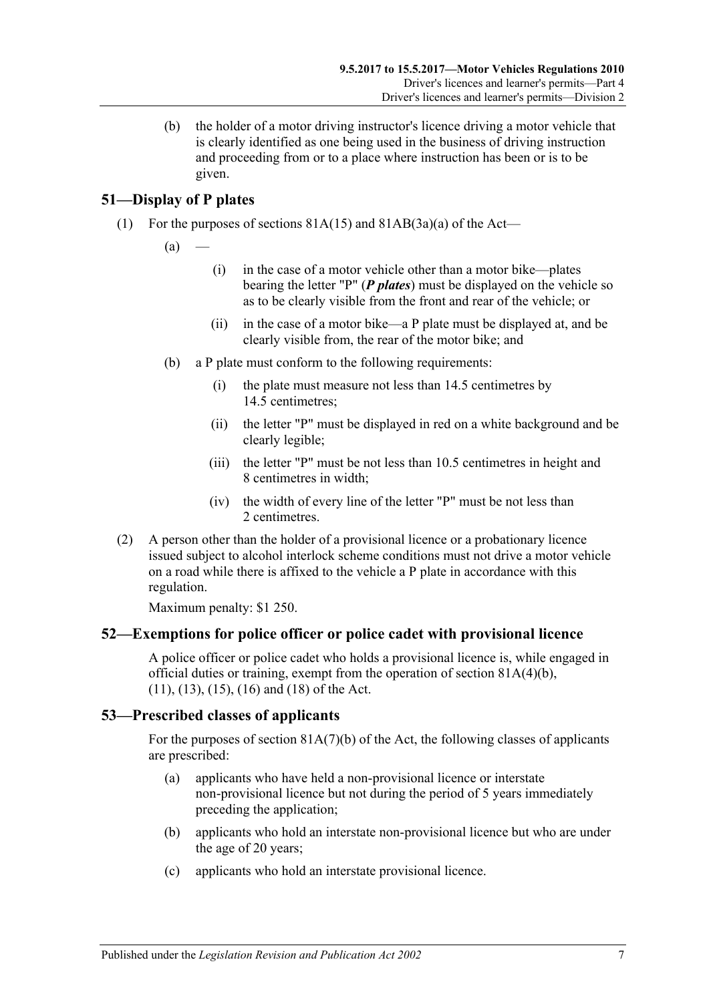(b) the holder of a motor driving instructor's licence driving a motor vehicle that is clearly identified as one being used in the business of driving instruction and proceeding from or to a place where instruction has been or is to be given.

# **51—Display of P plates**

(1) For the purposes of sections  $81A(15)$  and  $81AB(3a)(a)$  of the Act—

 $(a)$ 

- (i) in the case of a motor vehicle other than a motor bike—plates bearing the letter "P" (*P plates*) must be displayed on the vehicle so as to be clearly visible from the front and rear of the vehicle; or
- (ii) in the case of a motor bike—a P plate must be displayed at, and be clearly visible from, the rear of the motor bike; and
- (b) a P plate must conform to the following requirements:
	- (i) the plate must measure not less than 14.5 centimetres by 14.5 centimetres;
	- (ii) the letter "P" must be displayed in red on a white background and be clearly legible;
	- (iii) the letter "P" must be not less than 10.5 centimetres in height and 8 centimetres in width;
	- (iv) the width of every line of the letter "P" must be not less than 2 centimetres.
- (2) A person other than the holder of a provisional licence or a probationary licence issued subject to alcohol interlock scheme conditions must not drive a motor vehicle on a road while there is affixed to the vehicle a P plate in accordance with this regulation.

Maximum penalty: \$1 250.

## **52—Exemptions for police officer or police cadet with provisional licence**

A police officer or police cadet who holds a provisional licence is, while engaged in official duties or training, exempt from the operation of section  $81A(4)(b)$ , (11), (13), (15), (16) and (18) of the Act.

## **53—Prescribed classes of applicants**

For the purposes of section 81A(7)(b) of the Act, the following classes of applicants are prescribed:

- (a) applicants who have held a non-provisional licence or interstate non-provisional licence but not during the period of 5 years immediately preceding the application;
- (b) applicants who hold an interstate non-provisional licence but who are under the age of 20 years;
- (c) applicants who hold an interstate provisional licence.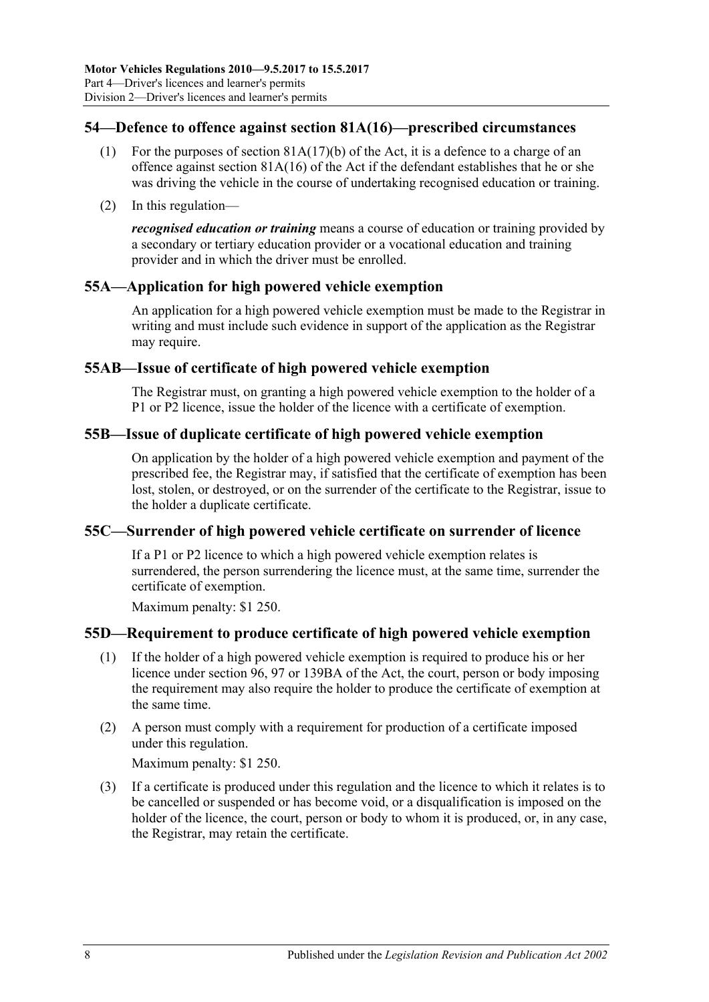# **54—Defence to offence against section 81A(16)—prescribed circumstances**

- (1) For the purposes of section  $81A(17)(b)$  of the Act, it is a defence to a charge of an offence against section 81A(16) of the Act if the defendant establishes that he or she was driving the vehicle in the course of undertaking recognised education or training.
- (2) In this regulation—

*recognised education or training* means a course of education or training provided by a secondary or tertiary education provider or a vocational education and training provider and in which the driver must be enrolled.

# **55A—Application for high powered vehicle exemption**

An application for a high powered vehicle exemption must be made to the Registrar in writing and must include such evidence in support of the application as the Registrar may require.

# **55AB—Issue of certificate of high powered vehicle exemption**

The Registrar must, on granting a high powered vehicle exemption to the holder of a P1 or P2 licence, issue the holder of the licence with a certificate of exemption.

# **55B—Issue of duplicate certificate of high powered vehicle exemption**

On application by the holder of a high powered vehicle exemption and payment of the prescribed fee, the Registrar may, if satisfied that the certificate of exemption has been lost, stolen, or destroyed, or on the surrender of the certificate to the Registrar, issue to the holder a duplicate certificate.

## **55C—Surrender of high powered vehicle certificate on surrender of licence**

If a P1 or P2 licence to which a high powered vehicle exemption relates is surrendered, the person surrendering the licence must, at the same time, surrender the certificate of exemption.

Maximum penalty: \$1 250.

# **55D—Requirement to produce certificate of high powered vehicle exemption**

- (1) If the holder of a high powered vehicle exemption is required to produce his or her licence under section 96, 97 or 139BA of the Act, the court, person or body imposing the requirement may also require the holder to produce the certificate of exemption at the same time.
- (2) A person must comply with a requirement for production of a certificate imposed under this regulation.

Maximum penalty: \$1 250.

(3) If a certificate is produced under this regulation and the licence to which it relates is to be cancelled or suspended or has become void, or a disqualification is imposed on the holder of the licence, the court, person or body to whom it is produced, or, in any case, the Registrar, may retain the certificate.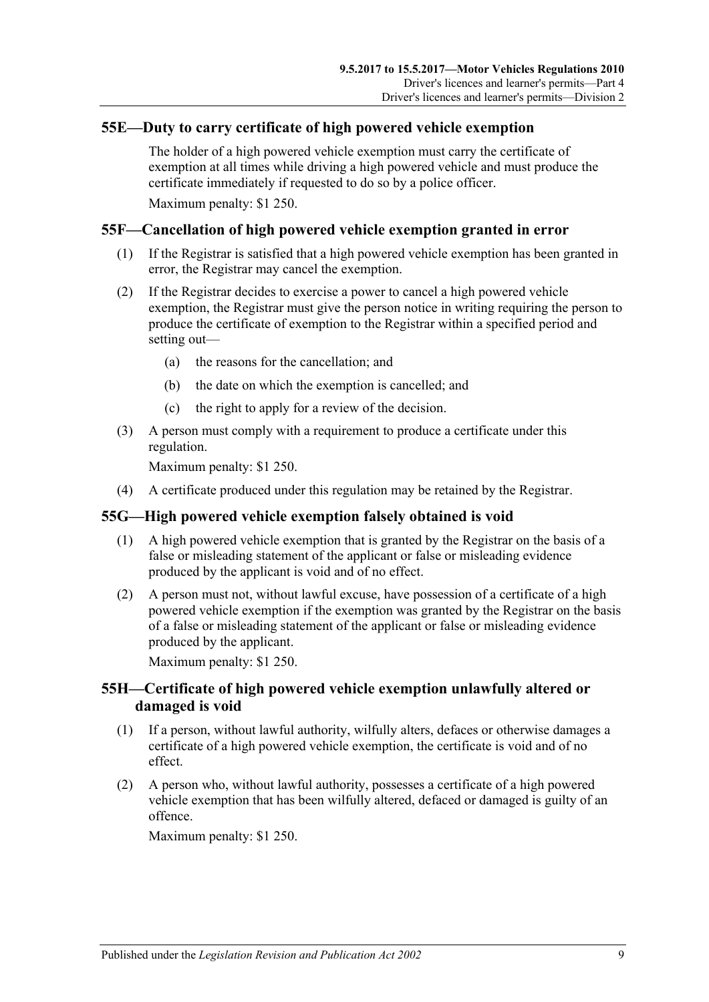## **55E—Duty to carry certificate of high powered vehicle exemption**

The holder of a high powered vehicle exemption must carry the certificate of exemption at all times while driving a high powered vehicle and must produce the certificate immediately if requested to do so by a police officer.

Maximum penalty: \$1 250.

# **55F—Cancellation of high powered vehicle exemption granted in error**

- (1) If the Registrar is satisfied that a high powered vehicle exemption has been granted in error, the Registrar may cancel the exemption.
- (2) If the Registrar decides to exercise a power to cancel a high powered vehicle exemption, the Registrar must give the person notice in writing requiring the person to produce the certificate of exemption to the Registrar within a specified period and setting out—
	- (a) the reasons for the cancellation; and
	- (b) the date on which the exemption is cancelled; and
	- (c) the right to apply for a review of the decision.
- (3) A person must comply with a requirement to produce a certificate under this regulation.

Maximum penalty: \$1 250.

(4) A certificate produced under this regulation may be retained by the Registrar.

## **55G—High powered vehicle exemption falsely obtained is void**

- (1) A high powered vehicle exemption that is granted by the Registrar on the basis of a false or misleading statement of the applicant or false or misleading evidence produced by the applicant is void and of no effect.
- (2) A person must not, without lawful excuse, have possession of a certificate of a high powered vehicle exemption if the exemption was granted by the Registrar on the basis of a false or misleading statement of the applicant or false or misleading evidence produced by the applicant.

Maximum penalty: \$1 250.

## **55H—Certificate of high powered vehicle exemption unlawfully altered or damaged is void**

- (1) If a person, without lawful authority, wilfully alters, defaces or otherwise damages a certificate of a high powered vehicle exemption, the certificate is void and of no effect.
- (2) A person who, without lawful authority, possesses a certificate of a high powered vehicle exemption that has been wilfully altered, defaced or damaged is guilty of an offence.

Maximum penalty: \$1 250.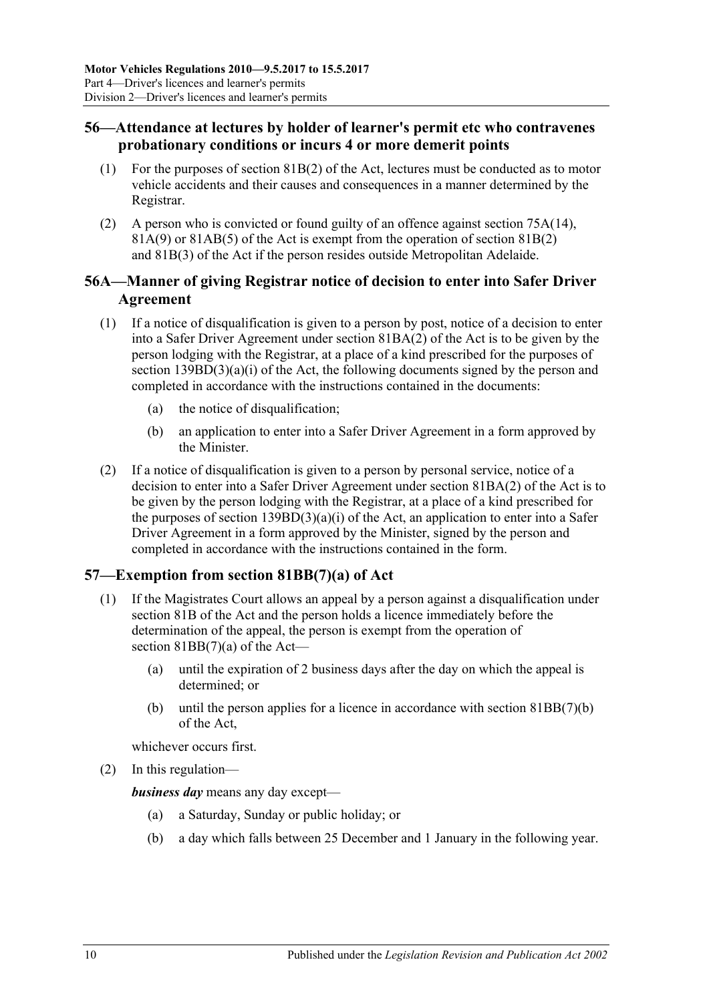# **56—Attendance at lectures by holder of learner's permit etc who contravenes probationary conditions or incurs 4 or more demerit points**

- (1) For the purposes of section 81B(2) of the Act, lectures must be conducted as to motor vehicle accidents and their causes and consequences in a manner determined by the Registrar.
- (2) A person who is convicted or found guilty of an offence against section 75A(14), 81A(9) or 81AB(5) of the Act is exempt from the operation of section 81B(2) and 81B(3) of the Act if the person resides outside Metropolitan Adelaide.

# **56A—Manner of giving Registrar notice of decision to enter into Safer Driver Agreement**

- (1) If a notice of disqualification is given to a person by post, notice of a decision to enter into a Safer Driver Agreement under section 81BA(2) of the Act is to be given by the person lodging with the Registrar, at a place of a kind prescribed for the purposes of section 139BD(3)(a)(i) of the Act, the following documents signed by the person and completed in accordance with the instructions contained in the documents:
	- (a) the notice of disqualification;
	- (b) an application to enter into a Safer Driver Agreement in a form approved by the Minister.
- (2) If a notice of disqualification is given to a person by personal service, notice of a decision to enter into a Safer Driver Agreement under section 81BA(2) of the Act is to be given by the person lodging with the Registrar, at a place of a kind prescribed for the purposes of section  $13\overline{9BD(3)}(a)(i)$  of the Act, an application to enter into a Safer Driver Agreement in a form approved by the Minister, signed by the person and completed in accordance with the instructions contained in the form.

# **57—Exemption from section 81BB(7)(a) of Act**

- (1) If the Magistrates Court allows an appeal by a person against a disqualification under section 81B of the Act and the person holds a licence immediately before the determination of the appeal, the person is exempt from the operation of section 81BB(7)(a) of the Act—
	- (a) until the expiration of 2 business days after the day on which the appeal is determined; or
	- (b) until the person applies for a licence in accordance with section 81BB(7)(b) of the Act,

whichever occurs first.

(2) In this regulation—

*business day* means any day except—

- (a) a Saturday, Sunday or public holiday; or
- (b) a day which falls between 25 December and 1 January in the following year.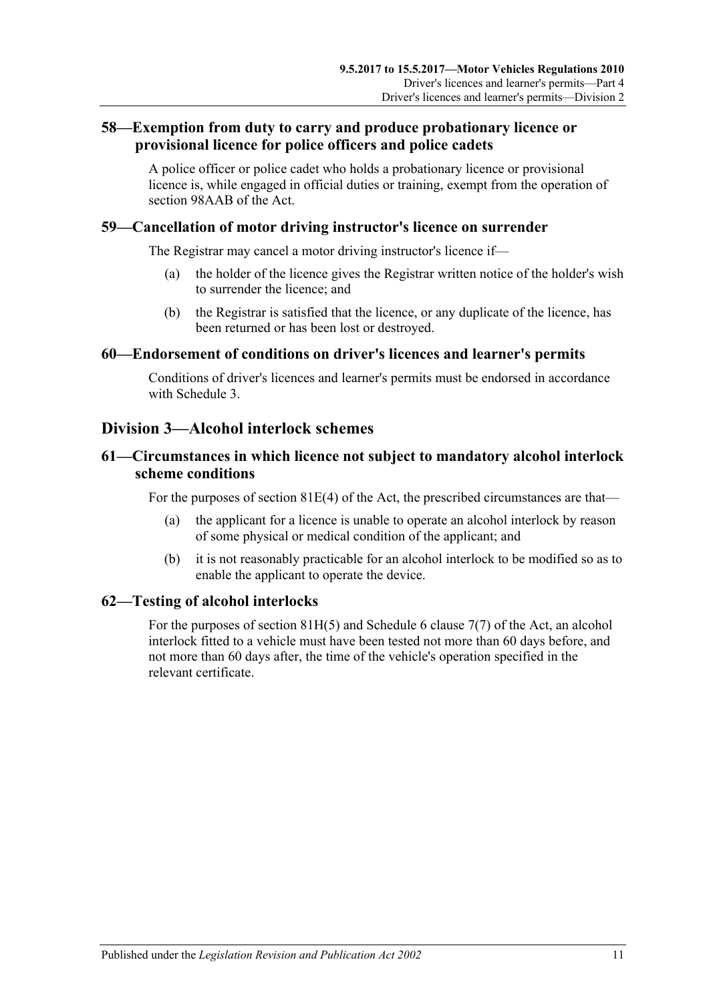# **58—Exemption from duty to carry and produce probationary licence or provisional licence for police officers and police cadets**

A police officer or police cadet who holds a probationary licence or provisional licence is, while engaged in official duties or training, exempt from the operation of section 98AAB of the Act.

## **59—Cancellation of motor driving instructor's licence on surrender**

The Registrar may cancel a motor driving instructor's licence if—

- (a) the holder of the licence gives the Registrar written notice of the holder's wish to surrender the licence; and
- (b) the Registrar is satisfied that the licence, or any duplicate of the licence, has been returned or has been lost or destroyed.

#### **60—Endorsement of conditions on driver's licences and learner's permits**

Conditions of driver's licences and learner's permits must be endorsed in accordance with [Schedule 3.](#page-86-0)

# **Division 3—Alcohol interlock schemes**

## **61—Circumstances in which licence not subject to mandatory alcohol interlock scheme conditions**

For the purposes of section 81E(4) of the Act, the prescribed circumstances are that—

- (a) the applicant for a licence is unable to operate an alcohol interlock by reason of some physical or medical condition of the applicant; and
- (b) it is not reasonably practicable for an alcohol interlock to be modified so as to enable the applicant to operate the device.

## **62—Testing of alcohol interlocks**

For the purposes of section 81H(5) and Schedule 6 clause 7(7) of the Act, an alcohol interlock fitted to a vehicle must have been tested not more than 60 days before, and not more than 60 days after, the time of the vehicle's operation specified in the relevant certificate.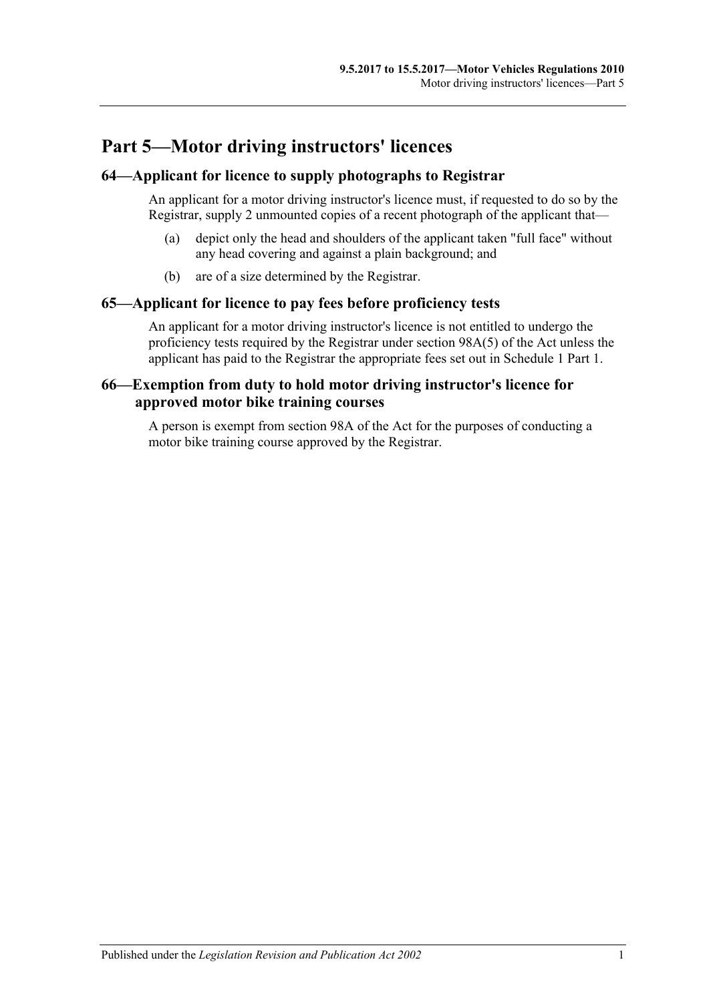# **Part 5—Motor driving instructors' licences**

# **64—Applicant for licence to supply photographs to Registrar**

An applicant for a motor driving instructor's licence must, if requested to do so by the Registrar, supply 2 unmounted copies of a recent photograph of the applicant that—

- (a) depict only the head and shoulders of the applicant taken "full face" without any head covering and against a plain background; and
- (b) are of a size determined by the Registrar.

## **65—Applicant for licence to pay fees before proficiency tests**

An applicant for a motor driving instructor's licence is not entitled to undergo the proficiency tests required by the Registrar under section 98A(5) of the Act unless the applicant has paid to the Registrar the appropriate fees set out in Schedule 1 Part 1.

# **66—Exemption from duty to hold motor driving instructor's licence for approved motor bike training courses**

A person is exempt from section 98A of the Act for the purposes of conducting a motor bike training course approved by the Registrar.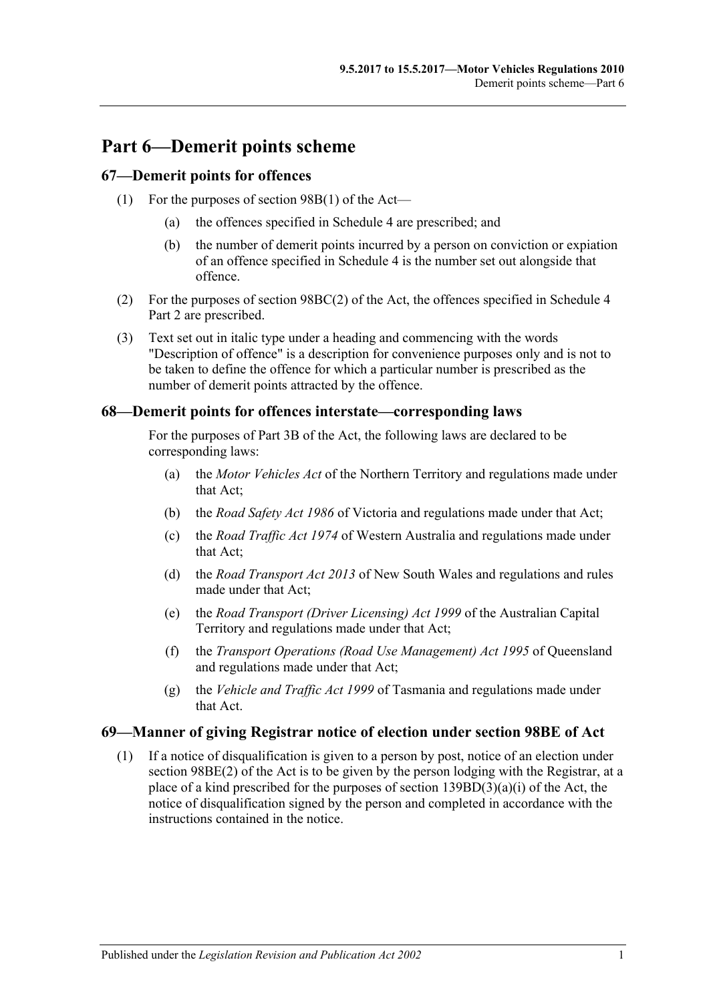# **Part 6—Demerit points scheme**

## **67—Demerit points for offences**

- (1) For the purposes of section 98B(1) of the Act—
	- (a) the offences specified in [Schedule 4](#page-88-0) are prescribed; and
	- (b) the number of demerit points incurred by a person on conviction or expiation of an offence specified in [Schedule 4](#page-88-0) is the number set out alongside that offence.
- (2) For the purposes of section 98BC(2) of the Act, the offences specified in Schedule 4 Part 2 are prescribed.
- (3) Text set out in italic type under a heading and commencing with the words "Description of offence" is a description for convenience purposes only and is not to be taken to define the offence for which a particular number is prescribed as the number of demerit points attracted by the offence.

#### **68—Demerit points for offences interstate—corresponding laws**

For the purposes of Part 3B of the Act, the following laws are declared to be corresponding laws:

- (a) the *Motor Vehicles Act* of the Northern Territory and regulations made under that Act;
- (b) the *Road Safety Act 1986* of Victoria and regulations made under that Act;
- (c) the *Road Traffic Act 1974* of Western Australia and regulations made under that Act;
- (d) the *Road Transport Act 2013* of New South Wales and regulations and rules made under that Act;
- (e) the *Road Transport (Driver Licensing) Act 1999* of the Australian Capital Territory and regulations made under that Act;
- (f) the *Transport Operations (Road Use Management) Act 1995* of Queensland and regulations made under that Act;
- (g) the *Vehicle and Traffic Act 1999* of Tasmania and regulations made under that Act.

## **69—Manner of giving Registrar notice of election under section 98BE of Act**

(1) If a notice of disqualification is given to a person by post, notice of an election under section 98BE(2) of the Act is to be given by the person lodging with the Registrar, at a place of a kind prescribed for the purposes of section 139BD(3)(a)(i) of the Act, the notice of disqualification signed by the person and completed in accordance with the instructions contained in the notice.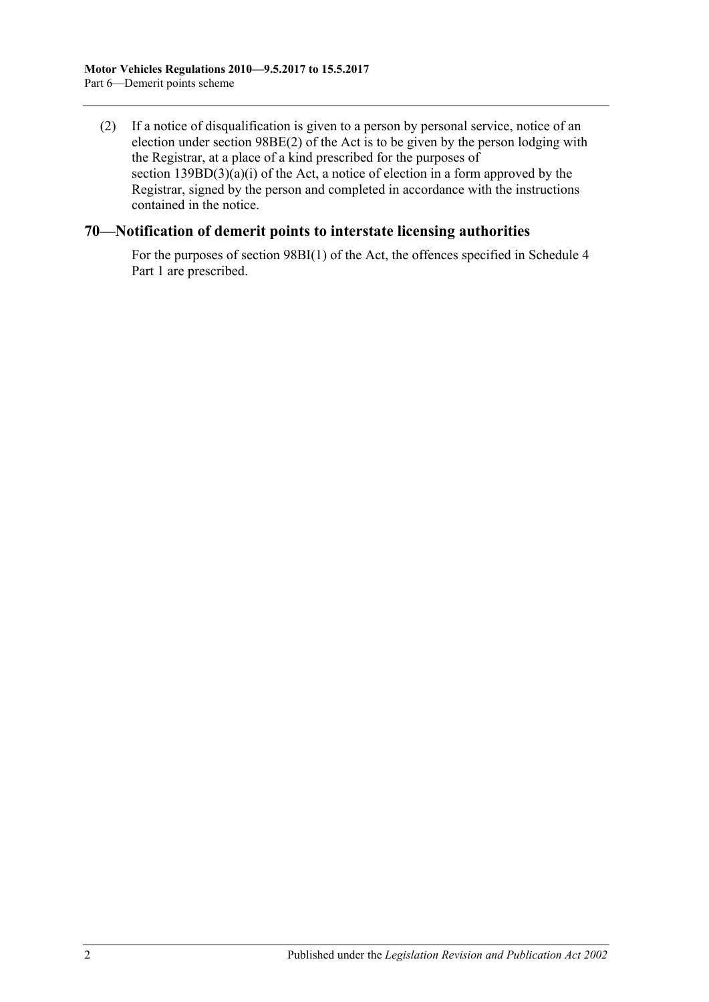(2) If a notice of disqualification is given to a person by personal service, notice of an election under section 98BE(2) of the Act is to be given by the person lodging with the Registrar, at a place of a kind prescribed for the purposes of section  $139BD(3)(a)(i)$  of the Act, a notice of election in a form approved by the Registrar, signed by the person and completed in accordance with the instructions contained in the notice.

## **70—Notification of demerit points to interstate licensing authorities**

For the purposes of section 98BI(1) of the Act, the offences specified in Schedule 4 Part 1 are prescribed.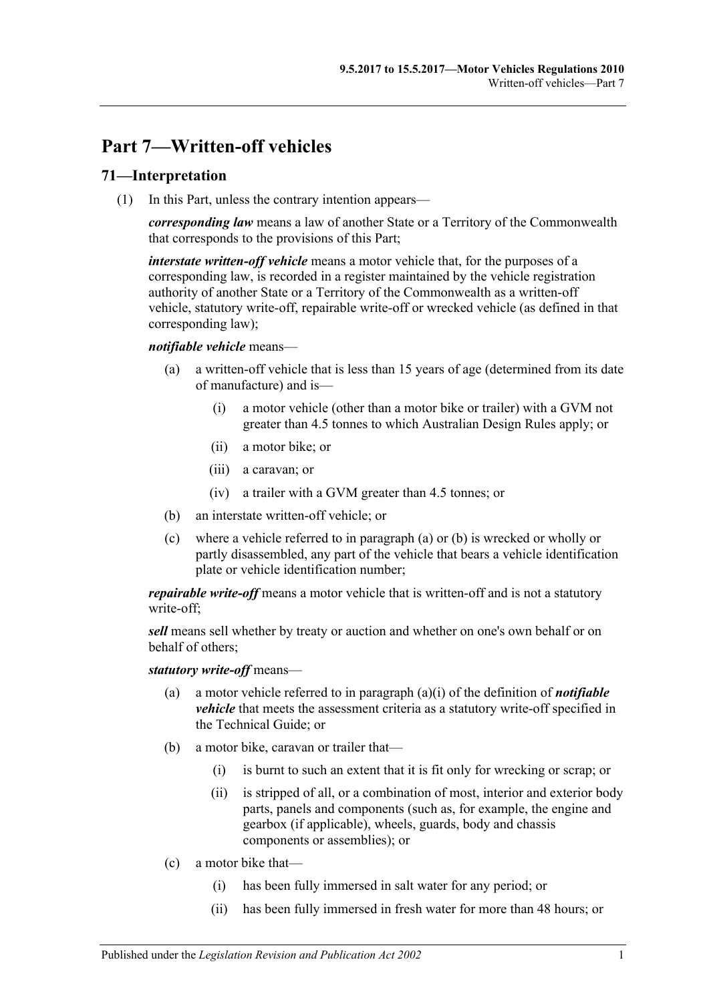# **Part 7—Written-off vehicles**

## **71—Interpretation**

(1) In this Part, unless the contrary intention appears—

*corresponding law* means a law of another State or a Territory of the Commonwealth that corresponds to the provisions of this Part;

*interstate written-off vehicle* means a motor vehicle that, for the purposes of a corresponding law, is recorded in a register maintained by the vehicle registration authority of another State or a Territory of the Commonwealth as a written-off vehicle, statutory write-off, repairable write-off or wrecked vehicle (as defined in that corresponding law);

#### <span id="page-50-2"></span><span id="page-50-0"></span>*notifiable vehicle* means—

- (a) a written-off vehicle that is less than 15 years of age (determined from its date of manufacture) and is—
	- (i) a motor vehicle (other than a motor bike or trailer) with a GVM not greater than 4.5 tonnes to which Australian Design Rules apply; or
	- (ii) a motor bike; or
	- (iii) a caravan; or
	- (iv) a trailer with a GVM greater than 4.5 tonnes; or
- <span id="page-50-1"></span>(b) an interstate written-off vehicle; or
- (c) where a vehicle referred to in [paragraph](#page-50-0) (a) or [\(b\)](#page-50-1) is wrecked or wholly or partly disassembled, any part of the vehicle that bears a vehicle identification plate or vehicle identification number;

*repairable write-off* means a motor vehicle that is written-off and is not a statutory write-off;

*sell* means sell whether by treaty or auction and whether on one's own behalf or on behalf of others;

#### *statutory write-off* means—

- (a) a motor vehicle referred to in [paragraph](#page-50-2) (a)(i) of the definition of *notifiable vehicle* that meets the assessment criteria as a statutory write-off specified in the Technical Guide; or
- (b) a motor bike, caravan or trailer that—
	- (i) is burnt to such an extent that it is fit only for wrecking or scrap; or
	- (ii) is stripped of all, or a combination of most, interior and exterior body parts, panels and components (such as, for example, the engine and gearbox (if applicable), wheels, guards, body and chassis components or assemblies); or
- (c) a motor bike that—
	- (i) has been fully immersed in salt water for any period; or
	- (ii) has been fully immersed in fresh water for more than 48 hours; or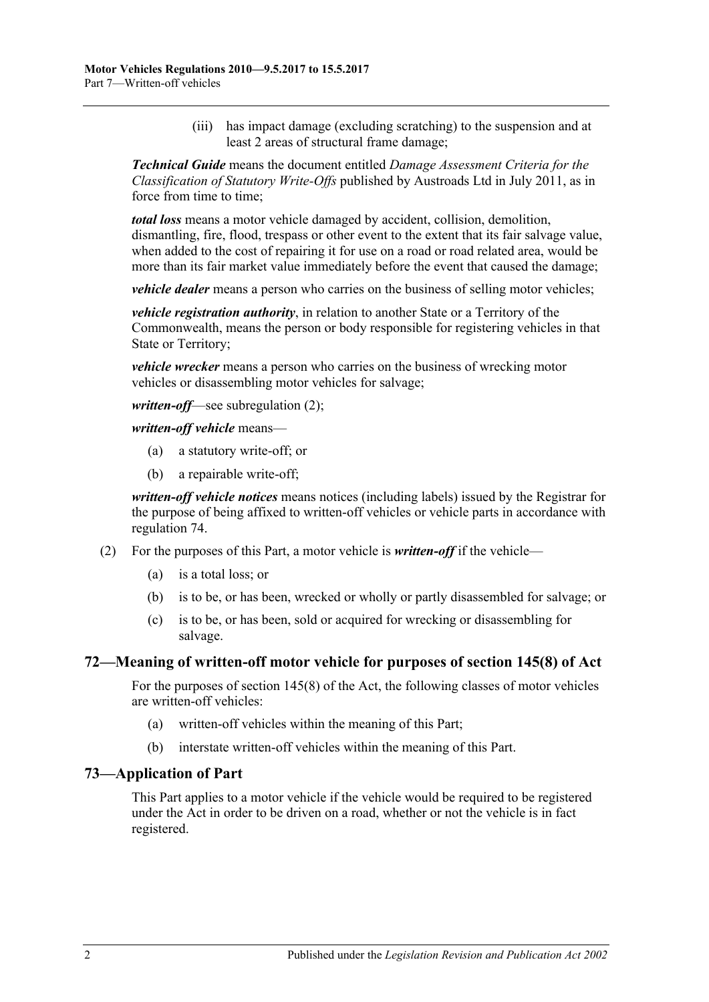(iii) has impact damage (excluding scratching) to the suspension and at least 2 areas of structural frame damage;

*Technical Guide* means the document entitled *Damage Assessment Criteria for the Classification of Statutory Write-Offs* published by Austroads Ltd in July 2011, as in force from time to time;

*total loss* means a motor vehicle damaged by accident, collision, demolition, dismantling, fire, flood, trespass or other event to the extent that its fair salvage value, when added to the cost of repairing it for use on a road or road related area, would be more than its fair market value immediately before the event that caused the damage;

*vehicle dealer* means a person who carries on the business of selling motor vehicles;

*vehicle registration authority*, in relation to another State or a Territory of the Commonwealth, means the person or body responsible for registering vehicles in that State or Territory;

*vehicle wrecker* means a person who carries on the business of wrecking motor vehicles or disassembling motor vehicles for salvage;

*written-off*—see [subregulation](#page-51-0) (2);

*written-off vehicle* means—

- (a) a statutory write-off; or
- (b) a repairable write-off;

*written-off vehicle notices* means notices (including labels) issued by the Registrar for the purpose of being affixed to written-off vehicles or vehicle parts in accordance with [regulation](#page-52-0) 74.

- <span id="page-51-0"></span>(2) For the purposes of this Part, a motor vehicle is *written-off* if the vehicle—
	- (a) is a total loss; or
	- (b) is to be, or has been, wrecked or wholly or partly disassembled for salvage; or
	- (c) is to be, or has been, sold or acquired for wrecking or disassembling for salvage.

#### **72—Meaning of written-off motor vehicle for purposes of section 145(8) of Act**

For the purposes of section 145(8) of the Act, the following classes of motor vehicles are written-off vehicles:

- (a) written-off vehicles within the meaning of this Part;
- (b) interstate written-off vehicles within the meaning of this Part.

#### **73—Application of Part**

This Part applies to a motor vehicle if the vehicle would be required to be registered under the Act in order to be driven on a road, whether or not the vehicle is in fact registered.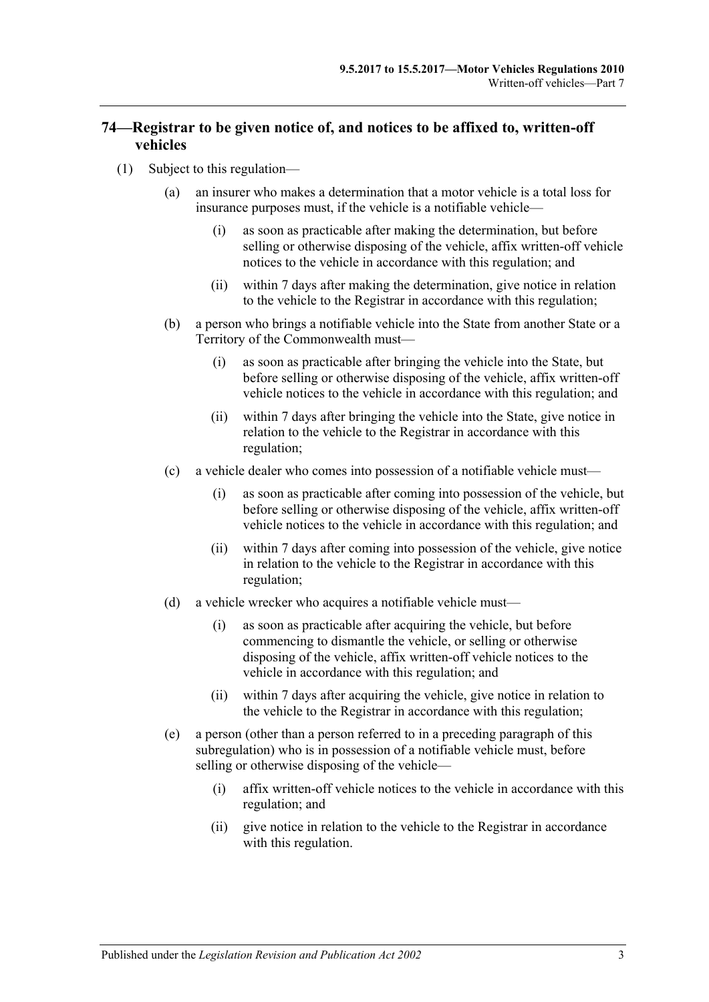# <span id="page-52-0"></span>**74—Registrar to be given notice of, and notices to be affixed to, written-off vehicles**

- <span id="page-52-4"></span><span id="page-52-3"></span><span id="page-52-2"></span><span id="page-52-1"></span>(1) Subject to this regulation—
	- (a) an insurer who makes a determination that a motor vehicle is a total loss for insurance purposes must, if the vehicle is a notifiable vehicle—
		- (i) as soon as practicable after making the determination, but before selling or otherwise disposing of the vehicle, affix written-off vehicle notices to the vehicle in accordance with this regulation; and
		- (ii) within 7 days after making the determination, give notice in relation to the vehicle to the Registrar in accordance with this regulation;
	- (b) a person who brings a notifiable vehicle into the State from another State or a Territory of the Commonwealth must—
		- (i) as soon as practicable after bringing the vehicle into the State, but before selling or otherwise disposing of the vehicle, affix written-off vehicle notices to the vehicle in accordance with this regulation; and
		- (ii) within 7 days after bringing the vehicle into the State, give notice in relation to the vehicle to the Registrar in accordance with this regulation;
	- (c) a vehicle dealer who comes into possession of a notifiable vehicle must—
		- (i) as soon as practicable after coming into possession of the vehicle, but before selling or otherwise disposing of the vehicle, affix written-off vehicle notices to the vehicle in accordance with this regulation; and
		- (ii) within 7 days after coming into possession of the vehicle, give notice in relation to the vehicle to the Registrar in accordance with this regulation;
	- (d) a vehicle wrecker who acquires a notifiable vehicle must—
		- (i) as soon as practicable after acquiring the vehicle, but before commencing to dismantle the vehicle, or selling or otherwise disposing of the vehicle, affix written-off vehicle notices to the vehicle in accordance with this regulation; and
		- (ii) within 7 days after acquiring the vehicle, give notice in relation to the vehicle to the Registrar in accordance with this regulation;
	- (e) a person (other than a person referred to in a preceding paragraph of this subregulation) who is in possession of a notifiable vehicle must, before selling or otherwise disposing of the vehicle—
		- (i) affix written-off vehicle notices to the vehicle in accordance with this regulation; and
		- (ii) give notice in relation to the vehicle to the Registrar in accordance with this regulation.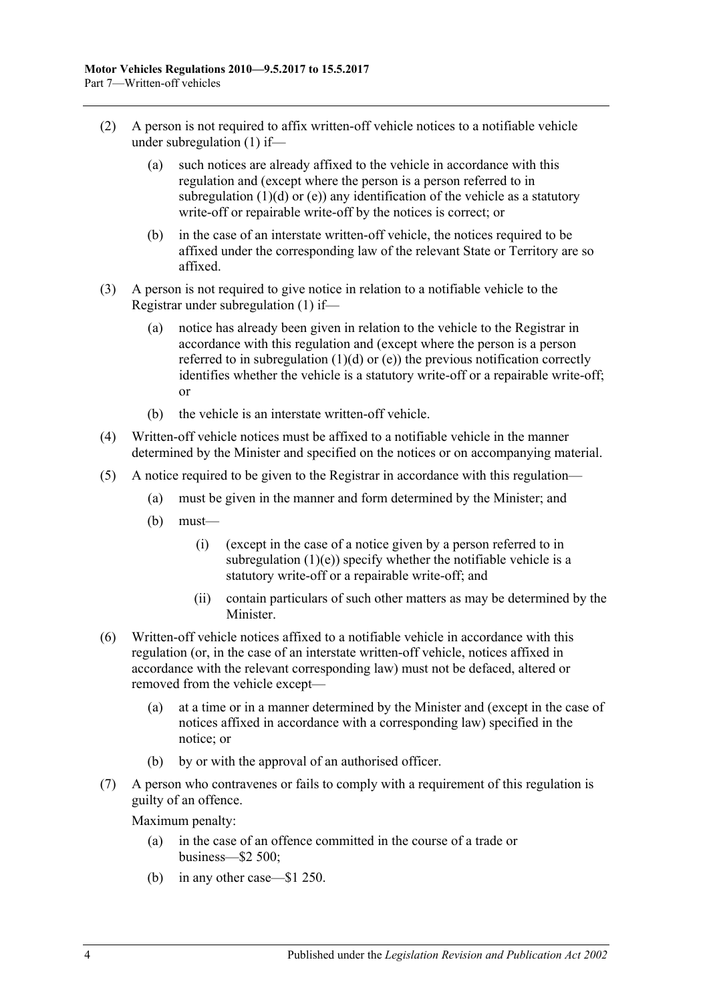- (2) A person is not required to affix written-off vehicle notices to a notifiable vehicle under [subregulation](#page-52-1) (1) if—
	- (a) such notices are already affixed to the vehicle in accordance with this regulation and (except where the person is a person referred to in [subregulation](#page-52-2)  $(1)(d)$  or  $(e)$ ) any identification of the vehicle as a statutory write-off or repairable write-off by the notices is correct; or
	- (b) in the case of an interstate written-off vehicle, the notices required to be affixed under the corresponding law of the relevant State or Territory are so affixed.
- (3) A person is not required to give notice in relation to a notifiable vehicle to the Registrar under [subregulation](#page-52-1) (1) if—
	- (a) notice has already been given in relation to the vehicle to the Registrar in accordance with this regulation and (except where the person is a person referred to in [subregulation](#page-52-2)  $(1)(d)$  or  $(e)$ ) the previous notification correctly identifies whether the vehicle is a statutory write-off or a repairable write-off; or
	- (b) the vehicle is an interstate written-off vehicle.
- (4) Written-off vehicle notices must be affixed to a notifiable vehicle in the manner determined by the Minister and specified on the notices or on accompanying material.
- (5) A notice required to be given to the Registrar in accordance with this regulation—
	- (a) must be given in the manner and form determined by the Minister; and
	- (b) must—
		- (i) (except in the case of a notice given by a person referred to in [subregulation](#page-52-3)  $(1)(e)$ ) specify whether the notifiable vehicle is a statutory write-off or a repairable write-off; and
		- (ii) contain particulars of such other matters as may be determined by the Minister.
- (6) Written-off vehicle notices affixed to a notifiable vehicle in accordance with this regulation (or, in the case of an interstate written-off vehicle, notices affixed in accordance with the relevant corresponding law) must not be defaced, altered or removed from the vehicle except—
	- (a) at a time or in a manner determined by the Minister and (except in the case of notices affixed in accordance with a corresponding law) specified in the notice; or
	- (b) by or with the approval of an authorised officer.
- (7) A person who contravenes or fails to comply with a requirement of this regulation is guilty of an offence.

Maximum penalty:

- (a) in the case of an offence committed in the course of a trade or business—\$2 500;
- (b) in any other case—\$1 250.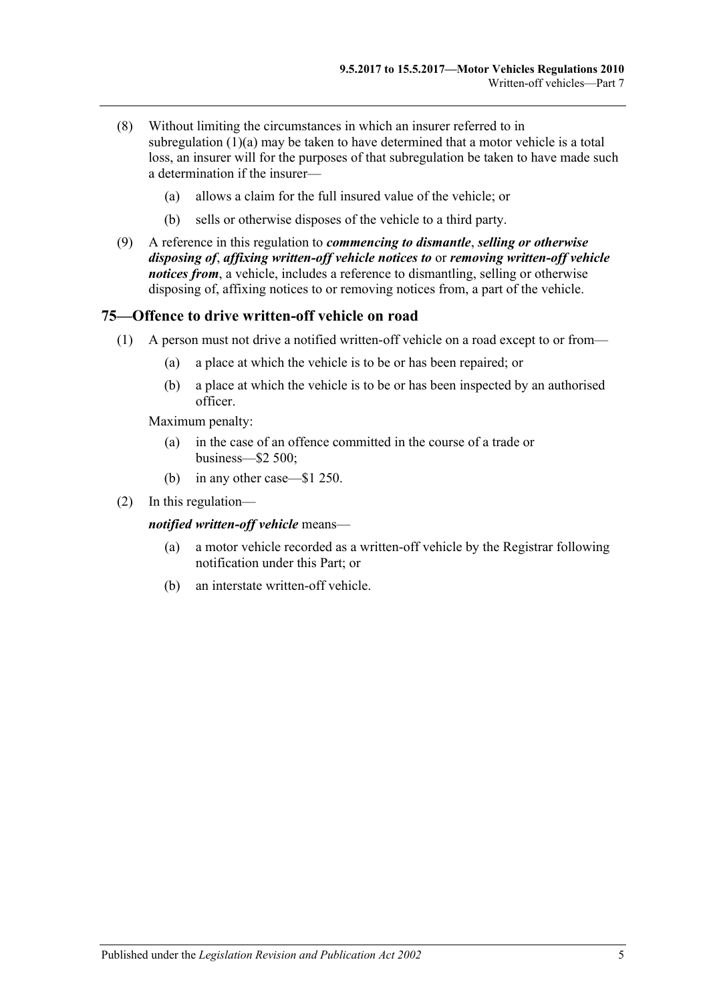- (8) Without limiting the circumstances in which an insurer referred to in [subregulation](#page-52-4) (1)(a) may be taken to have determined that a motor vehicle is a total loss, an insurer will for the purposes of that subregulation be taken to have made such a determination if the insurer—
	- (a) allows a claim for the full insured value of the vehicle; or
	- (b) sells or otherwise disposes of the vehicle to a third party.
- (9) A reference in this regulation to *commencing to dismantle*, *selling or otherwise disposing of*, *affixing written-off vehicle notices to* or *removing written-off vehicle notices from*, a vehicle, includes a reference to dismantling, selling or otherwise disposing of, affixing notices to or removing notices from, a part of the vehicle.

#### **75—Offence to drive written-off vehicle on road**

- (1) A person must not drive a notified written-off vehicle on a road except to or from—
	- (a) a place at which the vehicle is to be or has been repaired; or
	- (b) a place at which the vehicle is to be or has been inspected by an authorised officer.

Maximum penalty:

- (a) in the case of an offence committed in the course of a trade or business—\$2 500;
- (b) in any other case—\$1 250.
- (2) In this regulation—

*notified written-off vehicle* means—

- (a) a motor vehicle recorded as a written-off vehicle by the Registrar following notification under this Part; or
- (b) an interstate written-off vehicle.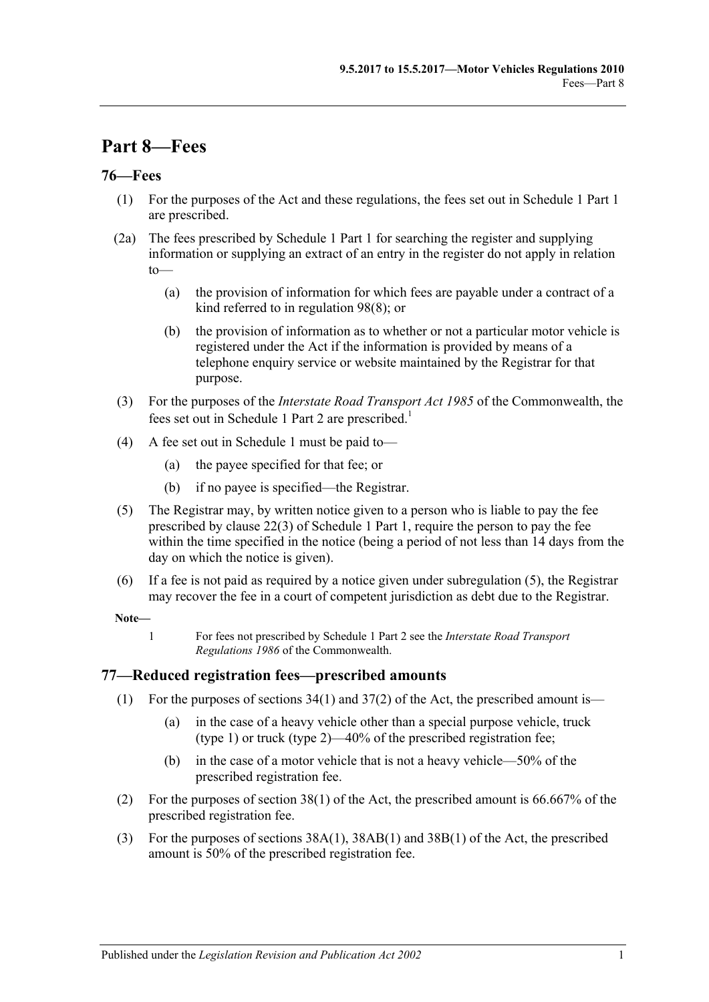# **Part 8—Fees**

## **76—Fees**

- (1) For the purposes of the Act and these regulations, the fees set out in Schedule 1 Part 1 are prescribed.
- (2a) The fees prescribed by Schedule 1 Part 1 for searching the register and supplying information or supplying an extract of an entry in the register do not apply in relation to—
	- (a) the provision of information for which fees are payable under a contract of a kind referred to in [regulation](#page-68-0) 98(8); or
	- (b) the provision of information as to whether or not a particular motor vehicle is registered under the Act if the information is provided by means of a telephone enquiry service or website maintained by the Registrar for that purpose.
- (3) For the purposes of the *Interstate Road Transport Act 1985* of the Commonwealth, the fees set out in Schedule 1 Part 2 are prescribed.<sup>1</sup>
- (4) A fee set out in [Schedule 1](#page-72-0) must be paid to—
	- (a) the payee specified for that fee; or
	- (b) if no payee is specified—the Registrar.
- <span id="page-56-0"></span>(5) The Registrar may, by written notice given to a person who is liable to pay the fee prescribed by clause 22(3) of Schedule 1 Part 1, require the person to pay the fee within the time specified in the notice (being a period of not less than 14 days from the day on which the notice is given).
- (6) If a fee is not paid as required by a notice given under [subregulation](#page-56-0)  $(5)$ , the Registrar may recover the fee in a court of competent jurisdiction as debt due to the Registrar.

#### **Note—**

1 For fees not prescribed by Schedule 1 Part 2 see the *Interstate Road Transport Regulations 1986* of the Commonwealth.

## **77—Reduced registration fees—prescribed amounts**

- (1) For the purposes of sections  $34(1)$  and  $37(2)$  of the Act, the prescribed amount is—
	- (a) in the case of a heavy vehicle other than a special purpose vehicle, truck (type 1) or truck (type 2)—40% of the prescribed registration fee;
	- (b) in the case of a motor vehicle that is not a heavy vehicle—50% of the prescribed registration fee.
- (2) For the purposes of section 38(1) of the Act, the prescribed amount is 66.667% of the prescribed registration fee.
- (3) For the purposes of sections 38A(1), 38AB(1) and 38B(1) of the Act, the prescribed amount is 50% of the prescribed registration fee.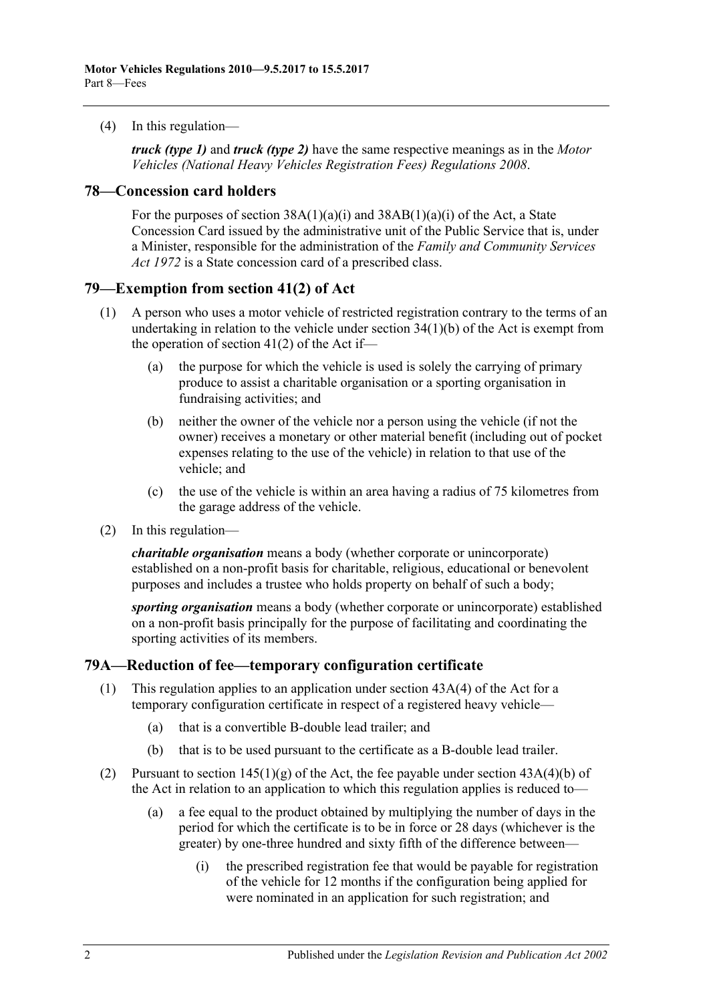(4) In this regulation—

*truck (type 1)* and *truck (type 2)* have the same respective meanings as in the *[Motor](http://www.legislation.sa.gov.au/index.aspx?action=legref&type=subordleg&legtitle=Motor%20Vehicles%20(National%20Heavy%20Vehicles%20Registration%20Fees)%20Regulations%202008)  [Vehicles \(National Heavy Vehicles Registration Fees\) Regulations](http://www.legislation.sa.gov.au/index.aspx?action=legref&type=subordleg&legtitle=Motor%20Vehicles%20(National%20Heavy%20Vehicles%20Registration%20Fees)%20Regulations%202008) 2008*.

#### **78—Concession card holders**

For the purposes of section  $38A(1)(a)(i)$  and  $38AB(1)(a)(i)$  of the Act, a State Concession Card issued by the administrative unit of the Public Service that is, under a Minister, responsible for the administration of the *[Family and Community Services](http://www.legislation.sa.gov.au/index.aspx?action=legref&type=act&legtitle=Family%20and%20Community%20Services%20Act%201972)  Act [1972](http://www.legislation.sa.gov.au/index.aspx?action=legref&type=act&legtitle=Family%20and%20Community%20Services%20Act%201972)* is a State concession card of a prescribed class.

#### **79—Exemption from section 41(2) of Act**

- (1) A person who uses a motor vehicle of restricted registration contrary to the terms of an undertaking in relation to the vehicle under section 34(1)(b) of the Act is exempt from the operation of section  $41(2)$  of the Act if-
	- (a) the purpose for which the vehicle is used is solely the carrying of primary produce to assist a charitable organisation or a sporting organisation in fundraising activities; and
	- (b) neither the owner of the vehicle nor a person using the vehicle (if not the owner) receives a monetary or other material benefit (including out of pocket expenses relating to the use of the vehicle) in relation to that use of the vehicle; and
	- (c) the use of the vehicle is within an area having a radius of 75 kilometres from the garage address of the vehicle.
- (2) In this regulation—

*charitable organisation* means a body (whether corporate or unincorporate) established on a non-profit basis for charitable, religious, educational or benevolent purposes and includes a trustee who holds property on behalf of such a body;

*sporting organisation* means a body (whether corporate or unincorporate) established on a non-profit basis principally for the purpose of facilitating and coordinating the sporting activities of its members.

## **79A—Reduction of fee—temporary configuration certificate**

- (1) This regulation applies to an application under section 43A(4) of the Act for a temporary configuration certificate in respect of a registered heavy vehicle—
	- (a) that is a convertible B-double lead trailer; and
	- (b) that is to be used pursuant to the certificate as a B-double lead trailer.
- (2) Pursuant to section  $145(1)(g)$  of the Act, the fee payable under section  $43A(4)(b)$  of the Act in relation to an application to which this regulation applies is reduced to—
	- (a) a fee equal to the product obtained by multiplying the number of days in the period for which the certificate is to be in force or 28 days (whichever is the greater) by one-three hundred and sixty fifth of the difference between—
		- (i) the prescribed registration fee that would be payable for registration of the vehicle for 12 months if the configuration being applied for were nominated in an application for such registration; and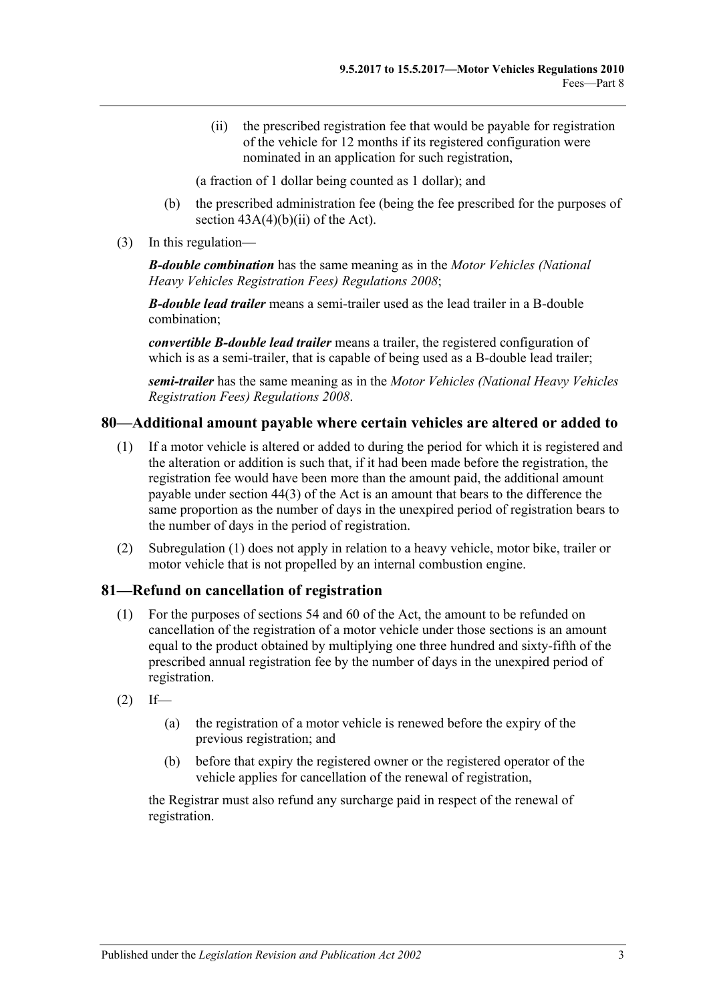(ii) the prescribed registration fee that would be payable for registration of the vehicle for 12 months if its registered configuration were nominated in an application for such registration,

(a fraction of 1 dollar being counted as 1 dollar); and

- (b) the prescribed administration fee (being the fee prescribed for the purposes of section  $43A(4)(b)(ii)$  of the Act).
- (3) In this regulation—

*B-double combination* has the same meaning as in the *[Motor Vehicles \(National](http://www.legislation.sa.gov.au/index.aspx?action=legref&type=subordleg&legtitle=Motor%20Vehicles%20(National%20Heavy%20Vehicles%20Registration%20Fees)%20Regulations%202008)  [Heavy Vehicles Registration Fees\) Regulations](http://www.legislation.sa.gov.au/index.aspx?action=legref&type=subordleg&legtitle=Motor%20Vehicles%20(National%20Heavy%20Vehicles%20Registration%20Fees)%20Regulations%202008) 2008*;

*B-double lead trailer* means a semi-trailer used as the lead trailer in a B-double combination;

*convertible B-double lead trailer* means a trailer, the registered configuration of which is as a semi-trailer, that is capable of being used as a B-double lead trailer;

*semi-trailer* has the same meaning as in the *[Motor Vehicles \(National Heavy Vehicles](http://www.legislation.sa.gov.au/index.aspx?action=legref&type=subordleg&legtitle=Motor%20Vehicles%20(National%20Heavy%20Vehicles%20Registration%20Fees)%20Regulations%202008)  [Registration Fees\) Regulations](http://www.legislation.sa.gov.au/index.aspx?action=legref&type=subordleg&legtitle=Motor%20Vehicles%20(National%20Heavy%20Vehicles%20Registration%20Fees)%20Regulations%202008) 2008*.

#### <span id="page-58-0"></span>**80—Additional amount payable where certain vehicles are altered or added to**

- (1) If a motor vehicle is altered or added to during the period for which it is registered and the alteration or addition is such that, if it had been made before the registration, the registration fee would have been more than the amount paid, the additional amount payable under section 44(3) of the Act is an amount that bears to the difference the same proportion as the number of days in the unexpired period of registration bears to the number of days in the period of registration.
- (2) [Subregulation \(1\)](#page-58-0) does not apply in relation to a heavy vehicle, motor bike, trailer or motor vehicle that is not propelled by an internal combustion engine.

#### **81—Refund on cancellation of registration**

- (1) For the purposes of sections 54 and 60 of the Act, the amount to be refunded on cancellation of the registration of a motor vehicle under those sections is an amount equal to the product obtained by multiplying one three hundred and sixty-fifth of the prescribed annual registration fee by the number of days in the unexpired period of registration.
- $(2)$  If—
	- (a) the registration of a motor vehicle is renewed before the expiry of the previous registration; and
	- (b) before that expiry the registered owner or the registered operator of the vehicle applies for cancellation of the renewal of registration,

the Registrar must also refund any surcharge paid in respect of the renewal of registration.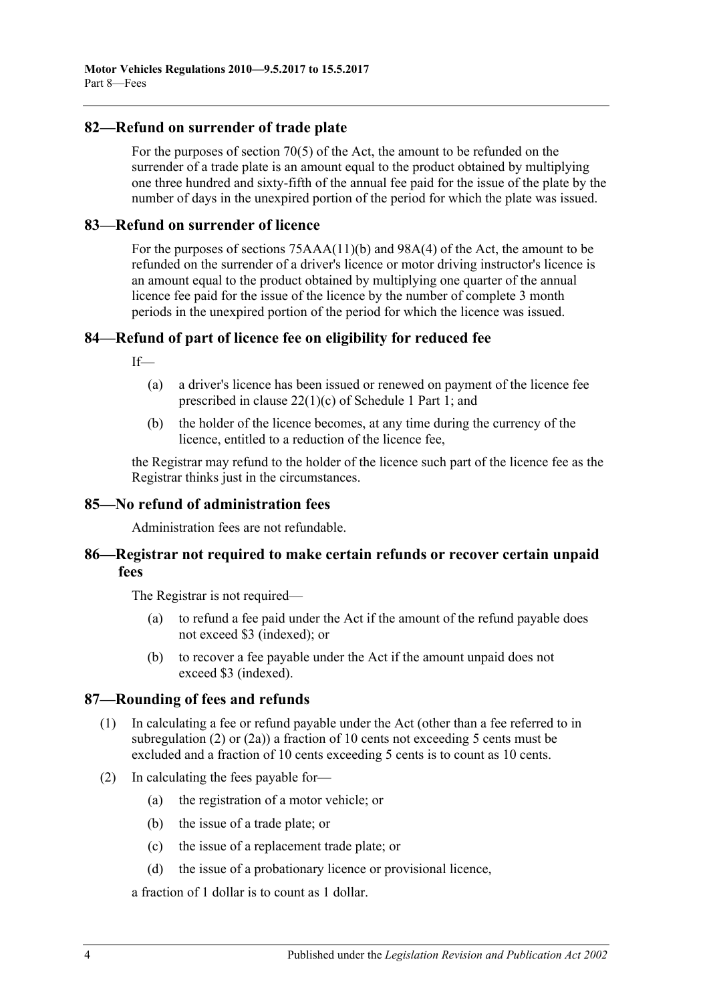## **82—Refund on surrender of trade plate**

For the purposes of section 70(5) of the Act, the amount to be refunded on the surrender of a trade plate is an amount equal to the product obtained by multiplying one three hundred and sixty-fifth of the annual fee paid for the issue of the plate by the number of days in the unexpired portion of the period for which the plate was issued.

#### **83—Refund on surrender of licence**

For the purposes of sections 75AAA(11)(b) and 98A(4) of the Act, the amount to be refunded on the surrender of a driver's licence or motor driving instructor's licence is an amount equal to the product obtained by multiplying one quarter of the annual licence fee paid for the issue of the licence by the number of complete 3 month periods in the unexpired portion of the period for which the licence was issued.

## **84—Refund of part of licence fee on eligibility for reduced fee**

If—

- (a) a driver's licence has been issued or renewed on payment of the licence fee prescribed in clause 22(1)(c) of Schedule 1 Part 1; and
- (b) the holder of the licence becomes, at any time during the currency of the licence, entitled to a reduction of the licence fee,

the Registrar may refund to the holder of the licence such part of the licence fee as the Registrar thinks just in the circumstances.

#### **85—No refund of administration fees**

Administration fees are not refundable.

## **86—Registrar not required to make certain refunds or recover certain unpaid fees**

The Registrar is not required—

- (a) to refund a fee paid under the Act if the amount of the refund payable does not exceed \$3 (indexed); or
- (b) to recover a fee payable under the Act if the amount unpaid does not exceed \$3 (indexed).

#### **87—Rounding of fees and refunds**

- (1) In calculating a fee or refund payable under the Act (other than a fee referred to in [subregulation](#page-59-0) (2) or [\(2a\)\)](#page-60-0) a fraction of 10 cents not exceeding 5 cents must be excluded and a fraction of 10 cents exceeding 5 cents is to count as 10 cents.
- <span id="page-59-0"></span>(2) In calculating the fees payable for—
	- (a) the registration of a motor vehicle; or
	- (b) the issue of a trade plate; or
	- (c) the issue of a replacement trade plate; or
	- (d) the issue of a probationary licence or provisional licence,

a fraction of 1 dollar is to count as 1 dollar.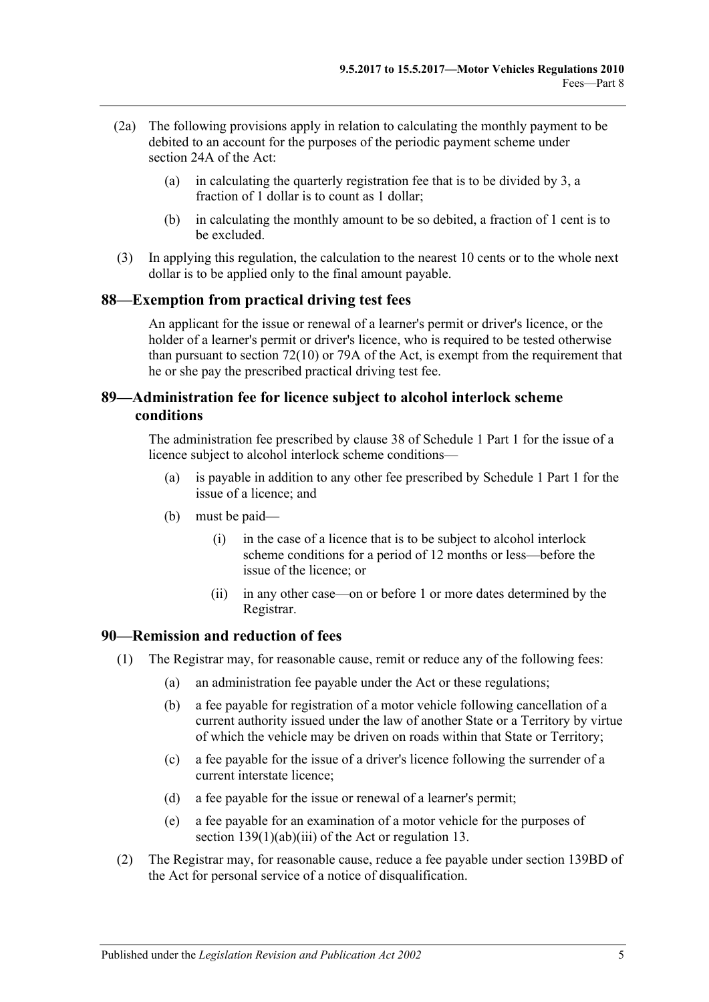- <span id="page-60-0"></span>(2a) The following provisions apply in relation to calculating the monthly payment to be debited to an account for the purposes of the periodic payment scheme under section 24A of the Act:
	- (a) in calculating the quarterly registration fee that is to be divided by 3, a fraction of 1 dollar is to count as 1 dollar;
	- (b) in calculating the monthly amount to be so debited, a fraction of 1 cent is to be excluded.
- (3) In applying this regulation, the calculation to the nearest 10 cents or to the whole next dollar is to be applied only to the final amount payable.

#### **88—Exemption from practical driving test fees**

An applicant for the issue or renewal of a learner's permit or driver's licence, or the holder of a learner's permit or driver's licence, who is required to be tested otherwise than pursuant to section 72(10) or 79A of the Act, is exempt from the requirement that he or she pay the prescribed practical driving test fee.

# **89—Administration fee for licence subject to alcohol interlock scheme conditions**

The administration fee prescribed by clause 38 of Schedule 1 Part 1 for the issue of a licence subject to alcohol interlock scheme conditions—

- (a) is payable in addition to any other fee prescribed by Schedule 1 Part 1 for the issue of a licence; and
- (b) must be paid—
	- (i) in the case of a licence that is to be subject to alcohol interlock scheme conditions for a period of 12 months or less—before the issue of the licence; or
	- (ii) in any other case—on or before 1 or more dates determined by the Registrar.

#### **90—Remission and reduction of fees**

- (1) The Registrar may, for reasonable cause, remit or reduce any of the following fees:
	- (a) an administration fee payable under the Act or these regulations;
	- (b) a fee payable for registration of a motor vehicle following cancellation of a current authority issued under the law of another State or a Territory by virtue of which the vehicle may be driven on roads within that State or Territory;
	- (c) a fee payable for the issue of a driver's licence following the surrender of a current interstate licence;
	- (d) a fee payable for the issue or renewal of a learner's permit;
	- (e) a fee payable for an examination of a motor vehicle for the purposes of section 139(1)(ab)(iii) of the Act or regulation 13.
- (2) The Registrar may, for reasonable cause, reduce a fee payable under section 139BD of the Act for personal service of a notice of disqualification.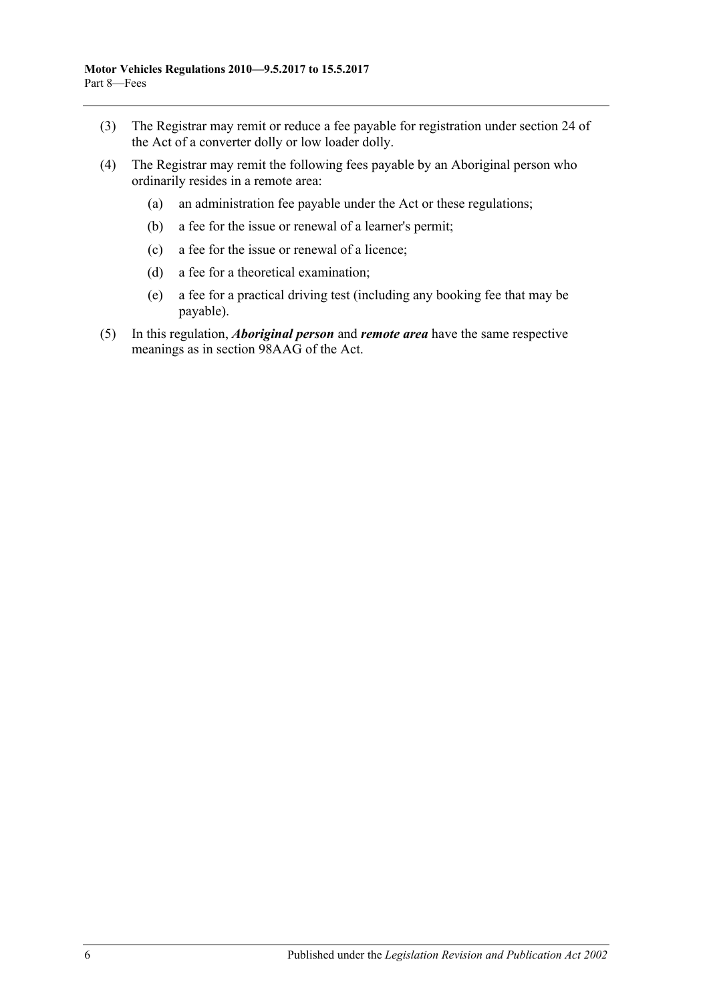- (3) The Registrar may remit or reduce a fee payable for registration under section 24 of the Act of a converter dolly or low loader dolly.
- (4) The Registrar may remit the following fees payable by an Aboriginal person who ordinarily resides in a remote area:
	- (a) an administration fee payable under the Act or these regulations;
	- (b) a fee for the issue or renewal of a learner's permit;
	- (c) a fee for the issue or renewal of a licence;
	- (d) a fee for a theoretical examination;
	- (e) a fee for a practical driving test (including any booking fee that may be payable).
- (5) In this regulation, *Aboriginal person* and *remote area* have the same respective meanings as in section 98AAG of the Act.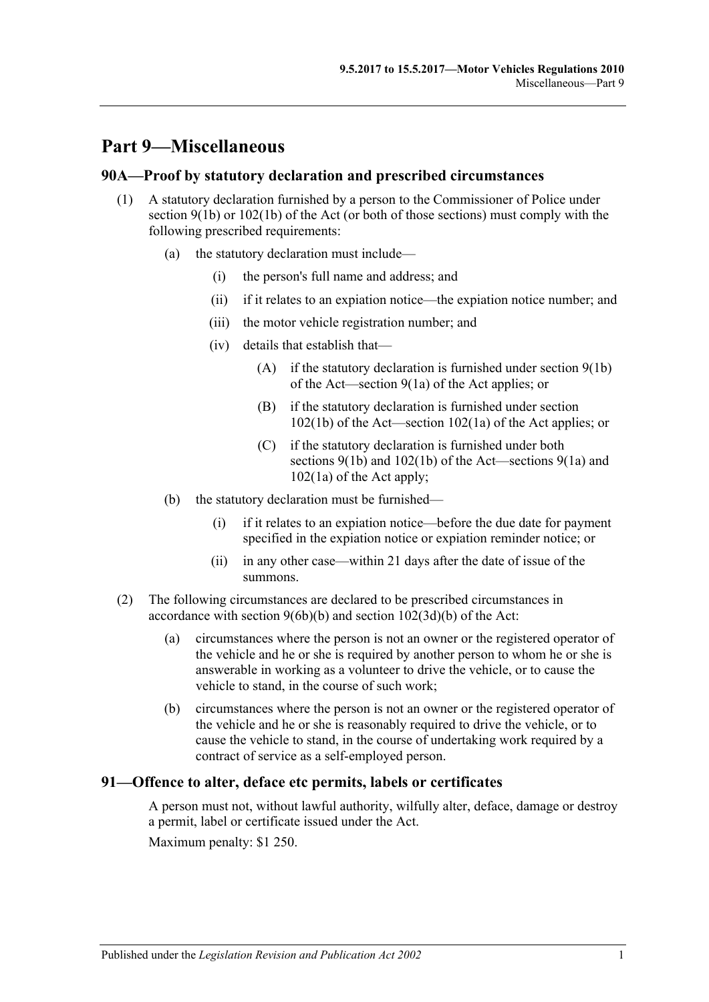# **Part 9—Miscellaneous**

#### **90A—Proof by statutory declaration and prescribed circumstances**

- (1) A statutory declaration furnished by a person to the Commissioner of Police under section  $9(1b)$  or  $102(1b)$  of the Act (or both of those sections) must comply with the following prescribed requirements:
	- (a) the statutory declaration must include—
		- (i) the person's full name and address; and
		- (ii) if it relates to an expiation notice—the expiation notice number; and
		- (iii) the motor vehicle registration number; and
		- (iv) details that establish that—
			- $(A)$  if the statutory declaration is furnished under section  $9(1b)$ of the Act—section 9(1a) of the Act applies; or
			- (B) if the statutory declaration is furnished under section 102(1b) of the Act—section 102(1a) of the Act applies; or
			- (C) if the statutory declaration is furnished under both sections 9(1b) and 102(1b) of the Act—sections 9(1a) and 102(1a) of the Act apply;
	- (b) the statutory declaration must be furnished—
		- (i) if it relates to an expiation notice—before the due date for payment specified in the expiation notice or expiation reminder notice; or
		- (ii) in any other case—within 21 days after the date of issue of the summons.
- (2) The following circumstances are declared to be prescribed circumstances in accordance with section 9(6b)(b) and section 102(3d)(b) of the Act:
	- (a) circumstances where the person is not an owner or the registered operator of the vehicle and he or she is required by another person to whom he or she is answerable in working as a volunteer to drive the vehicle, or to cause the vehicle to stand, in the course of such work;
	- (b) circumstances where the person is not an owner or the registered operator of the vehicle and he or she is reasonably required to drive the vehicle, or to cause the vehicle to stand, in the course of undertaking work required by a contract of service as a self-employed person.

## **91—Offence to alter, deface etc permits, labels or certificates**

A person must not, without lawful authority, wilfully alter, deface, damage or destroy a permit, label or certificate issued under the Act.

Maximum penalty: \$1 250.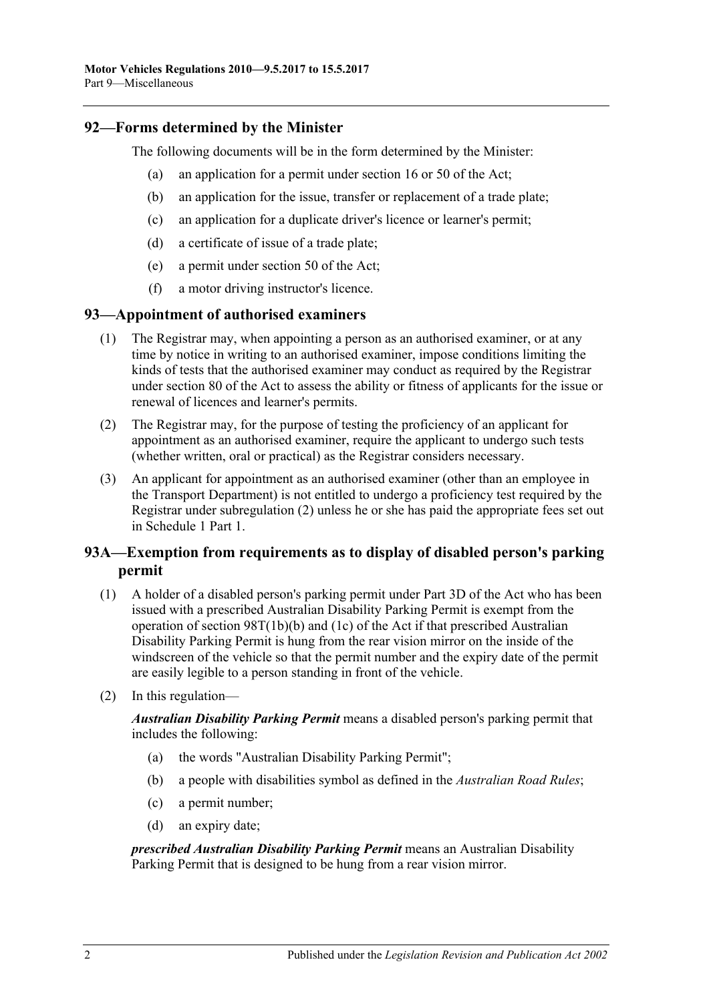## **92—Forms determined by the Minister**

The following documents will be in the form determined by the Minister:

- (a) an application for a permit under section 16 or 50 of the Act;
- (b) an application for the issue, transfer or replacement of a trade plate;
- (c) an application for a duplicate driver's licence or learner's permit;
- (d) a certificate of issue of a trade plate;
- (e) a permit under section 50 of the Act;
- (f) a motor driving instructor's licence.

#### **93—Appointment of authorised examiners**

- (1) The Registrar may, when appointing a person as an authorised examiner, or at any time by notice in writing to an authorised examiner, impose conditions limiting the kinds of tests that the authorised examiner may conduct as required by the Registrar under section 80 of the Act to assess the ability or fitness of applicants for the issue or renewal of licences and learner's permits.
- <span id="page-63-0"></span>(2) The Registrar may, for the purpose of testing the proficiency of an applicant for appointment as an authorised examiner, require the applicant to undergo such tests (whether written, oral or practical) as the Registrar considers necessary.
- (3) An applicant for appointment as an authorised examiner (other than an employee in the Transport Department) is not entitled to undergo a proficiency test required by the Registrar under [subregulation](#page-63-0) (2) unless he or she has paid the appropriate fees set out in Schedule 1 Part 1.

## **93A—Exemption from requirements as to display of disabled person's parking permit**

- (1) A holder of a disabled person's parking permit under Part 3D of the Act who has been issued with a prescribed Australian Disability Parking Permit is exempt from the operation of section 98T(1b)(b) and (1c) of the Act if that prescribed Australian Disability Parking Permit is hung from the rear vision mirror on the inside of the windscreen of the vehicle so that the permit number and the expiry date of the permit are easily legible to a person standing in front of the vehicle.
- (2) In this regulation—

*Australian Disability Parking Permit* means a disabled person's parking permit that includes the following:

- (a) the words "Australian Disability Parking Permit";
- (b) a people with disabilities symbol as defined in the *[Australian Road Rules](http://www.legislation.sa.gov.au/index.aspx?action=legref&type=subordleg&legtitle=Australian%20Road%20Rules)*;
- (c) a permit number;
- (d) an expiry date;

*prescribed Australian Disability Parking Permit* means an Australian Disability Parking Permit that is designed to be hung from a rear vision mirror.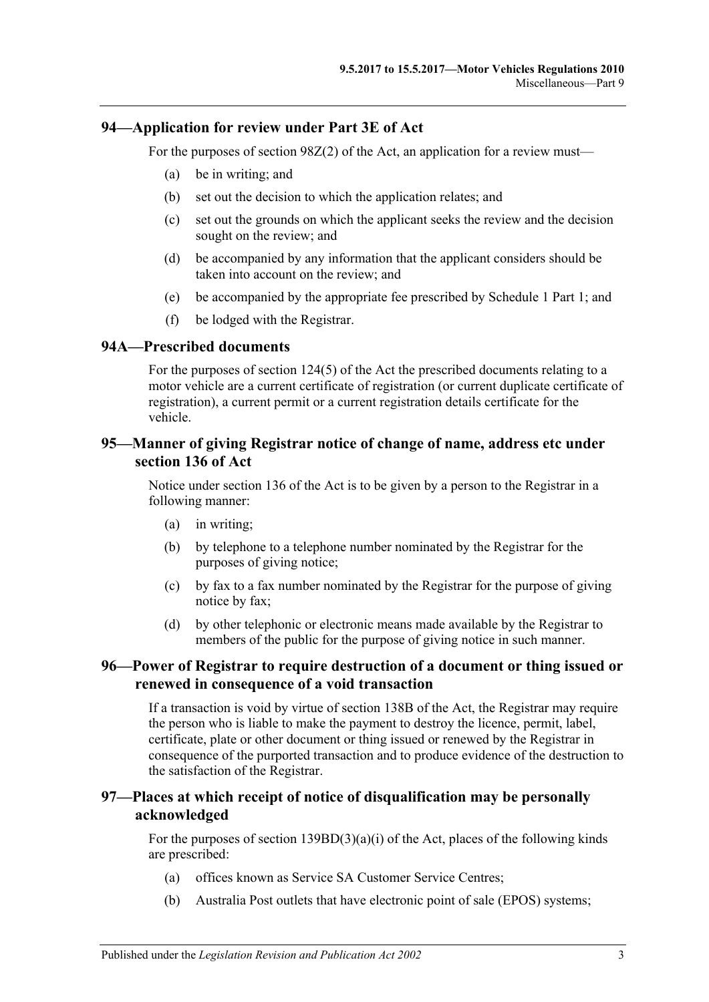## **94—Application for review under Part 3E of Act**

For the purposes of section 98Z(2) of the Act, an application for a review must—

- (a) be in writing; and
- (b) set out the decision to which the application relates; and
- (c) set out the grounds on which the applicant seeks the review and the decision sought on the review; and
- (d) be accompanied by any information that the applicant considers should be taken into account on the review; and
- (e) be accompanied by the appropriate fee prescribed by Schedule 1 Part 1; and
- (f) be lodged with the Registrar.

#### **94A—Prescribed documents**

For the purposes of section 124(5) of the Act the prescribed documents relating to a motor vehicle are a current certificate of registration (or current duplicate certificate of registration), a current permit or a current registration details certificate for the vehicle.

## **95—Manner of giving Registrar notice of change of name, address etc under section 136 of Act**

Notice under section 136 of the Act is to be given by a person to the Registrar in a following manner:

- (a) in writing;
- (b) by telephone to a telephone number nominated by the Registrar for the purposes of giving notice;
- (c) by fax to a fax number nominated by the Registrar for the purpose of giving notice by fax;
- (d) by other telephonic or electronic means made available by the Registrar to members of the public for the purpose of giving notice in such manner.

### **96—Power of Registrar to require destruction of a document or thing issued or renewed in consequence of a void transaction**

If a transaction is void by virtue of section 138B of the Act, the Registrar may require the person who is liable to make the payment to destroy the licence, permit, label, certificate, plate or other document or thing issued or renewed by the Registrar in consequence of the purported transaction and to produce evidence of the destruction to the satisfaction of the Registrar.

## **97—Places at which receipt of notice of disqualification may be personally acknowledged**

For the purposes of section  $139BD(3)(a)(i)$  of the Act, places of the following kinds are prescribed:

- (a) offices known as Service SA Customer Service Centres;
- (b) Australia Post outlets that have electronic point of sale (EPOS) systems;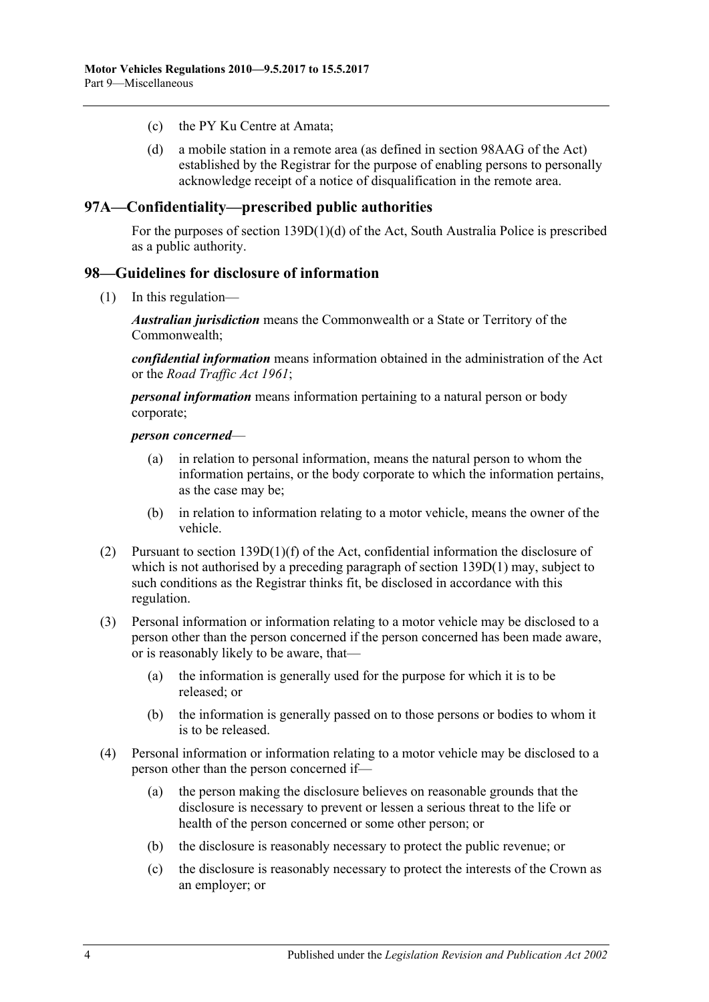- (c) the PY Ku Centre at Amata;
- (d) a mobile station in a remote area (as defined in section 98AAG of the Act) established by the Registrar for the purpose of enabling persons to personally acknowledge receipt of a notice of disqualification in the remote area.

## **97A—Confidentiality—prescribed public authorities**

For the purposes of section 139D(1)(d) of the Act, South Australia Police is prescribed as a public authority.

## **98—Guidelines for disclosure of information**

(1) In this regulation—

*Australian jurisdiction* means the Commonwealth or a State or Territory of the Commonwealth;

*confidential information* means information obtained in the administration of the Act or the *[Road Traffic Act](http://www.legislation.sa.gov.au/index.aspx?action=legref&type=act&legtitle=Road%20Traffic%20Act%201961) 1961*;

*personal information* means information pertaining to a natural person or body corporate;

*person concerned*—

- (a) in relation to personal information, means the natural person to whom the information pertains, or the body corporate to which the information pertains, as the case may be;
- (b) in relation to information relating to a motor vehicle, means the owner of the vehicle.
- (2) Pursuant to section  $139D(1)(f)$  of the Act, confidential information the disclosure of which is not authorised by a preceding paragraph of section 139D(1) may, subject to such conditions as the Registrar thinks fit, be disclosed in accordance with this regulation.
- (3) Personal information or information relating to a motor vehicle may be disclosed to a person other than the person concerned if the person concerned has been made aware, or is reasonably likely to be aware, that—
	- (a) the information is generally used for the purpose for which it is to be released; or
	- (b) the information is generally passed on to those persons or bodies to whom it is to be released.
- (4) Personal information or information relating to a motor vehicle may be disclosed to a person other than the person concerned if—
	- (a) the person making the disclosure believes on reasonable grounds that the disclosure is necessary to prevent or lessen a serious threat to the life or health of the person concerned or some other person; or
	- (b) the disclosure is reasonably necessary to protect the public revenue; or
	- (c) the disclosure is reasonably necessary to protect the interests of the Crown as an employer; or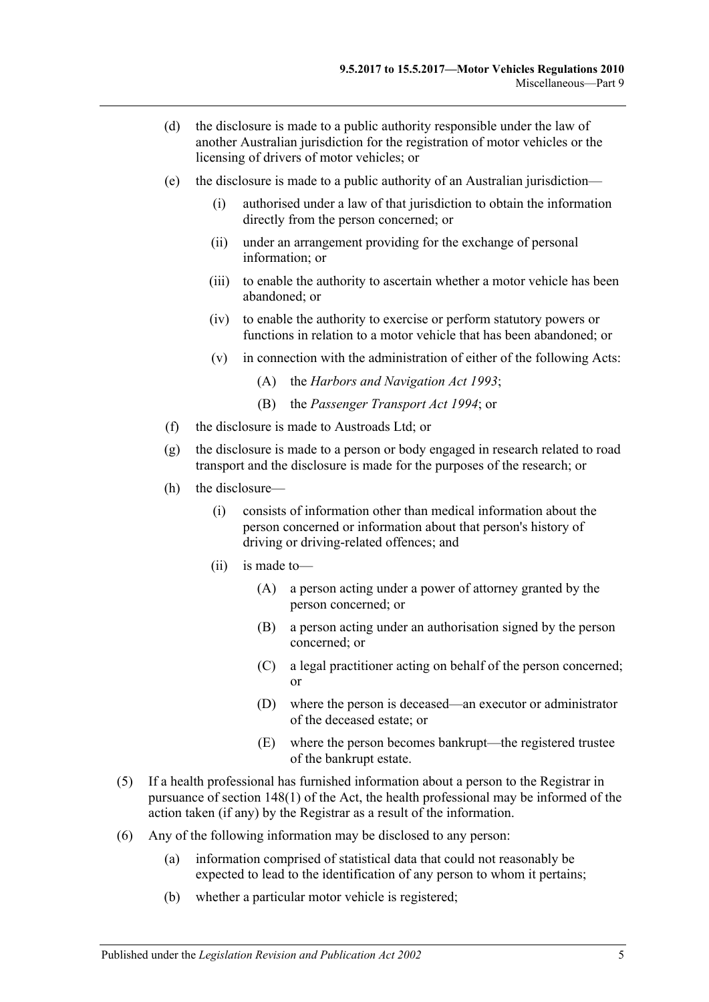- (d) the disclosure is made to a public authority responsible under the law of another Australian jurisdiction for the registration of motor vehicles or the licensing of drivers of motor vehicles; or
- (e) the disclosure is made to a public authority of an Australian jurisdiction—
	- (i) authorised under a law of that jurisdiction to obtain the information directly from the person concerned; or
	- (ii) under an arrangement providing for the exchange of personal information; or
	- (iii) to enable the authority to ascertain whether a motor vehicle has been abandoned; or
	- (iv) to enable the authority to exercise or perform statutory powers or functions in relation to a motor vehicle that has been abandoned; or
	- (v) in connection with the administration of either of the following Acts:
		- (A) the *[Harbors and Navigation Act](http://www.legislation.sa.gov.au/index.aspx?action=legref&type=act&legtitle=Harbors%20and%20Navigation%20Act%201993) 1993*;
		- (B) the *[Passenger Transport Act](http://www.legislation.sa.gov.au/index.aspx?action=legref&type=act&legtitle=Passenger%20Transport%20Act%201994) 1994*; or
- (f) the disclosure is made to Austroads Ltd; or
- (g) the disclosure is made to a person or body engaged in research related to road transport and the disclosure is made for the purposes of the research; or
- (h) the disclosure—
	- (i) consists of information other than medical information about the person concerned or information about that person's history of driving or driving-related offences; and
	- (ii) is made to—
		- (A) a person acting under a power of attorney granted by the person concerned; or
		- (B) a person acting under an authorisation signed by the person concerned; or
		- (C) a legal practitioner acting on behalf of the person concerned; or
		- (D) where the person is deceased—an executor or administrator of the deceased estate; or
		- (E) where the person becomes bankrupt—the registered trustee of the bankrupt estate.
- (5) If a health professional has furnished information about a person to the Registrar in pursuance of section 148(1) of the Act, the health professional may be informed of the action taken (if any) by the Registrar as a result of the information.
- (6) Any of the following information may be disclosed to any person:
	- (a) information comprised of statistical data that could not reasonably be expected to lead to the identification of any person to whom it pertains;
	- (b) whether a particular motor vehicle is registered;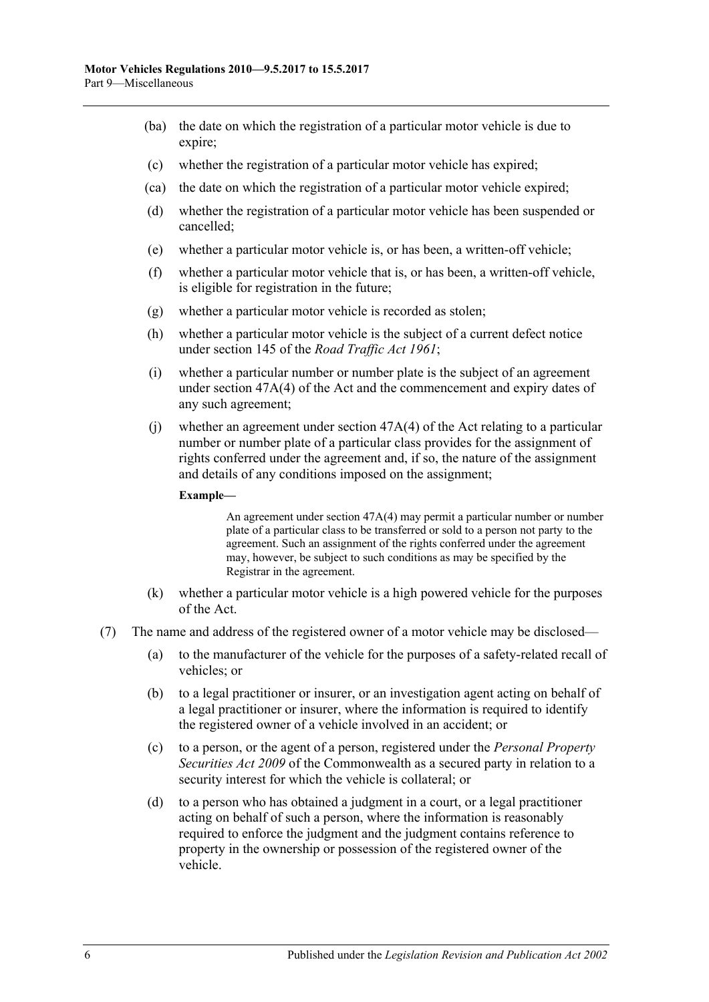- (ba) the date on which the registration of a particular motor vehicle is due to expire;
- (c) whether the registration of a particular motor vehicle has expired;
- (ca) the date on which the registration of a particular motor vehicle expired;
- (d) whether the registration of a particular motor vehicle has been suspended or cancelled;
- (e) whether a particular motor vehicle is, or has been, a written-off vehicle;
- (f) whether a particular motor vehicle that is, or has been, a written-off vehicle, is eligible for registration in the future;
- (g) whether a particular motor vehicle is recorded as stolen;
- (h) whether a particular motor vehicle is the subject of a current defect notice under section 145 of the *[Road Traffic Act](http://www.legislation.sa.gov.au/index.aspx?action=legref&type=act&legtitle=Road%20Traffic%20Act%201961) 1961*;
- (i) whether a particular number or number plate is the subject of an agreement under section 47A(4) of the Act and the commencement and expiry dates of any such agreement;
- (j) whether an agreement under section 47A(4) of the Act relating to a particular number or number plate of a particular class provides for the assignment of rights conferred under the agreement and, if so, the nature of the assignment and details of any conditions imposed on the assignment;

#### **Example—**

An agreement under section 47A(4) may permit a particular number or number plate of a particular class to be transferred or sold to a person not party to the agreement. Such an assignment of the rights conferred under the agreement may, however, be subject to such conditions as may be specified by the Registrar in the agreement.

- (k) whether a particular motor vehicle is a high powered vehicle for the purposes of the Act.
- (7) The name and address of the registered owner of a motor vehicle may be disclosed—
	- (a) to the manufacturer of the vehicle for the purposes of a safety-related recall of vehicles; or
	- (b) to a legal practitioner or insurer, or an investigation agent acting on behalf of a legal practitioner or insurer, where the information is required to identify the registered owner of a vehicle involved in an accident; or
	- (c) to a person, or the agent of a person, registered under the *Personal Property Securities Act 2009* of the Commonwealth as a secured party in relation to a security interest for which the vehicle is collateral; or
	- (d) to a person who has obtained a judgment in a court, or a legal practitioner acting on behalf of such a person, where the information is reasonably required to enforce the judgment and the judgment contains reference to property in the ownership or possession of the registered owner of the vehicle.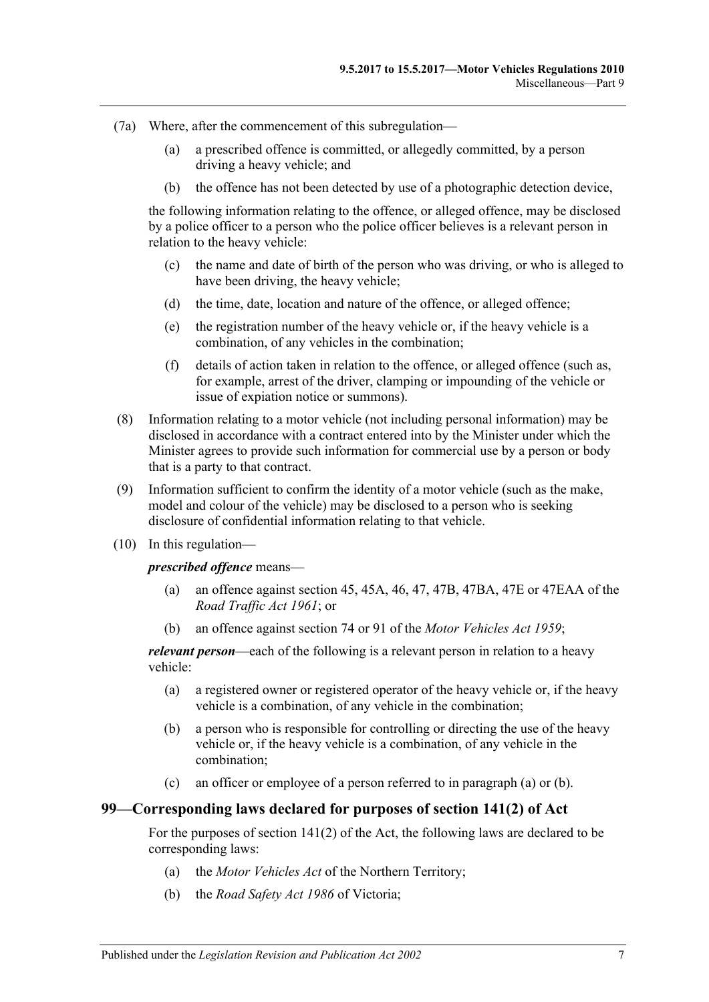- (7a) Where, after the commencement of this subregulation—
	- (a) a prescribed offence is committed, or allegedly committed, by a person driving a heavy vehicle; and
	- (b) the offence has not been detected by use of a photographic detection device,

the following information relating to the offence, or alleged offence, may be disclosed by a police officer to a person who the police officer believes is a relevant person in relation to the heavy vehicle:

- (c) the name and date of birth of the person who was driving, or who is alleged to have been driving, the heavy vehicle;
- (d) the time, date, location and nature of the offence, or alleged offence;
- (e) the registration number of the heavy vehicle or, if the heavy vehicle is a combination, of any vehicles in the combination;
- (f) details of action taken in relation to the offence, or alleged offence (such as, for example, arrest of the driver, clamping or impounding of the vehicle or issue of expiation notice or summons).
- <span id="page-68-0"></span>(8) Information relating to a motor vehicle (not including personal information) may be disclosed in accordance with a contract entered into by the Minister under which the Minister agrees to provide such information for commercial use by a person or body that is a party to that contract.
- (9) Information sufficient to confirm the identity of a motor vehicle (such as the make, model and colour of the vehicle) may be disclosed to a person who is seeking disclosure of confidential information relating to that vehicle.
- (10) In this regulation—

*prescribed offence* means—

- (a) an offence against section 45, 45A, 46, 47, 47B, 47BA, 47E or 47EAA of the *[Road Traffic Act](http://www.legislation.sa.gov.au/index.aspx?action=legref&type=act&legtitle=Road%20Traffic%20Act%201961) 1961*; or
- (b) an offence against section 74 or 91 of the *[Motor Vehicles Act](http://www.legislation.sa.gov.au/index.aspx?action=legref&type=act&legtitle=Motor%20Vehicles%20Act%201959) 1959*;

<span id="page-68-1"></span>*relevant person*—each of the following is a relevant person in relation to a heavy vehicle:

- (a) a registered owner or registered operator of the heavy vehicle or, if the heavy vehicle is a combination, of any vehicle in the combination;
- <span id="page-68-2"></span>(b) a person who is responsible for controlling or directing the use of the heavy vehicle or, if the heavy vehicle is a combination, of any vehicle in the combination;
- (c) an officer or employee of a person referred to in [paragraph](#page-68-1) (a) or [\(b\).](#page-68-2)

## **99—Corresponding laws declared for purposes of section 141(2) of Act**

For the purposes of section 141(2) of the Act, the following laws are declared to be corresponding laws:

- (a) the *Motor Vehicles Act* of the Northern Territory;
- (b) the *Road Safety Act 1986* of Victoria;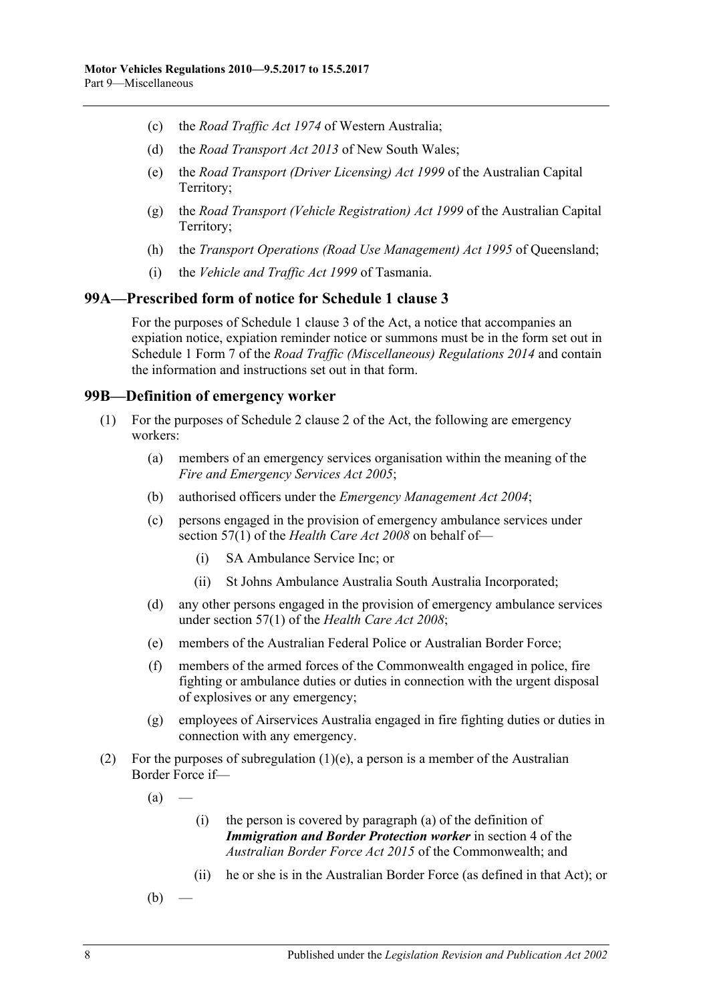- (c) the *Road Traffic Act 1974* of Western Australia;
- (d) the *Road Transport Act 2013* of New South Wales;
- (e) the *Road Transport (Driver Licensing) Act 1999* of the Australian Capital Territory;
- (g) the *Road Transport (Vehicle Registration) Act 1999* of the Australian Capital Territory;
- (h) the *Transport Operations (Road Use Management) Act 1995* of Queensland;
- (i) the *Vehicle and Traffic Act 1999* of Tasmania.

#### **99A—Prescribed form of notice for Schedule 1 clause 3**

For the purposes of Schedule 1 clause 3 of the Act, a notice that accompanies an expiation notice, expiation reminder notice or summons must be in the form set out in Schedule 1 Form 7 of the *[Road Traffic \(Miscellaneous\) Regulations](http://www.legislation.sa.gov.au/index.aspx?action=legref&type=subordleg&legtitle=Road%20Traffic%20(Miscellaneous)%20Regulations%202014) 2014* and contain the information and instructions set out in that form.

#### **99B—Definition of emergency worker**

- (1) For the purposes of Schedule 2 clause 2 of the Act, the following are emergency workers:
	- (a) members of an emergency services organisation within the meaning of the *[Fire and Emergency](http://www.legislation.sa.gov.au/index.aspx?action=legref&type=act&legtitle=Fire%20and%20Emergency%20Services%20Act%202005) Services Act 2005*;
	- (b) authorised officers under the *[Emergency Management Act](http://www.legislation.sa.gov.au/index.aspx?action=legref&type=act&legtitle=Emergency%20Management%20Act%202004) 2004*;
	- (c) persons engaged in the provision of emergency ambulance services under section 57(1) of the *[Health Care Act](http://www.legislation.sa.gov.au/index.aspx?action=legref&type=act&legtitle=Health%20Care%20Act%202008) 2008* on behalf of—
		- (i) SA Ambulance Service Inc; or
		- (ii) St Johns Ambulance Australia South Australia Incorporated;
	- (d) any other persons engaged in the provision of emergency ambulance services under section 57(1) of the *[Health Care Act](http://www.legislation.sa.gov.au/index.aspx?action=legref&type=act&legtitle=Health%20Care%20Act%202008) 2008*;
	- (e) members of the Australian Federal Police or Australian Border Force;
	- (f) members of the armed forces of the Commonwealth engaged in police, fire fighting or ambulance duties or duties in connection with the urgent disposal of explosives or any emergency;
	- (g) employees of Airservices Australia engaged in fire fighting duties or duties in connection with any emergency.
- <span id="page-69-0"></span>(2) For the purposes of [subregulation](#page-69-0)  $(1)(e)$ , a person is a member of the Australian Border Force if—
	- $(a)$
- (i) the person is covered by paragraph (a) of the definition of *Immigration and Border Protection worker* in section 4 of the *Australian Border Force Act 2015* of the Commonwealth; and
- (ii) he or she is in the Australian Border Force (as defined in that Act); or
- $(b)$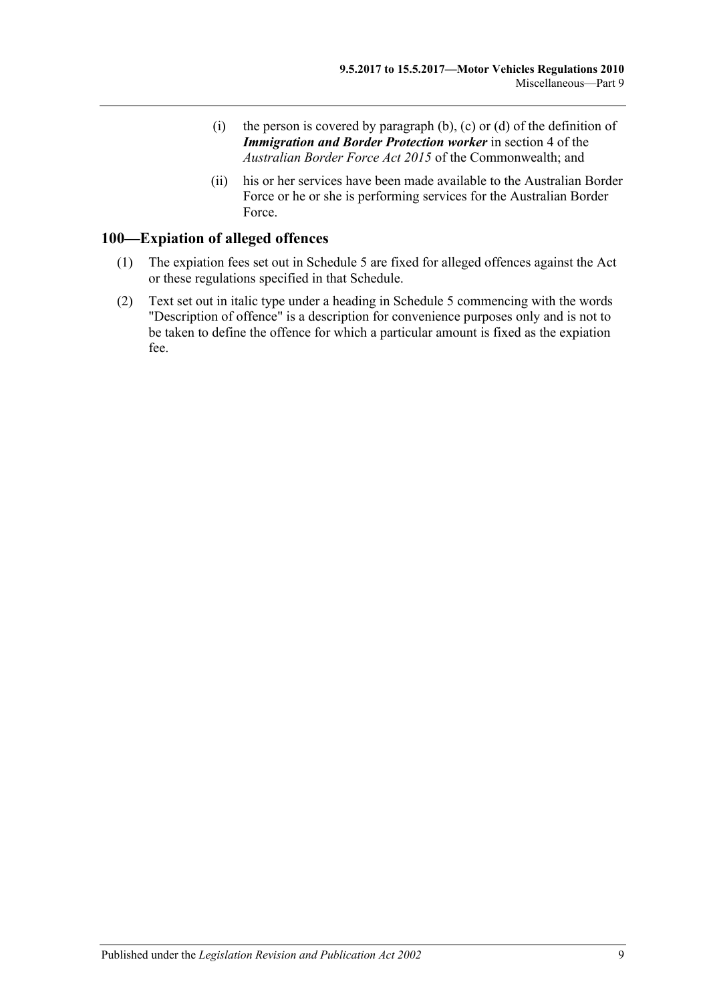- (i) the person is covered by paragraph  $(b)$ ,  $(c)$  or  $(d)$  of the definition of *Immigration and Border Protection worker* in section 4 of the *Australian Border Force Act 2015* of the Commonwealth; and
- (ii) his or her services have been made available to the Australian Border Force or he or she is performing services for the Australian Border Force.

## **100—Expiation of alleged offences**

- (1) The expiation fees set out in Schedule 5 are fixed for alleged offences against the Act or these regulations specified in that Schedule.
- (2) Text set out in italic type under a heading in Schedule 5 commencing with the words "Description of offence" is a description for convenience purposes only and is not to be taken to define the offence for which a particular amount is fixed as the expiation fee.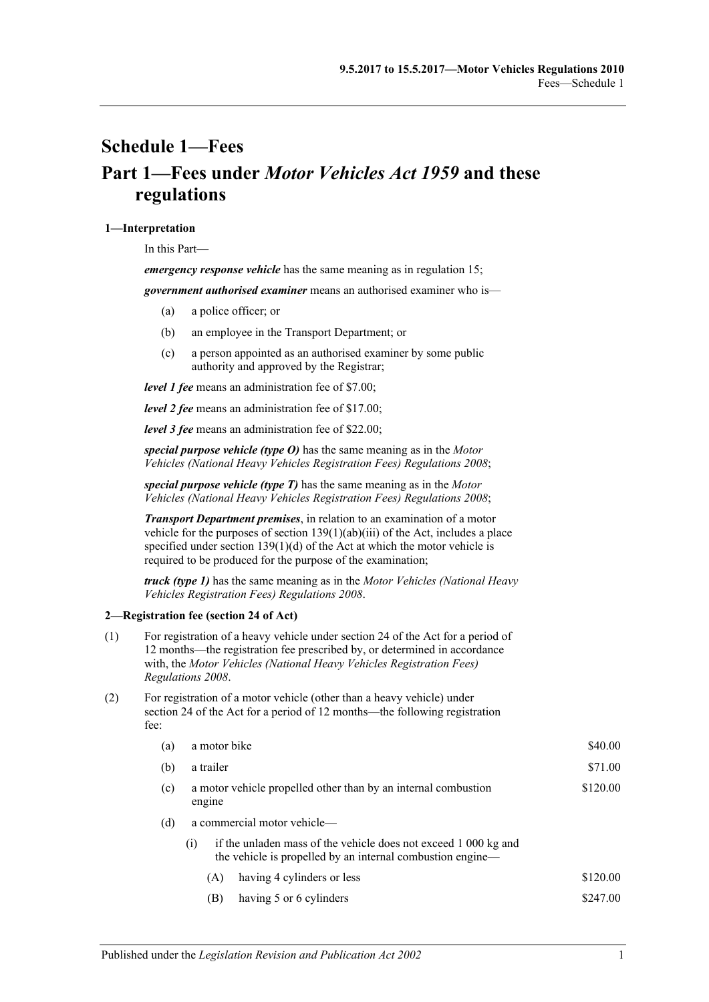## **Schedule 1—Fees Part 1—Fees under** *Motor Vehicles Act 1959* **and these regulations**

#### **1—Interpretation**

In this Part—

*emergency response vehicle* has the same meaning as in [regulation](#page-16-0) 15;

*government authorised examiner* means an authorised examiner who is—

- (a) a police officer; or
- (b) an employee in the Transport Department; or
- (c) a person appointed as an authorised examiner by some public authority and approved by the Registrar;

*level 1 fee* means an administration fee of \$7.00;

*level 2 fee* means an administration fee of \$17.00;

*level 3 fee* means an administration fee of \$22.00;

*special purpose vehicle (type O)* has the same meaning as in the *[Motor](http://www.legislation.sa.gov.au/index.aspx?action=legref&type=subordleg&legtitle=Motor%20Vehicles%20(National%20Heavy%20Vehicles%20Registration%20Fees)%20Regulations%202008)  [Vehicles \(National Heavy Vehicles Registration Fees\) Regulations](http://www.legislation.sa.gov.au/index.aspx?action=legref&type=subordleg&legtitle=Motor%20Vehicles%20(National%20Heavy%20Vehicles%20Registration%20Fees)%20Regulations%202008) 2008*;

*special purpose vehicle (type T)* has the same meaning as in the *[Motor](http://www.legislation.sa.gov.au/index.aspx?action=legref&type=subordleg&legtitle=Motor%20Vehicles%20(National%20Heavy%20Vehicles%20Registration%20Fees)%20Regulations%202008)  [Vehicles \(National Heavy Vehicles Registration Fees\) Regulations](http://www.legislation.sa.gov.au/index.aspx?action=legref&type=subordleg&legtitle=Motor%20Vehicles%20(National%20Heavy%20Vehicles%20Registration%20Fees)%20Regulations%202008) 2008*;

*Transport Department premises*, in relation to an examination of a motor vehicle for the purposes of section  $139(1)(ab)(iii)$  of the Act, includes a place specified under section 139(1)(d) of the Act at which the motor vehicle is required to be produced for the purpose of the examination;

*truck (type 1)* has the same meaning as in the *[Motor Vehicles \(National Heavy](http://www.legislation.sa.gov.au/index.aspx?action=legref&type=subordleg&legtitle=Motor%20Vehicles%20(National%20Heavy%20Vehicles%20Registration%20Fees)%20Regulations%202008)  [Vehicles Registration Fees\) Regulations](http://www.legislation.sa.gov.au/index.aspx?action=legref&type=subordleg&legtitle=Motor%20Vehicles%20(National%20Heavy%20Vehicles%20Registration%20Fees)%20Regulations%202008) 2008*.

#### **2—Registration fee (section 24 of Act)**

- (1) For registration of a heavy vehicle under section 24 of the Act for a period of 12 months—the registration fee prescribed by, or determined in accordance with, the *[Motor Vehicles \(National Heavy Vehicles Registration Fees\)](http://www.legislation.sa.gov.au/index.aspx?action=legref&type=subordleg&legtitle=Motor%20Vehicles%20(National%20Heavy%20Vehicles%20Registration%20Fees)%20Regulations%202008)  [Regulations](http://www.legislation.sa.gov.au/index.aspx?action=legref&type=subordleg&legtitle=Motor%20Vehicles%20(National%20Heavy%20Vehicles%20Registration%20Fees)%20Regulations%202008) 2008*.
- (2) For registration of a motor vehicle (other than a heavy vehicle) under section 24 of the Act for a period of 12 months—the following registration fee:

| (a) | \$40.00<br>a motor bike                                                                                                              |          |  |  |  |
|-----|--------------------------------------------------------------------------------------------------------------------------------------|----------|--|--|--|
| (b) | a trailer                                                                                                                            | \$71.00  |  |  |  |
| (c) | \$120.00<br>a motor vehicle propelled other than by an internal combustion<br>engine                                                 |          |  |  |  |
| (d) | a commercial motor vehicle—                                                                                                          |          |  |  |  |
|     | if the unladen mass of the vehicle does not exceed 1 000 kg and<br>(1)<br>the vehicle is propelled by an internal combustion engine— |          |  |  |  |
|     | having 4 cylinders or less<br>(A)                                                                                                    | \$120.00 |  |  |  |
|     | having 5 or 6 cylinders<br>(B)                                                                                                       | \$247.00 |  |  |  |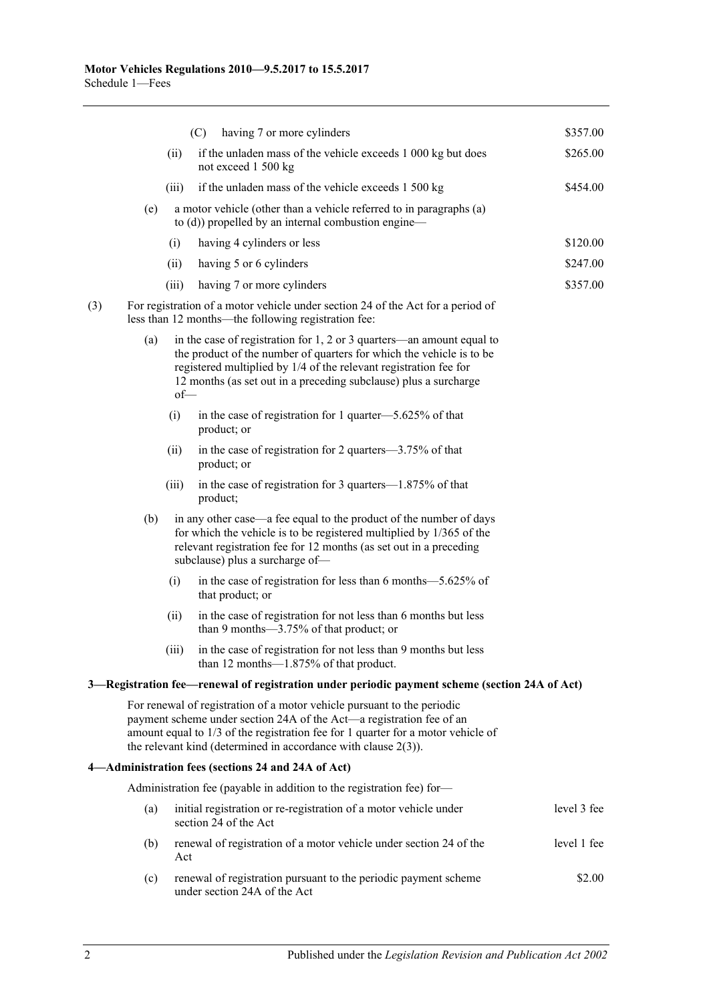|     |     |        | (C)<br>having 7 or more cylinders                                                                                                                                                                                                                                                                        | \$357.00    |
|-----|-----|--------|----------------------------------------------------------------------------------------------------------------------------------------------------------------------------------------------------------------------------------------------------------------------------------------------------------|-------------|
|     |     | (ii)   | if the unladen mass of the vehicle exceeds 1 000 kg but does<br>not exceed 1 500 kg                                                                                                                                                                                                                      | \$265.00    |
|     |     | (iii)  | if the unladen mass of the vehicle exceeds 1 500 kg                                                                                                                                                                                                                                                      | \$454.00    |
|     | (e) |        | a motor vehicle (other than a vehicle referred to in paragraphs (a)<br>to (d)) propelled by an internal combustion engine-                                                                                                                                                                               |             |
|     |     | (i)    | having 4 cylinders or less                                                                                                                                                                                                                                                                               | \$120.00    |
|     |     | (ii)   | having 5 or 6 cylinders                                                                                                                                                                                                                                                                                  | \$247.00    |
|     |     | (iii)  | having 7 or more cylinders                                                                                                                                                                                                                                                                               | \$357.00    |
| (3) |     |        | For registration of a motor vehicle under section 24 of the Act for a period of<br>less than 12 months-the following registration fee:                                                                                                                                                                   |             |
|     | (a) | $of$ — | in the case of registration for $1, 2$ or $3$ quarters—an amount equal to<br>the product of the number of quarters for which the vehicle is to be<br>registered multiplied by 1/4 of the relevant registration fee for<br>12 months (as set out in a preceding subclause) plus a surcharge               |             |
|     |     | (i)    | in the case of registration for 1 quarter—5.625% of that<br>product; or                                                                                                                                                                                                                                  |             |
|     |     | (ii)   | in the case of registration for 2 quarters—3.75% of that<br>product; or                                                                                                                                                                                                                                  |             |
|     |     | (iii)  | in the case of registration for 3 quarters—1.875% of that<br>product;                                                                                                                                                                                                                                    |             |
|     | (b) |        | in any other case—a fee equal to the product of the number of days<br>for which the vehicle is to be registered multiplied by 1/365 of the<br>relevant registration fee for 12 months (as set out in a preceding<br>subclause) plus a surcharge of-                                                      |             |
|     |     | (i)    | in the case of registration for less than 6 months-5.625% of<br>that product; or                                                                                                                                                                                                                         |             |
|     |     | (ii)   | in the case of registration for not less than 6 months but less<br>than 9 months— $3.75\%$ of that product; or                                                                                                                                                                                           |             |
|     |     | (iii)  | in the case of registration for not less than 9 months but less<br>than 12 months-1.875% of that product.                                                                                                                                                                                                |             |
|     |     |        | 3—Registration fee—renewal of registration under periodic payment scheme (section 24A of Act)                                                                                                                                                                                                            |             |
|     |     |        | For renewal of registration of a motor vehicle pursuant to the periodic<br>payment scheme under section 24A of the Act—a registration fee of an<br>amount equal to 1/3 of the registration fee for 1 quarter for a motor vehicle of<br>the relevant kind (determined in accordance with clause $2(3)$ ). |             |
|     |     |        | 4-Administration fees (sections 24 and 24A of Act)                                                                                                                                                                                                                                                       |             |
|     |     |        | Administration fee (payable in addition to the registration fee) for-                                                                                                                                                                                                                                    |             |
|     | (a) |        | initial registration or re-registration of a motor vehicle under<br>section 24 of the Act                                                                                                                                                                                                                | level 3 fee |
|     | (b) | Act    | renewal of registration of a motor vehicle under section 24 of the                                                                                                                                                                                                                                       | level 1 fee |
|     | (c) |        | renewal of registration pursuant to the periodic payment scheme<br>under section 24A of the Act                                                                                                                                                                                                          | \$2.00      |
|     |     |        |                                                                                                                                                                                                                                                                                                          |             |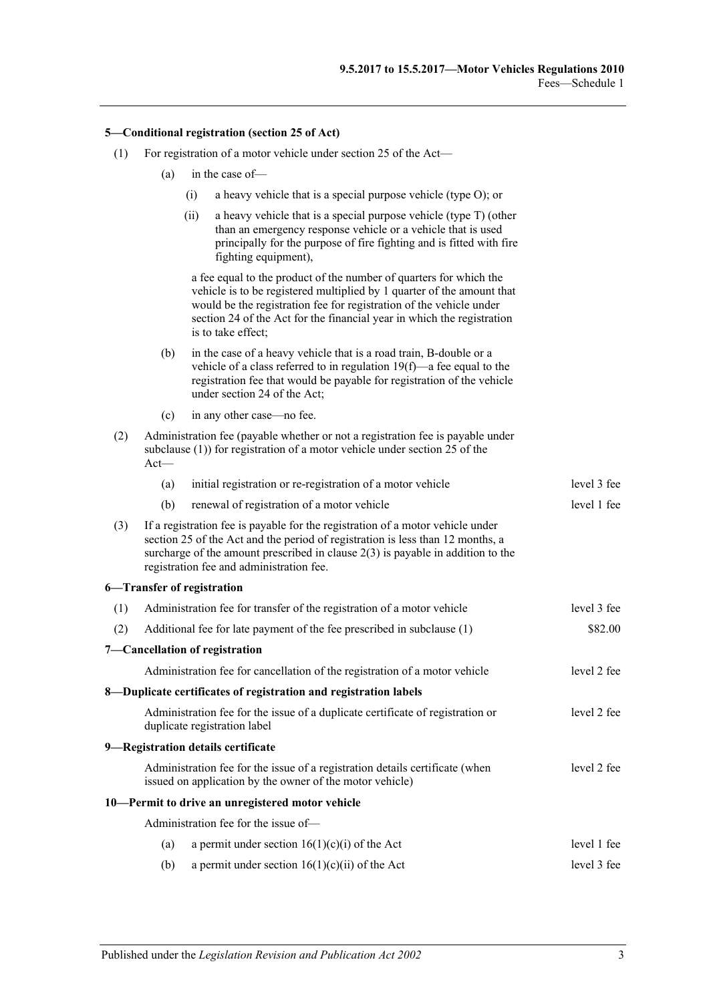#### **5—Conditional registration (section 25 of Act)**

- (1) For registration of a motor vehicle under section 25 of the Act—
	- (a) in the case of—
		- (i) a heavy vehicle that is a special purpose vehicle (type O); or
		- (ii) a heavy vehicle that is a special purpose vehicle (type T) (other than an emergency response vehicle or a vehicle that is used principally for the purpose of fire fighting and is fitted with fire fighting equipment),

a fee equal to the product of the number of quarters for which the vehicle is to be registered multiplied by 1 quarter of the amount that would be the registration fee for registration of the vehicle under section 24 of the Act for the financial year in which the registration is to take effect;

- (b) in the case of a heavy vehicle that is a road train, B-double or a vehicle of a class referred to i[n regulation](#page-19-0) 19(f)—a fee equal to the registration fee that would be payable for registration of the vehicle under section 24 of the Act;
- (c) in any other case—no fee.
- (2) Administration fee (payable whether or not a registration fee is payable under subclause (1)) for registration of a motor vehicle under section 25 of the Act—

|     | (a) | initial registration or re-registration of a motor vehicle                                                                                                                                                                                                                                        | level 3 fee |
|-----|-----|---------------------------------------------------------------------------------------------------------------------------------------------------------------------------------------------------------------------------------------------------------------------------------------------------|-------------|
|     | (b) | renewal of registration of a motor vehicle                                                                                                                                                                                                                                                        | level 1 fee |
| (3) |     | If a registration fee is payable for the registration of a motor vehicle under<br>section 25 of the Act and the period of registration is less than 12 months, a<br>surcharge of the amount prescribed in clause $2(3)$ is payable in addition to the<br>registration fee and administration fee. |             |
|     |     | 6-Transfer of registration                                                                                                                                                                                                                                                                        |             |
| (1) |     | Administration fee for transfer of the registration of a motor vehicle                                                                                                                                                                                                                            | level 3 fee |
| (2) |     | Additional fee for late payment of the fee prescribed in subclause (1)                                                                                                                                                                                                                            | \$82.00     |
|     |     | 7-Cancellation of registration                                                                                                                                                                                                                                                                    |             |
|     |     | Administration fee for cancellation of the registration of a motor vehicle                                                                                                                                                                                                                        | level 2 fee |
|     |     | 8-Duplicate certificates of registration and registration labels                                                                                                                                                                                                                                  |             |
|     |     | Administration fee for the issue of a duplicate certificate of registration or<br>duplicate registration label                                                                                                                                                                                    | level 2 fee |
|     |     | 9-Registration details certificate                                                                                                                                                                                                                                                                |             |
|     |     | Administration fee for the issue of a registration details certificate (when<br>issued on application by the owner of the motor vehicle)                                                                                                                                                          | level 2 fee |
|     |     | 10-Permit to drive an unregistered motor vehicle                                                                                                                                                                                                                                                  |             |
|     |     | Administration fee for the issue of-                                                                                                                                                                                                                                                              |             |
|     | (a) | a permit under section $16(1)(c)(i)$ of the Act                                                                                                                                                                                                                                                   | level 1 fee |
|     | (b) | a permit under section $16(1)(c)(ii)$ of the Act                                                                                                                                                                                                                                                  | level 3 fee |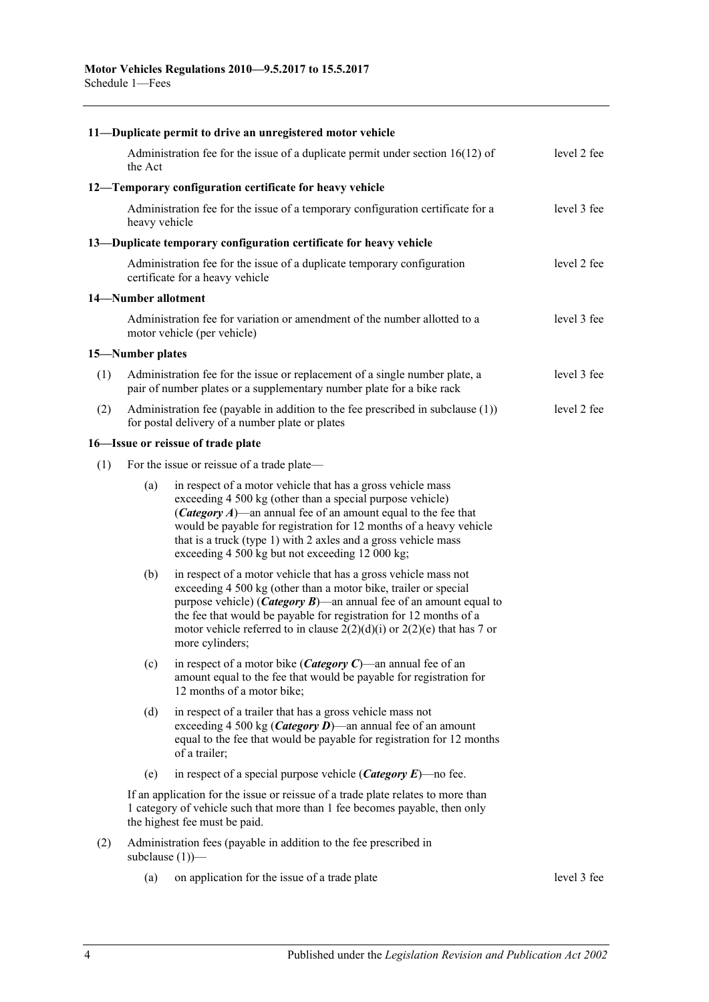|     |                     | 11-Duplicate permit to drive an unregistered motor vehicle                                                                                                                                                                                                                                                                                                                              |             |
|-----|---------------------|-----------------------------------------------------------------------------------------------------------------------------------------------------------------------------------------------------------------------------------------------------------------------------------------------------------------------------------------------------------------------------------------|-------------|
|     | the Act             | Administration fee for the issue of a duplicate permit under section $16(12)$ of                                                                                                                                                                                                                                                                                                        | level 2 fee |
|     |                     | 12-Temporary configuration certificate for heavy vehicle                                                                                                                                                                                                                                                                                                                                |             |
|     | heavy vehicle       | Administration fee for the issue of a temporary configuration certificate for a                                                                                                                                                                                                                                                                                                         | level 3 fee |
|     |                     | 13—Duplicate temporary configuration certificate for heavy vehicle                                                                                                                                                                                                                                                                                                                      |             |
|     |                     | Administration fee for the issue of a duplicate temporary configuration<br>certificate for a heavy vehicle                                                                                                                                                                                                                                                                              | level 2 fee |
|     | 14-Number allotment |                                                                                                                                                                                                                                                                                                                                                                                         |             |
|     |                     | Administration fee for variation or amendment of the number allotted to a<br>motor vehicle (per vehicle)                                                                                                                                                                                                                                                                                | level 3 fee |
|     | 15-Number plates    |                                                                                                                                                                                                                                                                                                                                                                                         |             |
| (1) |                     | Administration fee for the issue or replacement of a single number plate, a<br>pair of number plates or a supplementary number plate for a bike rack                                                                                                                                                                                                                                    | level 3 fee |
| (2) |                     | Administration fee (payable in addition to the fee prescribed in subclause $(1)$ )<br>for postal delivery of a number plate or plates                                                                                                                                                                                                                                                   | level 2 fee |
|     |                     | 16-Issue or reissue of trade plate                                                                                                                                                                                                                                                                                                                                                      |             |
| (1) |                     | For the issue or reissue of a trade plate—                                                                                                                                                                                                                                                                                                                                              |             |
|     | (a)                 | in respect of a motor vehicle that has a gross vehicle mass<br>exceeding 4 500 kg (other than a special purpose vehicle)<br>(Category A)—an annual fee of an amount equal to the fee that<br>would be payable for registration for 12 months of a heavy vehicle<br>that is a truck (type 1) with 2 axles and a gross vehicle mass<br>exceeding 4 500 kg but not exceeding 12 000 kg;    |             |
|     | (b)                 | in respect of a motor vehicle that has a gross vehicle mass not<br>exceeding 4 500 kg (other than a motor bike, trailer or special<br>purpose vehicle) ( <i>Category B</i> )—an annual fee of an amount equal to<br>the fee that would be payable for registration for 12 months of a<br>motor vehicle referred to in clause $2(2)(d)(i)$ or $2(2)(e)$ that has 7 or<br>more cylinders; |             |
|     | (c)                 | in respect of a motor bike ( <i>Category C</i> )—an annual fee of an<br>amount equal to the fee that would be payable for registration for<br>12 months of a motor bike;                                                                                                                                                                                                                |             |
|     | (d)                 | in respect of a trailer that has a gross vehicle mass not<br>exceeding 4 500 kg ( <i>Category D</i> )—an annual fee of an amount<br>equal to the fee that would be payable for registration for 12 months<br>of a trailer;                                                                                                                                                              |             |
|     | (e)                 | in respect of a special purpose vehicle ( <i>Category E</i> )—no fee.                                                                                                                                                                                                                                                                                                                   |             |
|     |                     | If an application for the issue or reissue of a trade plate relates to more than<br>1 category of vehicle such that more than 1 fee becomes payable, then only<br>the highest fee must be paid.                                                                                                                                                                                         |             |
| (2) |                     | Administration fees (payable in addition to the fee prescribed in<br>subclause $(1)$ )—                                                                                                                                                                                                                                                                                                 |             |
|     | (a)                 | on application for the issue of a trade plate                                                                                                                                                                                                                                                                                                                                           | level 3 fee |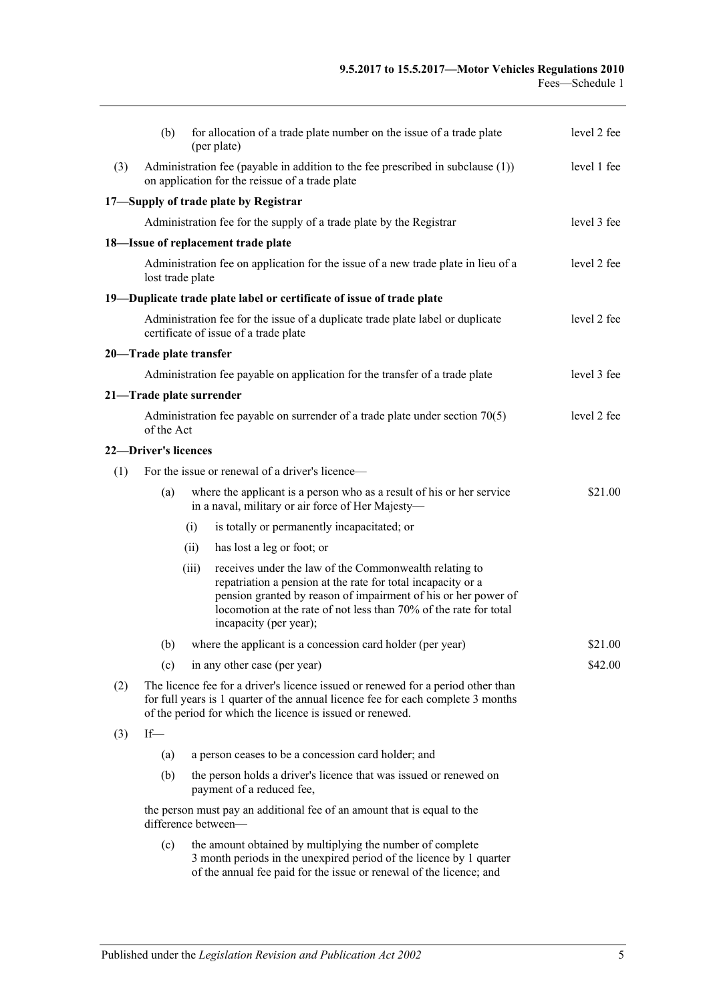|     | (b)                                                                                                                  |       | for allocation of a trade plate number on the issue of a trade plate<br>(per plate)                                                                                                                                                                                                     | level 2 fee |  |  |
|-----|----------------------------------------------------------------------------------------------------------------------|-------|-----------------------------------------------------------------------------------------------------------------------------------------------------------------------------------------------------------------------------------------------------------------------------------------|-------------|--|--|
| (3) |                                                                                                                      |       | Administration fee (payable in addition to the fee prescribed in subclause $(1)$ )<br>on application for the reissue of a trade plate                                                                                                                                                   | level 1 fee |  |  |
|     |                                                                                                                      |       | 17-Supply of trade plate by Registrar                                                                                                                                                                                                                                                   |             |  |  |
|     |                                                                                                                      |       | Administration fee for the supply of a trade plate by the Registrar                                                                                                                                                                                                                     | level 3 fee |  |  |
|     |                                                                                                                      |       | 18-Issue of replacement trade plate                                                                                                                                                                                                                                                     |             |  |  |
|     | Administration fee on application for the issue of a new trade plate in lieu of a<br>level 2 fee<br>lost trade plate |       |                                                                                                                                                                                                                                                                                         |             |  |  |
|     |                                                                                                                      |       | 19—Duplicate trade plate label or certificate of issue of trade plate                                                                                                                                                                                                                   |             |  |  |
|     |                                                                                                                      |       | Administration fee for the issue of a duplicate trade plate label or duplicate<br>certificate of issue of a trade plate                                                                                                                                                                 | level 2 fee |  |  |
|     | 20—Trade plate transfer                                                                                              |       |                                                                                                                                                                                                                                                                                         |             |  |  |
|     |                                                                                                                      |       | Administration fee payable on application for the transfer of a trade plate                                                                                                                                                                                                             | level 3 fee |  |  |
|     | 21-Trade plate surrender                                                                                             |       |                                                                                                                                                                                                                                                                                         |             |  |  |
|     | of the Act                                                                                                           |       | Administration fee payable on surrender of a trade plate under section $70(5)$                                                                                                                                                                                                          | level 2 fee |  |  |
|     | 22-Driver's licences                                                                                                 |       |                                                                                                                                                                                                                                                                                         |             |  |  |
| (1) | For the issue or renewal of a driver's licence—                                                                      |       |                                                                                                                                                                                                                                                                                         |             |  |  |
|     | (a)                                                                                                                  |       | where the applicant is a person who as a result of his or her service<br>in a naval, military or air force of Her Majesty-                                                                                                                                                              | \$21.00     |  |  |
|     |                                                                                                                      | (i)   | is totally or permanently incapacitated; or                                                                                                                                                                                                                                             |             |  |  |
|     |                                                                                                                      | (ii)  | has lost a leg or foot; or                                                                                                                                                                                                                                                              |             |  |  |
|     |                                                                                                                      | (iii) | receives under the law of the Commonwealth relating to<br>repatriation a pension at the rate for total incapacity or a<br>pension granted by reason of impairment of his or her power of<br>locomotion at the rate of not less than 70% of the rate for total<br>incapacity (per year); |             |  |  |
|     |                                                                                                                      |       | (b) where the applicant is a concession card holder (per year)                                                                                                                                                                                                                          | \$21.00     |  |  |
|     | (c)                                                                                                                  |       | in any other case (per year)                                                                                                                                                                                                                                                            | \$42.00     |  |  |
| (2) |                                                                                                                      |       | The licence fee for a driver's licence issued or renewed for a period other than<br>for full years is 1 quarter of the annual licence fee for each complete 3 months<br>of the period for which the licence is issued or renewed.                                                       |             |  |  |
| (3) | $If$ —                                                                                                               |       |                                                                                                                                                                                                                                                                                         |             |  |  |
|     | (a)                                                                                                                  |       | a person ceases to be a concession card holder; and                                                                                                                                                                                                                                     |             |  |  |
|     | (b)                                                                                                                  |       | the person holds a driver's licence that was issued or renewed on<br>payment of a reduced fee,                                                                                                                                                                                          |             |  |  |
|     |                                                                                                                      |       | the person must pay an additional fee of an amount that is equal to the<br>difference between-                                                                                                                                                                                          |             |  |  |
|     | (c)                                                                                                                  |       | the amount obtained by multiplying the number of complete<br>3 month periods in the unexpired period of the licence by 1 quarter<br>of the annual fee paid for the issue or renewal of the licence; and                                                                                 |             |  |  |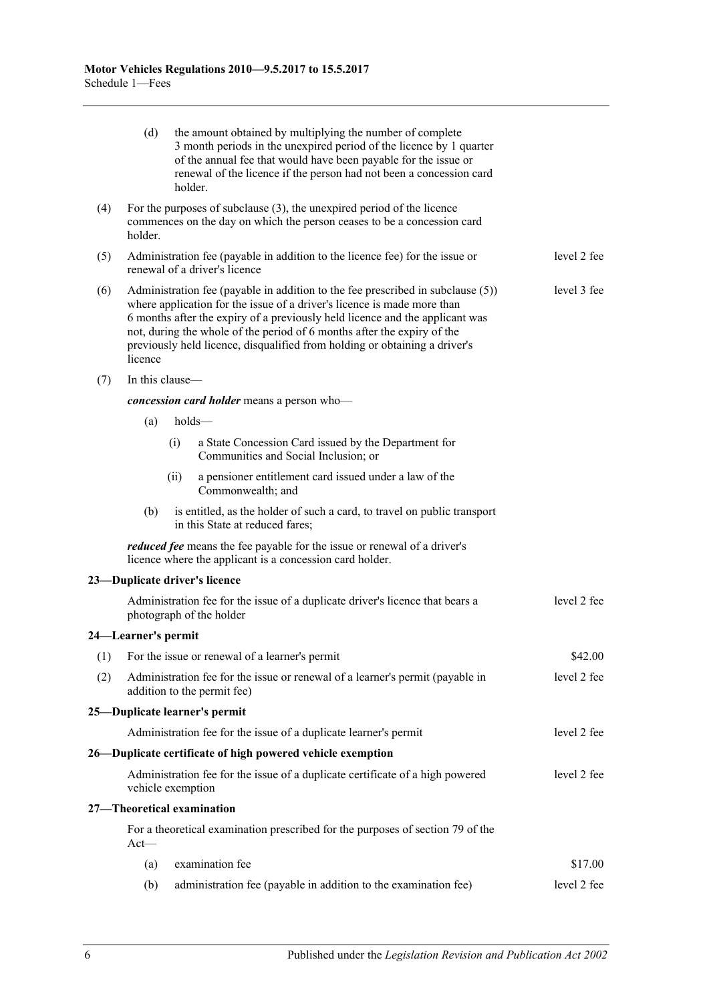|     | (d)                 |      | the amount obtained by multiplying the number of complete<br>3 month periods in the unexpired period of the licence by 1 quarter<br>of the annual fee that would have been payable for the issue or<br>renewal of the licence if the person had not been a concession card<br>holder.                                                                                                               |             |
|-----|---------------------|------|-----------------------------------------------------------------------------------------------------------------------------------------------------------------------------------------------------------------------------------------------------------------------------------------------------------------------------------------------------------------------------------------------------|-------------|
| (4) | holder.             |      | For the purposes of subclause $(3)$ , the unexpired period of the licence<br>commences on the day on which the person ceases to be a concession card                                                                                                                                                                                                                                                |             |
| (5) |                     |      | Administration fee (payable in addition to the licence fee) for the issue or<br>renewal of a driver's licence                                                                                                                                                                                                                                                                                       | level 2 fee |
| (6) | licence             |      | Administration fee (payable in addition to the fee prescribed in subclause (5))<br>where application for the issue of a driver's licence is made more than<br>6 months after the expiry of a previously held licence and the applicant was<br>not, during the whole of the period of 6 months after the expiry of the<br>previously held licence, disqualified from holding or obtaining a driver's | level 3 fee |
| (7) | In this clause—     |      |                                                                                                                                                                                                                                                                                                                                                                                                     |             |
|     |                     |      | concession card holder means a person who-                                                                                                                                                                                                                                                                                                                                                          |             |
|     | (a)                 |      | holds-                                                                                                                                                                                                                                                                                                                                                                                              |             |
|     |                     | (i)  | a State Concession Card issued by the Department for<br>Communities and Social Inclusion; or                                                                                                                                                                                                                                                                                                        |             |
|     |                     | (ii) | a pensioner entitlement card issued under a law of the<br>Commonwealth; and                                                                                                                                                                                                                                                                                                                         |             |
|     | (b)                 |      | is entitled, as the holder of such a card, to travel on public transport<br>in this State at reduced fares;                                                                                                                                                                                                                                                                                         |             |
|     |                     |      | <i>reduced fee</i> means the fee payable for the issue or renewal of a driver's<br>licence where the applicant is a concession card holder.                                                                                                                                                                                                                                                         |             |
|     |                     |      | 23-Duplicate driver's licence                                                                                                                                                                                                                                                                                                                                                                       |             |
|     |                     |      | Administration fee for the issue of a duplicate driver's licence that bears a<br>photograph of the holder                                                                                                                                                                                                                                                                                           | level 2 fee |
|     | 24—Learner's permit |      |                                                                                                                                                                                                                                                                                                                                                                                                     |             |
| (1) |                     |      | For the issue or renewal of a learner's permit                                                                                                                                                                                                                                                                                                                                                      | \$42.00     |
| (2) |                     |      | Administration fee for the issue or renewal of a learner's permit (payable in<br>addition to the permit fee)                                                                                                                                                                                                                                                                                        | level 2 fee |
|     |                     |      | 25—Duplicate learner's permit                                                                                                                                                                                                                                                                                                                                                                       |             |
|     |                     |      | Administration fee for the issue of a duplicate learner's permit                                                                                                                                                                                                                                                                                                                                    | level 2 fee |
|     |                     |      | 26—Duplicate certificate of high powered vehicle exemption                                                                                                                                                                                                                                                                                                                                          |             |
|     | vehicle exemption   |      | Administration fee for the issue of a duplicate certificate of a high powered                                                                                                                                                                                                                                                                                                                       | level 2 fee |
|     |                     |      | 27-Theoretical examination                                                                                                                                                                                                                                                                                                                                                                          |             |
|     | $Act$ —             |      | For a theoretical examination prescribed for the purposes of section 79 of the                                                                                                                                                                                                                                                                                                                      |             |
|     | (a)                 |      | examination fee                                                                                                                                                                                                                                                                                                                                                                                     | \$17.00     |
|     | (b)                 |      | administration fee (payable in addition to the examination fee)                                                                                                                                                                                                                                                                                                                                     | level 2 fee |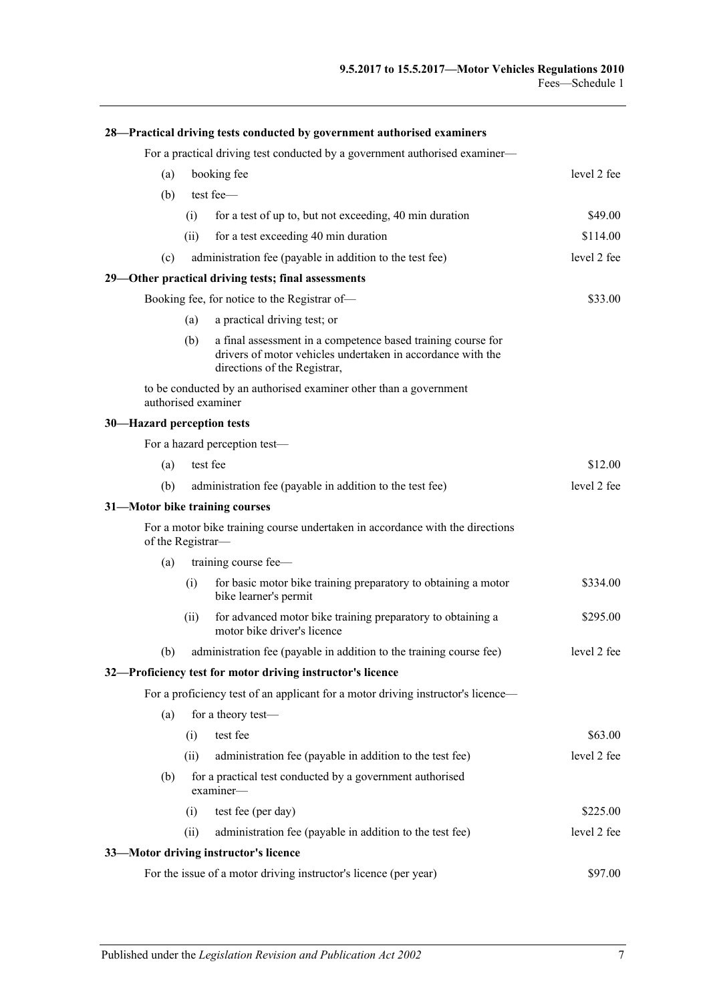|                                | 28—Practical driving tests conducted by government authorised examiners     |                                                                                                                                                             |             |  |  |
|--------------------------------|-----------------------------------------------------------------------------|-------------------------------------------------------------------------------------------------------------------------------------------------------------|-------------|--|--|
|                                | For a practical driving test conducted by a government authorised examiner— |                                                                                                                                                             |             |  |  |
| (a)                            | level 2 fee<br>booking fee                                                  |                                                                                                                                                             |             |  |  |
| (b)                            |                                                                             | test fee-                                                                                                                                                   |             |  |  |
|                                | (i)                                                                         | for a test of up to, but not exceeding, 40 min duration                                                                                                     | \$49.00     |  |  |
|                                | (ii)                                                                        | for a test exceeding 40 min duration                                                                                                                        | \$114.00    |  |  |
| (c)                            |                                                                             | administration fee (payable in addition to the test fee)                                                                                                    | level 2 fee |  |  |
|                                |                                                                             | 29—Other practical driving tests; final assessments                                                                                                         |             |  |  |
|                                |                                                                             | Booking fee, for notice to the Registrar of-                                                                                                                | \$33.00     |  |  |
|                                | (a)                                                                         | a practical driving test; or                                                                                                                                |             |  |  |
|                                | (b)                                                                         | a final assessment in a competence based training course for<br>drivers of motor vehicles undertaken in accordance with the<br>directions of the Registrar, |             |  |  |
|                                |                                                                             | to be conducted by an authorised examiner other than a government<br>authorised examiner                                                                    |             |  |  |
| 30-Hazard perception tests     |                                                                             |                                                                                                                                                             |             |  |  |
|                                |                                                                             | For a hazard perception test-                                                                                                                               |             |  |  |
| (a)                            |                                                                             | test fee                                                                                                                                                    | \$12.00     |  |  |
| (b)                            |                                                                             | administration fee (payable in addition to the test fee)                                                                                                    | level 2 fee |  |  |
| 31-Motor bike training courses |                                                                             |                                                                                                                                                             |             |  |  |
| of the Registrar-              |                                                                             | For a motor bike training course undertaken in accordance with the directions                                                                               |             |  |  |
| (a)                            |                                                                             | training course fee-                                                                                                                                        |             |  |  |
|                                | (i)                                                                         | for basic motor bike training preparatory to obtaining a motor<br>bike learner's permit                                                                     | \$334.00    |  |  |
|                                | (ii)                                                                        | for advanced motor bike training preparatory to obtaining a<br>motor bike driver's licence                                                                  | \$295.00    |  |  |
| (b)                            |                                                                             | administration fee (payable in addition to the training course fee)                                                                                         | level 2 fee |  |  |
|                                |                                                                             | 32-Proficiency test for motor driving instructor's licence                                                                                                  |             |  |  |
|                                |                                                                             | For a proficiency test of an applicant for a motor driving instructor's licence—                                                                            |             |  |  |
| (a)                            |                                                                             | for a theory test-                                                                                                                                          |             |  |  |
|                                | (i)                                                                         | test fee                                                                                                                                                    | \$63.00     |  |  |
|                                | (ii)                                                                        | administration fee (payable in addition to the test fee)                                                                                                    | level 2 fee |  |  |
| (b)                            |                                                                             | for a practical test conducted by a government authorised<br>examine                                                                                        |             |  |  |
|                                | (i)                                                                         | test fee (per day)                                                                                                                                          | \$225.00    |  |  |
|                                | (ii)                                                                        | administration fee (payable in addition to the test fee)                                                                                                    | level 2 fee |  |  |
|                                |                                                                             | 33-Motor driving instructor's licence                                                                                                                       |             |  |  |
|                                |                                                                             | For the issue of a motor driving instructor's licence (per year)                                                                                            | \$97.00     |  |  |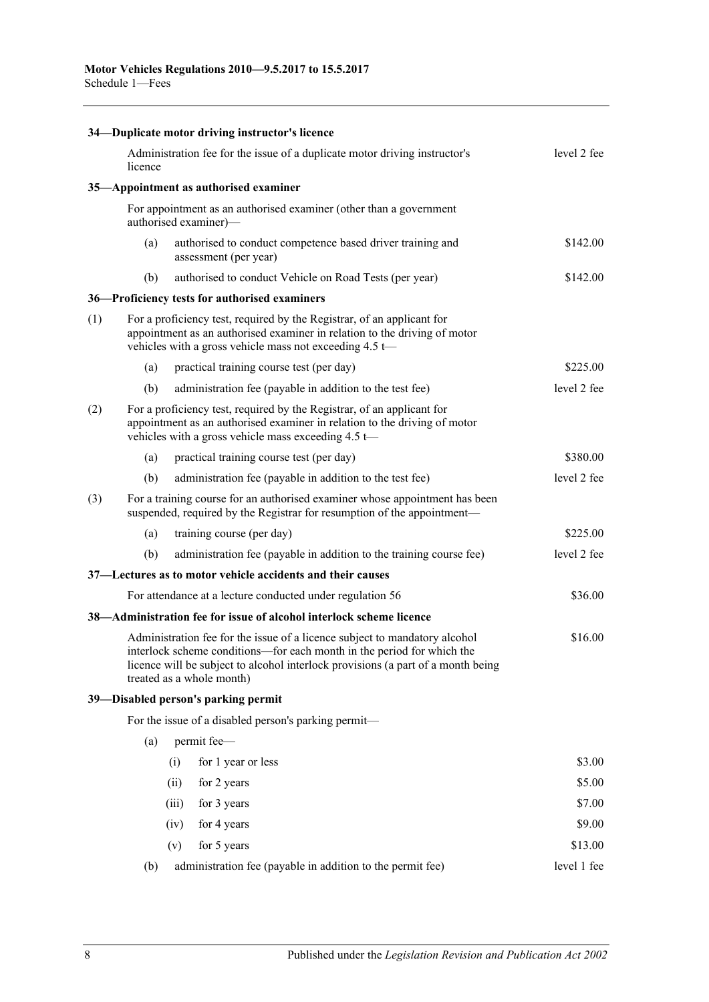|     |         | 34—Duplicate motor driving instructor's licence                                                                                                                                                                                                                       |             |
|-----|---------|-----------------------------------------------------------------------------------------------------------------------------------------------------------------------------------------------------------------------------------------------------------------------|-------------|
|     | licence | Administration fee for the issue of a duplicate motor driving instructor's                                                                                                                                                                                            | level 2 fee |
|     |         | 35-Appointment as authorised examiner                                                                                                                                                                                                                                 |             |
|     |         | For appointment as an authorised examiner (other than a government<br>authorised examiner)-                                                                                                                                                                           |             |
|     | (a)     | authorised to conduct competence based driver training and<br>assessment (per year)                                                                                                                                                                                   | \$142.00    |
|     | (b)     | authorised to conduct Vehicle on Road Tests (per year)                                                                                                                                                                                                                | \$142.00    |
|     |         | 36-Proficiency tests for authorised examiners                                                                                                                                                                                                                         |             |
| (1) |         | For a proficiency test, required by the Registrar, of an applicant for<br>appointment as an authorised examiner in relation to the driving of motor<br>vehicles with a gross vehicle mass not exceeding 4.5 t-                                                        |             |
|     | (a)     | practical training course test (per day)                                                                                                                                                                                                                              | \$225.00    |
|     | (b)     | administration fee (payable in addition to the test fee)                                                                                                                                                                                                              | level 2 fee |
| (2) |         | For a proficiency test, required by the Registrar, of an applicant for<br>appointment as an authorised examiner in relation to the driving of motor<br>vehicles with a gross vehicle mass exceeding $4.5 \leftarrow$                                                  |             |
|     | (a)     | practical training course test (per day)                                                                                                                                                                                                                              | \$380.00    |
|     | (b)     | administration fee (payable in addition to the test fee)                                                                                                                                                                                                              | level 2 fee |
| (3) |         | For a training course for an authorised examiner whose appointment has been<br>suspended, required by the Registrar for resumption of the appointment-                                                                                                                |             |
|     | (a)     | training course (per day)                                                                                                                                                                                                                                             | \$225.00    |
|     | (b)     | administration fee (payable in addition to the training course fee)                                                                                                                                                                                                   | level 2 fee |
|     |         | 37—Lectures as to motor vehicle accidents and their causes                                                                                                                                                                                                            |             |
|     |         | For attendance at a lecture conducted under regulation 56                                                                                                                                                                                                             | \$36.00     |
|     |         | 38—Administration fee for issue of alcohol interlock scheme licence                                                                                                                                                                                                   |             |
|     |         | Administration fee for the issue of a licence subject to mandatory alcohol<br>interlock scheme conditions—for each month in the period for which the<br>licence will be subject to alcohol interlock provisions (a part of a month being<br>treated as a whole month) | \$16.00     |
|     |         | 39-Disabled person's parking permit                                                                                                                                                                                                                                   |             |
|     |         | For the issue of a disabled person's parking permit-                                                                                                                                                                                                                  |             |
|     | (a)     | permit fee-                                                                                                                                                                                                                                                           |             |
|     |         | for 1 year or less<br>(i)                                                                                                                                                                                                                                             | \$3.00      |
|     |         | for 2 years<br>(ii)                                                                                                                                                                                                                                                   | \$5.00      |
|     |         | for 3 years<br>(iii)                                                                                                                                                                                                                                                  | \$7.00      |
|     |         | for 4 years<br>(iv)                                                                                                                                                                                                                                                   | \$9.00      |
|     |         | for 5 years<br>(v)                                                                                                                                                                                                                                                    | \$13.00     |
|     | (b)     | administration fee (payable in addition to the permit fee)                                                                                                                                                                                                            | level 1 fee |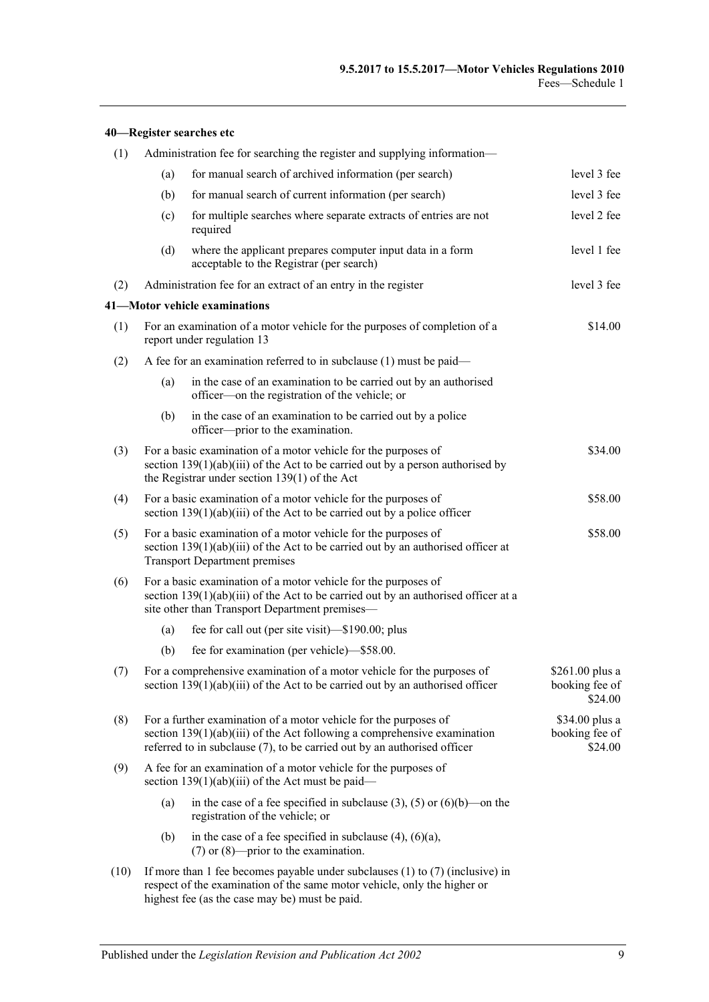|      |                                                                                                                                                               | 40—Register searches etc                                                                                                                                                                                                   |                                              |  |  |  |
|------|---------------------------------------------------------------------------------------------------------------------------------------------------------------|----------------------------------------------------------------------------------------------------------------------------------------------------------------------------------------------------------------------------|----------------------------------------------|--|--|--|
| (1)  |                                                                                                                                                               | Administration fee for searching the register and supplying information—                                                                                                                                                   |                                              |  |  |  |
|      | (a)                                                                                                                                                           | for manual search of archived information (per search)                                                                                                                                                                     | level 3 fee                                  |  |  |  |
|      | (b)                                                                                                                                                           | for manual search of current information (per search)                                                                                                                                                                      | level 3 fee                                  |  |  |  |
|      | (c)                                                                                                                                                           | for multiple searches where separate extracts of entries are not<br>required                                                                                                                                               | level 2 fee                                  |  |  |  |
|      | (d)                                                                                                                                                           | where the applicant prepares computer input data in a form<br>acceptable to the Registrar (per search)                                                                                                                     | level 1 fee                                  |  |  |  |
| (2)  |                                                                                                                                                               | Administration fee for an extract of an entry in the register                                                                                                                                                              | level 3 fee                                  |  |  |  |
|      |                                                                                                                                                               | 41-Motor vehicle examinations                                                                                                                                                                                              |                                              |  |  |  |
| (1)  |                                                                                                                                                               | For an examination of a motor vehicle for the purposes of completion of a<br>report under regulation 13                                                                                                                    | \$14.00                                      |  |  |  |
| (2)  |                                                                                                                                                               | A fee for an examination referred to in subclause (1) must be paid-                                                                                                                                                        |                                              |  |  |  |
|      | (a)                                                                                                                                                           | in the case of an examination to be carried out by an authorised<br>officer—on the registration of the vehicle; or                                                                                                         |                                              |  |  |  |
|      | (b)                                                                                                                                                           | in the case of an examination to be carried out by a police<br>officer---prior to the examination.                                                                                                                         |                                              |  |  |  |
| (3)  |                                                                                                                                                               | For a basic examination of a motor vehicle for the purposes of<br>section $139(1)(ab)(iii)$ of the Act to be carried out by a person authorised by<br>the Registrar under section $139(1)$ of the Act                      | \$34.00                                      |  |  |  |
| (4)  |                                                                                                                                                               | For a basic examination of a motor vehicle for the purposes of<br>section $139(1)(ab)(iii)$ of the Act to be carried out by a police officer                                                                               | \$58.00                                      |  |  |  |
| (5)  |                                                                                                                                                               | \$58.00<br>For a basic examination of a motor vehicle for the purposes of<br>section $139(1)(ab)(iii)$ of the Act to be carried out by an authorised officer at<br><b>Transport Department premises</b>                    |                                              |  |  |  |
| (6)  |                                                                                                                                                               | For a basic examination of a motor vehicle for the purposes of<br>section $139(1)(ab)(iii)$ of the Act to be carried out by an authorised officer at a<br>site other than Transport Department premises—                   |                                              |  |  |  |
|      | (a)                                                                                                                                                           | fee for call out (per site visit)—\$190.00; plus                                                                                                                                                                           |                                              |  |  |  |
|      | (b)                                                                                                                                                           | fee for examination (per vehicle)-\$58.00.                                                                                                                                                                                 |                                              |  |  |  |
| (7)  |                                                                                                                                                               | For a comprehensive examination of a motor vehicle for the purposes of<br>section $139(1)(ab)(iii)$ of the Act to be carried out by an authorised officer                                                                  | \$261.00 plus a<br>booking fee of<br>\$24.00 |  |  |  |
| (8)  |                                                                                                                                                               | For a further examination of a motor vehicle for the purposes of<br>section $139(1)(ab)(iii)$ of the Act following a comprehensive examination<br>referred to in subclause (7), to be carried out by an authorised officer | \$34.00 plus a<br>booking fee of<br>\$24.00  |  |  |  |
| (9)  |                                                                                                                                                               | A fee for an examination of a motor vehicle for the purposes of<br>section $139(1)(ab)(iii)$ of the Act must be paid—                                                                                                      |                                              |  |  |  |
|      | (a)                                                                                                                                                           | in the case of a fee specified in subclause $(3)$ , $(5)$ or $(6)(b)$ —on the<br>registration of the vehicle; or                                                                                                           |                                              |  |  |  |
|      | (b)                                                                                                                                                           | in the case of a fee specified in subclause $(4)$ , $(6)(a)$ ,<br>$(7)$ or $(8)$ —prior to the examination.                                                                                                                |                                              |  |  |  |
| (10) | If more than 1 fee becomes payable under subclauses $(1)$ to $(7)$ (inclusive) in<br>respect of the examination of the same motor vehicle, only the higher or |                                                                                                                                                                                                                            |                                              |  |  |  |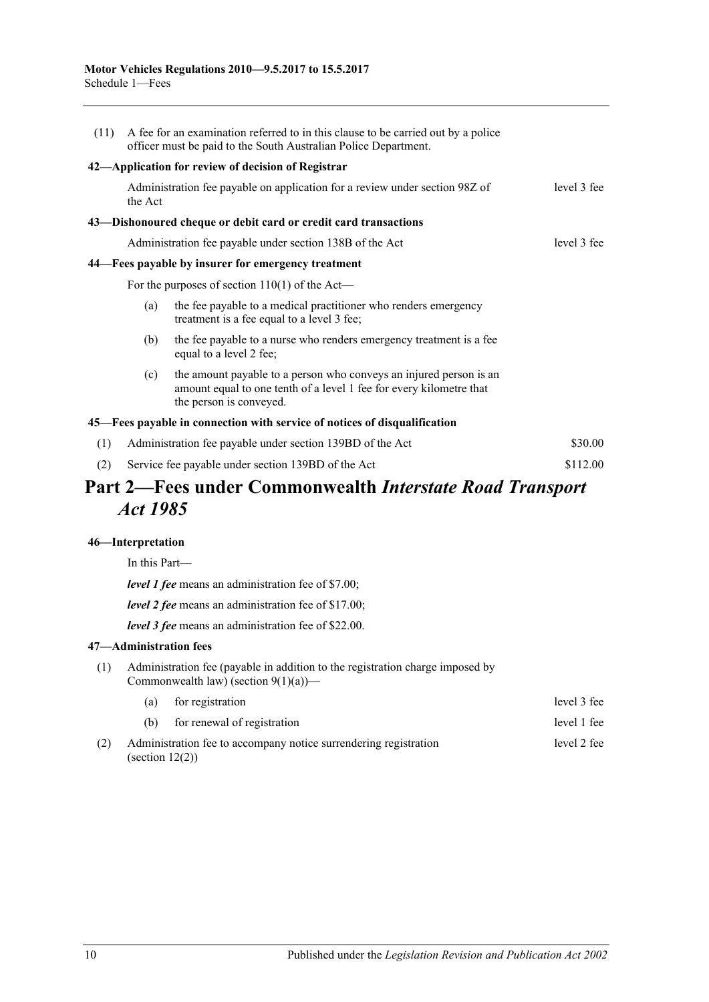| (11) | A fee for an examination referred to in this clause to be carried out by a police<br>officer must be paid to the South Australian Police Department. |                                                                                                                                                                      |             |  |  |
|------|------------------------------------------------------------------------------------------------------------------------------------------------------|----------------------------------------------------------------------------------------------------------------------------------------------------------------------|-------------|--|--|
|      |                                                                                                                                                      | 42—Application for review of decision of Registrar                                                                                                                   |             |  |  |
|      | Administration fee payable on application for a review under section 98Z of<br>level 3 fee<br>the Act                                                |                                                                                                                                                                      |             |  |  |
|      |                                                                                                                                                      | 43—Dishonoured cheque or debit card or credit card transactions                                                                                                      |             |  |  |
|      |                                                                                                                                                      | Administration fee payable under section 138B of the Act                                                                                                             | level 3 fee |  |  |
|      |                                                                                                                                                      | 44—Fees payable by insurer for emergency treatment                                                                                                                   |             |  |  |
|      |                                                                                                                                                      | For the purposes of section $110(1)$ of the Act—                                                                                                                     |             |  |  |
|      | (a)                                                                                                                                                  | the fee payable to a medical practitioner who renders emergency<br>treatment is a fee equal to a level 3 fee;                                                        |             |  |  |
|      | (b)                                                                                                                                                  | the fee payable to a nurse who renders emergency treatment is a fee<br>equal to a level 2 fee;                                                                       |             |  |  |
|      | (c)                                                                                                                                                  | the amount payable to a person who conveys an injured person is an<br>amount equal to one tenth of a level 1 fee for every kilometre that<br>the person is conveyed. |             |  |  |
|      |                                                                                                                                                      | 45—Fees payable in connection with service of notices of disqualification                                                                                            |             |  |  |
| (1)  |                                                                                                                                                      | Administration fee payable under section 139BD of the Act                                                                                                            | \$30.00     |  |  |
| (2)  |                                                                                                                                                      | Service fee payable under section 139BD of the Act                                                                                                                   | \$112.00    |  |  |
|      |                                                                                                                                                      |                                                                                                                                                                      |             |  |  |

## **Part 2—Fees under Commonwealth** *Interstate Road Transport Act 1985*

#### **46—Interpretation**

In this Part—

*level 1 fee* means an administration fee of \$7.00;

*level 2 fee* means an administration fee of \$17.00;

*level 3 fee* means an administration fee of \$22.00.

### **47—Administration fees**

(1) Administration fee (payable in addition to the registration charge imposed by Commonwealth law) (section  $9(1)(a)$ )—

|     | (a)                | for registration                                                 | level 3 fee |
|-----|--------------------|------------------------------------------------------------------|-------------|
|     | (b)                | for renewal of registration                                      | level 1 fee |
| (2) | (section $12(2)$ ) | Administration fee to accompany notice surrendering registration | level 2 fee |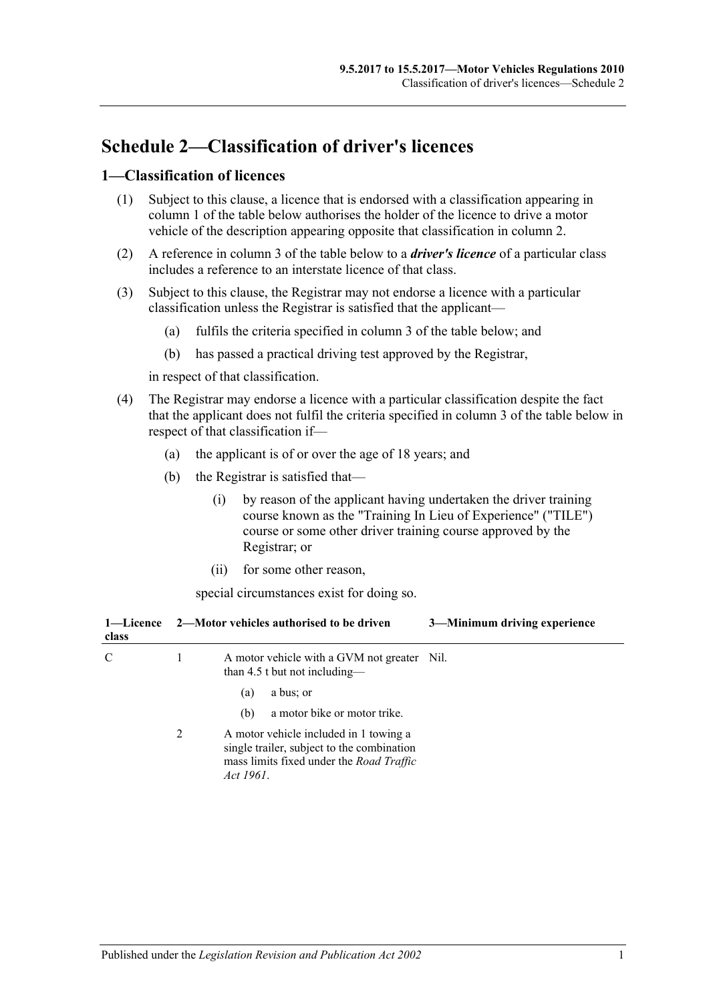## **Schedule 2—Classification of driver's licences**

### **1—Classification of licences**

- (1) Subject to this clause, a licence that is endorsed with a classification appearing in column 1 of the table below authorises the holder of the licence to drive a motor vehicle of the description appearing opposite that classification in column 2.
- (2) A reference in column 3 of the table below to a *driver's licence* of a particular class includes a reference to an interstate licence of that class.
- (3) Subject to this clause, the Registrar may not endorse a licence with a particular classification unless the Registrar is satisfied that the applicant—
	- (a) fulfils the criteria specified in column 3 of the table below; and
	- (b) has passed a practical driving test approved by the Registrar,

in respect of that classification.

- (4) The Registrar may endorse a licence with a particular classification despite the fact that the applicant does not fulfil the criteria specified in column 3 of the table below in respect of that classification if—
	- (a) the applicant is of or over the age of 18 years; and
	- (b) the Registrar is satisfied that—
		- (i) by reason of the applicant having undertaken the driver training course known as the "Training In Lieu of Experience" ("TILE") course or some other driver training course approved by the Registrar; or
		- (ii) for some other reason,

special circumstances exist for doing so.

| class |   | 3-Minimum driving experience<br>1—Licence 2—Motor vehicles authorised to be driven                                                            |
|-------|---|-----------------------------------------------------------------------------------------------------------------------------------------------|
| C     |   | A motor vehicle with a GVM not greater Nil.<br>than 4.5 t but not including—                                                                  |
|       |   | a bus; or<br>(a)                                                                                                                              |
|       |   | a motor bike or motor trike.<br>(b)                                                                                                           |
|       | 2 | A motor vehicle included in 1 towing a<br>single trailer, subject to the combination<br>mass limits fixed under the Road Traffic<br>Act 1961. |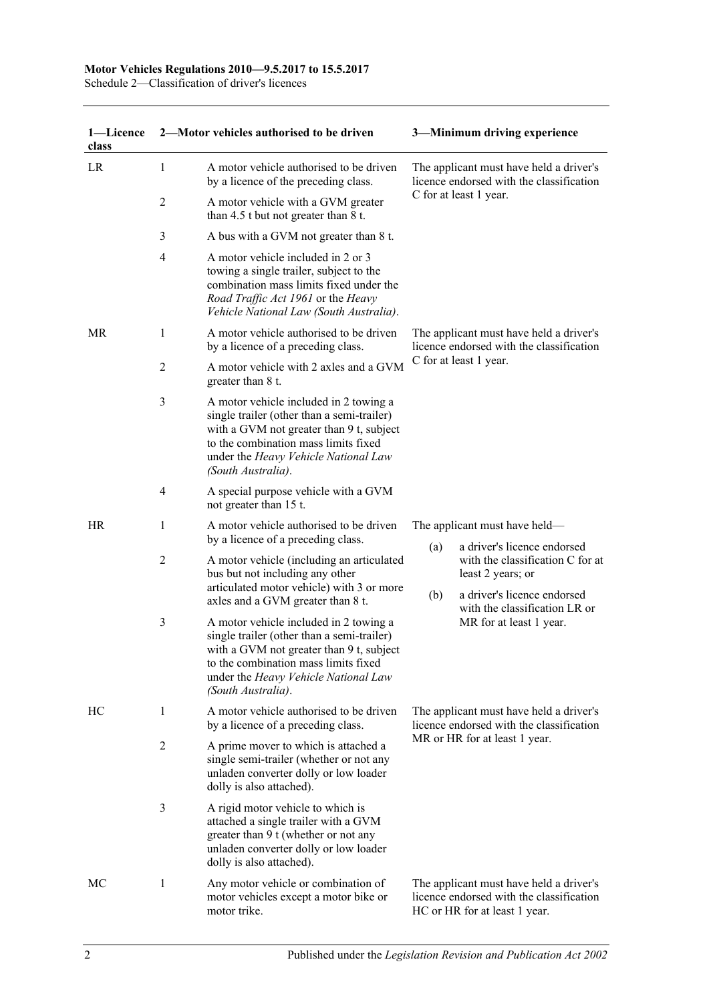#### **Motor Vehicles Regulations 2010—9.5.2017 to 15.5.2017**

Schedule 2—Classification of driver's licences

| 1-Licence<br>class |                         | 2-Motor vehicles authorised to be driven                                                                                                                                                                                               |                                                                                     | 3-Minimum driving experience                                                                                         |
|--------------------|-------------------------|----------------------------------------------------------------------------------------------------------------------------------------------------------------------------------------------------------------------------------------|-------------------------------------------------------------------------------------|----------------------------------------------------------------------------------------------------------------------|
| LR                 | 1                       | A motor vehicle authorised to be driven<br>by a licence of the preceding class.                                                                                                                                                        |                                                                                     | The applicant must have held a driver's<br>licence endorsed with the classification                                  |
|                    | $\overline{c}$          | A motor vehicle with a GVM greater<br>than 4.5 t but not greater than 8 t.                                                                                                                                                             |                                                                                     | C for at least 1 year.                                                                                               |
|                    | 3                       | A bus with a GVM not greater than 8 t.                                                                                                                                                                                                 |                                                                                     |                                                                                                                      |
|                    | $\overline{4}$          | A motor vehicle included in 2 or 3<br>towing a single trailer, subject to the<br>combination mass limits fixed under the<br>Road Traffic Act 1961 or the Heavy<br>Vehicle National Law (South Australia).                              |                                                                                     |                                                                                                                      |
| MR                 | 1                       | A motor vehicle authorised to be driven<br>by a licence of a preceding class.                                                                                                                                                          | The applicant must have held a driver's<br>licence endorsed with the classification |                                                                                                                      |
|                    | $\overline{c}$          | A motor vehicle with 2 axles and a GVM<br>greater than 8 t.                                                                                                                                                                            |                                                                                     | C for at least 1 year.                                                                                               |
|                    | 3                       | A motor vehicle included in 2 towing a<br>single trailer (other than a semi-trailer)<br>with a GVM not greater than 9 t, subject<br>to the combination mass limits fixed<br>under the Heavy Vehicle National Law<br>(South Australia). |                                                                                     |                                                                                                                      |
|                    | $\overline{\mathbf{4}}$ | A special purpose vehicle with a GVM<br>not greater than 15 t.                                                                                                                                                                         |                                                                                     |                                                                                                                      |
| HR                 | 1                       | A motor vehicle authorised to be driven<br>by a licence of a preceding class.                                                                                                                                                          | (a)                                                                                 | The applicant must have held—<br>a driver's licence endorsed                                                         |
|                    | $\overline{c}$          | A motor vehicle (including an articulated<br>bus but not including any other<br>articulated motor vehicle) with 3 or more<br>axles and a GVM greater than 8 t.                                                                         | (b)                                                                                 | with the classification C for at<br>least 2 years; or<br>a driver's licence endorsed                                 |
|                    | 3                       | A motor vehicle included in 2 towing a<br>single trailer (other than a semi-trailer)<br>with a GVM not greater than 9 t, subject<br>to the combination mass limits fixed<br>under the Heavy Vehicle National Law<br>(South Australia). |                                                                                     | with the classification LR or<br>MR for at least 1 year.                                                             |
| HC                 | 1                       | A motor vehicle authorised to be driven<br>by a licence of a preceding class.                                                                                                                                                          |                                                                                     | The applicant must have held a driver's<br>licence endorsed with the classification                                  |
|                    | $\overline{2}$          | A prime mover to which is attached a<br>single semi-trailer (whether or not any<br>unladen converter dolly or low loader<br>dolly is also attached).                                                                                   |                                                                                     | MR or HR for at least 1 year.                                                                                        |
|                    | 3                       | A rigid motor vehicle to which is<br>attached a single trailer with a GVM<br>greater than 9 t (whether or not any<br>unladen converter dolly or low loader<br>dolly is also attached).                                                 |                                                                                     |                                                                                                                      |
| МC                 | 1                       | Any motor vehicle or combination of<br>motor vehicles except a motor bike or<br>motor trike.                                                                                                                                           |                                                                                     | The applicant must have held a driver's<br>licence endorsed with the classification<br>HC or HR for at least 1 year. |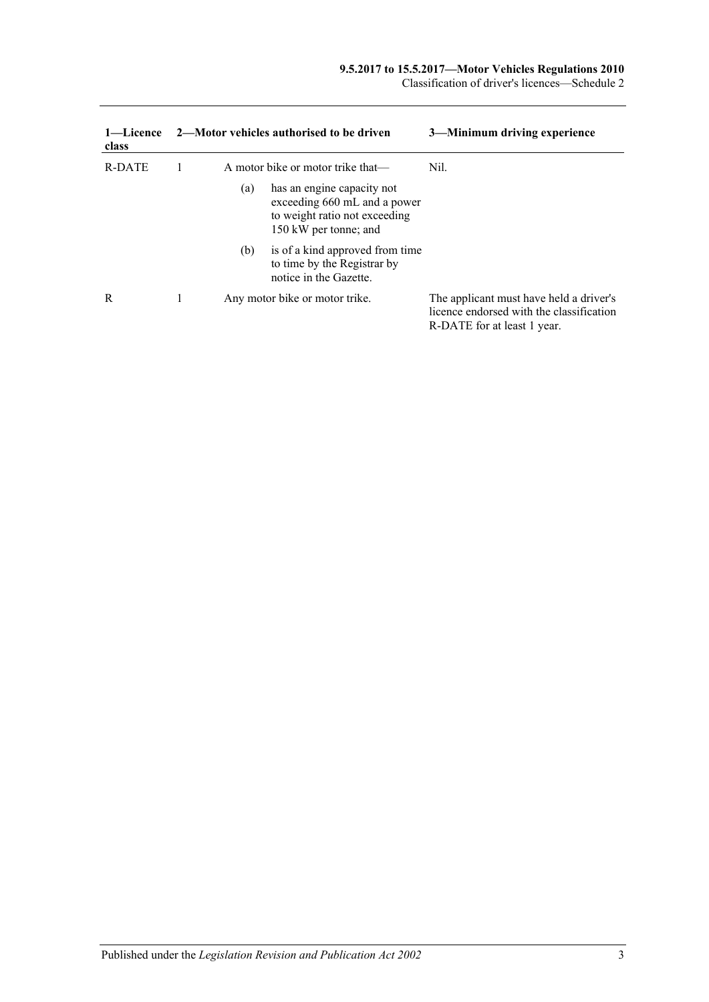| 1—Licence<br>class |     | 2—Motor vehicles authorised to be driven                                                                             | 3—Minimum driving experience                                                                                       |
|--------------------|-----|----------------------------------------------------------------------------------------------------------------------|--------------------------------------------------------------------------------------------------------------------|
| R-DATE             |     | A motor bike or motor trike that—                                                                                    | Nil.                                                                                                               |
|                    | (a) | has an engine capacity not<br>exceeding 660 mL and a power<br>to weight ratio not exceeding<br>150 kW per tonne; and |                                                                                                                    |
|                    | (b) | is of a kind approved from time<br>to time by the Registrar by<br>notice in the Gazette.                             |                                                                                                                    |
| R                  |     | Any motor bike or motor trike.                                                                                       | The applicant must have held a driver's<br>licence endorsed with the classification<br>R-DATE for at least 1 year. |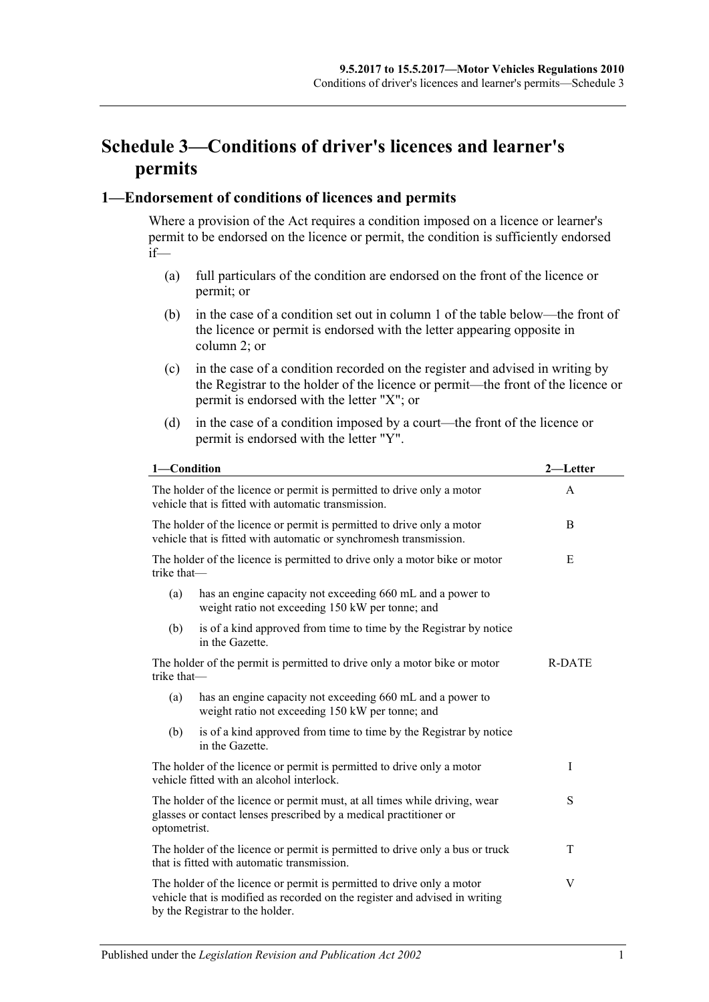## **Schedule 3—Conditions of driver's licences and learner's permits**

### **1—Endorsement of conditions of licences and permits**

Where a provision of the Act requires a condition imposed on a licence or learner's permit to be endorsed on the licence or permit, the condition is sufficiently endorsed if—

- (a) full particulars of the condition are endorsed on the front of the licence or permit; or
- (b) in the case of a condition set out in column 1 of the table below—the front of the licence or permit is endorsed with the letter appearing opposite in column 2; or
- (c) in the case of a condition recorded on the register and advised in writing by the Registrar to the holder of the licence or permit—the front of the licence or permit is endorsed with the letter "X"; or
- (d) in the case of a condition imposed by a court—the front of the licence or permit is endorsed with the letter "Y".

| 1-Condition                                                                                                                                                          |                                                                                                                                                                                          | 2—Letter      |  |
|----------------------------------------------------------------------------------------------------------------------------------------------------------------------|------------------------------------------------------------------------------------------------------------------------------------------------------------------------------------------|---------------|--|
|                                                                                                                                                                      | The holder of the licence or permit is permitted to drive only a motor<br>A<br>vehicle that is fitted with automatic transmission.                                                       |               |  |
|                                                                                                                                                                      | The holder of the licence or permit is permitted to drive only a motor<br>vehicle that is fitted with automatic or synchromesh transmission.                                             | B             |  |
| trike that-                                                                                                                                                          | The holder of the licence is permitted to drive only a motor bike or motor                                                                                                               | E             |  |
| (a)                                                                                                                                                                  | has an engine capacity not exceeding 660 mL and a power to<br>weight ratio not exceeding 150 kW per tonne; and                                                                           |               |  |
| (b)                                                                                                                                                                  | is of a kind approved from time to time by the Registrar by notice<br>in the Gazette.                                                                                                    |               |  |
| The holder of the permit is permitted to drive only a motor bike or motor<br>trike that-                                                                             |                                                                                                                                                                                          | <b>R-DATE</b> |  |
| (a)                                                                                                                                                                  | has an engine capacity not exceeding 660 mL and a power to<br>weight ratio not exceeding 150 kW per tonne; and                                                                           |               |  |
| (b)                                                                                                                                                                  | is of a kind approved from time to time by the Registrar by notice<br>in the Gazette.                                                                                                    |               |  |
|                                                                                                                                                                      | The holder of the licence or permit is permitted to drive only a motor<br>vehicle fitted with an alcohol interlock.                                                                      | I             |  |
| S<br>The holder of the licence or permit must, at all times while driving, wear<br>glasses or contact lenses prescribed by a medical practitioner or<br>optometrist. |                                                                                                                                                                                          |               |  |
| The holder of the licence or permit is permitted to drive only a bus or truck<br>T<br>that is fitted with automatic transmission.                                    |                                                                                                                                                                                          |               |  |
|                                                                                                                                                                      | The holder of the licence or permit is permitted to drive only a motor<br>vehicle that is modified as recorded on the register and advised in writing<br>by the Registrar to the holder. | V             |  |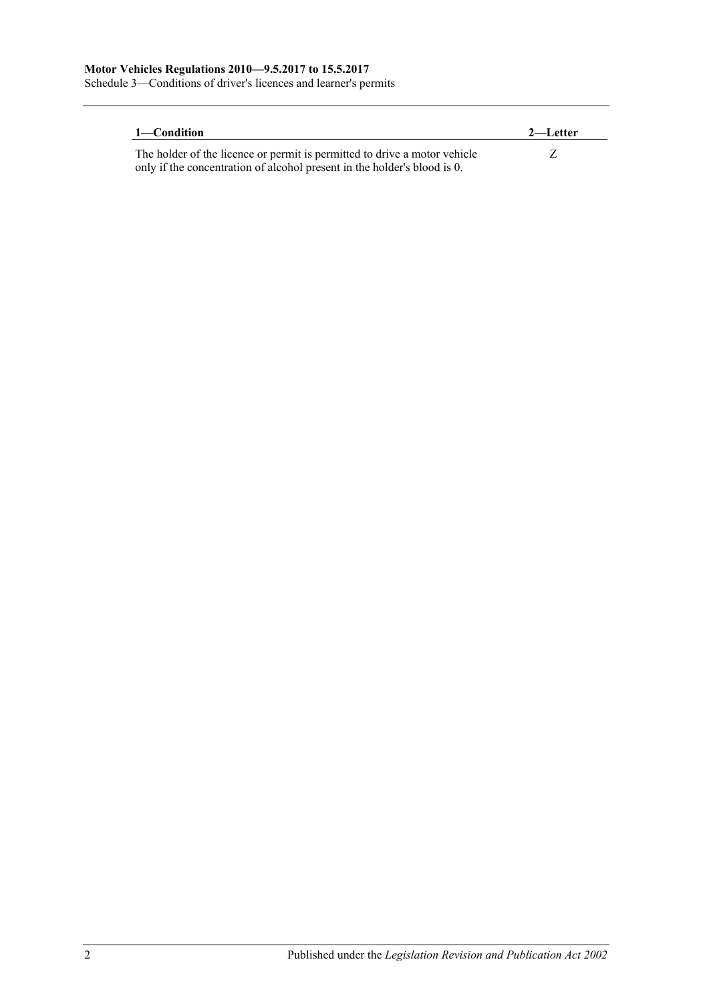Schedule 3—Conditions of driver's licences and learner's permits

| 1—Condition                                                               | 2—Letter |
|---------------------------------------------------------------------------|----------|
| The holder of the licence or permit is permitted to drive a motor vehicle |          |
| only if the concentration of alcohol present in the holder's blood is 0.  |          |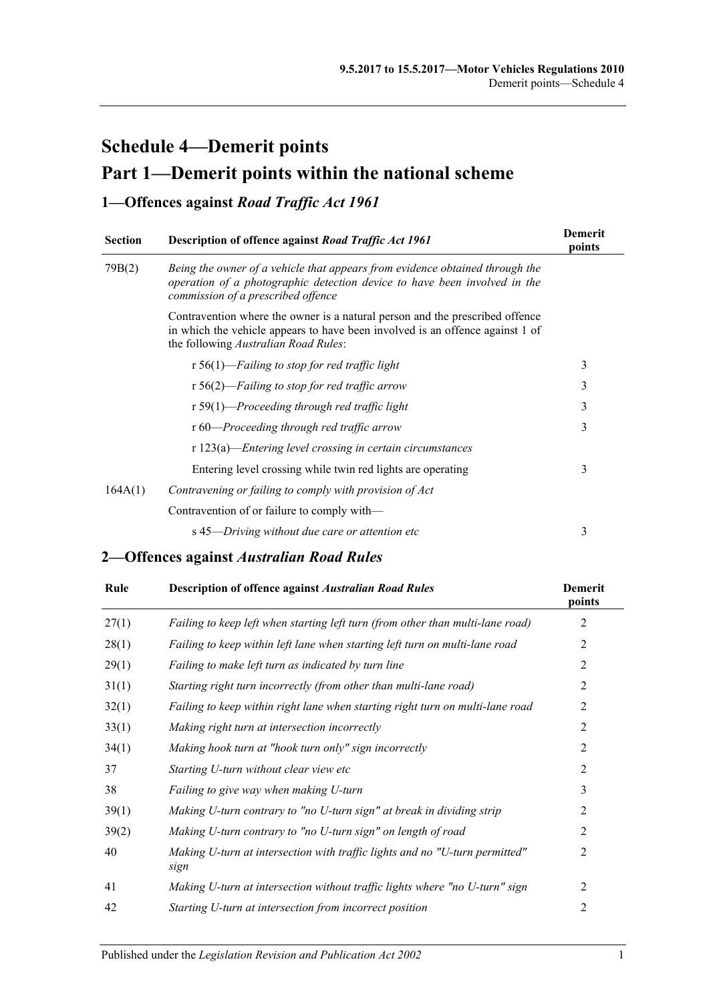# **Schedule 4—Demerit points Part 1—Demerit points within the national scheme**

### **1—Offences against** *Road Traffic Act 1961*

| <b>Section</b> | Description of offence against Road Traffic Act 1961                                                                                                                                                  | <b>Demerit</b><br>points |
|----------------|-------------------------------------------------------------------------------------------------------------------------------------------------------------------------------------------------------|--------------------------|
| 79B(2)         | Being the owner of a vehicle that appears from evidence obtained through the<br>operation of a photographic detection device to have been involved in the<br>commission of a prescribed offence       |                          |
|                | Contravention where the owner is a natural person and the prescribed offence<br>in which the vehicle appears to have been involved is an offence against 1 of<br>the following Australian Road Rules: |                          |
|                | r 56(1)—Failing to stop for red traffic light                                                                                                                                                         | 3                        |
|                | $r 56(2)$ —Failing to stop for red traffic arrow                                                                                                                                                      | 3                        |
|                | r 59(1)—Proceeding through red traffic light                                                                                                                                                          | 3                        |
|                | r 60—Proceeding through red traffic arrow                                                                                                                                                             | 3                        |
|                | $r 123(a)$ —Entering level crossing in certain circumstances                                                                                                                                          |                          |
|                | Entering level crossing while twin red lights are operating                                                                                                                                           | 3                        |
| 164A(1)        | Contravening or failing to comply with provision of Act                                                                                                                                               |                          |
|                | Contravention of or failure to comply with—                                                                                                                                                           |                          |
|                | s 45—Driving without due care or attention etc                                                                                                                                                        | 3                        |

## **2—Offences against** *Australian Road Rules*

| Rule  | <b>Description of offence against Australian Road Rules</b>                         | <b>Demerit</b><br>points |
|-------|-------------------------------------------------------------------------------------|--------------------------|
| 27(1) | Failing to keep left when starting left turn (from other than multi-lane road)      | 2                        |
| 28(1) | Failing to keep within left lane when starting left turn on multi-lane road         | 2                        |
| 29(1) | Failing to make left turn as indicated by turn line                                 | $\overline{2}$           |
| 31(1) | Starting right turn incorrectly (from other than multi-lane road)                   | $\overline{2}$           |
| 32(1) | Failing to keep within right lane when starting right turn on multi-lane road       | 2                        |
| 33(1) | Making right turn at intersection incorrectly                                       | $\overline{2}$           |
| 34(1) | Making hook turn at "hook turn only" sign incorrectly                               | 2                        |
| 37    | Starting U-turn without clear view etc                                              | $\overline{2}$           |
| 38    | Failing to give way when making U-turn                                              | 3                        |
| 39(1) | Making U-turn contrary to "no U-turn sign" at break in dividing strip               | 2                        |
| 39(2) | Making U-turn contrary to "no U-turn sign" on length of road                        | $\overline{2}$           |
| 40    | Making U-turn at intersection with traffic lights and no "U-turn permitted"<br>sign | 2                        |
| 41    | Making U-turn at intersection without traffic lights where "no U-turn" sign         | 2                        |
| 42    | Starting U-turn at intersection from incorrect position                             | 2                        |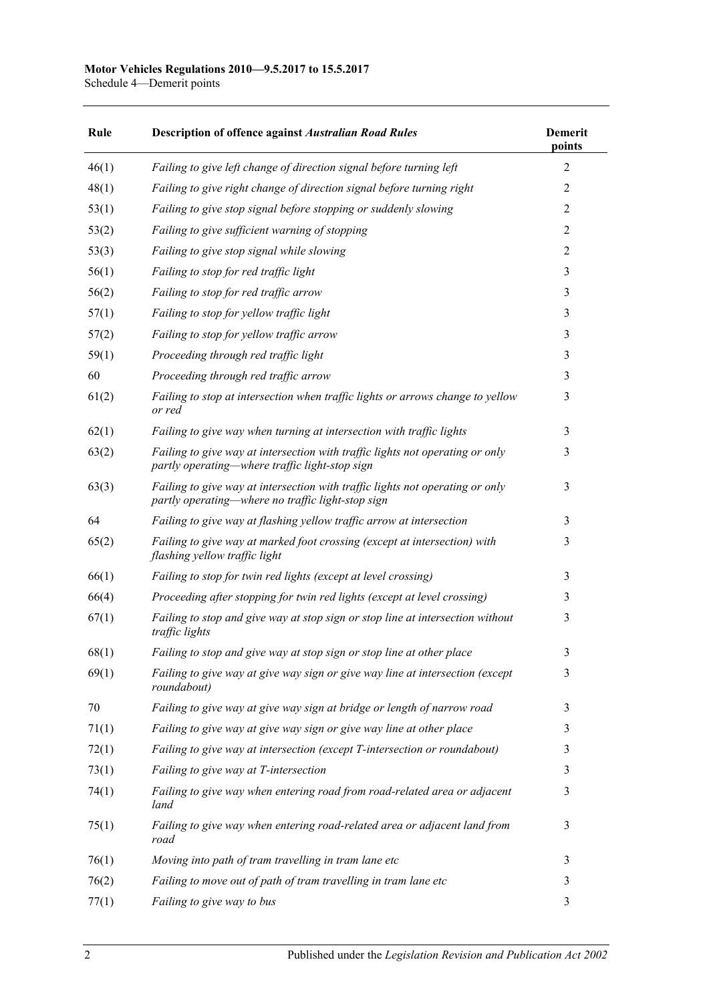### **Motor Vehicles Regulations 2010—9.5.2017 to 15.5.2017**

Schedule 4—Demerit points

| Rule  | <b>Description of offence against Australian Road Rules</b>                                                                        | <b>Demerit</b><br>points |
|-------|------------------------------------------------------------------------------------------------------------------------------------|--------------------------|
| 46(1) | Failing to give left change of direction signal before turning left                                                                | $\overline{2}$           |
| 48(1) | Failing to give right change of direction signal before turning right                                                              | $\overline{2}$           |
| 53(1) | Failing to give stop signal before stopping or suddenly slowing                                                                    | $\overline{2}$           |
| 53(2) | Failing to give sufficient warning of stopping                                                                                     | $\overline{2}$           |
| 53(3) | Failing to give stop signal while slowing                                                                                          | $\overline{2}$           |
| 56(1) | Failing to stop for red traffic light                                                                                              | 3                        |
| 56(2) | Failing to stop for red traffic arrow                                                                                              | 3                        |
| 57(1) | Failing to stop for yellow traffic light                                                                                           | 3                        |
| 57(2) | Failing to stop for yellow traffic arrow                                                                                           | 3                        |
| 59(1) | Proceeding through red traffic light                                                                                               | 3                        |
| 60    | Proceeding through red traffic arrow                                                                                               | 3                        |
| 61(2) | Failing to stop at intersection when traffic lights or arrows change to yellow<br>or red                                           | 3                        |
| 62(1) | Failing to give way when turning at intersection with traffic lights                                                               | 3                        |
| 63(2) | Failing to give way at intersection with traffic lights not operating or only<br>partly operating—where traffic light-stop sign    | 3                        |
| 63(3) | Failing to give way at intersection with traffic lights not operating or only<br>partly operating—where no traffic light-stop sign | 3                        |
| 64    | Failing to give way at flashing yellow traffic arrow at intersection                                                               | 3                        |
| 65(2) | Failing to give way at marked foot crossing (except at intersection) with<br>flashing yellow traffic light                         | 3                        |
| 66(1) | Failing to stop for twin red lights (except at level crossing)                                                                     | 3                        |
| 66(4) | Proceeding after stopping for twin red lights (except at level crossing)                                                           | 3                        |
| 67(1) | Failing to stop and give way at stop sign or stop line at intersection without<br>traffic lights                                   | 3                        |
| 68(1) | Failing to stop and give way at stop sign or stop line at other place                                                              | 3                        |
| 69(1) | Failing to give way at give way sign or give way line at intersection (except<br>roundabout)                                       | 3                        |
| 70    | Failing to give way at give way sign at bridge or length of narrow road                                                            | 3                        |
| 71(1) | Failing to give way at give way sign or give way line at other place                                                               | 3                        |
| 72(1) | Failing to give way at intersection (except T-intersection or roundabout)                                                          | 3                        |
| 73(1) | Failing to give way at T-intersection                                                                                              | 3                        |
| 74(1) | Failing to give way when entering road from road-related area or adjacent<br>land                                                  | 3                        |
| 75(1) | Failing to give way when entering road-related area or adjacent land from<br>road                                                  | 3                        |
| 76(1) | Moving into path of tram travelling in tram lane etc                                                                               | 3                        |
| 76(2) | Failing to move out of path of tram travelling in tram lane etc                                                                    | 3                        |
| 77(1) | Failing to give way to bus                                                                                                         | 3                        |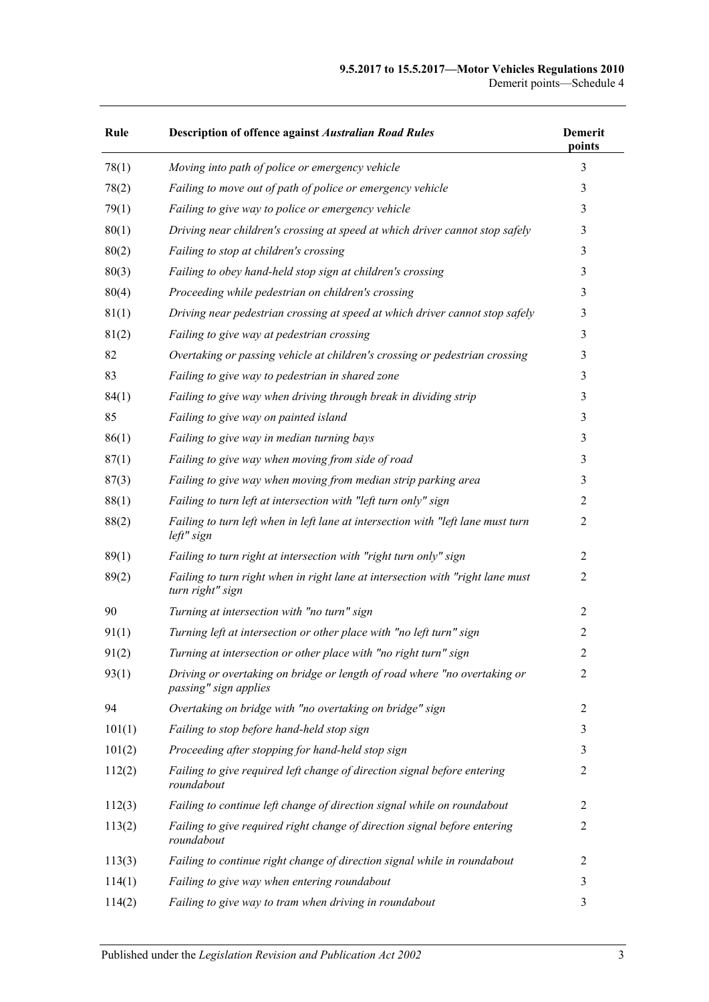#### **9.5.2017 to 15.5.2017—Motor Vehicles Regulations 2010** Demerit points—Schedule 4

| Rule   | <b>Description of offence against Australian Road Rules</b>                                        | <b>Demerit</b><br>points |
|--------|----------------------------------------------------------------------------------------------------|--------------------------|
| 78(1)  | Moving into path of police or emergency vehicle                                                    | 3                        |
| 78(2)  | Failing to move out of path of police or emergency vehicle                                         | 3                        |
| 79(1)  | Failing to give way to police or emergency vehicle                                                 | 3                        |
| 80(1)  | Driving near children's crossing at speed at which driver cannot stop safely                       | 3                        |
| 80(2)  | Failing to stop at children's crossing                                                             | 3                        |
| 80(3)  | Failing to obey hand-held stop sign at children's crossing                                         | 3                        |
| 80(4)  | Proceeding while pedestrian on children's crossing                                                 | 3                        |
| 81(1)  | Driving near pedestrian crossing at speed at which driver cannot stop safely                       | 3                        |
| 81(2)  | Failing to give way at pedestrian crossing                                                         | 3                        |
| 82     | Overtaking or passing vehicle at children's crossing or pedestrian crossing                        | 3                        |
| 83     | Failing to give way to pedestrian in shared zone                                                   | 3                        |
| 84(1)  | Failing to give way when driving through break in dividing strip                                   | 3                        |
| 85     | Failing to give way on painted island                                                              | 3                        |
| 86(1)  | Failing to give way in median turning bays                                                         | 3                        |
| 87(1)  | Failing to give way when moving from side of road                                                  | 3                        |
| 87(3)  | Failing to give way when moving from median strip parking area                                     | 3                        |
| 88(1)  | Failing to turn left at intersection with "left turn only" sign                                    | 2                        |
| 88(2)  | Failing to turn left when in left lane at intersection with "left lane must turn<br>left" sign     | $\overline{c}$           |
| 89(1)  | Failing to turn right at intersection with "right turn only" sign                                  | $\overline{2}$           |
| 89(2)  | Failing to turn right when in right lane at intersection with "right lane must<br>turn right" sign | $\overline{2}$           |
| 90     | Turning at intersection with "no turn" sign                                                        | $\overline{2}$           |
| 91(1)  | Turning left at intersection or other place with "no left turn" sign                               | $\overline{c}$           |
| 91(2)  | Turning at intersection or other place with "no right turn" sign                                   | 2                        |
| 93(1)  | Driving or overtaking on bridge or length of road where "no overtaking or<br>passing" sign applies | 2                        |
| 94     | Overtaking on bridge with "no overtaking on bridge" sign                                           | 2                        |
| 101(1) | Failing to stop before hand-held stop sign                                                         | 3                        |
| 101(2) | Proceeding after stopping for hand-held stop sign                                                  | 3                        |
| 112(2) | Failing to give required left change of direction signal before entering<br>roundabout             | $\overline{2}$           |
| 112(3) | Failing to continue left change of direction signal while on roundabout                            | $\overline{2}$           |
| 113(2) | Failing to give required right change of direction signal before entering<br>roundabout            | $\overline{2}$           |
| 113(3) | Failing to continue right change of direction signal while in roundabout                           | $\overline{2}$           |
| 114(1) | Failing to give way when entering roundabout                                                       | 3                        |
| 114(2) | Failing to give way to tram when driving in roundabout                                             | 3                        |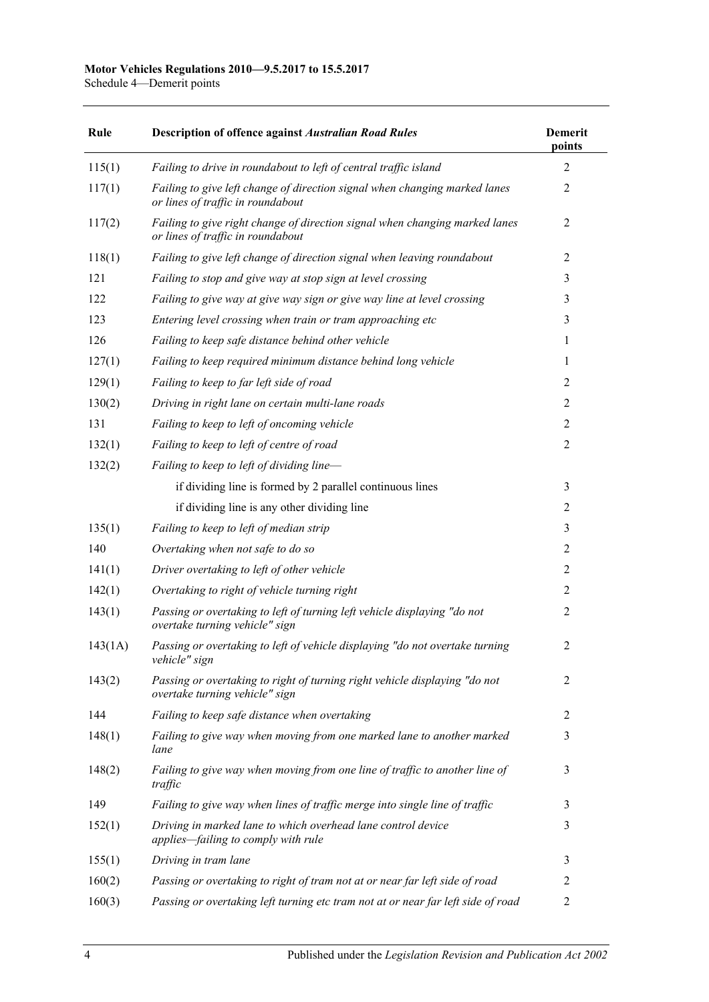Schedule 4—Demerit points

| Rule    | <b>Description of offence against Australian Road Rules</b>                                                      | <b>Demerit</b><br>points |
|---------|------------------------------------------------------------------------------------------------------------------|--------------------------|
| 115(1)  | Failing to drive in roundabout to left of central traffic island                                                 | $\overline{2}$           |
| 117(1)  | Failing to give left change of direction signal when changing marked lanes<br>or lines of traffic in roundabout  | $\overline{2}$           |
| 117(2)  | Failing to give right change of direction signal when changing marked lanes<br>or lines of traffic in roundabout | $\overline{2}$           |
| 118(1)  | Failing to give left change of direction signal when leaving roundabout                                          | $\overline{2}$           |
| 121     | Failing to stop and give way at stop sign at level crossing                                                      | 3                        |
| 122     | Failing to give way at give way sign or give way line at level crossing                                          | 3                        |
| 123     | Entering level crossing when train or tram approaching etc                                                       | 3                        |
| 126     | Failing to keep safe distance behind other vehicle                                                               | 1                        |
| 127(1)  | Failing to keep required minimum distance behind long vehicle                                                    | 1                        |
| 129(1)  | Failing to keep to far left side of road                                                                         | $\overline{2}$           |
| 130(2)  | Driving in right lane on certain multi-lane roads                                                                | $\overline{2}$           |
| 131     | Failing to keep to left of oncoming vehicle                                                                      | $\overline{2}$           |
| 132(1)  | Failing to keep to left of centre of road                                                                        | $\overline{2}$           |
| 132(2)  | Failing to keep to left of dividing line-                                                                        |                          |
|         | if dividing line is formed by 2 parallel continuous lines                                                        | 3                        |
|         | if dividing line is any other dividing line                                                                      | $\overline{2}$           |
| 135(1)  | Failing to keep to left of median strip                                                                          | 3                        |
| 140     | Overtaking when not safe to do so                                                                                | $\overline{2}$           |
| 141(1)  | Driver overtaking to left of other vehicle                                                                       | $\overline{2}$           |
| 142(1)  | Overtaking to right of vehicle turning right                                                                     | $\overline{2}$           |
| 143(1)  | Passing or overtaking to left of turning left vehicle displaying "do not<br>overtake turning vehicle" sign       | $\overline{2}$           |
| 143(1A) | Passing or overtaking to left of vehicle displaying "do not overtake turning<br>vehicle" sign                    | $\overline{2}$           |
| 143(2)  | Passing or overtaking to right of turning right vehicle displaying "do not<br>overtake turning vehicle" sign     | $\overline{2}$           |
| 144     | Failing to keep safe distance when overtaking                                                                    | 2                        |
| 148(1)  | Failing to give way when moving from one marked lane to another marked<br>lane                                   | 3                        |
| 148(2)  | Failing to give way when moving from one line of traffic to another line of<br>traffic                           | 3                        |
| 149     | Failing to give way when lines of traffic merge into single line of traffic                                      | 3                        |
| 152(1)  | Driving in marked lane to which overhead lane control device<br>applies-failing to comply with rule              | 3                        |
| 155(1)  | Driving in tram lane                                                                                             | 3                        |
| 160(2)  | Passing or overtaking to right of tram not at or near far left side of road                                      | 2                        |
| 160(3)  | Passing or overtaking left turning etc tram not at or near far left side of road                                 | $\overline{2}$           |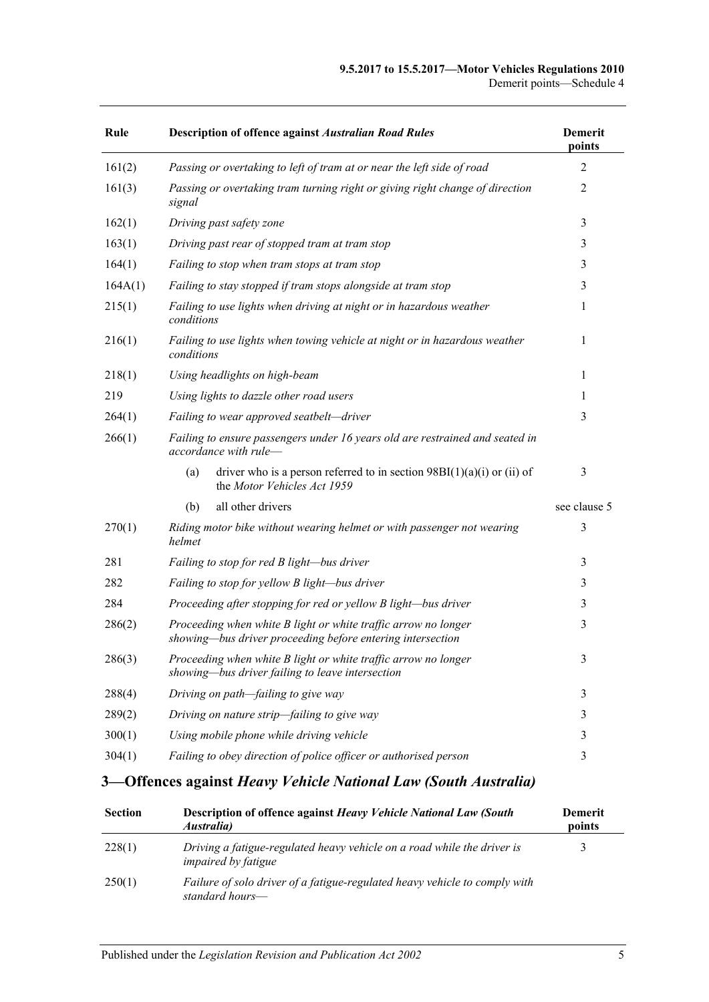| Rule    | <b>Description of offence against Australian Road Rules</b>                                                                  | <b>Demerit</b><br>points |
|---------|------------------------------------------------------------------------------------------------------------------------------|--------------------------|
| 161(2)  | Passing or overtaking to left of tram at or near the left side of road                                                       | 2                        |
| 161(3)  | Passing or overtaking tram turning right or giving right change of direction<br>signal                                       | 2                        |
| 162(1)  | Driving past safety zone                                                                                                     | 3                        |
| 163(1)  | Driving past rear of stopped tram at tram stop                                                                               | 3                        |
| 164(1)  | Failing to stop when tram stops at tram stop                                                                                 | 3                        |
| 164A(1) | Failing to stay stopped if tram stops alongside at tram stop                                                                 | 3                        |
| 215(1)  | Failing to use lights when driving at night or in hazardous weather<br>conditions                                            | 1                        |
| 216(1)  | Failing to use lights when towing vehicle at night or in hazardous weather<br>conditions                                     | 1                        |
| 218(1)  | Using headlights on high-beam                                                                                                | $\mathbf{1}$             |
| 219     | Using lights to dazzle other road users                                                                                      | 1                        |
| 264(1)  | Failing to wear approved seatbelt-driver                                                                                     | 3                        |
| 266(1)  | Failing to ensure passengers under 16 years old are restrained and seated in<br>accordance with rule-                        |                          |
|         | driver who is a person referred to in section $98B(1)(a)(i)$ or (ii) of<br>(a)<br>the Motor Vehicles Act 1959                | 3                        |
|         | all other drivers<br>(b)                                                                                                     | see clause 5             |
| 270(1)  | Riding motor bike without wearing helmet or with passenger not wearing<br>helmet                                             | 3                        |
| 281     | Failing to stop for red B light-bus driver                                                                                   | 3                        |
| 282     | Failing to stop for yellow B light-bus driver                                                                                | 3                        |
| 284     | Proceeding after stopping for red or yellow B light-bus driver                                                               | 3                        |
| 286(2)  | Proceeding when white B light or white traffic arrow no longer<br>showing-bus driver proceeding before entering intersection | 3                        |
| 286(3)  | Proceeding when white B light or white traffic arrow no longer<br>showing—bus driver failing to leave intersection           | 3                        |
| 288(4)  | Driving on path-failing to give way                                                                                          | 3                        |
| 289(2)  | Driving on nature strip-failing to give way                                                                                  | 3                        |
| 300(1)  | Using mobile phone while driving vehicle                                                                                     | 3                        |
| 304(1)  | Failing to obey direction of police officer or authorised person                                                             | 3                        |

## **3—Offences against** *Heavy Vehicle National Law (South Australia)*

| <b>Section</b> | Description of offence against Heavy Vehicle National Law (South<br><i>Australia</i> )                | <b>Demerit</b><br>points |
|----------------|-------------------------------------------------------------------------------------------------------|--------------------------|
| 228(1)         | Driving a fatigue-regulated heavy vehicle on a road while the driver is<br><i>impaired by fatigue</i> |                          |
| 250(1)         | Failure of solo driver of a fatigue-regulated heavy vehicle to comply with<br>standard hours—         |                          |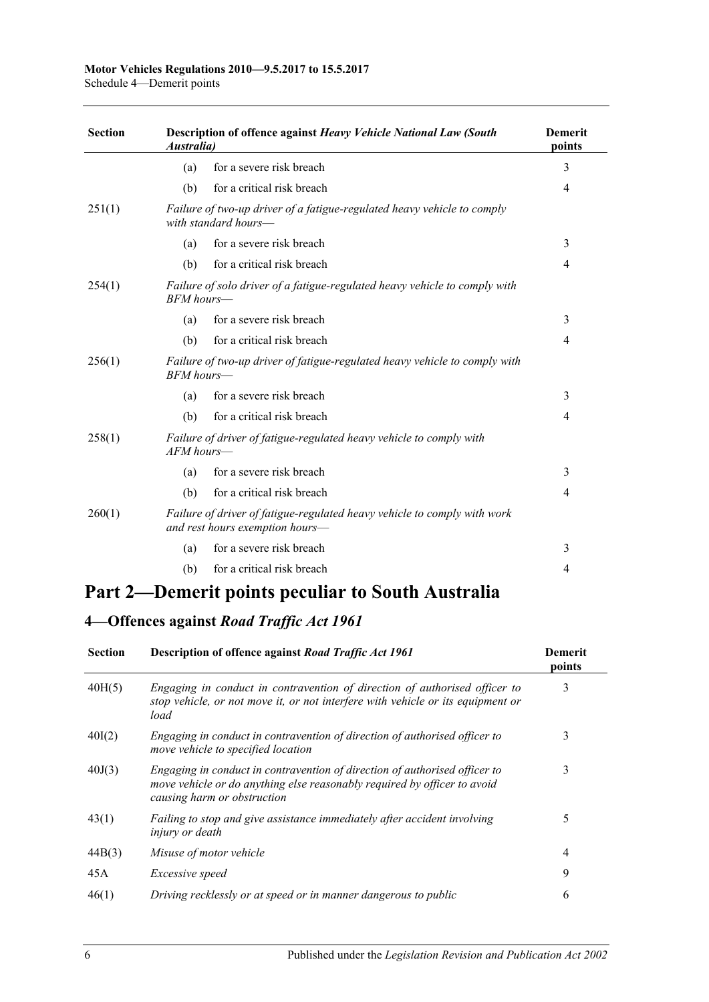### **Motor Vehicles Regulations 2010—9.5.2017 to 15.5.2017**

Schedule 4—Demerit points

| <b>Section</b> | Description of offence against Heavy Vehicle National Law (South<br><i><b>Australia</b></i> |                                                                                                             | <b>Demerit</b><br>points |  |
|----------------|---------------------------------------------------------------------------------------------|-------------------------------------------------------------------------------------------------------------|--------------------------|--|
|                | (a)                                                                                         | for a severe risk breach                                                                                    | 3                        |  |
|                | (b)                                                                                         | for a critical risk breach                                                                                  | 4                        |  |
| 251(1)         |                                                                                             | Failure of two-up driver of a fatigue-regulated heavy vehicle to comply<br>with standard hours—             |                          |  |
|                | (a)                                                                                         | for a severe risk breach                                                                                    | 3                        |  |
|                | (b)                                                                                         | for a critical risk breach                                                                                  | 4                        |  |
| 254(1)         | $BFM$ hours—                                                                                | Failure of solo driver of a fatigue-regulated heavy vehicle to comply with                                  |                          |  |
|                | (a)                                                                                         | for a severe risk breach                                                                                    | 3                        |  |
|                | (b)                                                                                         | for a critical risk breach                                                                                  | 4                        |  |
| 256(1)         | $BFM$ hours—                                                                                | Failure of two-up driver of fatigue-regulated heavy vehicle to comply with                                  |                          |  |
|                | (a)                                                                                         | for a severe risk breach                                                                                    | 3                        |  |
|                | (b)                                                                                         | for a critical risk breach                                                                                  | 4                        |  |
| 258(1)         | $AFM$ hours—                                                                                | Failure of driver of fatigue-regulated heavy vehicle to comply with                                         |                          |  |
|                | (a)                                                                                         | for a severe risk breach                                                                                    | 3                        |  |
|                | (b)                                                                                         | for a critical risk breach                                                                                  | 4                        |  |
| 260(1)         |                                                                                             | Failure of driver of fatigue-regulated heavy vehicle to comply with work<br>and rest hours exemption hours— |                          |  |
|                | (a)                                                                                         | for a severe risk breach                                                                                    | 3                        |  |
|                | (b)                                                                                         | for a critical risk breach                                                                                  | 4                        |  |

## **Part 2—Demerit points peculiar to South Australia**

## **4—Offences against** *Road Traffic Act 1961*

| <b>Section</b> | Description of offence against Road Traffic Act 1961                                                                                                                                  | <b>Demerit</b><br>points |
|----------------|---------------------------------------------------------------------------------------------------------------------------------------------------------------------------------------|--------------------------|
| 40H(5)         | Engaging in conduct in contravention of direction of authorised officer to<br>stop vehicle, or not move it, or not interfere with vehicle or its equipment or<br>load                 | 3                        |
| 40I(2)         | Engaging in conduct in contravention of direction of authorised officer to<br>move vehicle to specified location                                                                      | 3                        |
| 40J(3)         | Engaging in conduct in contravention of direction of authorised officer to<br>move vehicle or do anything else reasonably required by officer to avoid<br>causing harm or obstruction | 3                        |
| 43(1)          | Failing to stop and give assistance immediately after accident involving<br><i>injury or death</i>                                                                                    | 5                        |
| 44B(3)         | Misuse of motor vehicle                                                                                                                                                               | 4                        |
| 45A            | Excessive speed                                                                                                                                                                       | 9                        |
| 46(1)          | Driving recklessly or at speed or in manner dangerous to public                                                                                                                       | 6                        |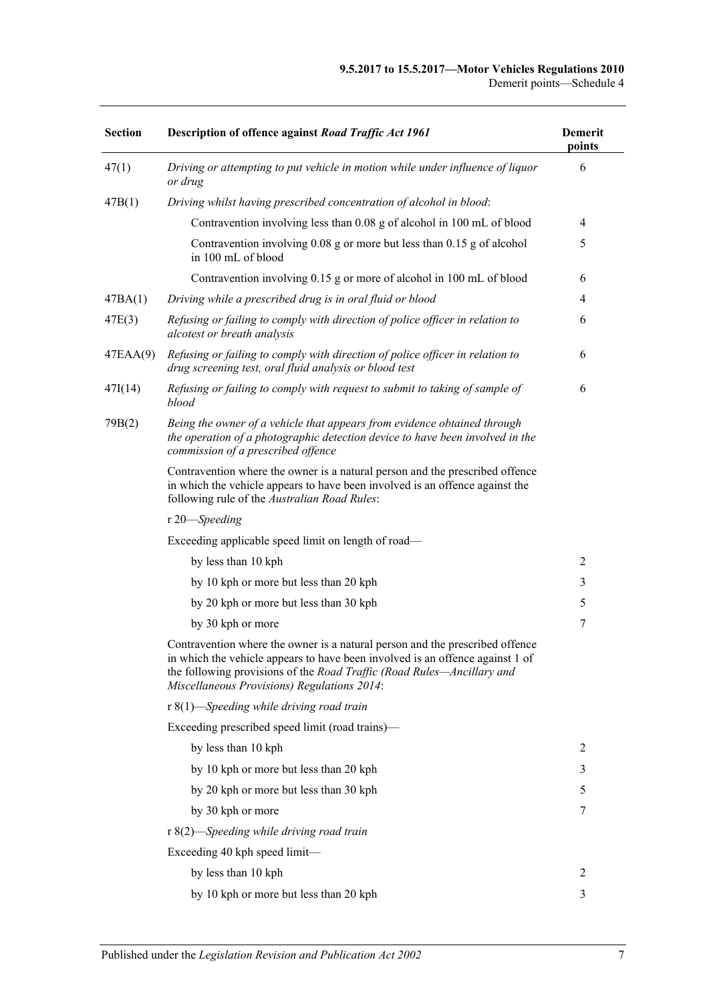#### **9.5.2017 to 15.5.2017—Motor Vehicles Regulations 2010** Demerit points—Schedule 4

| <b>Section</b> | Description of offence against Road Traffic Act 1961                                                                                                                                                                                                                                          | <b>Demerit</b><br>points |
|----------------|-----------------------------------------------------------------------------------------------------------------------------------------------------------------------------------------------------------------------------------------------------------------------------------------------|--------------------------|
| 47(1)          | Driving or attempting to put vehicle in motion while under influence of liquor<br>or drug                                                                                                                                                                                                     | 6                        |
| 47B(1)         | Driving whilst having prescribed concentration of alcohol in blood:                                                                                                                                                                                                                           |                          |
|                | Contravention involving less than 0.08 g of alcohol in 100 mL of blood                                                                                                                                                                                                                        | 4                        |
|                | Contravention involving 0.08 g or more but less than 0.15 g of alcohol<br>in 100 mL of blood                                                                                                                                                                                                  | 5                        |
|                | Contravention involving 0.15 g or more of alcohol in 100 mL of blood                                                                                                                                                                                                                          | 6                        |
| 47BA(1)        | Driving while a prescribed drug is in oral fluid or blood                                                                                                                                                                                                                                     | 4                        |
| 47E(3)         | Refusing or failing to comply with direction of police officer in relation to<br>alcotest or breath analysis                                                                                                                                                                                  | 6                        |
| 47EAA(9)       | Refusing or failing to comply with direction of police officer in relation to<br>drug screening test, oral fluid analysis or blood test                                                                                                                                                       | 6                        |
| 47I(14)        | Refusing or failing to comply with request to submit to taking of sample of<br>blood                                                                                                                                                                                                          | 6                        |
| 79B(2)         | Being the owner of a vehicle that appears from evidence obtained through<br>the operation of a photographic detection device to have been involved in the<br>commission of a prescribed offence                                                                                               |                          |
|                | Contravention where the owner is a natural person and the prescribed offence<br>in which the vehicle appears to have been involved is an offence against the<br>following rule of the Australian Road Rules:                                                                                  |                          |
|                | r 20-Speeding                                                                                                                                                                                                                                                                                 |                          |
|                | Exceeding applicable speed limit on length of road-                                                                                                                                                                                                                                           |                          |
|                | by less than 10 kph                                                                                                                                                                                                                                                                           | $\overline{2}$           |
|                | by 10 kph or more but less than 20 kph                                                                                                                                                                                                                                                        | 3                        |
|                | by 20 kph or more but less than 30 kph                                                                                                                                                                                                                                                        | 5                        |
|                | by 30 kph or more                                                                                                                                                                                                                                                                             | 7                        |
|                | Contravention where the owner is a natural person and the prescribed offence<br>in which the vehicle appears to have been involved is an offence against 1 of<br>the following provisions of the Road Traffic (Road Rules—Ancillary and<br><b>Miscellaneous Provisions) Regulations 2014:</b> |                          |
|                | $r 8(1)$ —Speeding while driving road train                                                                                                                                                                                                                                                   |                          |
|                | Exceeding prescribed speed limit (road trains)—                                                                                                                                                                                                                                               |                          |
|                | by less than 10 kph                                                                                                                                                                                                                                                                           | 2                        |
|                | by 10 kph or more but less than 20 kph                                                                                                                                                                                                                                                        | 3                        |
|                | by 20 kph or more but less than 30 kph                                                                                                                                                                                                                                                        | 5                        |
|                | by 30 kph or more                                                                                                                                                                                                                                                                             | 7                        |
|                | r 8(2)—Speeding while driving road train                                                                                                                                                                                                                                                      |                          |
|                | Exceeding 40 kph speed limit—                                                                                                                                                                                                                                                                 |                          |
|                | by less than 10 kph                                                                                                                                                                                                                                                                           | 2                        |
|                | by 10 kph or more but less than 20 kph                                                                                                                                                                                                                                                        | 3                        |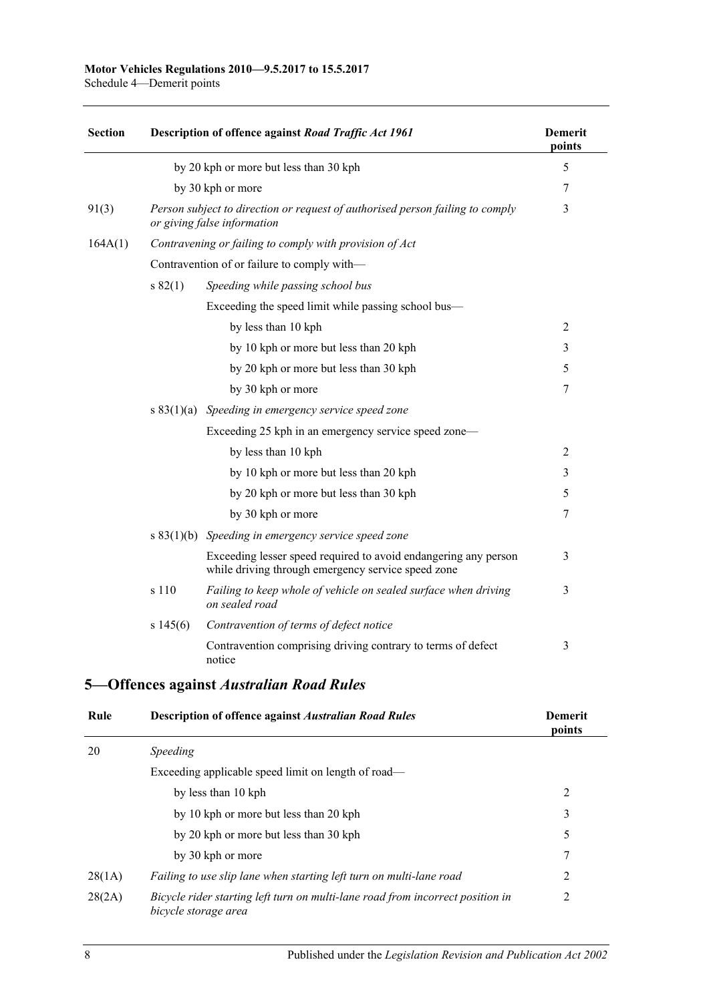| <b>Section</b> |              | Description of offence against Road Traffic Act 1961                                                                  | <b>Demerit</b><br>points |
|----------------|--------------|-----------------------------------------------------------------------------------------------------------------------|--------------------------|
|                |              | by 20 kph or more but less than 30 kph                                                                                | 5                        |
|                |              | by 30 kph or more                                                                                                     | 7                        |
| 91(3)          |              | Person subject to direction or request of authorised person failing to comply<br>or giving false information          | 3                        |
| 164A(1)        |              | Contravening or failing to comply with provision of Act                                                               |                          |
|                |              | Contravention of or failure to comply with-                                                                           |                          |
|                | s 82(1)      | Speeding while passing school bus                                                                                     |                          |
|                |              | Exceeding the speed limit while passing school bus—                                                                   |                          |
|                |              | by less than 10 kph                                                                                                   | $\overline{2}$           |
|                |              | by 10 kph or more but less than 20 kph                                                                                | 3                        |
|                |              | by 20 kph or more but less than 30 kph                                                                                | 5                        |
|                |              | by 30 kph or more                                                                                                     | 7                        |
|                | s $83(1)(a)$ | Speeding in emergency service speed zone                                                                              |                          |
|                |              | Exceeding 25 kph in an emergency service speed zone—                                                                  |                          |
|                |              | by less than 10 kph                                                                                                   | $\overline{2}$           |
|                |              | by 10 kph or more but less than 20 kph                                                                                | 3                        |
|                |              | by 20 kph or more but less than 30 kph                                                                                | 5                        |
|                |              | by 30 kph or more                                                                                                     | 7                        |
|                |              | s $83(1)(b)$ Speeding in emergency service speed zone                                                                 |                          |
|                |              | Exceeding lesser speed required to avoid endangering any person<br>while driving through emergency service speed zone | 3                        |
|                | s 110        | Failing to keep whole of vehicle on sealed surface when driving<br>on sealed road                                     | 3                        |
|                | s 145(6)     | Contravention of terms of defect notice                                                                               |                          |
|                |              | Contravention comprising driving contrary to terms of defect<br>notice                                                | 3                        |

## **5—Offences against** *Australian Road Rules*

| Rule   | <b>Description of offence against Australian Road Rules</b>                                            | <b>Demerit</b><br>points |
|--------|--------------------------------------------------------------------------------------------------------|--------------------------|
| 20     | <i>Speeding</i>                                                                                        |                          |
|        | Exceeding applicable speed limit on length of road—                                                    |                          |
|        | by less than 10 kph                                                                                    | 2                        |
|        | by 10 kph or more but less than 20 kph                                                                 | 3                        |
|        | by 20 kph or more but less than 30 kph                                                                 | 5                        |
|        | by 30 kph or more                                                                                      | 7                        |
| 28(1A) | Failing to use slip lane when starting left turn on multi-lane road                                    | 2                        |
| 28(2A) | Bicycle rider starting left turn on multi-lane road from incorrect position in<br>bicycle storage area | 2                        |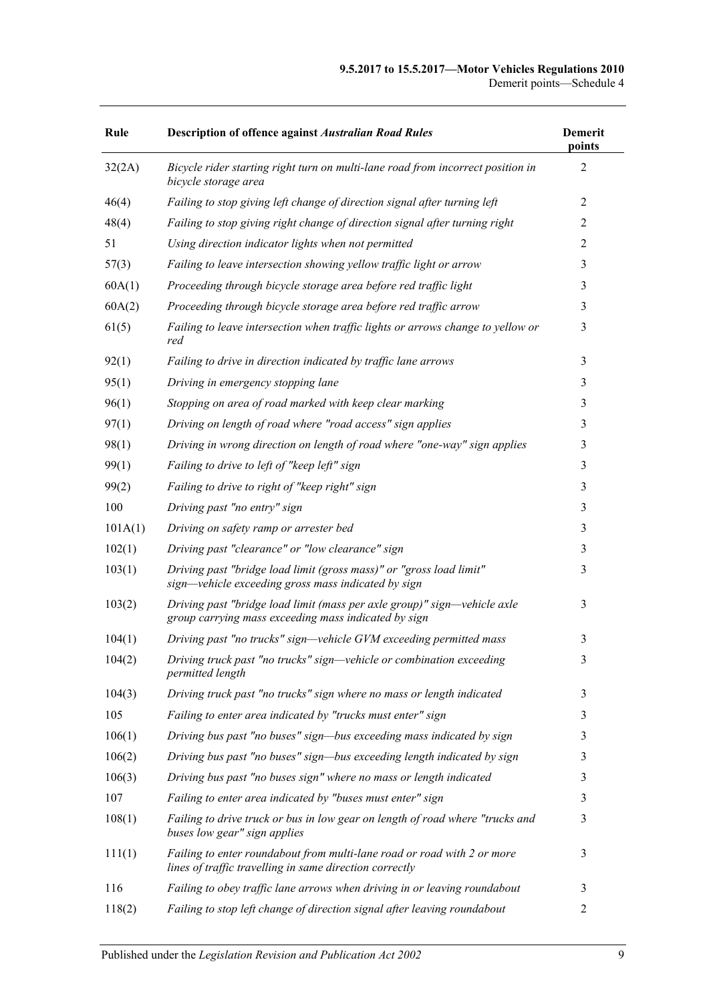| Rule    | <b>Description of offence against Australian Road Rules</b>                                                                        | <b>Demerit</b><br>points |
|---------|------------------------------------------------------------------------------------------------------------------------------------|--------------------------|
| 32(2A)  | Bicycle rider starting right turn on multi-lane road from incorrect position in<br>bicycle storage area                            | $\overline{2}$           |
| 46(4)   | Failing to stop giving left change of direction signal after turning left                                                          | 2                        |
| 48(4)   | Failing to stop giving right change of direction signal after turning right                                                        | 2                        |
| 51      | Using direction indicator lights when not permitted                                                                                | $\overline{2}$           |
| 57(3)   | Failing to leave intersection showing yellow traffic light or arrow                                                                | 3                        |
| 60A(1)  | Proceeding through bicycle storage area before red traffic light                                                                   | 3                        |
| 60A(2)  | Proceeding through bicycle storage area before red traffic arrow                                                                   | 3                        |
| 61(5)   | Failing to leave intersection when traffic lights or arrows change to yellow or<br>red                                             | 3                        |
| 92(1)   | Failing to drive in direction indicated by traffic lane arrows                                                                     | 3                        |
| 95(1)   | Driving in emergency stopping lane                                                                                                 | 3                        |
| 96(1)   | Stopping on area of road marked with keep clear marking                                                                            | 3                        |
| 97(1)   | Driving on length of road where "road access" sign applies                                                                         | 3                        |
| 98(1)   | Driving in wrong direction on length of road where "one-way" sign applies                                                          | 3                        |
| 99(1)   | Failing to drive to left of "keep left" sign                                                                                       | 3                        |
| 99(2)   | Failing to drive to right of "keep right" sign                                                                                     | 3                        |
| 100     | Driving past "no entry" sign                                                                                                       | 3                        |
| 101A(1) | Driving on safety ramp or arrester bed                                                                                             | 3                        |
| 102(1)  | Driving past "clearance" or "low clearance" sign                                                                                   | 3                        |
| 103(1)  | Driving past "bridge load limit (gross mass)" or "gross load limit"<br>sign—vehicle exceeding gross mass indicated by sign         | 3                        |
| 103(2)  | Driving past "bridge load limit (mass per axle group)" sign—vehicle axle<br>group carrying mass exceeding mass indicated by sign   | 3                        |
| 104(1)  | Driving past "no trucks" sign—vehicle GVM exceeding permitted mass                                                                 | 3                        |
| 104(2)  | Driving truck past "no trucks" sign-vehicle or combination exceeding<br>permitted length                                           | 3                        |
| 104(3)  | Driving truck past "no trucks" sign where no mass or length indicated                                                              | 3                        |
| 105     | Failing to enter area indicated by "trucks must enter" sign                                                                        | 3                        |
| 106(1)  | Driving bus past "no buses" sign—bus exceeding mass indicated by sign                                                              | 3                        |
| 106(2)  | Driving bus past "no buses" sign—bus exceeding length indicated by sign                                                            | 3                        |
| 106(3)  | Driving bus past "no buses sign" where no mass or length indicated                                                                 | 3                        |
| 107     | Failing to enter area indicated by "buses must enter" sign                                                                         | 3                        |
| 108(1)  | Failing to drive truck or bus in low gear on length of road where "trucks and<br>buses low gear" sign applies                      | 3                        |
| 111(1)  | Failing to enter roundabout from multi-lane road or road with 2 or more<br>lines of traffic travelling in same direction correctly | 3                        |
| 116     | Failing to obey traffic lane arrows when driving in or leaving roundabout                                                          | 3                        |
| 118(2)  | Failing to stop left change of direction signal after leaving roundabout                                                           | 2                        |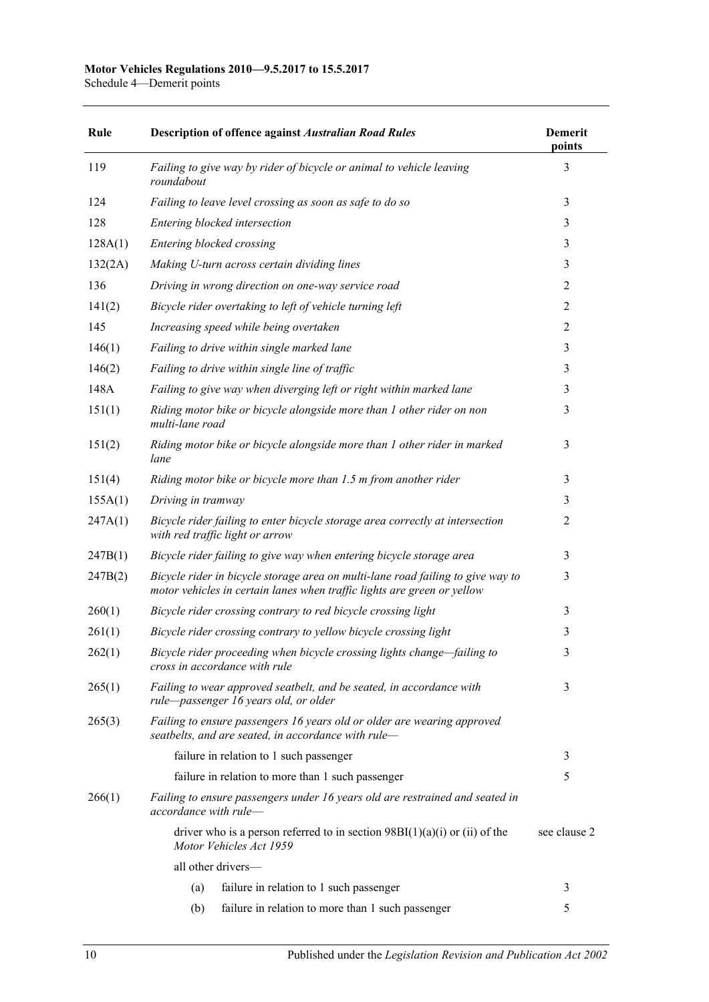## **Motor Vehicles Regulations 2010—9.5.2017 to 15.5.2017**

Schedule 4—Demerit points

| Rule    | <b>Description of offence against Australian Road Rules</b>                                                                                                | <b>Demerit</b><br>points |
|---------|------------------------------------------------------------------------------------------------------------------------------------------------------------|--------------------------|
| 119     | Failing to give way by rider of bicycle or animal to vehicle leaving<br>roundabout                                                                         | 3                        |
| 124     | Failing to leave level crossing as soon as safe to do so                                                                                                   | 3                        |
| 128     | Entering blocked intersection                                                                                                                              | 3                        |
| 128A(1) | Entering blocked crossing                                                                                                                                  | 3                        |
| 132(2A) | Making U-turn across certain dividing lines                                                                                                                | 3                        |
| 136     | Driving in wrong direction on one-way service road                                                                                                         | $\overline{2}$           |
| 141(2)  | Bicycle rider overtaking to left of vehicle turning left                                                                                                   | 2                        |
| 145     | Increasing speed while being overtaken                                                                                                                     | $\overline{2}$           |
| 146(1)  | Failing to drive within single marked lane                                                                                                                 | 3                        |
| 146(2)  | Failing to drive within single line of traffic                                                                                                             | 3                        |
| 148A    | Failing to give way when diverging left or right within marked lane                                                                                        | 3                        |
| 151(1)  | Riding motor bike or bicycle alongside more than 1 other rider on non<br>multi-lane road                                                                   | 3                        |
| 151(2)  | Riding motor bike or bicycle alongside more than 1 other rider in marked<br>lane                                                                           | 3                        |
| 151(4)  | Riding motor bike or bicycle more than 1.5 m from another rider                                                                                            | 3                        |
| 155A(1) | Driving in tramway                                                                                                                                         | 3                        |
| 247A(1) | Bicycle rider failing to enter bicycle storage area correctly at intersection<br>with red traffic light or arrow                                           | $\overline{2}$           |
| 247B(1) | Bicycle rider failing to give way when entering bicycle storage area                                                                                       | 3                        |
| 247B(2) | Bicycle rider in bicycle storage area on multi-lane road failing to give way to<br>motor vehicles in certain lanes when traffic lights are green or yellow | 3                        |
| 260(1)  | Bicycle rider crossing contrary to red bicycle crossing light                                                                                              | 3                        |
| 261(1)  | Bicycle rider crossing contrary to yellow bicycle crossing light                                                                                           | 3                        |
| 262(1)  | Bicycle rider proceeding when bicycle crossing lights change-failing to<br>cross in accordance with rule                                                   | 3                        |
| 265(1)  | Failing to wear approved seatbelt, and be seated, in accordance with<br>rule-passenger 16 years old, or older                                              | 3                        |
| 265(3)  | Failing to ensure passengers 16 years old or older are wearing approved<br>seatbelts, and are seated, in accordance with rule-                             |                          |
|         | failure in relation to 1 such passenger                                                                                                                    | 3                        |
|         | failure in relation to more than 1 such passenger                                                                                                          | 5                        |
| 266(1)  | Failing to ensure passengers under 16 years old are restrained and seated in<br>accordance with rule-                                                      |                          |
|         | driver who is a person referred to in section $98B(1)(a)(i)$ or (ii) of the<br>Motor Vehicles Act 1959                                                     | see clause 2             |
|         | all other drivers-                                                                                                                                         |                          |
|         | (a)<br>failure in relation to 1 such passenger                                                                                                             | 3                        |
|         | failure in relation to more than 1 such passenger<br>(b)                                                                                                   | 5                        |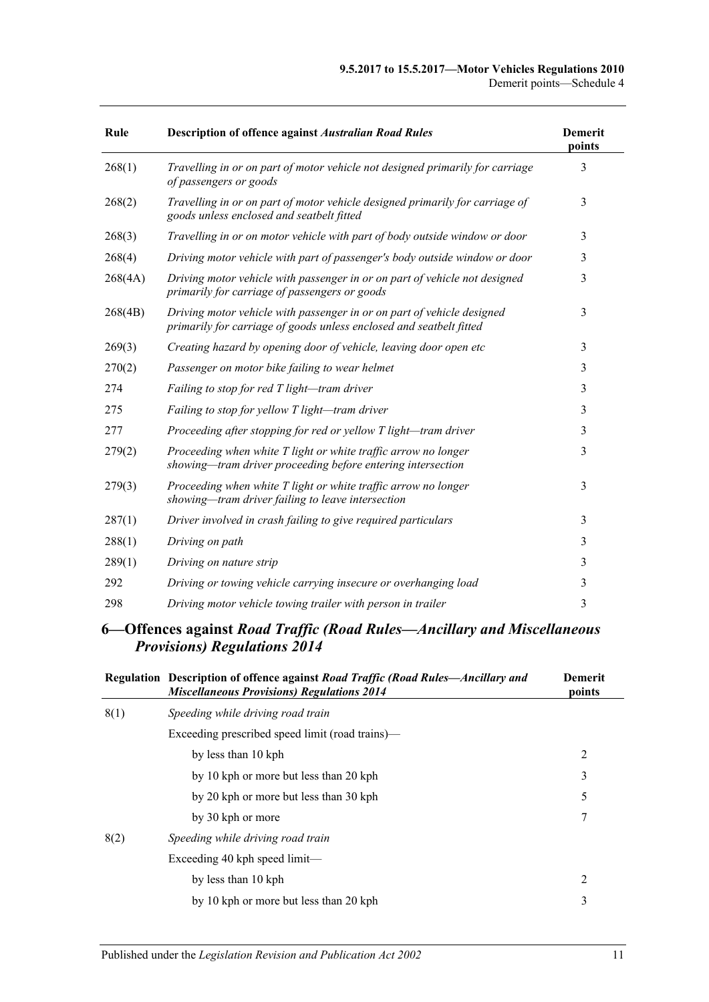#### **9.5.2017 to 15.5.2017—Motor Vehicles Regulations 2010** Demerit points—Schedule 4

| Rule    | <b>Description of offence against Australian Road Rules</b>                                                                                   | <b>Demerit</b><br>points |
|---------|-----------------------------------------------------------------------------------------------------------------------------------------------|--------------------------|
| 268(1)  | Travelling in or on part of motor vehicle not designed primarily for carriage<br>of passengers or goods                                       | 3                        |
| 268(2)  | Travelling in or on part of motor vehicle designed primarily for carriage of<br>goods unless enclosed and seatbelt fitted                     | 3                        |
| 268(3)  | Travelling in or on motor vehicle with part of body outside window or door                                                                    | 3                        |
| 268(4)  | Driving motor vehicle with part of passenger's body outside window or door                                                                    | 3                        |
| 268(4A) | Driving motor vehicle with passenger in or on part of vehicle not designed<br>primarily for carriage of passengers or goods                   | 3                        |
| 268(4B) | Driving motor vehicle with passenger in or on part of vehicle designed<br>primarily for carriage of goods unless enclosed and seatbelt fitted | 3                        |
| 269(3)  | Creating hazard by opening door of vehicle, leaving door open etc                                                                             | 3                        |
| 270(2)  | Passenger on motor bike failing to wear helmet                                                                                                | 3                        |
| 274     | Failing to stop for red T light-tram driver                                                                                                   | 3                        |
| 275     | Failing to stop for yellow T light-tram driver                                                                                                | 3                        |
| 277     | Proceeding after stopping for red or yellow T light-tram driver                                                                               | 3                        |
| 279(2)  | Proceeding when white T light or white traffic arrow no longer<br>showing-tram driver proceeding before entering intersection                 | 3                        |
| 279(3)  | Proceeding when white T light or white traffic arrow no longer<br>showing-tram driver failing to leave intersection                           | 3                        |
| 287(1)  | Driver involved in crash failing to give required particulars                                                                                 | 3                        |
| 288(1)  | Driving on path                                                                                                                               | 3                        |
| 289(1)  | Driving on nature strip                                                                                                                       | 3                        |
| 292     | Driving or towing vehicle carrying insecure or overhanging load                                                                               | 3                        |
| 298     | Driving motor vehicle towing trailer with person in trailer                                                                                   | 3                        |

### **6—Offences against** *Road Traffic (Road Rules—Ancillary and Miscellaneous Provisions) Regulations 2014*

|      | Regulation Description of offence against Road Traffic (Road Rules—Ancillary and<br><b>Miscellaneous Provisions) Regulations 2014</b> | <b>Demerit</b><br>points |
|------|---------------------------------------------------------------------------------------------------------------------------------------|--------------------------|
| 8(1) | Speeding while driving road train                                                                                                     |                          |
|      | Exceeding prescribed speed limit (road trains)—                                                                                       |                          |
|      | by less than 10 kph                                                                                                                   | 2                        |
|      | by 10 kph or more but less than 20 kph                                                                                                | 3                        |
|      | by 20 kph or more but less than 30 kph                                                                                                | 5                        |
|      | by 30 kph or more                                                                                                                     | 7                        |
| 8(2) | Speeding while driving road train                                                                                                     |                          |
|      | Exceeding 40 kph speed $limit$                                                                                                        |                          |
|      | by less than 10 kph                                                                                                                   | 2                        |
|      | by 10 kph or more but less than 20 kph                                                                                                | 3                        |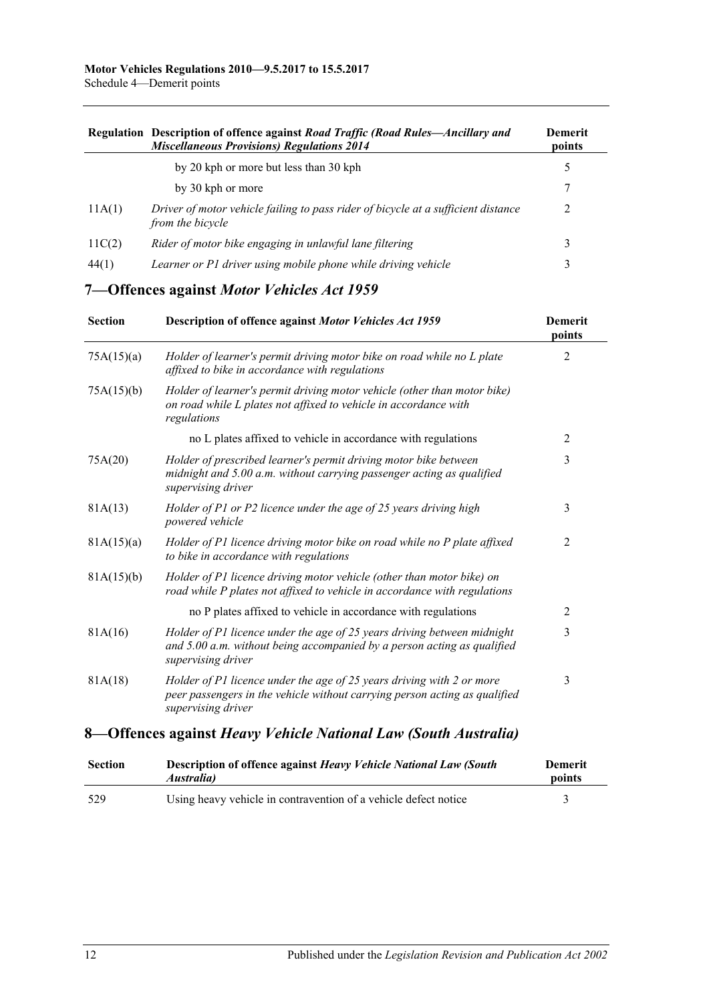|        | Regulation Description of offence against Road Traffic (Road Rules—Ancillary and<br><b>Miscellaneous Provisions) Regulations 2014</b> | Demerit<br>points |
|--------|---------------------------------------------------------------------------------------------------------------------------------------|-------------------|
|        | by 20 kph or more but less than 30 kph                                                                                                |                   |
|        | by 30 kph or more                                                                                                                     |                   |
| 11A(1) | Driver of motor vehicle failing to pass rider of bicycle at a sufficient distance<br>from the bicycle                                 |                   |
| 11C(2) | Rider of motor bike engaging in unlawful lane filtering                                                                               | 3                 |
| 44(1)  | Learner or P1 driver using mobile phone while driving vehicle                                                                         | 3                 |

## **7—Offences against** *Motor Vehicles Act 1959*

| <b>Section</b> | Description of offence against Motor Vehicles Act 1959                                                                                                                     | <b>Demerit</b><br>points |
|----------------|----------------------------------------------------------------------------------------------------------------------------------------------------------------------------|--------------------------|
| 75A(15)(a)     | Holder of learner's permit driving motor bike on road while no L plate<br>affixed to bike in accordance with regulations                                                   | 2                        |
| 75A(15)(b)     | Holder of learner's permit driving motor vehicle (other than motor bike)<br>on road while L plates not affixed to vehicle in accordance with<br>regulations                |                          |
|                | no L plates affixed to vehicle in accordance with regulations                                                                                                              | $\overline{2}$           |
| 75A(20)        | Holder of prescribed learner's permit driving motor bike between<br>midnight and 5.00 a.m. without carrying passenger acting as qualified<br>supervising driver            | 3                        |
| 81A(13)        | Holder of P1 or P2 licence under the age of 25 years driving high<br>powered vehicle                                                                                       | 3                        |
| 81A(15)(a)     | Holder of P1 licence driving motor bike on road while no P plate affixed<br>to bike in accordance with regulations                                                         | 2                        |
| 81A(15)(b)     | Holder of P1 licence driving motor vehicle (other than motor bike) on<br>road while P plates not affixed to vehicle in accordance with regulations                         |                          |
|                | no P plates affixed to vehicle in accordance with regulations                                                                                                              | 2                        |
| 81A(16)        | Holder of P1 licence under the age of 25 years driving between midnight<br>and $5.00$ a.m. without being accompanied by a person acting as qualified<br>supervising driver | 3                        |
| 81A(18)        | Holder of P1 licence under the age of 25 years driving with 2 or more<br>peer passengers in the vehicle without carrying person acting as qualified<br>supervising driver  | 3                        |
| ⌒ იი           | $\overline{1}$<br>$\blacksquare$<br>$\mathbf{r}$<br>$\sqrt{N}$ $\sqrt{N}$ $\sqrt{N}$ $\sqrt{N}$                                                                            |                          |

### **8—Offences against** *Heavy Vehicle National Law (South Australia)*

| <b>Section</b> | <b>Description of offence against Heavy Vehicle National Law (South</b><br><i>Australia</i> ) | Demerit<br>points |
|----------------|-----------------------------------------------------------------------------------------------|-------------------|
| 529            | Using heavy vehicle in contravention of a vehicle defect notice                               |                   |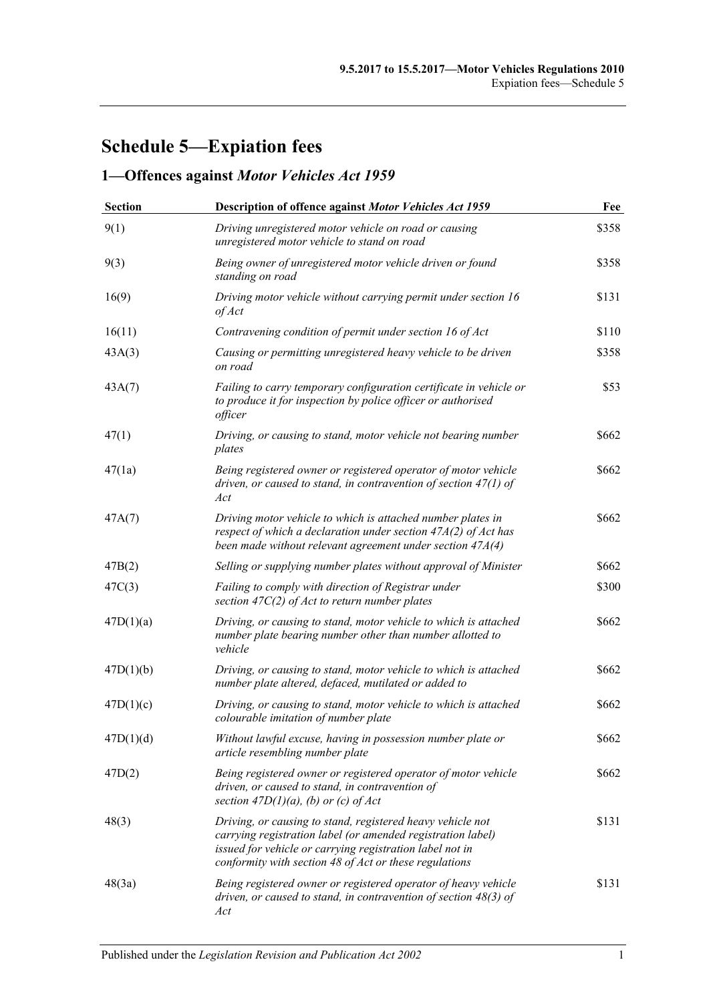## **Schedule 5—Expiation fees**

## **1—Offences against** *Motor Vehicles Act 1959*

| <b>Section</b> | Description of offence against Motor Vehicles Act 1959                                                                                                                                                                                          | Fee   |
|----------------|-------------------------------------------------------------------------------------------------------------------------------------------------------------------------------------------------------------------------------------------------|-------|
| 9(1)           | Driving unregistered motor vehicle on road or causing<br>unregistered motor vehicle to stand on road                                                                                                                                            | \$358 |
| 9(3)           | Being owner of unregistered motor vehicle driven or found<br>standing on road                                                                                                                                                                   | \$358 |
| 16(9)          | Driving motor vehicle without carrying permit under section 16<br>of Act                                                                                                                                                                        | \$131 |
| 16(11)         | Contravening condition of permit under section 16 of Act                                                                                                                                                                                        | \$110 |
| 43A(3)         | Causing or permitting unregistered heavy vehicle to be driven<br>on road                                                                                                                                                                        | \$358 |
| 43A(7)         | Failing to carry temporary configuration certificate in vehicle or<br>to produce it for inspection by police officer or authorised<br>officer                                                                                                   | \$53  |
| 47(1)          | Driving, or causing to stand, motor vehicle not bearing number<br>plates                                                                                                                                                                        | \$662 |
| 47(1a)         | Being registered owner or registered operator of motor vehicle<br>driven, or caused to stand, in contravention of section $47(1)$ of<br>Act                                                                                                     | \$662 |
| 47A(7)         | Driving motor vehicle to which is attached number plates in<br>respect of which a declaration under section $47A(2)$ of Act has<br>been made without relevant agreement under section $47A(4)$                                                  | \$662 |
| 47B(2)         | Selling or supplying number plates without approval of Minister                                                                                                                                                                                 | \$662 |
| 47C(3)         | Failing to comply with direction of Registrar under<br>section $47C(2)$ of Act to return number plates                                                                                                                                          | \$300 |
| 47D(1)(a)      | Driving, or causing to stand, motor vehicle to which is attached<br>number plate bearing number other than number allotted to<br>vehicle                                                                                                        | \$662 |
| 47D(1)(b)      | Driving, or causing to stand, motor vehicle to which is attached<br>number plate altered, defaced, mutilated or added to                                                                                                                        | \$662 |
| 47D(1)(c)      | Driving, or causing to stand, motor vehicle to which is attached<br>colourable imitation of number plate                                                                                                                                        | \$662 |
| 47D(1)(d)      | Without lawful excuse, having in possession number plate or<br>article resembling number plate                                                                                                                                                  | \$662 |
| 47D(2)         | Being registered owner or registered operator of motor vehicle<br>driven, or caused to stand, in contravention of<br>section $47D(1)(a)$ , (b) or (c) of Act                                                                                    | \$662 |
| 48(3)          | Driving, or causing to stand, registered heavy vehicle not<br>carrying registration label (or amended registration label)<br>issued for vehicle or carrying registration label not in<br>conformity with section 48 of Act or these regulations | \$131 |
| 48(3a)         | Being registered owner or registered operator of heavy vehicle<br>driven, or caused to stand, in contravention of section 48(3) of<br>Act                                                                                                       | \$131 |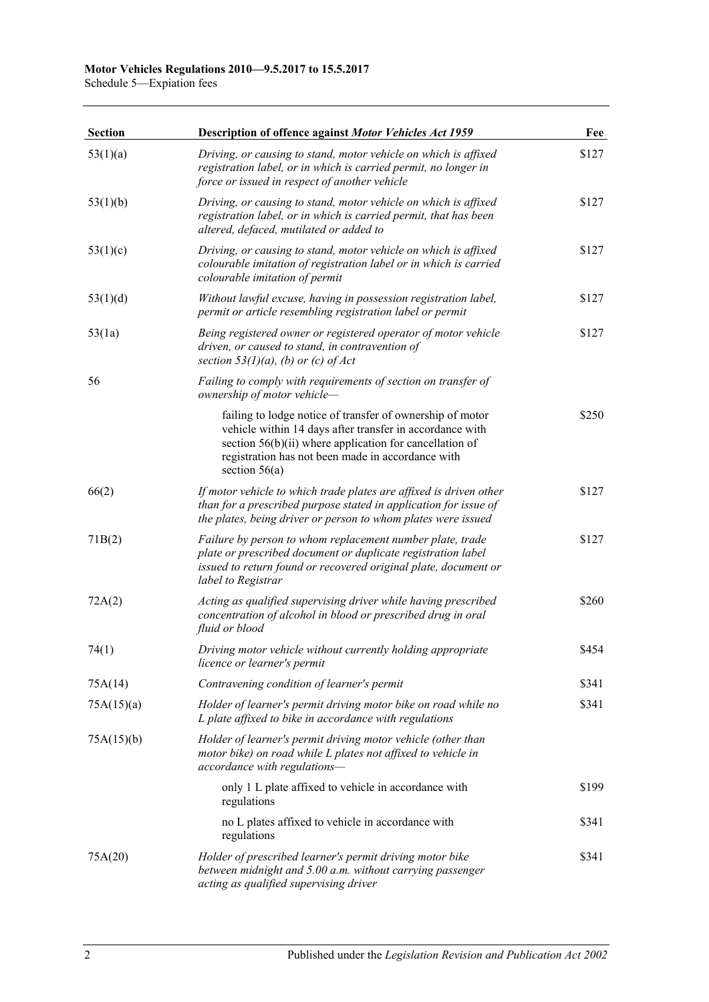Schedule 5—Expiation fees

| <b>Section</b> | <b>Description of offence against Motor Vehicles Act 1959</b>                                                                                                                                                                                              | Fee   |
|----------------|------------------------------------------------------------------------------------------------------------------------------------------------------------------------------------------------------------------------------------------------------------|-------|
| 53(1)(a)       | Driving, or causing to stand, motor vehicle on which is affixed<br>registration label, or in which is carried permit, no longer in<br>force or issued in respect of another vehicle                                                                        | \$127 |
| 53(1)(b)       | Driving, or causing to stand, motor vehicle on which is affixed<br>registration label, or in which is carried permit, that has been<br>altered, defaced, mutilated or added to                                                                             | \$127 |
| 53(1)(c)       | Driving, or causing to stand, motor vehicle on which is affixed<br>colourable imitation of registration label or in which is carried<br>colourable imitation of permit                                                                                     | \$127 |
| 53(1)(d)       | Without lawful excuse, having in possession registration label,<br>permit or article resembling registration label or permit                                                                                                                               | \$127 |
| 53(1a)         | Being registered owner or registered operator of motor vehicle<br>driven, or caused to stand, in contravention of<br>section $53(1)(a)$ , (b) or (c) of Act                                                                                                | \$127 |
| 56             | Failing to comply with requirements of section on transfer of<br>ownership of motor vehicle-                                                                                                                                                               |       |
|                | failing to lodge notice of transfer of ownership of motor<br>vehicle within 14 days after transfer in accordance with<br>section $56(b)(ii)$ where application for cancellation of<br>registration has not been made in accordance with<br>section $56(a)$ | \$250 |
| 66(2)          | If motor vehicle to which trade plates are affixed is driven other<br>than for a prescribed purpose stated in application for issue of<br>the plates, being driver or person to whom plates were issued                                                    | \$127 |
| 71B(2)         | Failure by person to whom replacement number plate, trade<br>plate or prescribed document or duplicate registration label<br>issued to return found or recovered original plate, document or<br>label to Registrar                                         | \$127 |
| 72A(2)         | Acting as qualified supervising driver while having prescribed<br>concentration of alcohol in blood or prescribed drug in oral<br>fluid or blood                                                                                                           | \$260 |
| 74(1)          | Driving motor vehicle without currently holding appropriate<br>licence or learner's permit                                                                                                                                                                 | \$454 |
| 75A(14)        | Contravening condition of learner's permit                                                                                                                                                                                                                 | \$341 |
| 75A(15)(a)     | Holder of learner's permit driving motor bike on road while no<br>L plate affixed to bike in accordance with regulations                                                                                                                                   | \$341 |
| 75A(15)(b)     | Holder of learner's permit driving motor vehicle (other than<br>motor bike) on road while L plates not affixed to vehicle in<br>accordance with regulations-                                                                                               |       |
|                | only 1 L plate affixed to vehicle in accordance with<br>regulations                                                                                                                                                                                        | \$199 |
|                | no L plates affixed to vehicle in accordance with<br>regulations                                                                                                                                                                                           | \$341 |
| 75A(20)        | Holder of prescribed learner's permit driving motor bike<br>between midnight and 5.00 a.m. without carrying passenger<br>acting as qualified supervising driver                                                                                            | \$341 |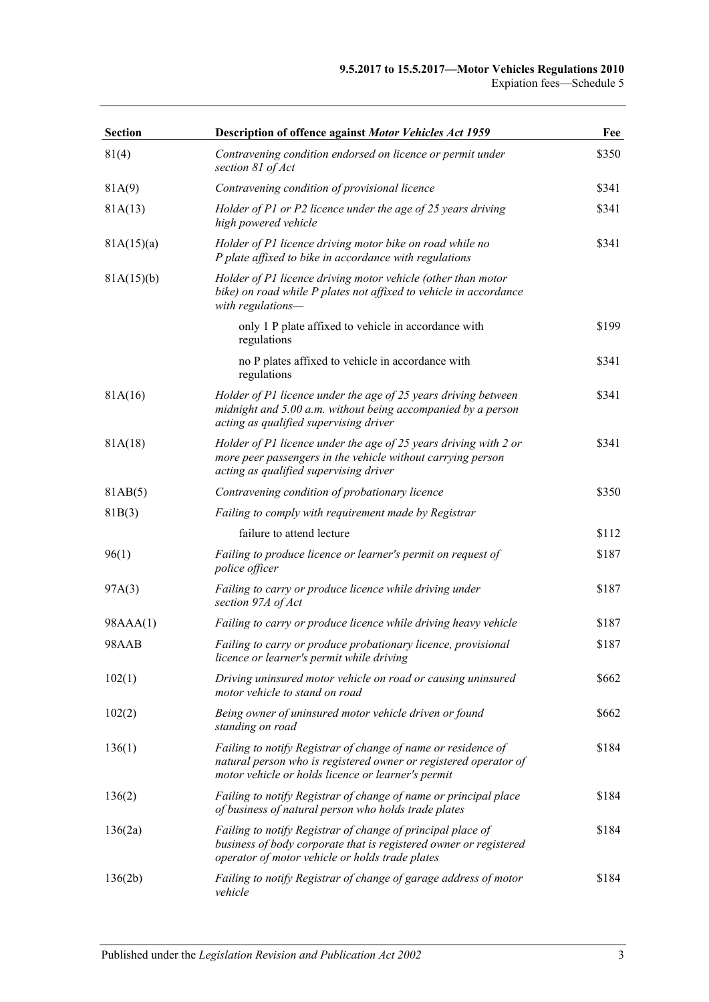| <b>Section</b> | Description of offence against Motor Vehicles Act 1959                                                                                                                                  | Fee   |
|----------------|-----------------------------------------------------------------------------------------------------------------------------------------------------------------------------------------|-------|
| 81(4)          | Contravening condition endorsed on licence or permit under<br>section 81 of Act                                                                                                         | \$350 |
| 81A(9)         | Contravening condition of provisional licence                                                                                                                                           | \$341 |
| 81A(13)        | Holder of P1 or P2 licence under the age of 25 years driving<br>high powered vehicle                                                                                                    | \$341 |
| 81A(15)(a)     | Holder of P1 licence driving motor bike on road while no<br>P plate affixed to bike in accordance with regulations                                                                      | \$341 |
| 81A(15)(b)     | Holder of P1 licence driving motor vehicle (other than motor<br>bike) on road while P plates not affixed to vehicle in accordance<br>with regulations-                                  |       |
|                | only 1 P plate affixed to vehicle in accordance with<br>regulations                                                                                                                     | \$199 |
|                | no P plates affixed to vehicle in accordance with<br>regulations                                                                                                                        | \$341 |
| 81A(16)        | Holder of P1 licence under the age of 25 years driving between<br>midnight and 5.00 a.m. without being accompanied by a person<br>acting as qualified supervising driver                | \$341 |
| 81A(18)        | Holder of P1 licence under the age of 25 years driving with 2 or<br>more peer passengers in the vehicle without carrying person<br>acting as qualified supervising driver               | \$341 |
| 81AB(5)        | Contravening condition of probationary licence                                                                                                                                          | \$350 |
| 81B(3)         | Failing to comply with requirement made by Registrar                                                                                                                                    |       |
|                | failure to attend lecture                                                                                                                                                               | \$112 |
| 96(1)          | Failing to produce licence or learner's permit on request of<br>police officer                                                                                                          | \$187 |
| 97A(3)         | Failing to carry or produce licence while driving under<br>section 97A of Act                                                                                                           | \$187 |
| 98AAA(1)       | Failing to carry or produce licence while driving heavy vehicle                                                                                                                         | \$187 |
| 98AAB          | Failing to carry or produce probationary licence, provisional<br>licence or learner's permit while driving                                                                              | \$187 |
| 102(1)         | Driving uninsured motor vehicle on road or causing uninsured<br>motor vehicle to stand on road                                                                                          | \$662 |
| 102(2)         | Being owner of uninsured motor vehicle driven or found<br>standing on road                                                                                                              | \$662 |
| 136(1)         | Failing to notify Registrar of change of name or residence of<br>natural person who is registered owner or registered operator of<br>motor vehicle or holds licence or learner's permit | \$184 |
| 136(2)         | Failing to notify Registrar of change of name or principal place<br>of business of natural person who holds trade plates                                                                | \$184 |
| 136(2a)        | Failing to notify Registrar of change of principal place of<br>business of body corporate that is registered owner or registered<br>operator of motor vehicle or holds trade plates     | \$184 |
| 136(2b)        | Failing to notify Registrar of change of garage address of motor<br>vehicle                                                                                                             | \$184 |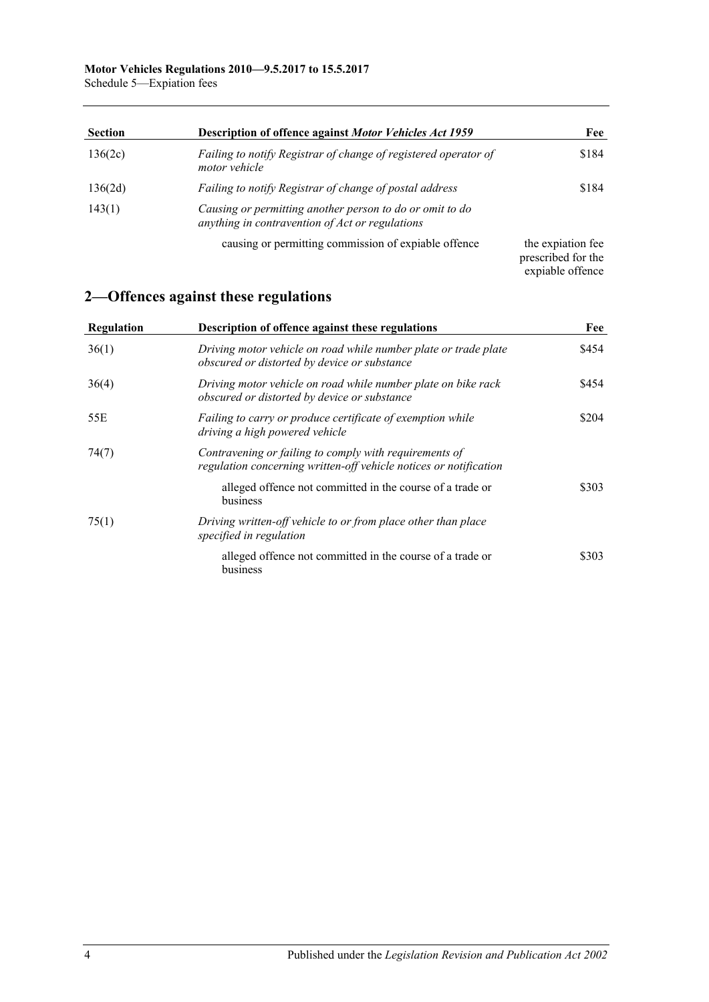| <b>Section</b> | Description of offence against Motor Vehicles Act 1959                                                      | Fee                                                         |
|----------------|-------------------------------------------------------------------------------------------------------------|-------------------------------------------------------------|
| 136(2c)        | Failing to notify Registrar of change of registered operator of<br>motor vehicle                            | \$184                                                       |
| 136(2d)        | Failing to notify Registrar of change of postal address                                                     | \$184                                                       |
| 143(1)         | Causing or permitting another person to do or omit to do<br>anything in contravention of Act or regulations |                                                             |
|                | causing or permitting commission of expiable offence                                                        | the expiation fee<br>prescribed for the<br>expiable offence |

## **2—Offences against these regulations**

| Regulation | Description of offence against these regulations                                                                            | Fee   |
|------------|-----------------------------------------------------------------------------------------------------------------------------|-------|
| 36(1)      | Driving motor vehicle on road while number plate or trade plate<br>obscured or distorted by device or substance             | \$454 |
| 36(4)      | Driving motor vehicle on road while number plate on bike rack<br>obscured or distorted by device or substance               | \$454 |
| 55E        | Failing to carry or produce certificate of exemption while<br>driving a high powered vehicle                                | \$204 |
| 74(7)      | Contravening or failing to comply with requirements of<br>regulation concerning written-off vehicle notices or notification |       |
|            | alleged offence not committed in the course of a trade or<br>business                                                       | \$303 |
| 75(1)      | Driving written-off vehicle to or from place other than place<br>specified in regulation                                    |       |
|            | alleged offence not committed in the course of a trade or<br>business                                                       | \$303 |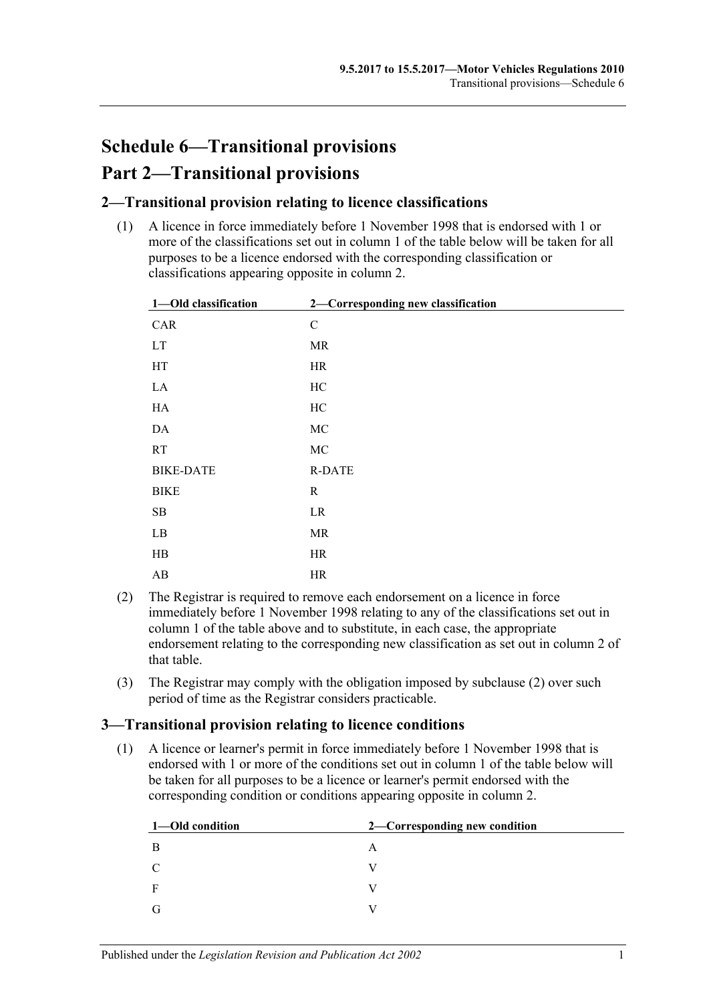# **Schedule 6—Transitional provisions Part 2—Transitional provisions**

### **2—Transitional provision relating to licence classifications**

(1) A licence in force immediately before 1 November 1998 that is endorsed with 1 or more of the classifications set out in column 1 of the table below will be taken for all purposes to be a licence endorsed with the corresponding classification or classifications appearing opposite in column 2.

| 1-Old classification       | 2-Corresponding new classification |  |
|----------------------------|------------------------------------|--|
| CAR                        | $\mathbf C$                        |  |
| $\mathop{\rm LT}\nolimits$ | MR                                 |  |
| HT                         | HR                                 |  |
| $\rm LA$                   | HC                                 |  |
| ${\rm HA}$                 | $\rm HC$                           |  |
| $\mathbf{DA}$              | $\rm MC$                           |  |
| RT                         | $\rm MC$                           |  |
| <b>BIKE-DATE</b>           | <b>R-DATE</b>                      |  |
| <b>BIKE</b>                | $\mathbf R$                        |  |
| $\rm SB$                   | LR                                 |  |
| $\rm LB$                   | MR                                 |  |
| $\rm HB$                   | HR                                 |  |
| AB                         | HR                                 |  |

- <span id="page-104-0"></span>(2) The Registrar is required to remove each endorsement on a licence in force immediately before 1 November 1998 relating to any of the classifications set out in column 1 of the table above and to substitute, in each case, the appropriate endorsement relating to the corresponding new classification as set out in column 2 of that table.
- (3) The Registrar may comply with the obligation imposed by [subclause](#page-104-0) (2) over such period of time as the Registrar considers practicable.

### **3—Transitional provision relating to licence conditions**

(1) A licence or learner's permit in force immediately before 1 November 1998 that is endorsed with 1 or more of the conditions set out in column 1 of the table below will be taken for all purposes to be a licence or learner's permit endorsed with the corresponding condition or conditions appearing opposite in column 2.

| 1—Old condition | 2—Corresponding new condition |
|-----------------|-------------------------------|
| B               | A                             |
| C               |                               |
| F               |                               |
| G               |                               |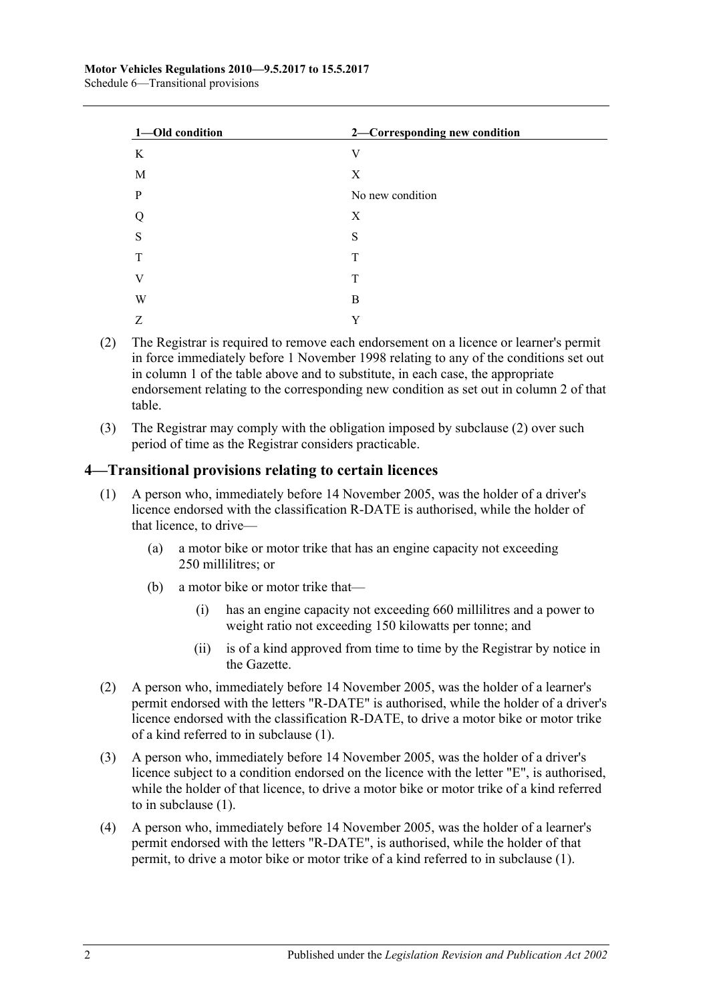| 1-Old condition | 2-Corresponding new condition |
|-----------------|-------------------------------|
| K               | V                             |
| M               | X                             |
| $\mathbf{P}$    | No new condition              |
| Q               | X                             |
| S               | S                             |
| T               | T                             |
| V               | T                             |
| W               | B                             |
| Z               | Y                             |

- <span id="page-105-0"></span>(2) The Registrar is required to remove each endorsement on a licence or learner's permit in force immediately before 1 November 1998 relating to any of the conditions set out in column 1 of the table above and to substitute, in each case, the appropriate endorsement relating to the corresponding new condition as set out in column 2 of that table.
- (3) The Registrar may comply with the obligation imposed by [subclause](#page-105-0) (2) over such period of time as the Registrar considers practicable.

### <span id="page-105-1"></span>**4—Transitional provisions relating to certain licences**

- (1) A person who, immediately before 14 November 2005, was the holder of a driver's licence endorsed with the classification R-DATE is authorised, while the holder of that licence, to drive—
	- (a) a motor bike or motor trike that has an engine capacity not exceeding 250 millilitres; or
	- (b) a motor bike or motor trike that—
		- (i) has an engine capacity not exceeding 660 millilitres and a power to weight ratio not exceeding 150 kilowatts per tonne; and
		- (ii) is of a kind approved from time to time by the Registrar by notice in the Gazette.
- (2) A person who, immediately before 14 November 2005, was the holder of a learner's permit endorsed with the letters "R-DATE" is authorised, while the holder of a driver's licence endorsed with the classification R-DATE, to drive a motor bike or motor trike of a kind referred to in [subclause](#page-105-1) (1).
- (3) A person who, immediately before 14 November 2005, was the holder of a driver's licence subject to a condition endorsed on the licence with the letter "E", is authorised, while the holder of that licence, to drive a motor bike or motor trike of a kind referred to in [subclause](#page-105-1) (1).
- (4) A person who, immediately before 14 November 2005, was the holder of a learner's permit endorsed with the letters "R-DATE", is authorised, while the holder of that permit, to drive a motor bike or motor trike of a kind referred to in [subclause](#page-105-1) (1).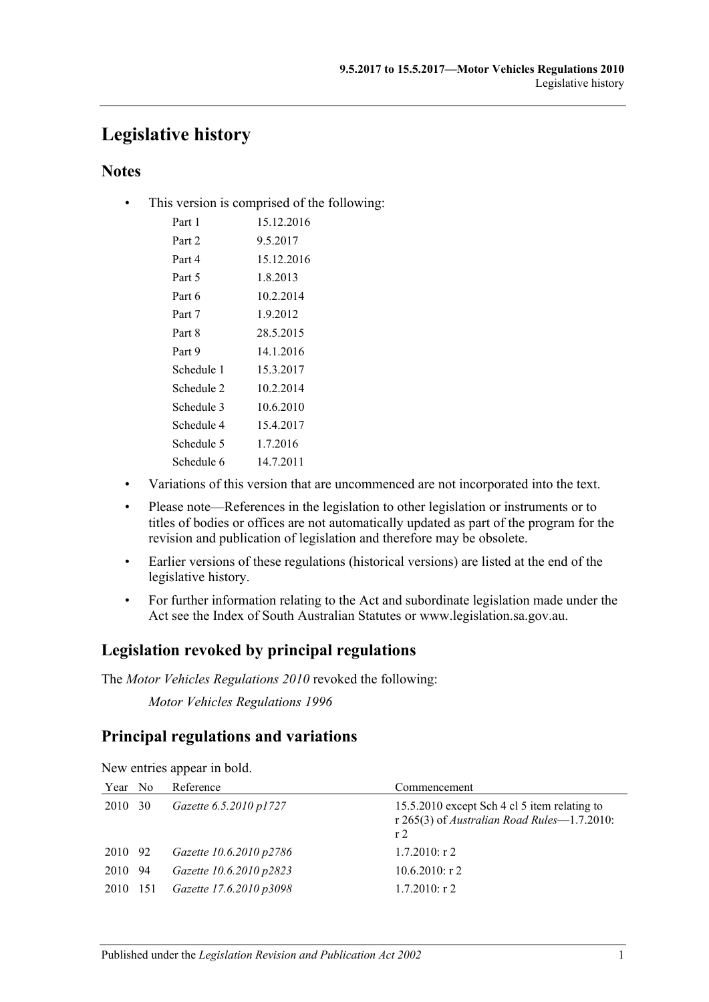## **Legislative history**

### **Notes**

• This version is comprised of the following:

| Part 1            | 15.12.2016 |
|-------------------|------------|
| Part <sub>2</sub> | 9.5.2017   |
| Part 4            | 15.12.2016 |
| Part 5            | 1.8.2013   |
| Part 6            | 10.2.2014  |
| Part 7            | 1.9.2012   |
| Part 8            | 28.5.2015  |
| Part 9            | 14.1.2016  |
| Schedule 1        | 15.3.2017  |
| Schedule 2        | 10.2.2014  |
| Schedule 3        | 10.6.2010  |
| Schedule 4        | 15.4.2017  |
| Schedule 5        | 1.7.2016   |
| Schedule 6        | 14.7.2011  |

- Variations of this version that are uncommenced are not incorporated into the text.
- Please note—References in the legislation to other legislation or instruments or to titles of bodies or offices are not automatically updated as part of the program for the revision and publication of legislation and therefore may be obsolete.
- Earlier versions of these regulations (historical versions) are listed at the end of the legislative history.
- For further information relating to the Act and subordinate legislation made under the Act see the Index of South Australian Statutes or www.legislation.sa.gov.au.

### **Legislation revoked by principal regulations**

The *Motor Vehicles Regulations 2010* revoked the following:

*Motor Vehicles Regulations 1996*

### **Principal regulations and variations**

| Year No  | Reference               | Commencement                                                                                                  |
|----------|-------------------------|---------------------------------------------------------------------------------------------------------------|
| 2010 30  | Gazette 6.5.2010 p1727  | 15.5.2010 except Sch 4 cl 5 item relating to<br>r 265(3) of Australian Road Rules-1.7.2010:<br>r <sub>2</sub> |
| 2010 92  | Gazette 10.6.2010 p2786 | $1.7.2010:$ r 2                                                                                               |
| 2010 94  | Gazette 10.6.2010 p2823 | $10.6.2010$ : r 2                                                                                             |
| 2010 151 | Gazette 17.6.2010 p3098 | $1.7.2010$ : r 2                                                                                              |

New entries appear in bold.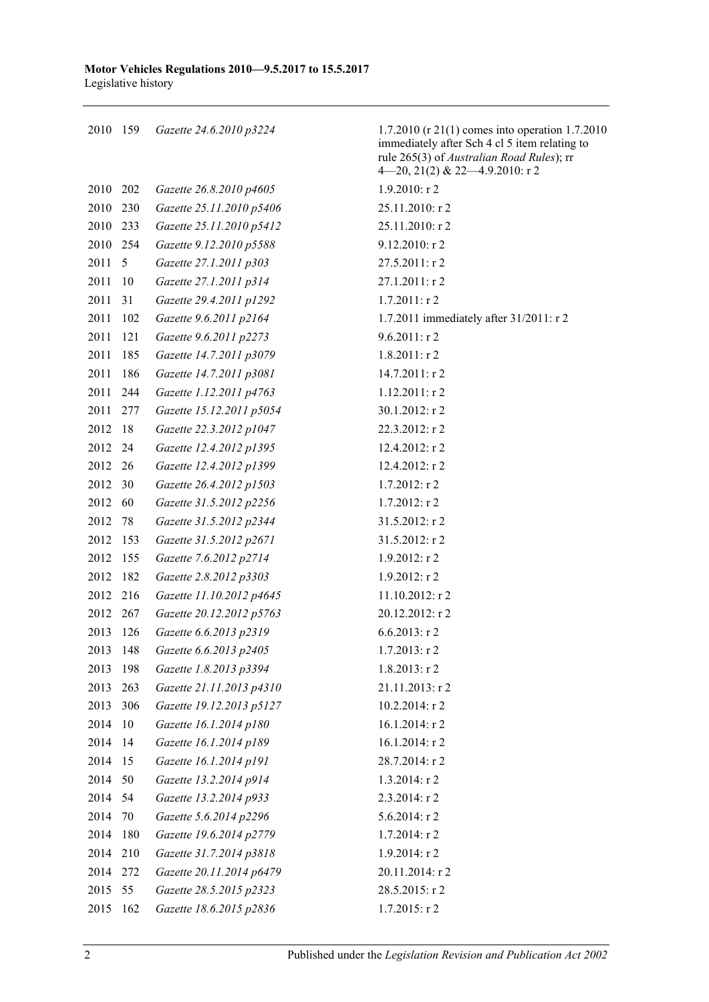159 *Gazette 24.6.2010 p3224* 1.7.2010 (r 21(1) comes into operation 1.7.2010

|      |                 |                          | immediately after Sch 4 cl 5 item relating to<br>rule 265(3) of Australian Road Rules); rr<br>4-20, 21(2) & 22-4.9.2010: r 2 |
|------|-----------------|--------------------------|------------------------------------------------------------------------------------------------------------------------------|
| 2010 | 202             | Gazette 26.8.2010 p4605  | $1.9.2010:$ r 2                                                                                                              |
| 2010 | 230             | Gazette 25.11.2010 p5406 | 25.11.2010: r 2                                                                                                              |
| 2010 | 233             | Gazette 25.11.2010 p5412 | 25.11.2010: r 2                                                                                                              |
| 2010 | 254             | Gazette 9.12.2010 p5588  | 9.12.2010: r 2                                                                                                               |
| 2011 | $5\overline{5}$ | Gazette 27.1.2011 p303   | 27.5.2011: r 2                                                                                                               |
| 2011 | 10              | Gazette 27.1.2011 p314   | 27.1.2011: r 2                                                                                                               |
| 2011 | 31              | Gazette 29.4.2011 p1292  | $1.7.2011:$ r2                                                                                                               |
| 2011 | 102             | Gazette 9.6.2011 p2164   | 1.7.2011 immediately after 31/2011: r 2                                                                                      |
| 2011 | 121             | Gazette 9.6.2011 p2273   | $9.6.2011:$ r2                                                                                                               |
| 2011 | 185             | Gazette 14.7.2011 p3079  | $1.8.2011:$ r2                                                                                                               |
| 2011 | 186             | Gazette 14.7.2011 p3081  | $14.7.2011:$ r 2                                                                                                             |
| 2011 | -244            | Gazette 1.12.2011 p4763  | $1.12.2011:$ r 2                                                                                                             |
| 2011 | 277             | Gazette 15.12.2011 p5054 | 30.1.2012: r 2                                                                                                               |
| 2012 | 18              | Gazette 22.3.2012 p1047  | 22.3.2012: r 2                                                                                                               |
| 2012 | -24             | Gazette 12.4.2012 p1395  | 12.4.2012: r 2                                                                                                               |
| 2012 | 26              | Gazette 12.4.2012 p1399  | 12.4.2012: r 2                                                                                                               |
| 2012 | 30              | Gazette 26.4.2012 p1503  | $1.7.2012:$ r2                                                                                                               |
| 2012 | 60              | Gazette 31.5.2012 p2256  | $1.7.2012$ : r 2                                                                                                             |
| 2012 | 78              | Gazette 31.5.2012 p2344  | 31.5.2012: r 2                                                                                                               |
| 2012 | 153             | Gazette 31.5.2012 p2671  | 31.5.2012: r 2                                                                                                               |
| 2012 | 155             | Gazette 7.6.2012 p2714   | $1.9.2012:$ r2                                                                                                               |
| 2012 | 182             | Gazette 2.8.2012 p3303   | $1.9.2012:$ r2                                                                                                               |
| 2012 | 216             | Gazette 11.10.2012 p4645 | 11.10.2012: r2                                                                                                               |
| 2012 | 267             | Gazette 20.12.2012 p5763 | 20.12.2012: r 2                                                                                                              |
| 2013 | 126             | Gazette 6.6.2013 p2319   | $6.6.2013$ : r 2                                                                                                             |
| 2013 | 148             | Gazette 6.6.2013 p2405   | $1.7.2013$ : r 2                                                                                                             |
| 2013 | 198             | Gazette 1.8.2013 p3394   | $1.8.2013$ : r 2                                                                                                             |
| 2013 | 263             | Gazette 21.11.2013 p4310 | 21.11.2013: r 2                                                                                                              |
| 2013 | 306             | Gazette 19.12.2013 p5127 | 10.2.2014: r 2                                                                                                               |
| 2014 | 10              | Gazette 16.1.2014 p180   | 16.1.2014: r 2                                                                                                               |
| 2014 | 14              | Gazette 16.1.2014 p189   | 16.1.2014: r 2                                                                                                               |
| 2014 | 15              | Gazette 16.1.2014 p191   | 28.7.2014: r 2                                                                                                               |
| 2014 | 50              | Gazette 13.2.2014 p914   | 1.3.2014: r 2                                                                                                                |
| 2014 | 54              | Gazette 13.2.2014 p933   | 2.3.2014: r 2                                                                                                                |
| 2014 | 70              | Gazette 5.6.2014 p2296   | 5.6.2014: r 2                                                                                                                |
| 2014 | 180             | Gazette 19.6.2014 p2779  | 1.7.2014: r 2                                                                                                                |
| 2014 | 210             | Gazette 31.7.2014 p3818  | 1.9.2014: r 2                                                                                                                |
| 2014 | 272             | Gazette 20.11.2014 p6479 | 20.11.2014: r 2                                                                                                              |
| 2015 | 55              | Gazette 28.5.2015 p2323  | 28.5.2015: r 2                                                                                                               |
| 2015 | 162             | Gazette 18.6.2015 p2836  | $1.7.2015:$ r 2                                                                                                              |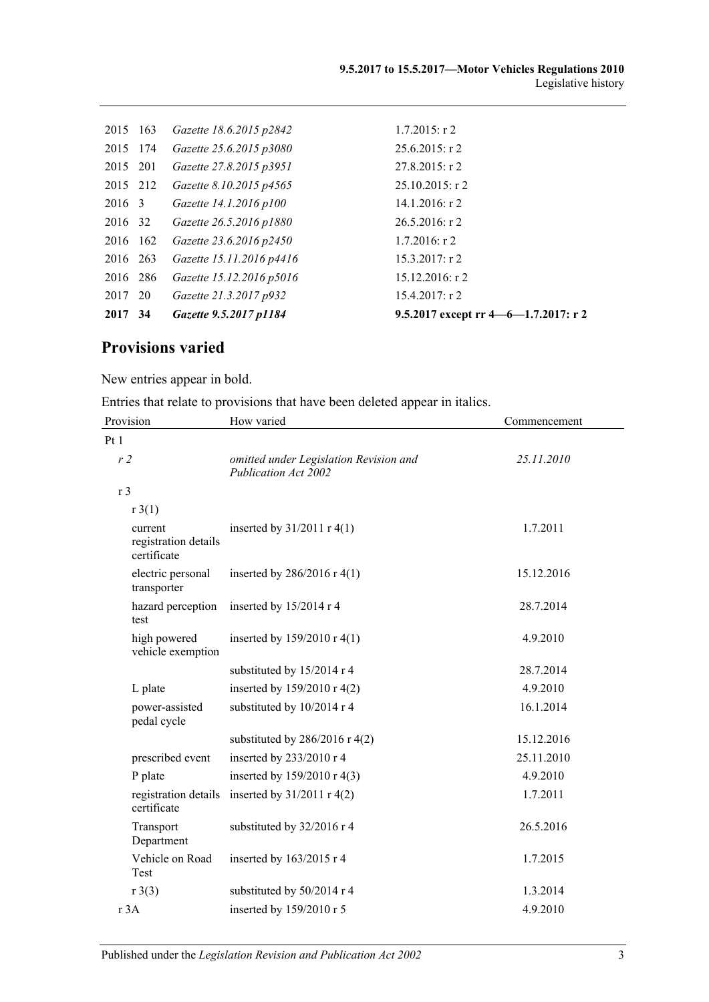| 2017 34  | Gazette 9.5.2017 p1184   | 9.5.2017 except rr 4—6—1.7.2017: r 2 |
|----------|--------------------------|--------------------------------------|
| 2017 20  | Gazette 21.3.2017 p932   | $15.4.2017$ : r 2                    |
| 2016 286 | Gazette 15.12.2016 p5016 | $15.12.2016$ : r 2                   |
| 2016 263 | Gazette 15.11.2016 p4416 | $15.3.2017:$ r 2                     |
| 2016 162 | Gazette 23.6.2016 p2450  | $1.7.2016$ : r 2                     |
| 2016 32  | Gazette 26.5.2016 p1880  | $26.5.2016$ : r 2                    |
| 2016 3   | Gazette 14.1.2016 p100   | $14.1.2016$ : r 2                    |
| 2015 212 | Gazette 8.10.2015 p4565  | $25.10.2015$ : r 2                   |
| 2015 201 | Gazette 27.8.2015 p3951  | $27.8.2015$ : r 2                    |
| 2015 174 | Gazette 25.6.2015 p3080  | $25.6.2015$ : r 2                    |
| 2015 163 | Gazette 18.6.2015 p2842  | $1.7.2015$ : r 2                     |
|          |                          |                                      |

# **Provisions varied**

New entries appear in bold.

Entries that relate to provisions that have been deleted appear in italics.

| Provision                                      | How varied                                                     | Commencement |  |
|------------------------------------------------|----------------------------------------------------------------|--------------|--|
| Pt1                                            |                                                                |              |  |
| r <sub>2</sub>                                 | omitted under Legislation Revision and<br>Publication Act 2002 | 25.11.2010   |  |
| r <sub>3</sub>                                 |                                                                |              |  |
| r3(1)                                          |                                                                |              |  |
| current<br>registration details<br>certificate | inserted by $31/2011$ r 4(1)                                   | 1.7.2011     |  |
| electric personal<br>transporter               | inserted by $286/2016$ r 4(1)                                  | 15.12.2016   |  |
| hazard perception<br>test                      | inserted by 15/2014 r 4                                        | 28.7.2014    |  |
| high powered<br>vehicle exemption              | inserted by $159/2010 \text{ r } 4(1)$                         | 4.9.2010     |  |
|                                                | substituted by 15/2014 r 4                                     | 28.7.2014    |  |
| L plate                                        | inserted by 159/2010 r 4(2)                                    | 4.9.2010     |  |
| power-assisted<br>pedal cycle                  | substituted by 10/2014 r 4                                     | 16.1.2014    |  |
|                                                | substituted by $286/2016$ r 4(2)                               | 15.12.2016   |  |
| prescribed event                               | inserted by 233/2010 r 4                                       | 25.11.2010   |  |
| P plate                                        | inserted by $159/2010$ r 4(3)                                  | 4.9.2010     |  |
| registration details<br>certificate            | inserted by $31/2011$ r 4(2)                                   | 1.7.2011     |  |
| Transport<br>Department                        | substituted by 32/2016 r 4                                     | 26.5.2016    |  |
| Vehicle on Road<br>Test                        | inserted by $163/2015$ r 4                                     | 1.7.2015     |  |
| r3(3)                                          | substituted by 50/2014 r 4                                     | 1.3.2014     |  |
| r 3A                                           | inserted by 159/2010 r 5                                       | 4.9.2010     |  |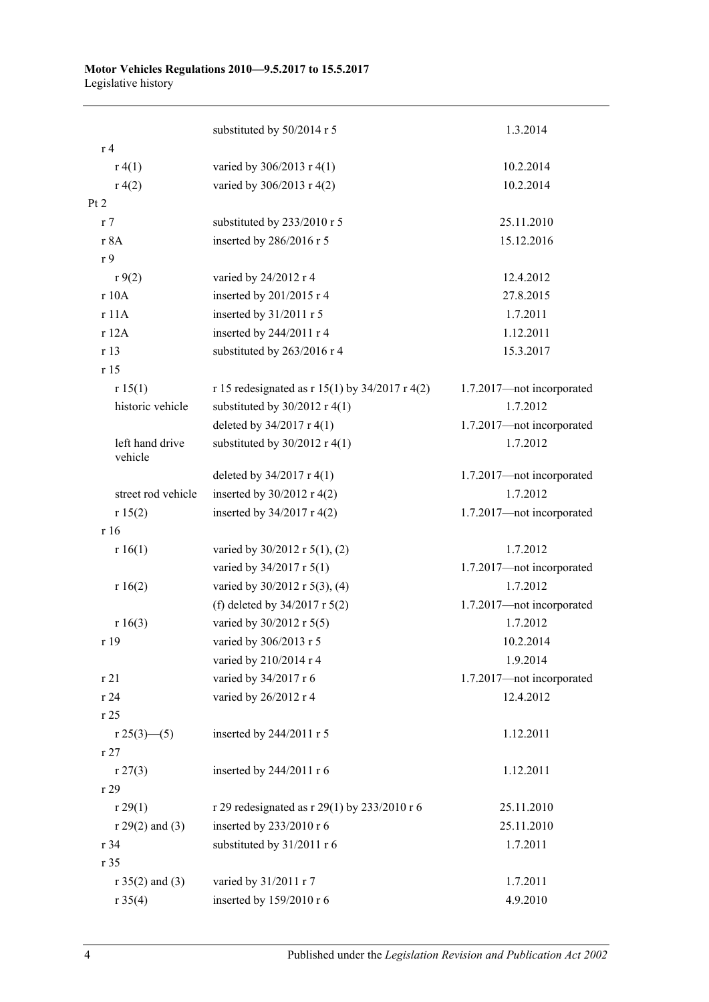|                            | substituted by 50/2014 r 5                       | 1.3.2014                  |
|----------------------------|--------------------------------------------------|---------------------------|
| r <sub>4</sub>             |                                                  |                           |
| r(4(1))                    | varied by 306/2013 r 4(1)                        | 10.2.2014                 |
| r(4(2)                     | varied by 306/2013 r 4(2)                        | 10.2.2014                 |
| Pt 2                       |                                                  |                           |
| r <sub>7</sub>             | substituted by 233/2010 r 5                      | 25.11.2010                |
| r 8A                       | inserted by 286/2016 r 5                         | 15.12.2016                |
| r 9                        |                                                  |                           |
| r9(2)                      | varied by 24/2012 r 4                            | 12.4.2012                 |
| r 10A                      | inserted by 201/2015 r 4                         | 27.8.2015                 |
| r 11A                      | inserted by 31/2011 r 5                          | 1.7.2011                  |
| r 12A                      | inserted by 244/2011 r 4                         | 1.12.2011                 |
| r 13                       | substituted by 263/2016 r 4                      | 15.3.2017                 |
| r 15                       |                                                  |                           |
| r 15(1)                    | r 15 redesignated as r 15(1) by $34/2017$ r 4(2) | 1.7.2017-not incorporated |
| historic vehicle           | substituted by $30/2012$ r 4(1)                  | 1.7.2012                  |
|                            | deleted by 34/2017 r 4(1)                        | 1.7.2017-not incorporated |
| left hand drive<br>vehicle | substituted by $30/2012$ r 4(1)                  | 1.7.2012                  |
|                            | deleted by $34/2017$ r 4(1)                      | 1.7.2017-not incorporated |
| street rod vehicle         | inserted by $30/2012$ r 4(2)                     | 1.7.2012                  |
| r 15(2)                    | inserted by $34/2017$ r 4(2)                     | 1.7.2017-not incorporated |
| r 16                       |                                                  |                           |
| r 16(1)                    | varied by $30/2012$ r $5(1)$ , (2)               | 1.7.2012                  |
|                            | varied by 34/2017 r 5(1)                         | 1.7.2017-not incorporated |
| r 16(2)                    | varied by 30/2012 r 5(3), (4)                    | 1.7.2012                  |
|                            | (f) deleted by $34/2017$ r $5(2)$                | 1.7.2017-not incorporated |
| r 16(3)                    | varied by 30/2012 r 5(5)                         | 1.7.2012                  |
| r 19                       | varied by 306/2013 r 5                           | 10.2.2014                 |
|                            | varied by 210/2014 r 4                           | 1.9.2014                  |
| r 21                       | varied by 34/2017 r 6                            | 1.7.2017-not incorporated |
| r 24                       | varied by 26/2012 r 4                            | 12.4.2012                 |
| r 25                       |                                                  |                           |
| r 25(3)—(5)                | inserted by 244/2011 r 5                         | 1.12.2011                 |
| r27                        |                                                  |                           |
| r 27(3)                    | inserted by 244/2011 r 6                         | 1.12.2011                 |
| r 29                       |                                                  |                           |
| r 29(1)                    | r 29 redesignated as r 29(1) by 233/2010 r 6     | 25.11.2010                |
| $r 29(2)$ and (3)          | inserted by 233/2010 r 6                         | 25.11.2010                |
| r 34                       | substituted by 31/2011 r 6                       | 1.7.2011                  |
| r 35                       |                                                  |                           |
| $r 35(2)$ and (3)          | varied by 31/2011 r 7                            | 1.7.2011                  |
| r 35(4)                    | inserted by 159/2010 r 6                         | 4.9.2010                  |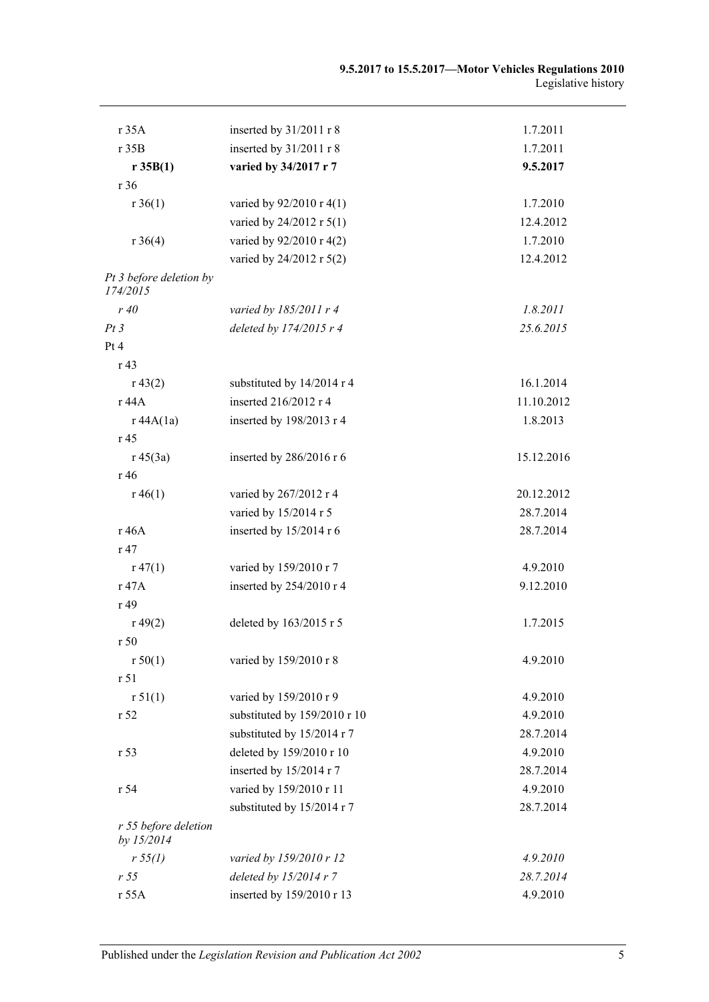| r 35A                               | inserted by 31/2011 r 8      | 1.7.2011   |
|-------------------------------------|------------------------------|------------|
| r 35B                               | inserted by 31/2011 r 8      | 1.7.2011   |
| r 35B(1)                            | varied by 34/2017 r 7        | 9.5.2017   |
| r 36                                |                              |            |
| $r \, 36(1)$                        | varied by 92/2010 r 4(1)     | 1.7.2010   |
|                                     | varied by 24/2012 r 5(1)     | 12.4.2012  |
| $r \, 36(4)$                        | varied by 92/2010 r 4(2)     | 1.7.2010   |
|                                     | varied by 24/2012 r 5(2)     | 12.4.2012  |
| Pt 3 before deletion by<br>174/2015 |                              |            |
| r40                                 | varied by $185/2011$ r 4     | 1.8.2011   |
| Pt3                                 | deleted by 174/2015 r 4      | 25.6.2015  |
| Pt 4                                |                              |            |
| r 43                                |                              |            |
| r 43(2)                             | substituted by 14/2014 r 4   | 16.1.2014  |
| r 44A                               | inserted 216/2012 r 4        | 11.10.2012 |
| r 44A(1a)                           | inserted by 198/2013 r 4     | 1.8.2013   |
| r 45                                |                              |            |
| $r\,45(3a)$                         | inserted by $286/2016$ r 6   | 15.12.2016 |
| r 46                                |                              |            |
| $r\,46(1)$                          | varied by 267/2012 r 4       | 20.12.2012 |
|                                     | varied by 15/2014 r 5        | 28.7.2014  |
| r 46A                               | inserted by 15/2014 r 6      | 28.7.2014  |
| r 47                                |                              |            |
| $r\,47(1)$                          | varied by 159/2010 r 7       | 4.9.2010   |
| r 47A                               | inserted by 254/2010 r 4     | 9.12.2010  |
| r 49                                |                              |            |
| r 49(2)                             | deleted by 163/2015 r 5      | 1.7.2015   |
| r50                                 |                              |            |
| r 50(1)                             | varied by 159/2010 r 8       | 4.9.2010   |
| r 51                                |                              |            |
| r 51(1)                             | varied by 159/2010 r 9       | 4.9.2010   |
| r 52                                | substituted by 159/2010 r 10 | 4.9.2010   |
|                                     | substituted by 15/2014 r 7   | 28.7.2014  |
| r 53                                | deleted by 159/2010 r 10     | 4.9.2010   |
|                                     | inserted by 15/2014 r 7      | 28.7.2014  |
| r 54                                | varied by 159/2010 r 11      | 4.9.2010   |
|                                     | substituted by 15/2014 r 7   | 28.7.2014  |
| r 55 before deletion<br>by 15/2014  |                              |            |
| r 55(l)                             | varied by 159/2010 r 12      | 4.9.2010   |
| r <sub>55</sub>                     | deleted by $15/2014r7$       | 28.7.2014  |
| r 55A                               | inserted by 159/2010 r 13    | 4.9.2010   |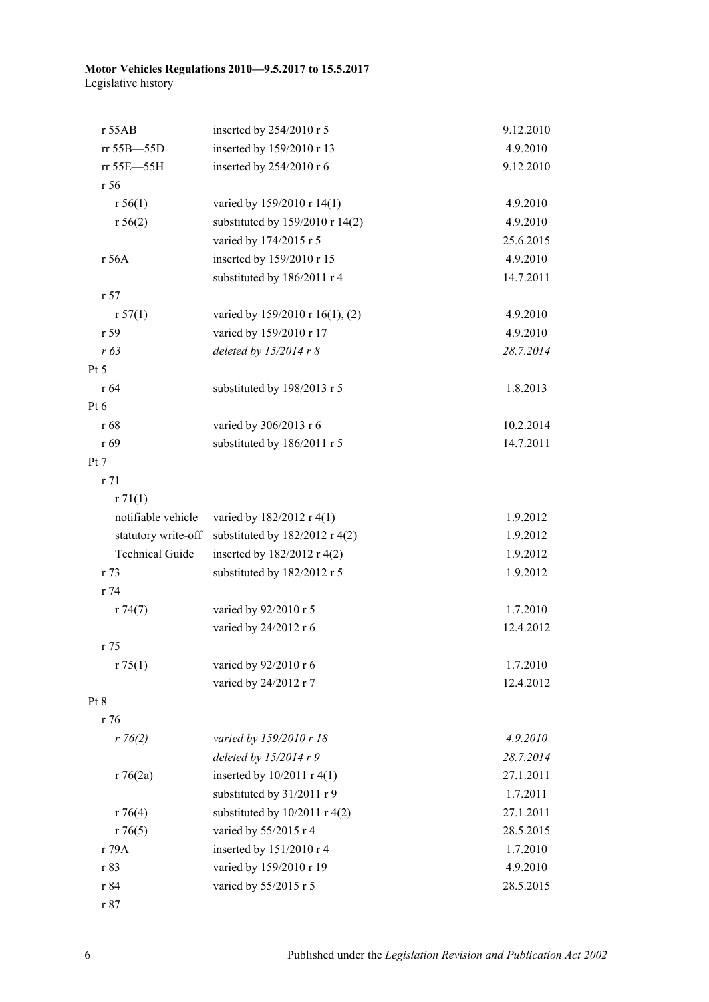#### **Motor Vehicles Regulations 2010—9.5.2017 to 15.5.2017** Legislative history

| $r$ 55AB               | inserted by 254/2010 r 5         | 9.12.2010 |
|------------------------|----------------------------------|-----------|
| rr 55B-55D             | inserted by 159/2010 r 13        | 4.9.2010  |
| rr 55E-55H             | inserted by 254/2010 r 6         | 9.12.2010 |
| r 56                   |                                  |           |
| r 56(1)                | varied by 159/2010 r 14(1)       | 4.9.2010  |
| r 56(2)                | substituted by 159/2010 r 14(2)  | 4.9.2010  |
|                        | varied by 174/2015 r 5           | 25.6.2015 |
| r 56A                  | inserted by 159/2010 r 15        | 4.9.2010  |
|                        | substituted by 186/2011 r 4      | 14.7.2011 |
| r 57                   |                                  |           |
| r 57(1)                | varied by 159/2010 r 16(1), (2)  | 4.9.2010  |
| r 59                   | varied by 159/2010 r 17          | 4.9.2010  |
| r 63                   | deleted by $15/2014 r 8$         | 28.7.2014 |
| Pt 5                   |                                  |           |
| r 64                   | substituted by 198/2013 r 5      | 1.8.2013  |
| Pt $6$                 |                                  |           |
| r 68                   | varied by 306/2013 r 6           | 10.2.2014 |
| r 69                   | substituted by 186/2011 r 5      | 14.7.2011 |
| Pt 7                   |                                  |           |
| r 71                   |                                  |           |
| r71(1)                 |                                  |           |
| notifiable vehicle     | varied by 182/2012 r 4(1)        | 1.9.2012  |
| statutory write-off    | substituted by $182/2012$ r 4(2) | 1.9.2012  |
| <b>Technical Guide</b> | inserted by 182/2012 r 4(2)      | 1.9.2012  |
| r 73                   | substituted by 182/2012 r 5      | 1.9.2012  |
| r 74                   |                                  |           |
| r 74(7)                | varied by 92/2010 r 5            | 1.7.2010  |
|                        | varied by 24/2012 r 6            | 12.4.2012 |
| r 75                   |                                  |           |
| r 75(1)                | varied by 92/2010 r 6            | 1.7.2010  |
|                        | varied by 24/2012 r 7            | 12.4.2012 |
| Pt 8                   |                                  |           |
| r 76                   |                                  |           |
| $r \, 76(2)$           | varied by 159/2010 r 18          | 4.9.2010  |
|                        | deleted by $15/2014 r 9$         | 28.7.2014 |
| r76(2a)                | inserted by $10/2011$ r 4(1)     | 27.1.2011 |
|                        | substituted by 31/2011 r 9       | 1.7.2011  |
| r76(4)                 | substituted by $10/2011$ r 4(2)  | 27.1.2011 |
| r76(5)                 | varied by 55/2015 r 4            | 28.5.2015 |
| r 79A                  | inserted by 151/2010 r 4         | 1.7.2010  |
| r 83                   | varied by 159/2010 r 19          | 4.9.2010  |
| r 84                   | varied by 55/2015 r 5            | 28.5.2015 |
| $\,$ r $87$            |                                  |           |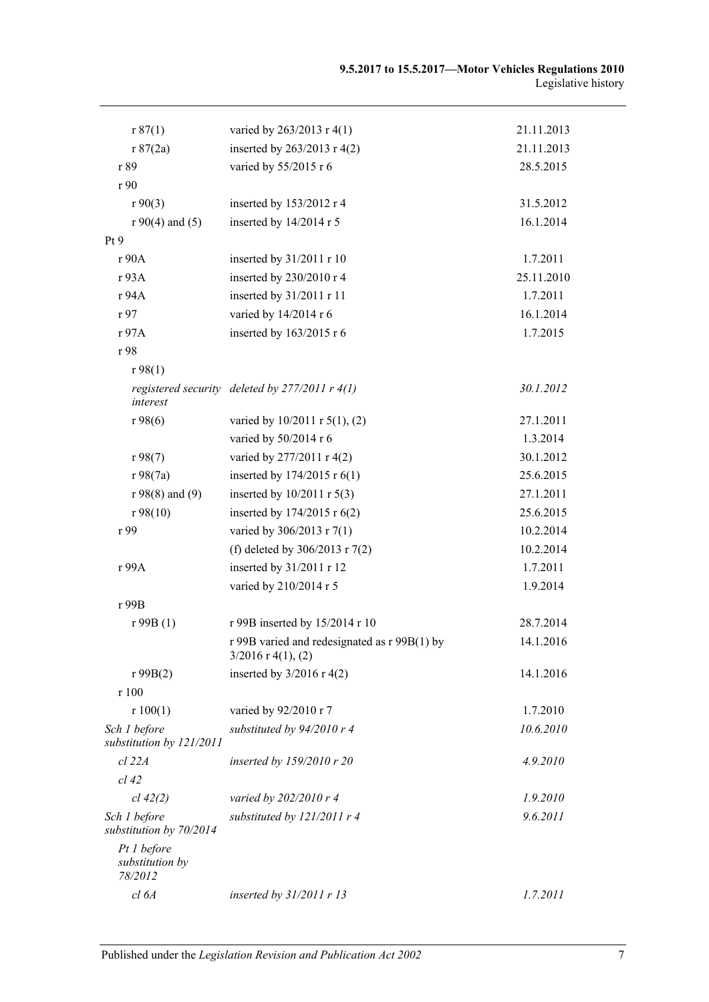| r 87(1)                                   | varied by 263/2013 r 4(1)                                            | 21.11.2013 |
|-------------------------------------------|----------------------------------------------------------------------|------------|
| r 87(2a)                                  | inserted by 263/2013 r 4(2)                                          | 21.11.2013 |
| r 89                                      | varied by 55/2015 r 6                                                | 28.5.2015  |
| r 90                                      |                                                                      |            |
| r90(3)                                    | inserted by 153/2012 r 4                                             | 31.5.2012  |
| $r90(4)$ and (5)                          | inserted by 14/2014 r 5                                              | 16.1.2014  |
| Pt 9                                      |                                                                      |            |
| r 90A                                     | inserted by 31/2011 r 10                                             | 1.7.2011   |
| r 93A                                     | inserted by 230/2010 r 4                                             | 25.11.2010 |
| r 94A                                     | inserted by 31/2011 r 11                                             | 1.7.2011   |
| r 97                                      | varied by 14/2014 r 6                                                | 16.1.2014  |
| r 97A                                     | inserted by 163/2015 r 6                                             | 1.7.2015   |
| r 98                                      |                                                                      |            |
| r98(1)                                    |                                                                      |            |
| interest                                  | registered security deleted by $277/2011$ r $4(1)$                   | 30.1.2012  |
| r98(6)                                    | varied by $10/2011$ r $5(1)$ , (2)                                   | 27.1.2011  |
|                                           | varied by 50/2014 r 6                                                | 1.3.2014   |
| r98(7)                                    | varied by 277/2011 r 4(2)                                            | 30.1.2012  |
| r98(7a)                                   | inserted by 174/2015 r 6(1)                                          | 25.6.2015  |
| $r 98(8)$ and (9)                         | inserted by $10/2011$ r $5(3)$                                       | 27.1.2011  |
| r98(10)                                   | inserted by 174/2015 r 6(2)                                          | 25.6.2015  |
| r 99                                      | varied by 306/2013 r 7(1)                                            | 10.2.2014  |
|                                           | (f) deleted by 306/2013 r 7(2)                                       | 10.2.2014  |
| r 99A                                     | inserted by 31/2011 r 12                                             | 1.7.2011   |
|                                           | varied by 210/2014 r 5                                               | 1.9.2014   |
| r 99B                                     |                                                                      |            |
| r99B(1)                                   | r 99B inserted by 15/2014 r 10                                       | 28.7.2014  |
|                                           | r 99B varied and redesignated as r 99B(1) by<br>$3/2016$ r 4(1), (2) | 14.1.2016  |
| r99B(2)                                   | inserted by $3/2016$ r 4(2)                                          | 14.1.2016  |
| r 100                                     |                                                                      |            |
| r 100(1)                                  | varied by 92/2010 r 7                                                | 1.7.2010   |
| Sch 1 before<br>substitution by 121/2011  | substituted by 94/2010 r 4                                           | 10.6.2010  |
| cl 22A                                    | inserted by 159/2010 r 20                                            | 4.9.2010   |
| $cl$ 42                                   |                                                                      |            |
| cl 42(2)                                  | varied by 202/2010 r 4                                               | 1.9.2010   |
| Sch 1 before<br>substitution by 70/2014   | substituted by $121/2011$ r 4                                        | 9.6.2011   |
| Pt 1 before<br>substitution by<br>78/2012 |                                                                      |            |
| cl 6A                                     | inserted by $31/2011$ r 13                                           | 1.7.2011   |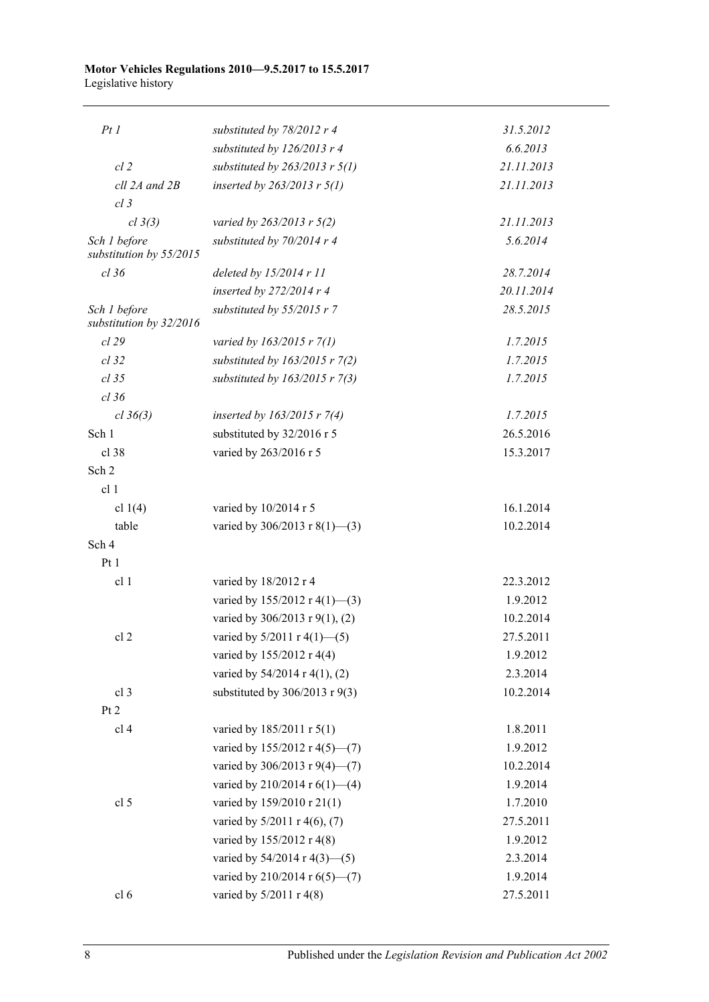#### **Motor Vehicles Regulations 2010—9.5.2017 to 15.5.2017** Legislative history

| PtI                                     | substituted by $78/2012$ r 4       | 31.5.2012  |
|-----------------------------------------|------------------------------------|------------|
|                                         | substituted by 126/2013 r 4        | 6.6.2013   |
| $cl$ 2                                  | substituted by $263/2013$ r $5(1)$ | 21.11.2013 |
| cll 2A and 2B                           | inserted by $263/2013$ r $5(1)$    | 21.11.2013 |
| $cl$ 3                                  |                                    |            |
| cl 3(3)                                 | varied by $263/2013$ r $5(2)$      | 21.11.2013 |
| Sch 1 before                            | substituted by 70/2014 r 4         | 5.6.2014   |
| substitution by 55/2015                 |                                    |            |
| $cl$ 36                                 | deleted by $15/2014$ r 11          | 28.7.2014  |
|                                         | inserted by $272/2014$ r 4         | 20.11.2014 |
| Sch 1 before<br>substitution by 32/2016 | substituted by 55/2015 r 7         | 28.5.2015  |
| cl 29                                   | varied by 163/2015 r 7(1)          | 1.7.2015   |
| $cl$ 32                                 | substituted by $163/2015$ r $7(2)$ | 1.7.2015   |
| $cl$ 35                                 | substituted by $163/2015$ r $7(3)$ | 1.7.2015   |
| $cl$ 36                                 |                                    |            |
| cl 36(3)                                | inserted by $163/2015$ r 7(4)      | 1.7.2015   |
| Sch 1                                   | substituted by 32/2016 r 5         | 26.5.2016  |
| $cl$ 38                                 | varied by 263/2016 r 5             | 15.3.2017  |
| Sch 2                                   |                                    |            |
| cl <sub>1</sub>                         |                                    |            |
| cl $1(4)$                               | varied by 10/2014 r 5              | 16.1.2014  |
| table                                   | varied by $306/2013$ r 8(1)–(3)    | 10.2.2014  |
| Sch 4                                   |                                    |            |
| Pt1                                     |                                    |            |
| cl 1                                    | varied by 18/2012 r 4              | 22.3.2012  |
|                                         | varied by $155/2012$ r 4(1)–(3)    | 1.9.2012   |
|                                         | varied by 306/2013 r 9(1), (2)     | 10.2.2014  |
| cl <sub>2</sub>                         | varied by $5/2011$ r $4(1)$ —(5)   | 27.5.2011  |
|                                         | varied by 155/2012 r 4(4)          | 1.9.2012   |
|                                         | varied by 54/2014 r 4(1), (2)      | 2.3.2014   |
| cl <sub>3</sub>                         | substituted by $306/2013$ r $9(3)$ | 10.2.2014  |
| Pt 2                                    |                                    |            |
| cl <sub>4</sub>                         | varied by 185/2011 r 5(1)          | 1.8.2011   |
|                                         | varied by 155/2012 r 4(5)-(7)      | 1.9.2012   |
|                                         | varied by 306/2013 r 9(4)–(7)      | 10.2.2014  |
|                                         | varied by 210/2014 r $6(1)$ —(4)   | 1.9.2014   |
| cl <sub>5</sub>                         | varied by 159/2010 r 21(1)         | 1.7.2010   |
|                                         | varied by 5/2011 r 4(6), (7)       | 27.5.2011  |
|                                         | varied by 155/2012 r 4(8)          | 1.9.2012   |
|                                         | varied by $54/2014$ r $4(3)$ - (5) | 2.3.2014   |
|                                         | varied by 210/2014 r 6(5)–(7)      | 1.9.2014   |
| cl <sub>6</sub>                         | varied by 5/2011 r 4(8)            | 27.5.2011  |

8 Published under the *Legislation Revision and Publication Act 2002*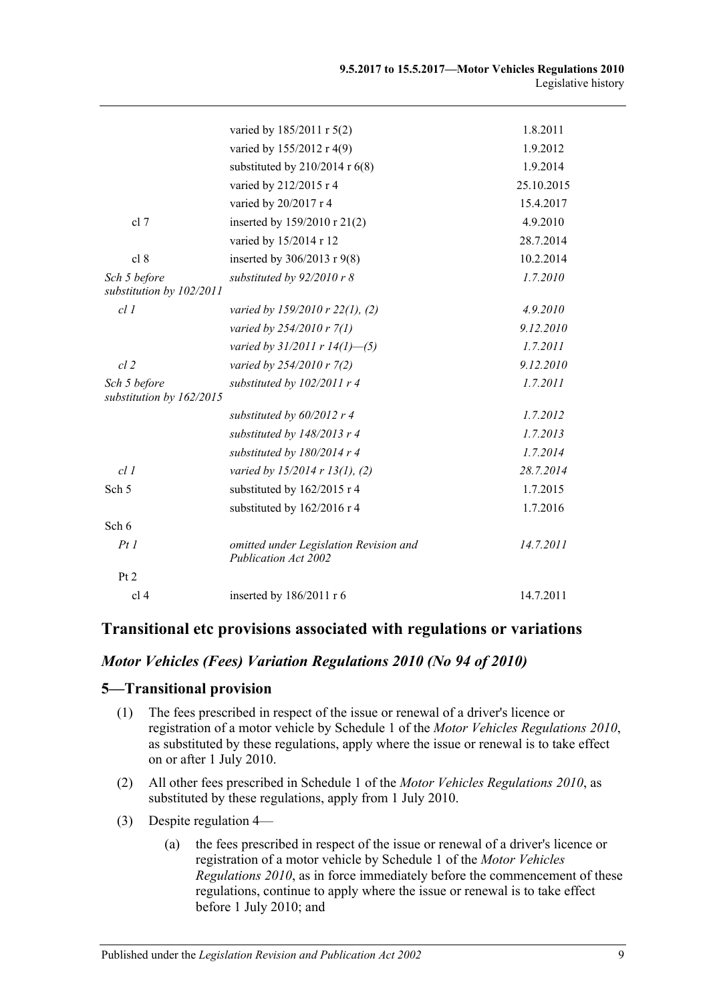|                                          | varied by 185/2011 r 5(2)                                             | 1.8.2011   |
|------------------------------------------|-----------------------------------------------------------------------|------------|
|                                          | varied by 155/2012 r 4(9)                                             | 1.9.2012   |
|                                          | substituted by $210/2014$ r $6(8)$                                    | 1.9.2014   |
|                                          | varied by 212/2015 r 4                                                | 25.10.2015 |
|                                          | varied by 20/2017 r 4                                                 | 15.4.2017  |
| cl 7                                     | inserted by 159/2010 r 21(2)                                          | 4.9.2010   |
|                                          | varied by 15/2014 r 12                                                | 28.7.2014  |
| cl 8                                     | inserted by $306/2013$ r $9(8)$                                       | 10.2.2014  |
| Sch 5 before<br>substitution by 102/2011 | substituted by 92/2010 r 8                                            | 1.7.2010   |
| cl1                                      | varied by 159/2010 r 22(1), (2)                                       | 4.9.2010   |
|                                          | varied by 254/2010 r 7(1)                                             | 9.12.2010  |
|                                          | varied by $31/2011$ r $14(1)$ —(5)                                    | 1.7.2011   |
| $cl$ $2$                                 | varied by 254/2010 r 7(2)                                             | 9.12.2010  |
| Sch 5 before<br>substitution by 162/2015 | substituted by 102/2011 r 4                                           | 1.7.2011   |
|                                          | substituted by 60/2012 r 4                                            | 1.7.2012   |
|                                          | substituted by 148/2013 r 4                                           | 1.7.2013   |
|                                          | substituted by 180/2014 r 4                                           | 1.7.2014   |
| cl1                                      | varied by $15/2014$ r $13(1)$ , (2)                                   | 28.7.2014  |
| Sch <sub>5</sub>                         | substituted by 162/2015 r 4                                           | 1.7.2015   |
|                                          | substituted by 162/2016 r 4                                           | 1.7.2016   |
| Sch 6                                    |                                                                       |            |
| PtI                                      | omitted under Legislation Revision and<br><b>Publication Act 2002</b> | 14.7.2011  |
| Pt 2                                     |                                                                       |            |
| cl <sub>4</sub>                          | inserted by 186/2011 r 6                                              | 14.7.2011  |

### **Transitional etc provisions associated with regulations or variations**

### *Motor Vehicles (Fees) Variation Regulations 2010 (No 94 of 2010)*

### **5—Transitional provision**

- (1) The fees prescribed in respect of the issue or renewal of a driver's licence or registration of a motor vehicle by Schedule 1 of the *[Motor Vehicles Regulations](http://www.legislation.sa.gov.au/index.aspx?action=legref&type=subordleg&legtitle=Motor%20Vehicles%20Regulations%202010) 2010*, as substituted by these regulations, apply where the issue or renewal is to take effect on or after 1 July 2010.
- (2) All other fees prescribed in Schedule 1 of the *[Motor Vehicles Regulations](http://www.legislation.sa.gov.au/index.aspx?action=legref&type=subordleg&legtitle=Motor%20Vehicles%20Regulations%202010) 2010*, as substituted by these regulations, apply from 1 July 2010.
- (3) Despite regulation 4—
	- (a) the fees prescribed in respect of the issue or renewal of a driver's licence or registration of a motor vehicle by Schedule 1 of the *[Motor Vehicles](http://www.legislation.sa.gov.au/index.aspx?action=legref&type=subordleg&legtitle=Motor%20Vehicles%20Regulations%202010)  [Regulations](http://www.legislation.sa.gov.au/index.aspx?action=legref&type=subordleg&legtitle=Motor%20Vehicles%20Regulations%202010) 2010*, as in force immediately before the commencement of these regulations, continue to apply where the issue or renewal is to take effect before 1 July 2010; and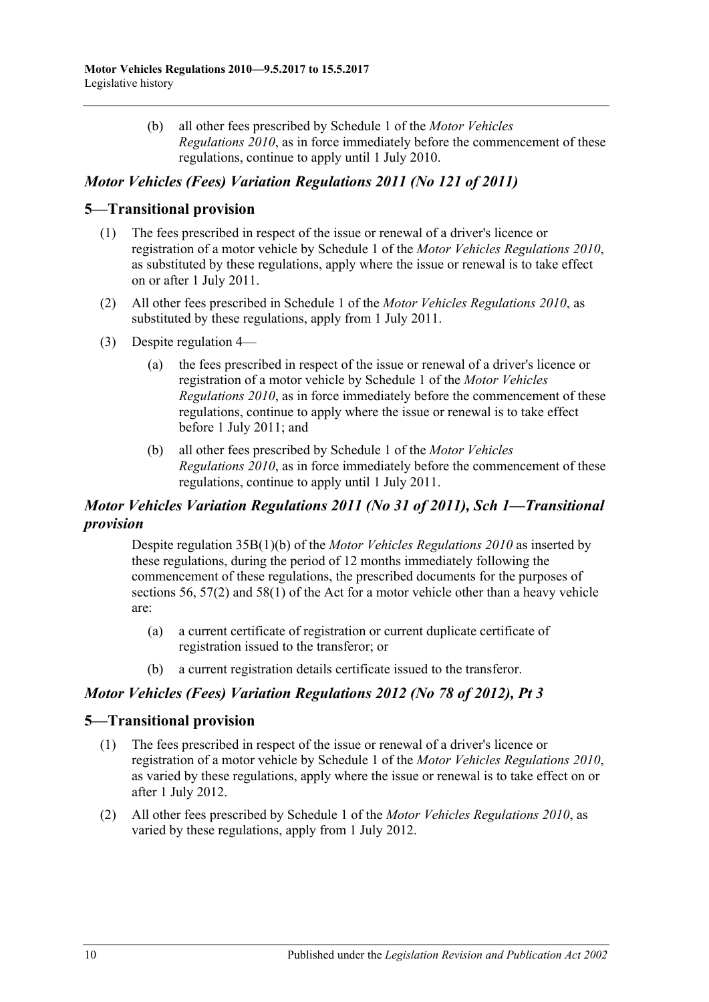(b) all other fees prescribed by Schedule 1 of the *[Motor Vehicles](http://www.legislation.sa.gov.au/index.aspx?action=legref&type=subordleg&legtitle=Motor%20Vehicles%20Regulations%202010)  [Regulations](http://www.legislation.sa.gov.au/index.aspx?action=legref&type=subordleg&legtitle=Motor%20Vehicles%20Regulations%202010) 2010*, as in force immediately before the commencement of these regulations, continue to apply until 1 July 2010.

# *Motor Vehicles (Fees) Variation Regulations 2011 (No 121 of 2011)*

#### **5—Transitional provision**

- (1) The fees prescribed in respect of the issue or renewal of a driver's licence or registration of a motor vehicle by Schedule 1 of the *[Motor Vehicles Regulations](http://www.legislation.sa.gov.au/index.aspx?action=legref&type=subordleg&legtitle=Motor%20Vehicles%20Regulations%202010) 2010*, as substituted by these regulations, apply where the issue or renewal is to take effect on or after 1 July 2011.
- (2) All other fees prescribed in Schedule 1 of the *[Motor Vehicles Regulations](http://www.legislation.sa.gov.au/index.aspx?action=legref&type=subordleg&legtitle=Motor%20Vehicles%20Regulations%202010) 2010*, as substituted by these regulations, apply from 1 July 2011.
- (3) Despite regulation 4—
	- (a) the fees prescribed in respect of the issue or renewal of a driver's licence or registration of a motor vehicle by Schedule 1 of the *[Motor Vehicles](http://www.legislation.sa.gov.au/index.aspx?action=legref&type=subordleg&legtitle=Motor%20Vehicles%20Regulations%202010)  [Regulations](http://www.legislation.sa.gov.au/index.aspx?action=legref&type=subordleg&legtitle=Motor%20Vehicles%20Regulations%202010) 2010*, as in force immediately before the commencement of these regulations, continue to apply where the issue or renewal is to take effect before 1 July 2011; and
	- (b) all other fees prescribed by Schedule 1 of the *[Motor Vehicles](http://www.legislation.sa.gov.au/index.aspx?action=legref&type=subordleg&legtitle=Motor%20Vehicles%20Regulations%202010)  [Regulations](http://www.legislation.sa.gov.au/index.aspx?action=legref&type=subordleg&legtitle=Motor%20Vehicles%20Regulations%202010) 2010*, as in force immediately before the commencement of these regulations, continue to apply until 1 July 2011.

## *Motor Vehicles Variation Regulations 2011 (No 31 of 2011), Sch 1—Transitional provision*

Despite regulation 35B(1)(b) of the *[Motor Vehicles Regulations](http://www.legislation.sa.gov.au/index.aspx?action=legref&type=subordleg&legtitle=Motor%20Vehicles%20Regulations%202010) 2010* as inserted by these regulations, during the period of 12 months immediately following the commencement of these regulations, the prescribed documents for the purposes of sections 56, 57(2) and 58(1) of the Act for a motor vehicle other than a heavy vehicle are:

- (a) a current certificate of registration or current duplicate certificate of registration issued to the transferor; or
- (b) a current registration details certificate issued to the transferor.

### *Motor Vehicles (Fees) Variation Regulations 2012 (No 78 of 2012), Pt 3*

### **5—Transitional provision**

- (1) The fees prescribed in respect of the issue or renewal of a driver's licence or registration of a motor vehicle by Schedule 1 of the *[Motor Vehicles Regulations](http://www.legislation.sa.gov.au/index.aspx?action=legref&type=subordleg&legtitle=Motor%20Vehicles%20Regulations%202010) 2010*, as varied by these regulations, apply where the issue or renewal is to take effect on or after 1 July 2012.
- (2) All other fees prescribed by Schedule 1 of the *[Motor Vehicles Regulations](http://www.legislation.sa.gov.au/index.aspx?action=legref&type=subordleg&legtitle=Motor%20Vehicles%20Regulations%202010) 2010*, as varied by these regulations, apply from 1 July 2012.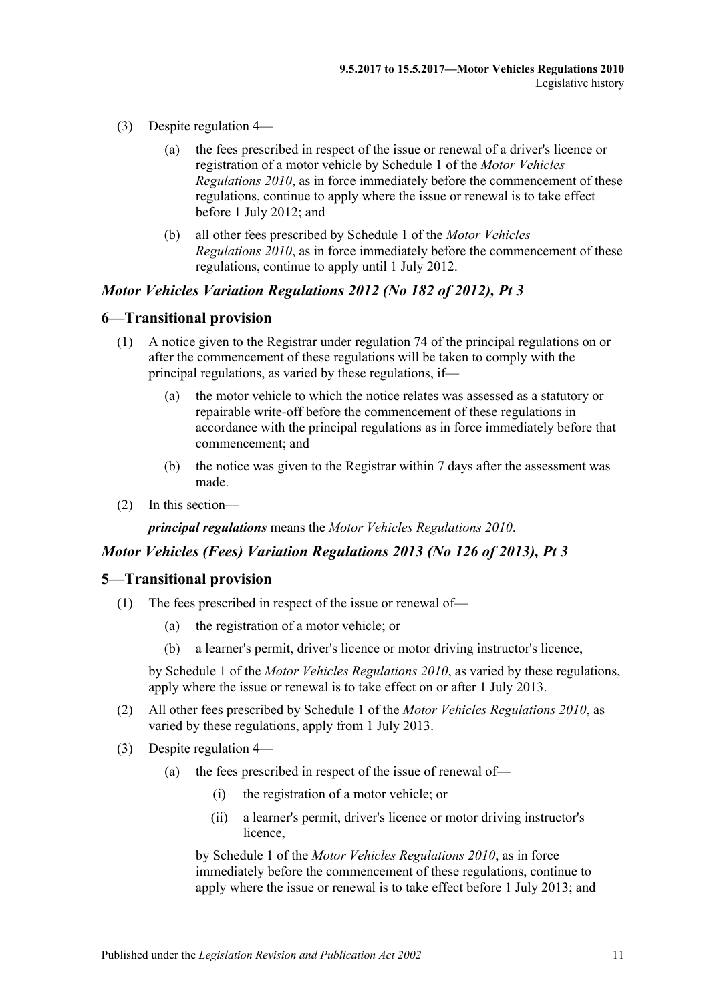- (3) Despite regulation 4—
	- (a) the fees prescribed in respect of the issue or renewal of a driver's licence or registration of a motor vehicle by Schedule 1 of the *[Motor Vehicles](http://www.legislation.sa.gov.au/index.aspx?action=legref&type=subordleg&legtitle=Motor%20Vehicles%20Regulations%202010)  [Regulations](http://www.legislation.sa.gov.au/index.aspx?action=legref&type=subordleg&legtitle=Motor%20Vehicles%20Regulations%202010) 2010*, as in force immediately before the commencement of these regulations, continue to apply where the issue or renewal is to take effect before 1 July 2012; and
	- (b) all other fees prescribed by Schedule 1 of the *[Motor Vehicles](http://www.legislation.sa.gov.au/index.aspx?action=legref&type=subordleg&legtitle=Motor%20Vehicles%20Regulations%202010)  [Regulations](http://www.legislation.sa.gov.au/index.aspx?action=legref&type=subordleg&legtitle=Motor%20Vehicles%20Regulations%202010) 2010*, as in force immediately before the commencement of these regulations, continue to apply until 1 July 2012.

#### *Motor Vehicles Variation Regulations 2012 (No 182 of 2012), Pt 3*

#### **6—Transitional provision**

- (1) A notice given to the Registrar under regulation 74 of the principal regulations on or after the commencement of these regulations will be taken to comply with the principal regulations, as varied by these regulations, if—
	- (a) the motor vehicle to which the notice relates was assessed as a statutory or repairable write-off before the commencement of these regulations in accordance with the principal regulations as in force immediately before that commencement; and
	- (b) the notice was given to the Registrar within 7 days after the assessment was made.
- (2) In this section—

*principal regulations* means the *[Motor Vehicles Regulations](http://www.legislation.sa.gov.au/index.aspx?action=legref&type=act&legtitle=Motor%20Vehicles%20Regulations%202010) 2010*.

#### *Motor Vehicles (Fees) Variation Regulations 2013 (No 126 of 2013), Pt 3*

#### **5—Transitional provision**

- (1) The fees prescribed in respect of the issue or renewal of—
	- (a) the registration of a motor vehicle; or
	- (b) a learner's permit, driver's licence or motor driving instructor's licence,

by Schedule 1 of the *[Motor Vehicles Regulations](http://www.legislation.sa.gov.au/index.aspx?action=legref&type=subordleg&legtitle=Motor%20Vehicles%20Regulations%202010) 2010*, as varied by these regulations, apply where the issue or renewal is to take effect on or after 1 July 2013.

- (2) All other fees prescribed by Schedule 1 of the *[Motor Vehicles Regulations](http://www.legislation.sa.gov.au/index.aspx?action=legref&type=subordleg&legtitle=Motor%20Vehicles%20Regulations%202010) 2010*, as varied by these regulations, apply from 1 July 2013.
- (3) Despite regulation 4—
	- (a) the fees prescribed in respect of the issue of renewal of—
		- (i) the registration of a motor vehicle; or
		- (ii) a learner's permit, driver's licence or motor driving instructor's licence,

by Schedule 1 of the *[Motor Vehicles Regulations](http://www.legislation.sa.gov.au/index.aspx?action=legref&type=subordleg&legtitle=Motor%20Vehicles%20Regulations%202010) 2010*, as in force immediately before the commencement of these regulations, continue to apply where the issue or renewal is to take effect before 1 July 2013; and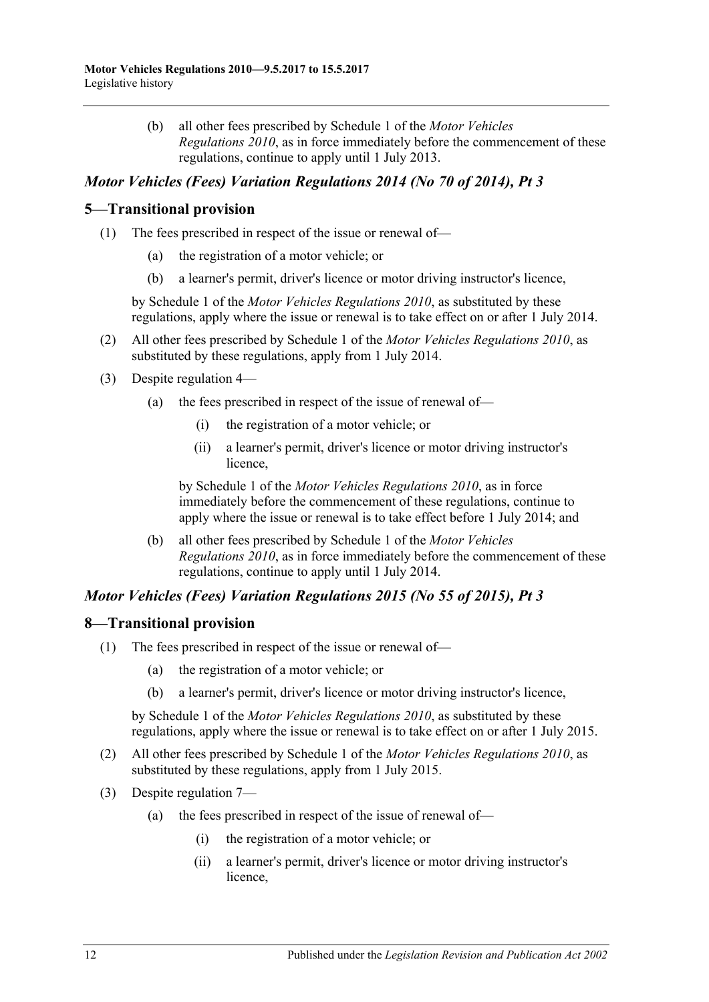(b) all other fees prescribed by Schedule 1 of the *[Motor Vehicles](http://www.legislation.sa.gov.au/index.aspx?action=legref&type=subordleg&legtitle=Motor%20Vehicles%20Regulations%202010)  [Regulations](http://www.legislation.sa.gov.au/index.aspx?action=legref&type=subordleg&legtitle=Motor%20Vehicles%20Regulations%202010) 2010*, as in force immediately before the commencement of these regulations, continue to apply until 1 July 2013.

# *Motor Vehicles (Fees) Variation Regulations 2014 (No 70 of 2014), Pt 3*

### **5—Transitional provision**

- (1) The fees prescribed in respect of the issue or renewal of
	- the registration of a motor vehicle; or
	- (b) a learner's permit, driver's licence or motor driving instructor's licence,

by Schedule 1 of the *[Motor Vehicles Regulations](http://www.legislation.sa.gov.au/index.aspx?action=legref&type=subordleg&legtitle=Motor%20Vehicles%20Regulations%202010) 2010*, as substituted by these regulations, apply where the issue or renewal is to take effect on or after 1 July 2014.

- (2) All other fees prescribed by Schedule 1 of the *[Motor Vehicles Regulations](http://www.legislation.sa.gov.au/index.aspx?action=legref&type=subordleg&legtitle=Motor%20Vehicles%20Regulations%202010) 2010*, as substituted by these regulations, apply from 1 July 2014.
- (3) Despite regulation 4—
	- (a) the fees prescribed in respect of the issue of renewal of—
		- (i) the registration of a motor vehicle; or
		- (ii) a learner's permit, driver's licence or motor driving instructor's licence,

by Schedule 1 of the *[Motor Vehicles Regulations](http://www.legislation.sa.gov.au/index.aspx?action=legref&type=subordleg&legtitle=Motor%20Vehicles%20Regulations%202010) 2010*, as in force immediately before the commencement of these regulations, continue to apply where the issue or renewal is to take effect before 1 July 2014; and

(b) all other fees prescribed by Schedule 1 of the *[Motor Vehicles](http://www.legislation.sa.gov.au/index.aspx?action=legref&type=subordleg&legtitle=Motor%20Vehicles%20Regulations%202010)  [Regulations](http://www.legislation.sa.gov.au/index.aspx?action=legref&type=subordleg&legtitle=Motor%20Vehicles%20Regulations%202010) 2010*, as in force immediately before the commencement of these regulations, continue to apply until 1 July 2014.

# *Motor Vehicles (Fees) Variation Regulations 2015 (No 55 of 2015), Pt 3*

### **8—Transitional provision**

- (1) The fees prescribed in respect of the issue or renewal of—
	- (a) the registration of a motor vehicle; or
	- (b) a learner's permit, driver's licence or motor driving instructor's licence,

by Schedule 1 of the *[Motor Vehicles Regulations](http://www.legislation.sa.gov.au/index.aspx?action=legref&type=subordleg&legtitle=Motor%20Vehicles%20Regulations%202010) 2010*, as substituted by these regulations, apply where the issue or renewal is to take effect on or after 1 July 2015.

- (2) All other fees prescribed by Schedule 1 of the *[Motor Vehicles Regulations](http://www.legislation.sa.gov.au/index.aspx?action=legref&type=subordleg&legtitle=Motor%20Vehicles%20Regulations%202010) 2010*, as substituted by these regulations, apply from 1 July 2015.
- (3) Despite regulation 7—
	- (a) the fees prescribed in respect of the issue of renewal of—
		- (i) the registration of a motor vehicle; or
		- (ii) a learner's permit, driver's licence or motor driving instructor's licence,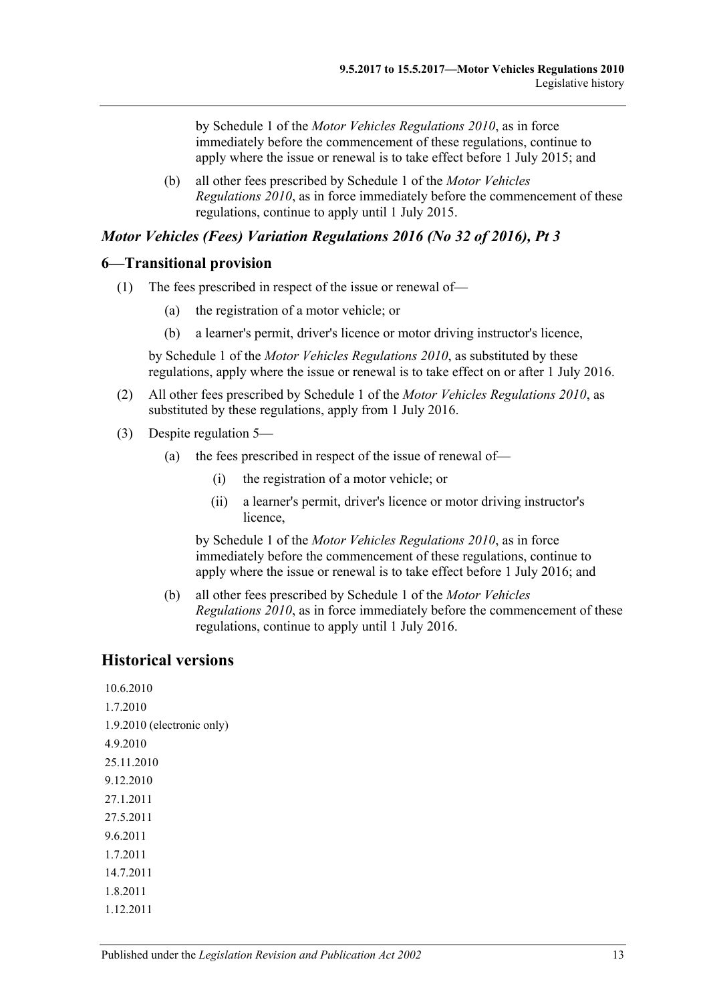by Schedule 1 of the *[Motor Vehicles Regulations](http://www.legislation.sa.gov.au/index.aspx?action=legref&type=subordleg&legtitle=Motor%20Vehicles%20Regulations%202010) 2010*, as in force immediately before the commencement of these regulations, continue to apply where the issue or renewal is to take effect before 1 July 2015; and

(b) all other fees prescribed by Schedule 1 of the *[Motor Vehicles](http://www.legislation.sa.gov.au/index.aspx?action=legref&type=subordleg&legtitle=Motor%20Vehicles%20Regulations%202010)  [Regulations](http://www.legislation.sa.gov.au/index.aspx?action=legref&type=subordleg&legtitle=Motor%20Vehicles%20Regulations%202010) 2010*, as in force immediately before the commencement of these regulations, continue to apply until 1 July 2015.

#### *Motor Vehicles (Fees) Variation Regulations 2016 (No 32 of 2016), Pt 3*

#### **6—Transitional provision**

- (1) The fees prescribed in respect of the issue or renewal of—
	- (a) the registration of a motor vehicle; or
	- (b) a learner's permit, driver's licence or motor driving instructor's licence,

by Schedule 1 of the *[Motor Vehicles Regulations](http://www.legislation.sa.gov.au/index.aspx?action=legref&type=subordleg&legtitle=Motor%20Vehicles%20Regulations%202010) 2010*, as substituted by these regulations, apply where the issue or renewal is to take effect on or after 1 July 2016.

- (2) All other fees prescribed by Schedule 1 of the *[Motor Vehicles Regulations](http://www.legislation.sa.gov.au/index.aspx?action=legref&type=subordleg&legtitle=Motor%20Vehicles%20Regulations%202010) 2010*, as substituted by these regulations, apply from 1 July 2016.
- (3) Despite regulation 5—
	- (a) the fees prescribed in respect of the issue of renewal of—
		- (i) the registration of a motor vehicle; or
		- (ii) a learner's permit, driver's licence or motor driving instructor's licence,

by Schedule 1 of the *[Motor Vehicles Regulations](http://www.legislation.sa.gov.au/index.aspx?action=legref&type=subordleg&legtitle=Motor%20Vehicles%20Regulations%202010) 2010*, as in force immediately before the commencement of these regulations, continue to apply where the issue or renewal is to take effect before 1 July 2016; and

(b) all other fees prescribed by Schedule 1 of the *[Motor Vehicles](http://www.legislation.sa.gov.au/index.aspx?action=legref&type=subordleg&legtitle=Motor%20Vehicles%20Regulations%202010)  [Regulations](http://www.legislation.sa.gov.au/index.aspx?action=legref&type=subordleg&legtitle=Motor%20Vehicles%20Regulations%202010) 2010*, as in force immediately before the commencement of these regulations, continue to apply until 1 July 2016.

# **Historical versions**

10.6.2010 1.7.2010 1.9.2010 (electronic only) 4.9.2010 25.11.2010 9.12.2010 27.1.2011 27.5.2011 9.6.2011 1.7.2011 14.7.2011 1.8.2011 1.12.2011